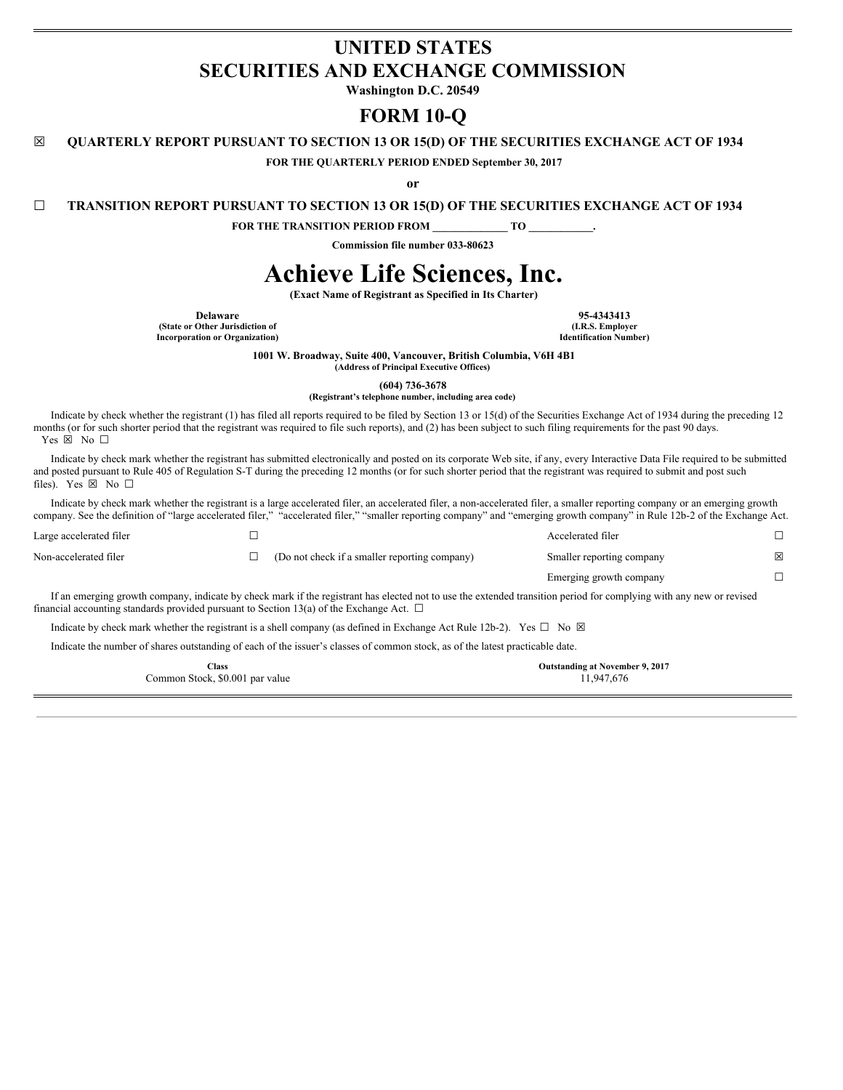# **UNITED STATES SECURITIES AND EXCHANGE COMMISSION**

**Washington D.C. 20549**

## **FORM 10-Q**

**☒ QUARTERLY REPORT PURSUANT TO SECTION 13 OR 15(D) OF THE SECURITIES EXCHANGE ACT OF 1934**

**FOR THE QUARTERLY PERIOD ENDED September 30, 2017**

**or**

**☐ TRANSITION REPORT PURSUANT TO SECTION 13 OR 15(D) OF THE SECURITIES EXCHANGE ACT OF 1934**

**FOR THE TRANSITION PERIOD FROM \_\_\_\_\_\_\_\_\_\_\_\_\_\_ TO \_\_\_\_\_\_\_\_\_\_\_\_.**

**Commission file number 033-80623**

# **Achieve Life Sciences, Inc.**

**(Exact Name of Registrant as Specified in Its Charter)**

**Delaware 95-4343413**<br> **195-4343413**<br> **1.R.S. Employer 1.R.S. Employer (State or Other Jurisdiction of (I.R.S. Employer Incorporation** or **Organization**)

**1001 W. Broadway, Suite 400, Vancouver, British Columbia, V6H 4B1**

**(Address of Principal Executive Offices)**

**(604) 736-3678**

**(Registrant's telephone number, including area code)**

Indicate by check whether the registrant (1) has filed all reports required to be filed by Section 13 or 15(d) of the Securities Exchange Act of 1934 during the preceding 12 months (or for such shorter period that the registrant was required to file such reports), and (2) has been subject to such filing requirements for the past 90 days. Yes ⊠ No □

Indicate by check mark whether the registrant has submitted electronically and posted on its corporate Web site, if any, every Interactive Data File required to be submitted and posted pursuant to Rule 405 of Regulation S-T during the preceding 12 months (or for such shorter period that the registrant was required to submit and post such files). Yes  $\boxtimes$  No  $\square$ 

Indicate by check mark whether the registrant is a large accelerated filer, an accelerated filer, a non-accelerated filer, a smaller reporting company or an emerging growth company. See the definition of "large accelerated filer," "accelerated filer," "smaller reporting company" and "emerging growth company" in Rule 12b-2 of the Exchange Act.

| Large accelerated filer                                                                       |                                                                                                                                     | Accelerated filer                                                                                                                                                   |   |
|-----------------------------------------------------------------------------------------------|-------------------------------------------------------------------------------------------------------------------------------------|---------------------------------------------------------------------------------------------------------------------------------------------------------------------|---|
| Non-accelerated filer                                                                         | (Do not check if a smaller reporting company)                                                                                       | Smaller reporting company                                                                                                                                           | × |
|                                                                                               |                                                                                                                                     | Emerging growth company                                                                                                                                             |   |
| financial accounting standards provided pursuant to Section 13(a) of the Exchange Act. $\Box$ |                                                                                                                                     | If an emerging growth company, indicate by check mark if the registrant has elected not to use the extended transition period for complying with any new or revised |   |
|                                                                                               | Indicate by check mark whether the registrant is a shell company (as defined in Exchange Act Rule 12b-2). Yes $\Box$ No $\boxtimes$ |                                                                                                                                                                     |   |
|                                                                                               |                                                                                                                                     |                                                                                                                                                                     |   |

Indicate the number of shares outstanding of each of the issuer's classes of common stock, as of the latest practicable date.

| <b>Class</b>                    | Outstanding at November 9, 2017 |
|---------------------------------|---------------------------------|
| Common Stock, \$0.001 par value | 11.947.676                      |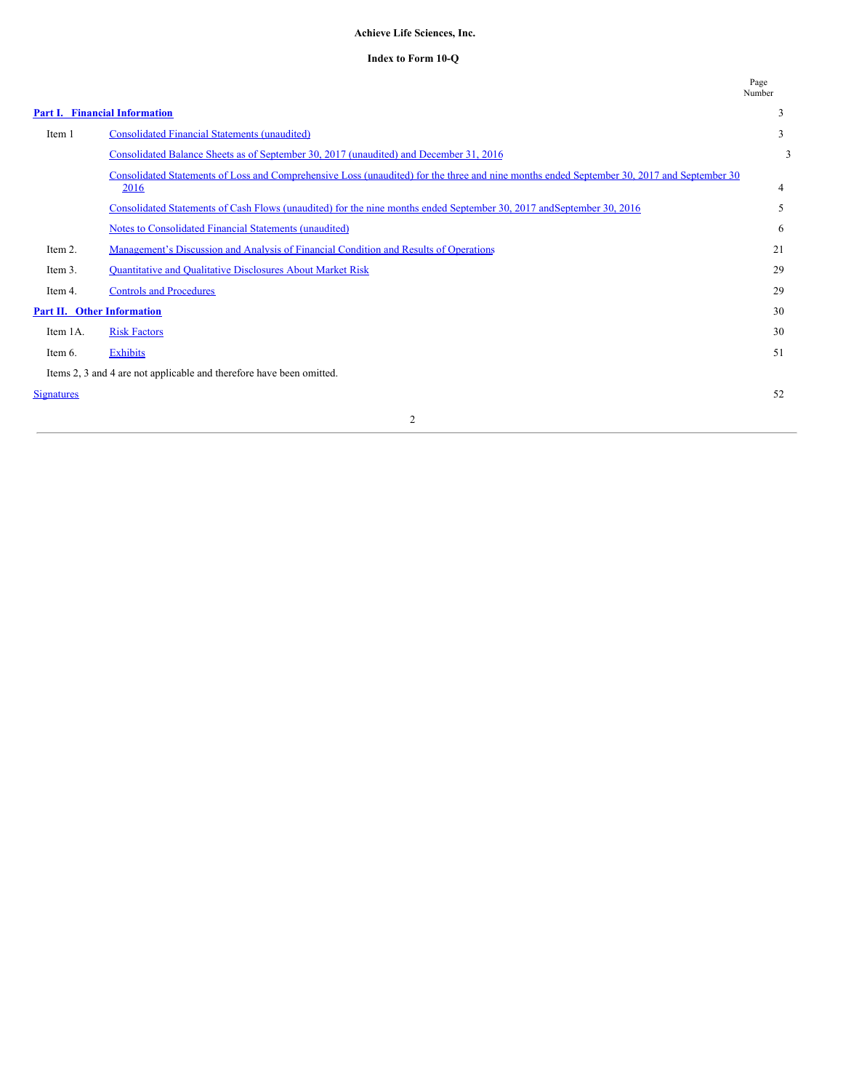## **Achieve Life Sciences, Inc.**

#### **Index to Form 10-Q**

|                   |                                                                                                                                                    | Page<br>Number |
|-------------------|----------------------------------------------------------------------------------------------------------------------------------------------------|----------------|
|                   | <b>Part I. Financial Information</b>                                                                                                               | 3              |
| Item 1            | <b>Consolidated Financial Statements (unaudited)</b>                                                                                               | 3              |
|                   | Consolidated Balance Sheets as of September 30, 2017 (unaudited) and December 31, 2016                                                             | 3              |
|                   | Consolidated Statements of Loss and Comprehensive Loss (unaudited) for the three and nine months ended September 30, 2017 and September 30<br>2016 | 4              |
|                   | Consolidated Statements of Cash Flows (unaudited) for the nine months ended September 30, 2017 and September 30, 2016                              | 5              |
|                   | Notes to Consolidated Financial Statements (unaudited)                                                                                             | 6              |
| Item 2.           | Management's Discussion and Analysis of Financial Condition and Results of Operations                                                              | 21             |
| Item 3.           | Quantitative and Qualitative Disclosures About Market Risk                                                                                         | 29             |
| Item 4.           | <b>Controls and Procedures</b>                                                                                                                     | 29             |
|                   | <b>Part II. Other Information</b>                                                                                                                  | 30             |
| Item 1A.          | <b>Risk Factors</b>                                                                                                                                | 30             |
| Item 6.           | <b>Exhibits</b>                                                                                                                                    | 51             |
|                   | Items 2, 3 and 4 are not applicable and therefore have been omitted.                                                                               |                |
| <b>Signatures</b> |                                                                                                                                                    | 52             |
|                   | 2                                                                                                                                                  |                |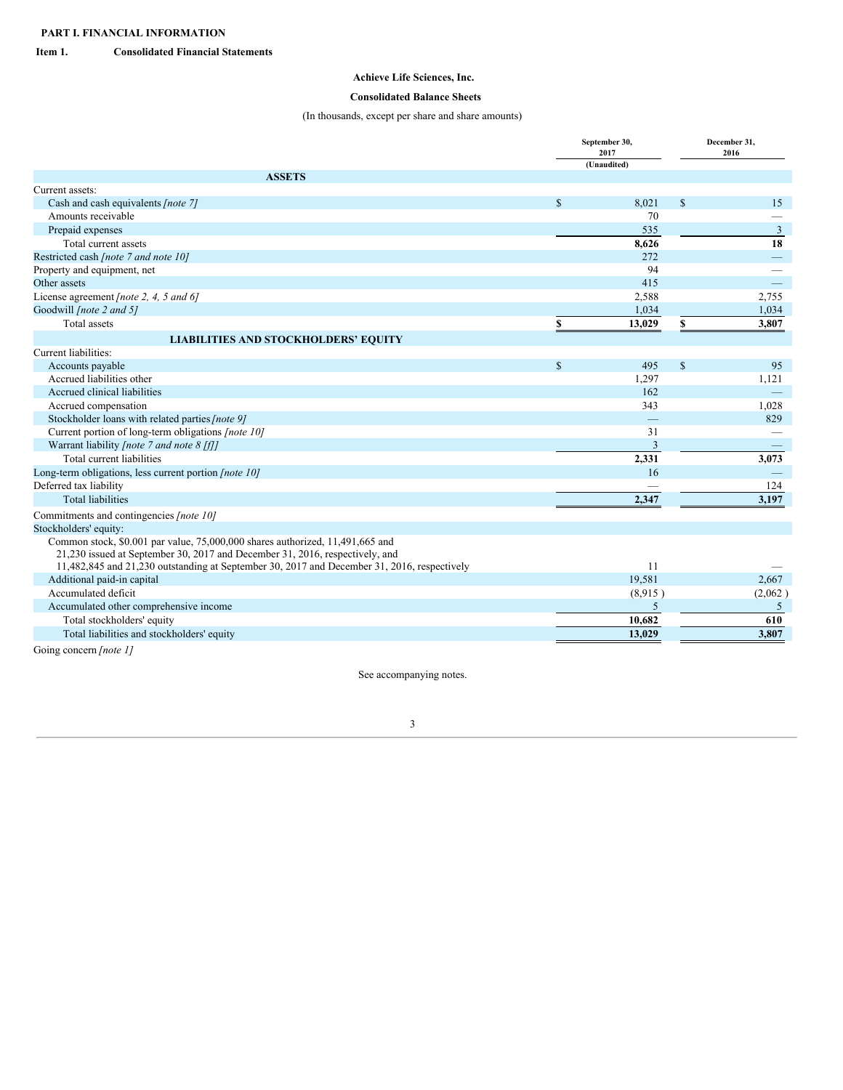## <span id="page-2-1"></span><span id="page-2-0"></span>**Item 1. Consolidated Financial Statements**

## **Achieve Life Sciences, Inc.**

## <span id="page-2-2"></span>**Consolidated Balance Sheets**

(In thousands, except per share and share amounts)

|                                                                                                                                                               |              | September 30,<br>2017<br>(Unaudited) |              | December 31,<br>2016 |
|---------------------------------------------------------------------------------------------------------------------------------------------------------------|--------------|--------------------------------------|--------------|----------------------|
| <b>ASSETS</b>                                                                                                                                                 |              |                                      |              |                      |
| Current assets:                                                                                                                                               |              |                                      |              |                      |
| Cash and cash equivalents [note 7]                                                                                                                            | $\mathbb{S}$ | 8.021                                | $\mathbb{S}$ | 15                   |
| Amounts receivable                                                                                                                                            |              | 70                                   |              |                      |
| Prepaid expenses                                                                                                                                              |              | 535                                  |              | $\overline{3}$       |
| Total current assets                                                                                                                                          |              | 8,626                                |              | 18                   |
| Restricted cash [note 7 and note 10]                                                                                                                          |              | 272                                  |              |                      |
| Property and equipment, net                                                                                                                                   |              | 94                                   |              |                      |
| Other assets                                                                                                                                                  |              | 415                                  |              |                      |
| License agreement [note 2, 4, 5 and 6]                                                                                                                        |              | 2,588                                |              | 2,755                |
| Goodwill [note 2 and 5]                                                                                                                                       |              | 1,034                                |              | 1,034                |
| <b>Total</b> assets                                                                                                                                           | S            | 13,029                               | \$           | 3,807                |
| <b>LIABILITIES AND STOCKHOLDERS' EQUITY</b>                                                                                                                   |              |                                      |              |                      |
| Current liabilities:                                                                                                                                          |              |                                      |              |                      |
| Accounts payable                                                                                                                                              | $\mathbb{S}$ | 495                                  | \$           | 95                   |
| Accrued liabilities other                                                                                                                                     |              | 1,297                                |              | 1,121                |
| Accrued clinical liabilities                                                                                                                                  |              | 162                                  |              |                      |
| Accrued compensation                                                                                                                                          |              | 343                                  |              | 1,028                |
| Stockholder loans with related parties [note 9]                                                                                                               |              |                                      |              | 829                  |
| Current portion of long-term obligations [note 10]                                                                                                            |              | 31                                   |              |                      |
| Warrant liability [note 7 and note 8 [f]]                                                                                                                     |              | $\overline{3}$                       |              |                      |
| Total current liabilities                                                                                                                                     |              | 2,331                                |              | 3,073                |
| Long-term obligations, less current portion [note 10]                                                                                                         |              | 16                                   |              |                      |
| Deferred tax liability                                                                                                                                        |              |                                      |              | 124                  |
| <b>Total liabilities</b>                                                                                                                                      |              | 2,347                                |              | 3,197                |
| Commitments and contingencies [note 10]                                                                                                                       |              |                                      |              |                      |
| Stockholders' equity:                                                                                                                                         |              |                                      |              |                      |
| Common stock, \$0.001 par value, 75,000,000 shares authorized, 11,491,665 and<br>21,230 issued at September 30, 2017 and December 31, 2016, respectively, and |              |                                      |              |                      |
| 11,482,845 and 21,230 outstanding at September 30, 2017 and December 31, 2016, respectively                                                                   |              | 11                                   |              |                      |
| Additional paid-in capital                                                                                                                                    |              | 19,581                               |              | 2,667                |
| Accumulated deficit                                                                                                                                           |              | (8,915)                              |              | (2,062)              |
| Accumulated other comprehensive income                                                                                                                        |              | 5                                    |              | 5                    |
| Total stockholders' equity                                                                                                                                    |              | 10,682                               |              | 610                  |
| Total liabilities and stockholders' equity                                                                                                                    |              | 13,029                               |              | 3,807                |
| $\mathbf{r}$ $\mathbf{r}$ $\mathbf{r}$                                                                                                                        |              |                                      |              |                      |

Going concern *[note 1]*

See accompanying notes.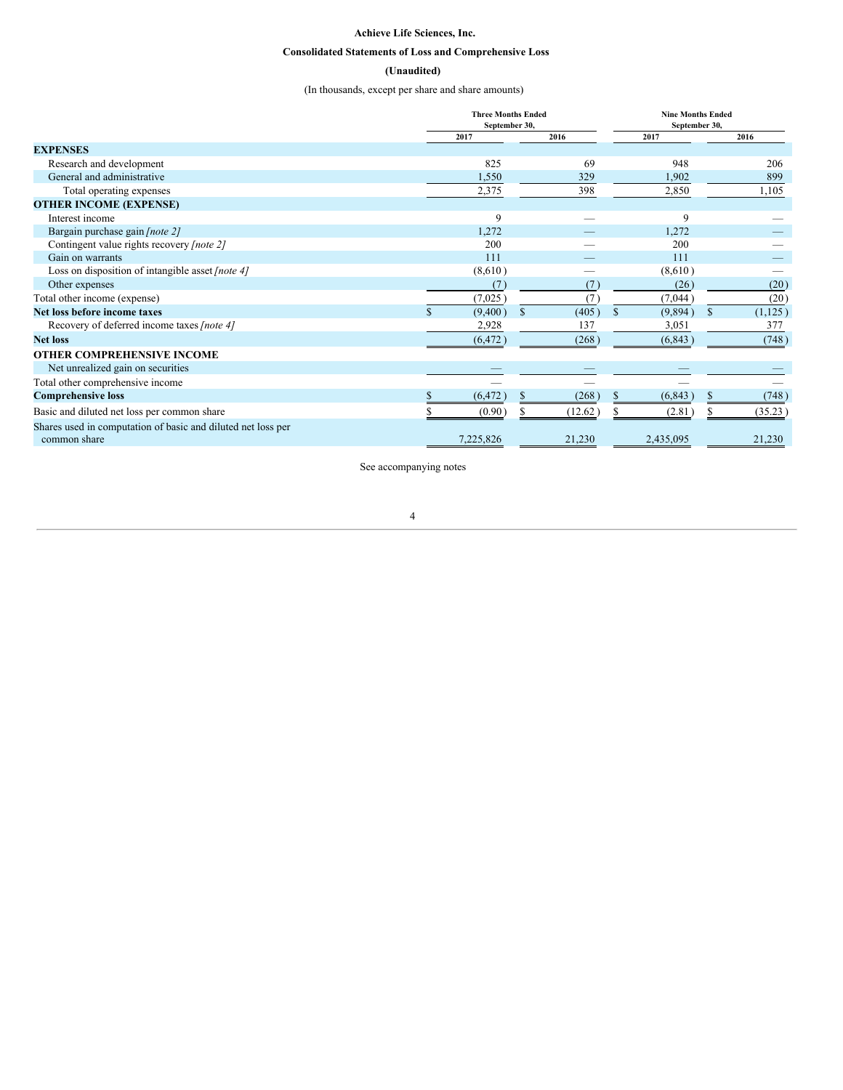## **Achieve Life Sciences, Inc.**

## <span id="page-3-0"></span>**Consolidated Statements of Loss and Comprehensive Loss**

## **(Unaudited)**

(In thousands, except per share and share amounts)

|                                                                              | <b>Three Months Ended</b><br>September 30, |           |                      |             | <b>Nine Months Ended</b><br>September 30, |                           |
|------------------------------------------------------------------------------|--------------------------------------------|-----------|----------------------|-------------|-------------------------------------------|---------------------------|
|                                                                              |                                            | 2017      | 2016                 |             | 2017                                      | 2016                      |
| <b>EXPENSES</b>                                                              |                                            |           |                      |             |                                           |                           |
| Research and development                                                     |                                            | 825       | 69                   |             | 948                                       | 206                       |
| General and administrative                                                   |                                            | 1,550     | 329                  |             | 1,902                                     | 899                       |
| Total operating expenses                                                     |                                            | 2,375     | 398                  |             | 2,850                                     | 1,105                     |
| <b>OTHER INCOME (EXPENSE)</b>                                                |                                            |           |                      |             |                                           |                           |
| Interest income                                                              |                                            | 9         |                      |             | 9                                         |                           |
| Bargain purchase gain <i>[note 2]</i>                                        |                                            | 1,272     |                      |             | 1,272                                     |                           |
| Contingent value rights recovery [note 2]                                    |                                            | 200       |                      |             | 200                                       |                           |
| Gain on warrants                                                             |                                            | 111       |                      |             | 111                                       |                           |
| Loss on disposition of intangible asset [note 4]                             |                                            | (8,610)   |                      |             | (8,610)                                   |                           |
| Other expenses                                                               |                                            | (7)       | (7)                  |             | (26)                                      | (20)                      |
| Total other income (expense)                                                 |                                            | (7,025)   |                      |             | (7,044)                                   | (20)                      |
| Net loss before income taxes                                                 |                                            | (9,400)   | $\mathbf S$<br>(405) | $\mathbf S$ | (9,894)                                   | <sup>\$</sup><br>(1, 125) |
| Recovery of deferred income taxes [note 4]                                   |                                            | 2,928     | 137                  |             | 3,051                                     | 377                       |
| <b>Net loss</b>                                                              |                                            | (6, 472)  | (268)                |             | (6,843)                                   | (748)                     |
| <b>OTHER COMPREHENSIVE INCOME</b>                                            |                                            |           |                      |             |                                           |                           |
| Net unrealized gain on securities                                            |                                            |           |                      |             |                                           |                           |
| Total other comprehensive income                                             |                                            |           |                      |             |                                           |                           |
| <b>Comprehensive loss</b>                                                    |                                            | (6, 472)  | (268)                |             | (6,843)                                   | (748)                     |
| Basic and diluted net loss per common share                                  |                                            | (0.90)    | (12.62)              |             | (2.81)                                    | (35.23)                   |
| Shares used in computation of basic and diluted net loss per<br>common share |                                            | 7,225,826 | 21,230               |             | 2,435,095                                 | 21,230                    |

See accompanying notes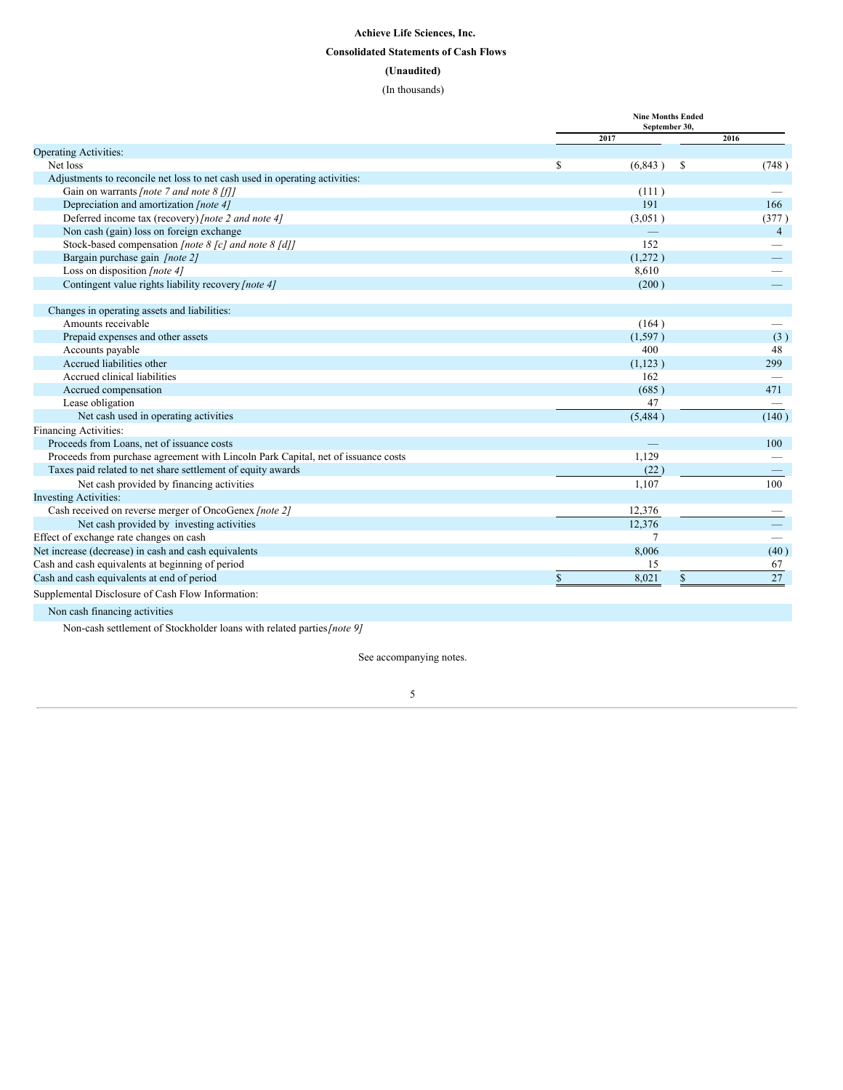## <span id="page-4-0"></span>**Achieve Life Sciences, Inc. Consolidated Statements of Cash Flows (Unaudited)** (In thousands)

|                                                                                   | <b>Nine Months Ended</b><br>September 30, |               |                |  |  |
|-----------------------------------------------------------------------------------|-------------------------------------------|---------------|----------------|--|--|
|                                                                                   | 2017                                      | 2016          |                |  |  |
| <b>Operating Activities:</b>                                                      |                                           |               |                |  |  |
| Net loss                                                                          | \$<br>(6,843)                             | <sup>\$</sup> | (748)          |  |  |
| Adjustments to reconcile net loss to net cash used in operating activities:       |                                           |               |                |  |  |
| Gain on warrants [note 7 and note 8 [f]]                                          | (111)                                     |               |                |  |  |
| Depreciation and amortization [note 4]                                            | 191                                       |               | 166            |  |  |
| Deferred income tax (recovery) [note 2 and note 4]                                | (3,051)                                   |               | (377)          |  |  |
| Non cash (gain) loss on foreign exchange                                          |                                           |               | $\overline{4}$ |  |  |
| Stock-based compensation [note 8 [c] and note 8 [d]]                              | 152                                       |               |                |  |  |
| Bargain purchase gain [note 2]                                                    | (1,272)                                   |               |                |  |  |
| Loss on disposition [note 4]                                                      | 8,610                                     |               |                |  |  |
| Contingent value rights liability recovery [note 4]                               | (200)                                     |               |                |  |  |
|                                                                                   |                                           |               |                |  |  |
| Changes in operating assets and liabilities:                                      |                                           |               |                |  |  |
| Amounts receivable                                                                | (164)                                     |               |                |  |  |
| Prepaid expenses and other assets                                                 | (1,597)                                   |               | (3)            |  |  |
| Accounts payable                                                                  | 400                                       |               | 48             |  |  |
| Accrued liabilities other                                                         | (1,123)                                   |               | 299            |  |  |
| Accrued clinical liabilities                                                      | 162                                       |               |                |  |  |
| Accrued compensation                                                              | (685)                                     |               | 471            |  |  |
| Lease obligation                                                                  | 47                                        |               |                |  |  |
| Net cash used in operating activities                                             | (5,484)                                   |               | (140)          |  |  |
| <b>Financing Activities:</b>                                                      |                                           |               |                |  |  |
| Proceeds from Loans, net of issuance costs                                        |                                           |               | 100            |  |  |
| Proceeds from purchase agreement with Lincoln Park Capital, net of issuance costs | 1,129                                     |               |                |  |  |
| Taxes paid related to net share settlement of equity awards                       | (22)                                      |               |                |  |  |
| Net cash provided by financing activities                                         | 1,107                                     |               | 100            |  |  |
| <b>Investing Activities:</b>                                                      |                                           |               |                |  |  |
| Cash received on reverse merger of OncoGenex [note 2]                             | 12,376                                    |               |                |  |  |
| Net cash provided by investing activities                                         | 12,376                                    |               |                |  |  |
| Effect of exchange rate changes on cash                                           | 7                                         |               |                |  |  |
| Net increase (decrease) in cash and cash equivalents                              | 8,006                                     |               | (40)           |  |  |
| Cash and cash equivalents at beginning of period                                  | 15                                        |               | 67             |  |  |
| Cash and cash equivalents at end of period                                        | \$<br>8,021                               | \$            | 27             |  |  |
| Supplemental Disclosure of Cash Flow Information:                                 |                                           |               |                |  |  |
|                                                                                   |                                           |               |                |  |  |

Non cash financing activities

Non-cash settlement of Stockholder loans with related parties*[note 9]*

See accompanying notes.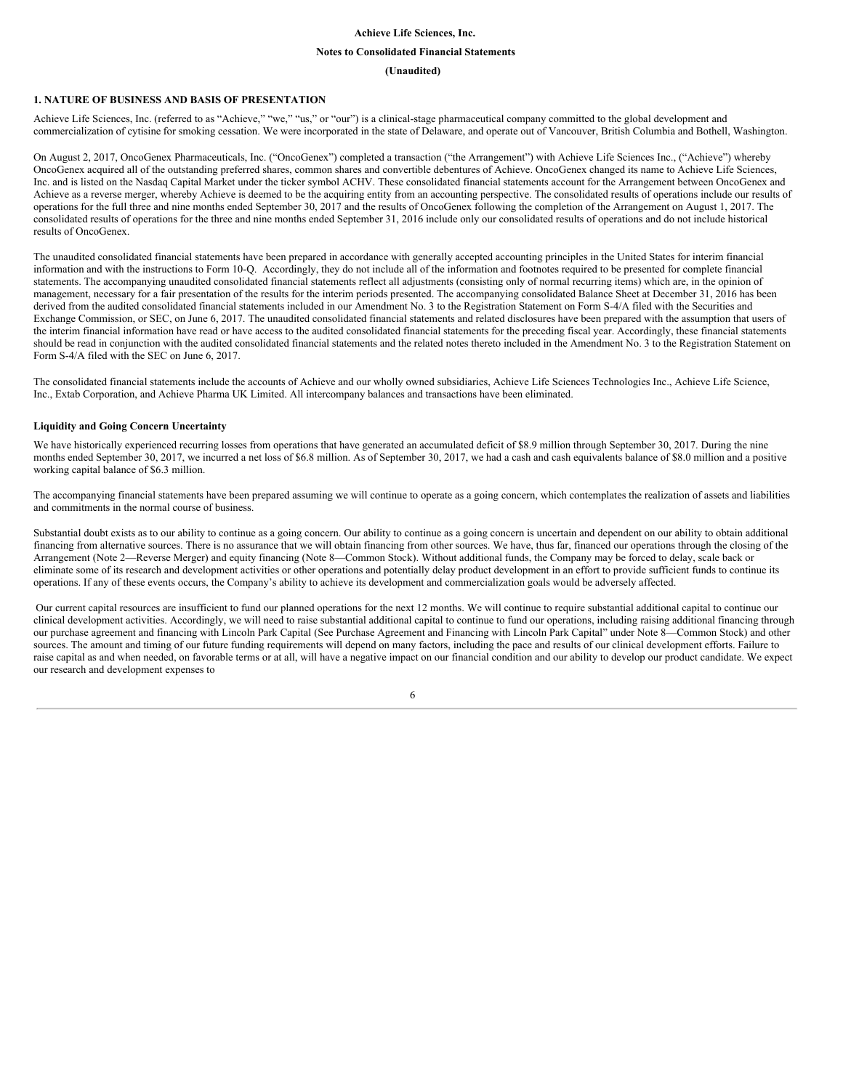#### **Achieve Life Sciences, Inc.**

#### <span id="page-5-0"></span>**Notes to Consolidated Financial Statements**

#### **(Unaudited)**

## **1. NATURE OF BUSINESS AND BASIS OF PRESENTATION**

Achieve Life Sciences, Inc. (referred to as "Achieve," "we," "us," or "our") is a clinical-stage pharmaceutical company committed to the global development and commercialization of cytisine for smoking cessation. We were incorporated in the state of Delaware, and operate out of Vancouver, British Columbia and Bothell, Washington.

On August 2, 2017, OncoGenex Pharmaceuticals, Inc. ("OncoGenex") completed a transaction ("the Arrangement") with Achieve Life Sciences Inc., ("Achieve") whereby OncoGenex acquired all of the outstanding preferred shares, common shares and convertible debentures of Achieve. OncoGenex changed its name to Achieve Life Sciences, Inc. and is listed on the Nasdaq Capital Market under the ticker symbol ACHV. These consolidated financial statements account for the Arrangement between OncoGenex and Achieve as a reverse merger, whereby Achieve is deemed to be the acquiring entity from an accounting perspective. The consolidated results of operations include our results of operations for the full three and nine months ended September 30, 2017 and the results of OncoGenex following the completion of the Arrangement on August 1, 2017. The consolidated results of operations for the three and nine months ended September 31, 2016 include only our consolidated results of operations and do not include historical results of OncoGenex.

The unaudited consolidated financial statements have been prepared in accordance with generally accepted accounting principles in the United States for interim financial information and with the instructions to Form 10-Q. Accordingly, they do not include all of the information and footnotes required to be presented for complete financial statements. The accompanying unaudited consolidated financial statements reflect all adjustments (consisting only of normal recurring items) which are, in the opinion of management, necessary for a fair presentation of the results for the interim periods presented. The accompanying consolidated Balance Sheet at December 31, 2016 has been derived from the audited consolidated financial statements included in our Amendment No. 3 to the Registration Statement on Form S-4/A filed with the Securities and Exchange Commission, or SEC, on June 6, 2017. The unaudited consolidated financial statements and related disclosures have been prepared with the assumption that users of the interim financial information have read or have access to the audited consolidated financial statements for the preceding fiscal year. Accordingly, these financial statements should be read in conjunction with the audited consolidated financial statements and the related notes thereto included in the Amendment No. 3 to the Registration Statement on Form S-4/A filed with the SEC on June 6, 2017.

The consolidated financial statements include the accounts of Achieve and our wholly owned subsidiaries, Achieve Life Sciences Technologies Inc., Achieve Life Science, Inc., Extab Corporation, and Achieve Pharma UK Limited. All intercompany balances and transactions have been eliminated.

#### **Liquidity and Going Concern Uncertainty**

We have historically experienced recurring losses from operations that have generated an accumulated deficit of \$8.9 million through September 30, 2017. During the nine months ended September 30, 2017, we incurred a net loss of \$6.8 million. As of September 30, 2017, we had a cash and cash equivalents balance of \$8.0 million and a positive working capital balance of \$6.3 million.

The accompanying financial statements have been prepared assuming we will continue to operate as a going concern, which contemplates the realization of assets and liabilities and commitments in the normal course of business.

Substantial doubt exists as to our ability to continue as a going concern. Our ability to continue as a going concern is uncertain and dependent on our ability to obtain additional financing from alternative sources. There is no assurance that we will obtain financing from other sources. We have, thus far, financed our operations through the closing of the Arrangement (Note 2—Reverse Merger) and equity financing (Note 8—Common Stock). Without additional funds, the Company may be forced to delay, scale back or eliminate some of its research and development activities or other operations and potentially delay product development in an effort to provide sufficient funds to continue its operations. If any of these events occurs, the Company's ability to achieve its development and commercialization goals would be adversely affected.

Our current capital resources are insufficient to fund our planned operations for the next 12 months. We will continue to require substantial additional capital to continue our clinical development activities. Accordingly, we will need to raise substantial additional capital to continue to fund our operations, including raising additional financing through our purchase agreement and financing with Lincoln Park Capital (See Purchase Agreement and Financing with Lincoln Park Capital" under Note 8—Common Stock) and other sources. The amount and timing of our future funding requirements will depend on many factors, including the pace and results of our clinical development efforts. Failure to raise capital as and when needed, on favorable terms or at all, will have a negative impact on our financial condition and our ability to develop our product candidate. We expect our research and development expenses to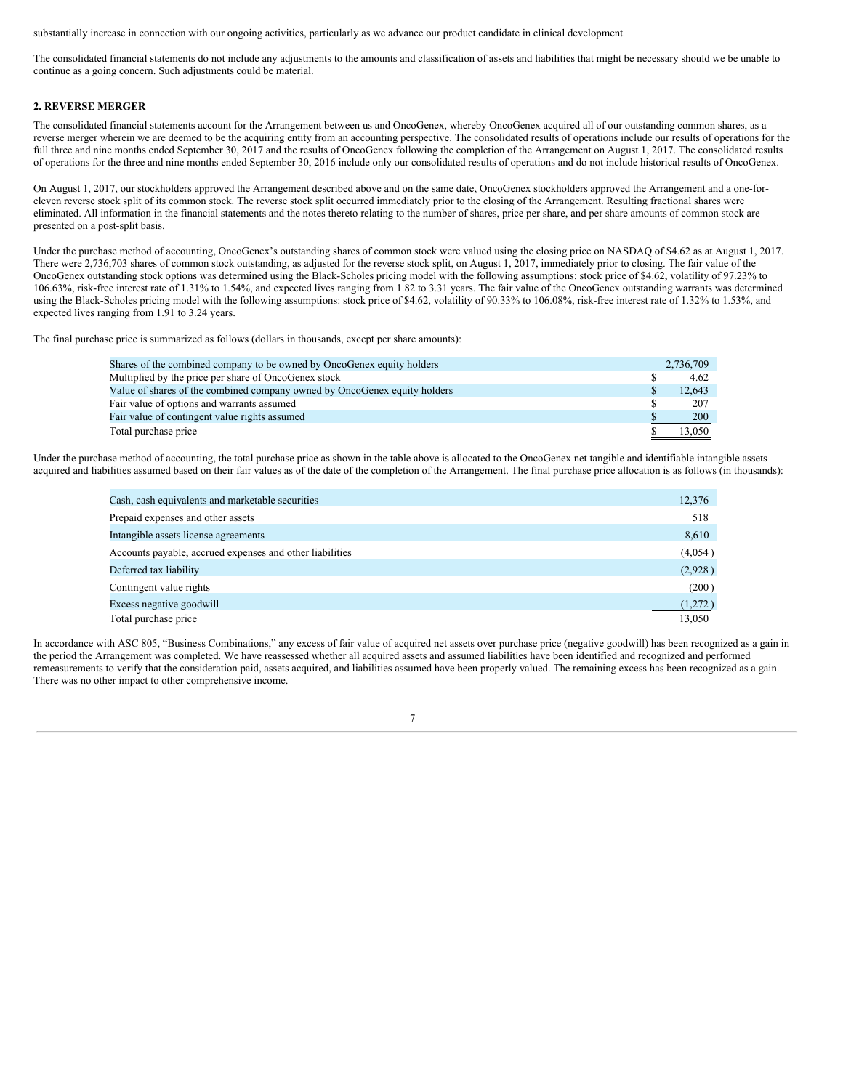substantially increase in connection with our ongoing activities, particularly as we advance our product candidate in clinical development.

The consolidated financial statements do not include any adjustments to the amounts and classification of assets and liabilities that might be necessary should we be unable to continue as a going concern. Such adjustments could be material.

#### **2. REVERSE MERGER**

The consolidated financial statements account for the Arrangement between us and OncoGenex, whereby OncoGenex acquired all of our outstanding common shares, as a reverse merger wherein we are deemed to be the acquiring entity from an accounting perspective. The consolidated results of operations include our results of operations for the full three and nine months ended September 30, 2017 and the results of OncoGenex following the completion of the Arrangement on August 1, 2017. The consolidated results of operations for the three and nine months ended September 30, 2016 include only our consolidated results of operations and do not include historical results of OncoGenex.

On August 1, 2017, our stockholders approved the Arrangement described above and on the same date, OncoGenex stockholders approved the Arrangement and a one-foreleven reverse stock split of its common stock. The reverse stock split occurred immediately prior to the closing of the Arrangement. Resulting fractional shares were eliminated. All information in the financial statements and the notes thereto relating to the number of shares, price per share, and per share amounts of common stock are presented on a post-split basis.

Under the purchase method of accounting, OncoGenex's outstanding shares of common stock were valued using the closing price on NASDAQ of \$4.62 as at August 1, 2017. There were 2,736,703 shares of common stock outstanding, as adjusted for the reverse stock split, on August 1, 2017, immediately prior to closing. The fair value of the OncoGenex outstanding stock options was determined using the Black-Scholes pricing model with the following assumptions: stock price of \$4.62, volatility of 97.23% to 106.63%, risk-free interest rate of 1.31% to 1.54%, and expected lives ranging from 1.82 to 3.31 years. The fair value of the OncoGenex outstanding warrants was determined using the Black-Scholes pricing model with the following assumptions: stock price of \$4.62, volatility of 90.33% to 106.08%, risk-free interest rate of 1.32% to 1.53%, and expected lives ranging from 1.91 to 3.24 years.

The final purchase price is summarized as follows (dollars in thousands, except per share amounts):

| Shares of the combined company to be owned by OncoGenex equity holders    | 2,736,709  |
|---------------------------------------------------------------------------|------------|
| Multiplied by the price per share of OncoGenex stock                      | 4.62       |
| Value of shares of the combined company owned by OncoGenex equity holders | 12.643     |
| Fair value of options and warrants assumed                                | 207        |
| Fair value of contingent value rights assumed                             | <b>200</b> |
| Total purchase price                                                      | 13.050     |

Under the purchase method of accounting, the total purchase price as shown in the table above is allocated to the OncoGenex net tangible and identifiable intangible assets acquired and liabilities assumed based on their fair values as of the date of the completion of the Arrangement. The final purchase price allocation is as follows (in thousands):

| Cash, cash equivalents and marketable securities         | 12,376  |
|----------------------------------------------------------|---------|
| Prepaid expenses and other assets                        | 518     |
| Intangible assets license agreements                     | 8,610   |
| Accounts payable, accrued expenses and other liabilities | (4,054) |
| Deferred tax liability                                   | (2,928) |
| Contingent value rights                                  | (200)   |
| Excess negative goodwill                                 | (1,272) |
| Total purchase price                                     | 13.050  |

In accordance with ASC 805, "Business Combinations," any excess of fair value of acquired net assets over purchase price (negative goodwill) has been recognized as a gain in the period the Arrangement was completed. We have reassessed whether all acquired assets and assumed liabilities have been identified and recognized and performed remeasurements to verify that the consideration paid, assets acquired, and liabilities assumed have been properly valued. The remaining excess has been recognized as a gain. There was no other impact to other comprehensive income.

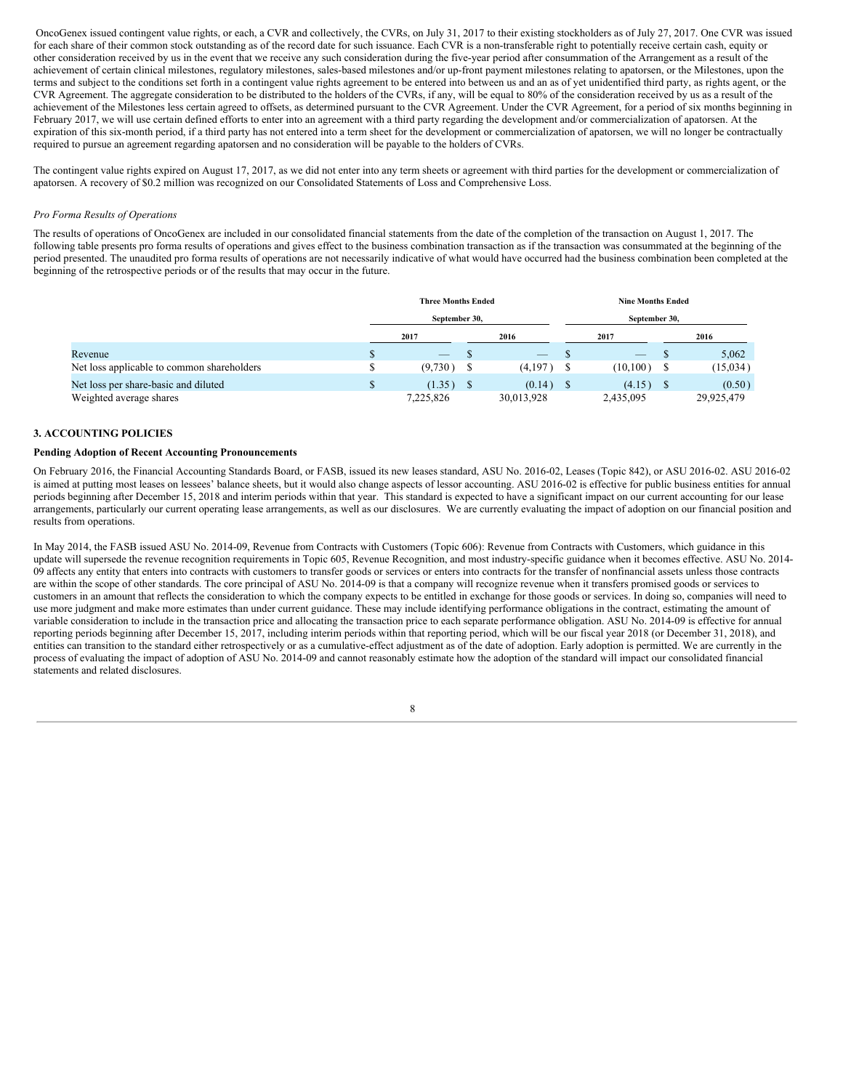OncoGenex issued contingent value rights, or each, a CVR and collectively, the CVRs, on July 31, 2017 to their existing stockholders as of July 27, 2017. One CVR was issued for each share of their common stock outstanding as of the record date for such issuance. Each CVR is a non-transferable right to potentially receive certain cash, equity or other consideration received by us in the event that we receive any such consideration during the five-year period after consummation of the Arrangement as a result of the achievement of certain clinical milestones, regulatory milestones, sales-based milestones and/or up-front payment milestones relating to apatorsen, or the Milestones, upon the terms and subject to the conditions set forth in a contingent value rights agreement to be entered into between us and an as of yet unidentified third party, as rights agent, or the CVR Agreement. The aggregate consideration to be distributed to the holders of the CVRs, if any, will be equal to 80% of the consideration received by us as a result of the achievement of the Milestones less certain agreed to offsets, as determined pursuant to the CVR Agreement. Under the CVR Agreement, for a period of six months beginning in February 2017, we will use certain defined efforts to enter into an agreement with a third party regarding the development and/or commercialization of apatorsen. At the expiration of this six-month period, if a third party has not entered into a term sheet for the development or commercialization of apatorsen, we will no longer be contractually required to pursue an agreement regarding apatorsen and no consideration will be payable to the holders of CVRs.

The contingent value rights expired on August 17, 2017, as we did not enter into any term sheets or agreement with third parties for the development or commercialization of apatorsen. A recovery of \$0.2 million was recognized on our Consolidated Statements of Loss and Comprehensive Loss.

## *Pro Forma Results of Operations*

The results of operations of OncoGenex are included in our consolidated financial statements from the date of the completion of the transaction on August 1, 2017. The following table presents pro forma results of operations and gives effect to the business combination transaction as if the transaction was consummated at the beginning of the period presented. The unaudited pro forma results of operations are not necessarily indicative of what would have occurred had the business combination been completed at the beginning of the retrospective periods or of the results that may occur in the future.

|                                            |  | <b>Three Months Ended</b><br>September 30, |     |            |      | <b>Nine Months Ended</b>        |  |            |  |  |  |
|--------------------------------------------|--|--------------------------------------------|-----|------------|------|---------------------------------|--|------------|--|--|--|
|                                            |  |                                            |     |            |      | September 30,                   |  |            |  |  |  |
|                                            |  | 2017                                       |     | 2016       | 2017 |                                 |  | 2016       |  |  |  |
| Revenue                                    |  | $\overline{\phantom{a}}$                   |     | $-$        |      | $\hspace{0.1mm}-\hspace{0.1mm}$ |  | 5,062      |  |  |  |
| Net loss applicable to common shareholders |  | (9,730)                                    | - S | (4,197)    |      | (10, 100)                       |  | (15,034)   |  |  |  |
| Net loss per share-basic and diluted       |  | (1.35)                                     |     | (0.14)     |      | (4.15)                          |  | (0.50)     |  |  |  |
| Weighted average shares                    |  | 7,225,826                                  |     | 30,013,928 |      | 2,435,095                       |  | 29,925,479 |  |  |  |

#### **3. ACCOUNTING POLICIES**

#### **Pending Adoption of Recent Accounting Pronouncements**

On February 2016, the Financial Accounting Standards Board, or FASB, issued its new leases standard, ASU No. 2016-02, Leases (Topic 842), or ASU 2016-02. ASU 2016-02 is aimed at putting most leases on lessees' balance sheets, but it would also change aspects of lessor accounting. ASU 2016-02 is effective for public business entities for annual periods beginning after December 15, 2018 and interim periods within that year. This standard is expected to have a significant impact on our current accounting for our lease arrangements, particularly our current operating lease arrangements, as well as our disclosures. We are currently evaluating the impact of adoption on our financial position and results from operations.

In May 2014, the FASB issued ASU No. 2014-09, Revenue from Contracts with Customers (Topic 606): Revenue from Contracts with Customers, which guidance in this update will supersede the revenue recognition requirements in Topic 605, Revenue Recognition, and most industry-specific guidance when it becomes effective. ASU No. 2014- 09 affects any entity that enters into contracts with customers to transfer goods or services or enters into contracts for the transfer of nonfinancial assets unless those contracts are within the scope of other standards. The core principal of ASU No. 2014-09 is that a company will recognize revenue when it transfers promised goods or services to customers in an amount that reflects the consideration to which the company expects to be entitled in exchange for those goods or services. In doing so, companies will need to use more judgment and make more estimates than under current guidance. These may include identifying performance obligations in the contract, estimating the amount of variable consideration to include in the transaction price and allocating the transaction price to each separate performance obligation. ASU No. 2014-09 is effective for annual reporting periods beginning after December 15, 2017, including interim periods within that reporting period, which will be our fiscal year 2018 (or December 31, 2018), and entities can transition to the standard either retrospectively or as a cumulative-effect adjustment as of the date of adoption. Early adoption is permitted. We are currently in the process of evaluating the impact of adoption of ASU No. 2014-09 and cannot reasonably estimate how the adoption of the standard will impact our consolidated financial statements and related disclosures.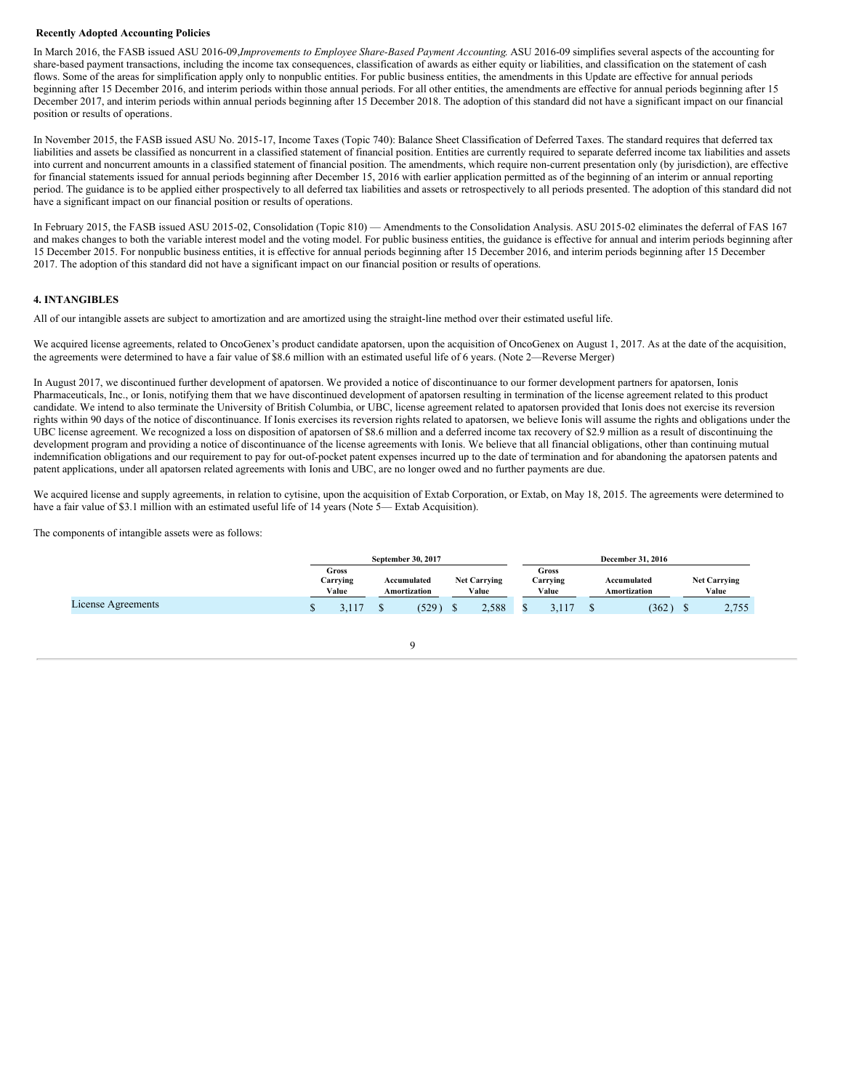#### **Recently Adopted Accounting Policies**

In March 2016, the FASB issued ASU 2016-09,*Improvements to Employee Share-Based Payment Accounting*. ASU 2016-09 simplifies several aspects of the accounting for share-based payment transactions, including the income tax consequences, classification of awards as either equity or liabilities, and classification on the statement of cash flows. Some of the areas for simplification apply only to nonpublic entities. For public business entities, the amendments in this Update are effective for annual periods beginning after 15 December 2016, and interim periods within those annual periods. For all other entities, the amendments are effective for annual periods beginning after 15 December 2017, and interim periods within annual periods beginning after 15 December 2018. The adoption of this standard did not have a significant impact on our financial position or results of operations.

In November 2015, the FASB issued ASU No. 2015-17, Income Taxes (Topic 740): Balance Sheet Classification of Deferred Taxes. The standard requires that deferred tax liabilities and assets be classified as noncurrent in a classified statement of financial position. Entities are currently required to separate deferred income tax liabilities and assets into current and noncurrent amounts in a classified statement of financial position. The amendments, which require non-current presentation only (by jurisdiction), are effective for financial statements issued for annual periods beginning after December 15, 2016 with earlier application permitted as of the beginning of an interim or annual reporting period. The guidance is to be applied either prospectively to all deferred tax liabilities and assets or retrospectively to all periods presented. The adoption of this standard did not have a significant impact on our financial position or results of operations.

In February 2015, the FASB issued ASU 2015-02, Consolidation (Topic 810) — Amendments to the Consolidation Analysis. ASU 2015-02 eliminates the deferral of FAS 167 and makes changes to both the variable interest model and the voting model. For public business entities, the guidance is effective for annual and interim periods beginning after 15 December 2015. For nonpublic business entities, it is effective for annual periods beginning after 15 December 2016, and interim periods beginning after 15 December 2017. The adoption of this standard did not have a significant impact on our financial position or results of operations.

#### **4. INTANGIBLES**

All of our intangible assets are subject to amortization and are amortized using the straight-line method over their estimated useful life.

We acquired license agreements, related to OncoGenex's product candidate apatorsen, upon the acquisition of OncoGenex on August 1, 2017. As at the date of the acquisition, the agreements were determined to have a fair value of \$8.6 million with an estimated useful life of 6 years. (Note 2—Reverse Merger)

In August 2017, we discontinued further development of apatorsen. We provided a notice of discontinuance to our former development partners for apatorsen, Ionis Pharmaceuticals, Inc., or Ionis, notifying them that we have discontinued development of apatorsen resulting in termination of the license agreement related to this product candidate. We intend to also terminate the University of British Columbia, or UBC, license agreement related to apatorsen provided that Ionis does not exercise its reversion rights within 90 days of the notice of discontinuance. If Ionis exercises its reversion rights related to apatorsen, we believe Ionis will assume the rights and obligations under the UBC license agreement. We recognized a loss on disposition of apatorsen of \$8.6 million and a deferred income tax recovery of \$2.9 million as a result of discontinuing the development program and providing a notice of discontinuance of the license agreements with Ionis. We believe that all financial obligations, other than continuing mutual indemnification obligations and our requirement to pay for out-of-pocket patent expenses incurred up to the date of termination and for abandoning the apatorsen patents and patent applications, under all apatorsen related agreements with Ionis and UBC, are no longer owed and no further payments are due.

We acquired license and supply agreements, in relation to cytisine, upon the acquisition of Extab Corporation, or Extab, on May 18, 2015. The agreements were determined to have a fair value of \$3.1 million with an estimated useful life of 14 years (Note 5— Extab Acquisition).

The components of intangible assets were as follows:

|                    |                            | <b>September 30, 2017</b>   |                              | December 31, 2016          |  |                             |  |                              |
|--------------------|----------------------------|-----------------------------|------------------------------|----------------------------|--|-----------------------------|--|------------------------------|
|                    | Gross<br>Carrving<br>Value | Accumulated<br>Amortization | <b>Net Carrying</b><br>Value | Gross<br>Carrying<br>Value |  | Accumulated<br>Amortization |  | <b>Net Carrying</b><br>Value |
| License Agreements | 117<br>$\sim$              | (529)                       | 2,588                        | J.II                       |  | (362)                       |  | 2,755                        |

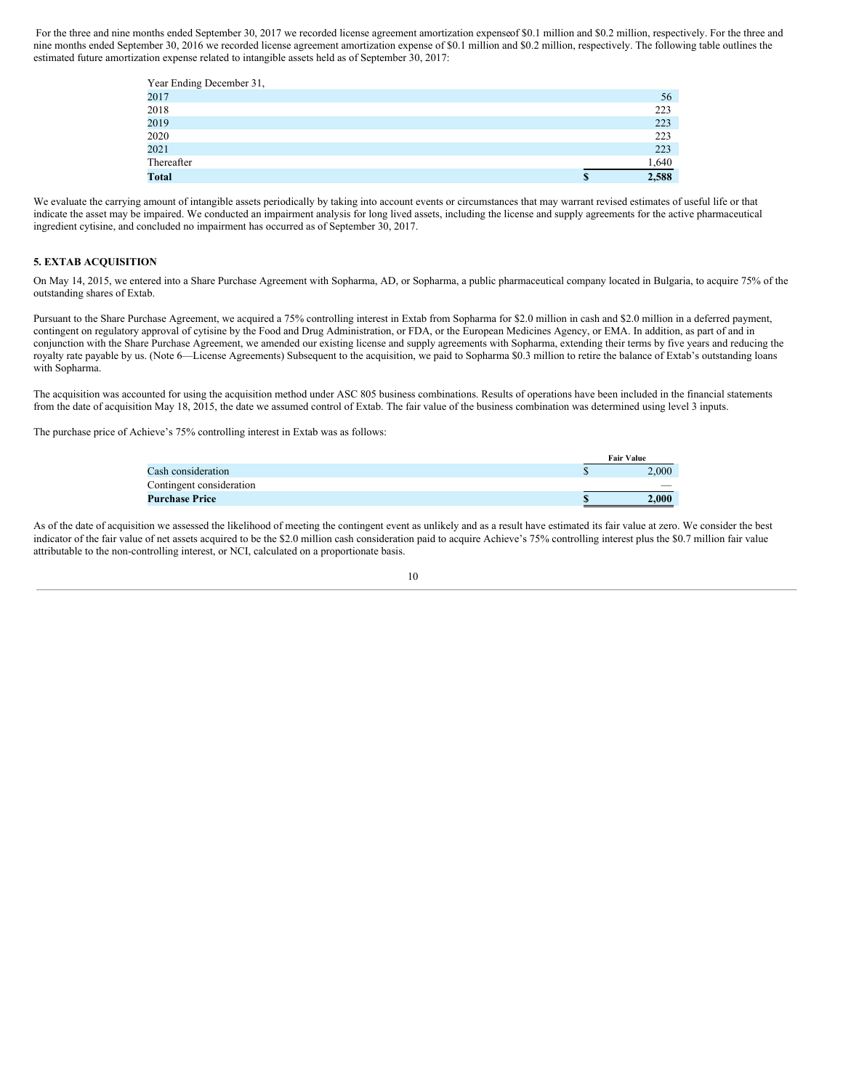For the three and nine months ended September 30, 2017 we recorded license agreement amortization expenseof \$0.1 million and \$0.2 million, respectively. For the three and nine months ended September 30, 2016 we recorded license agreement amortization expense of \$0.1 million and \$0.2 million, respectively. The following table outlines the estimated future amortization expense related to intangible assets held as of September 30, 2017:

| Year Ending December 31, |   |       |
|--------------------------|---|-------|
| 2017                     |   | 56    |
| 2018                     |   | 223   |
| 2019                     |   | 223   |
| 2020                     |   | 223   |
| 2021                     |   | 223   |
| Thereafter               |   | 1,640 |
| <b>Total</b>             | Φ | 2,588 |

We evaluate the carrying amount of intangible assets periodically by taking into account events or circumstances that may warrant revised estimates of useful life or that indicate the asset may be impaired. We conducted an impairment analysis for long lived assets, including the license and supply agreements for the active pharmaceutical ingredient cytisine, and concluded no impairment has occurred as of September 30, 2017.

#### **5. EXTAB ACQUISITION**

On May 14, 2015, we entered into a Share Purchase Agreement with Sopharma, AD, or Sopharma, a public pharmaceutical company located in Bulgaria, to acquire 75% of the outstanding shares of Extab.

Pursuant to the Share Purchase Agreement, we acquired a 75% controlling interest in Extab from Sopharma for \$2.0 million in cash and \$2.0 million in a deferred payment, contingent on regulatory approval of cytisine by the Food and Drug Administration, or FDA, or the European Medicines Agency, or EMA. In addition, as part of and in conjunction with the Share Purchase Agreement, we amended our existing license and supply agreements with Sopharma, extending their terms by five years and reducing the royalty rate payable by us. (Note 6—License Agreements) Subsequent to the acquisition, we paid to Sopharma \$0.3 million to retire the balance of Extab's outstanding loans with Sopharma.

The acquisition was accounted for using the acquisition method under ASC 805 business combinations. Results of operations have been included in the financial statements from the date of acquisition May 18, 2015, the date we assumed control of Extab. The fair value of the business combination was determined using level 3 inputs.

The purchase price of Achieve's 75% controlling interest in Extab was as follows:

|                          | <b>Fair Value</b> |
|--------------------------|-------------------|
| Cash consideration       | 2.000             |
| Contingent consideration |                   |
| <b>Purchase Price</b>    | 2.000             |

As of the date of acquisition we assessed the likelihood of meeting the contingent event as unlikely and as a result have estimated its fair value at zero. We consider the best indicator of the fair value of net assets acquired to be the \$2.0 million cash consideration paid to acquire Achieve's 75% controlling interest plus the \$0.7 million fair value attributable to the non-controlling interest, or NCI, calculated on a proportionate basis.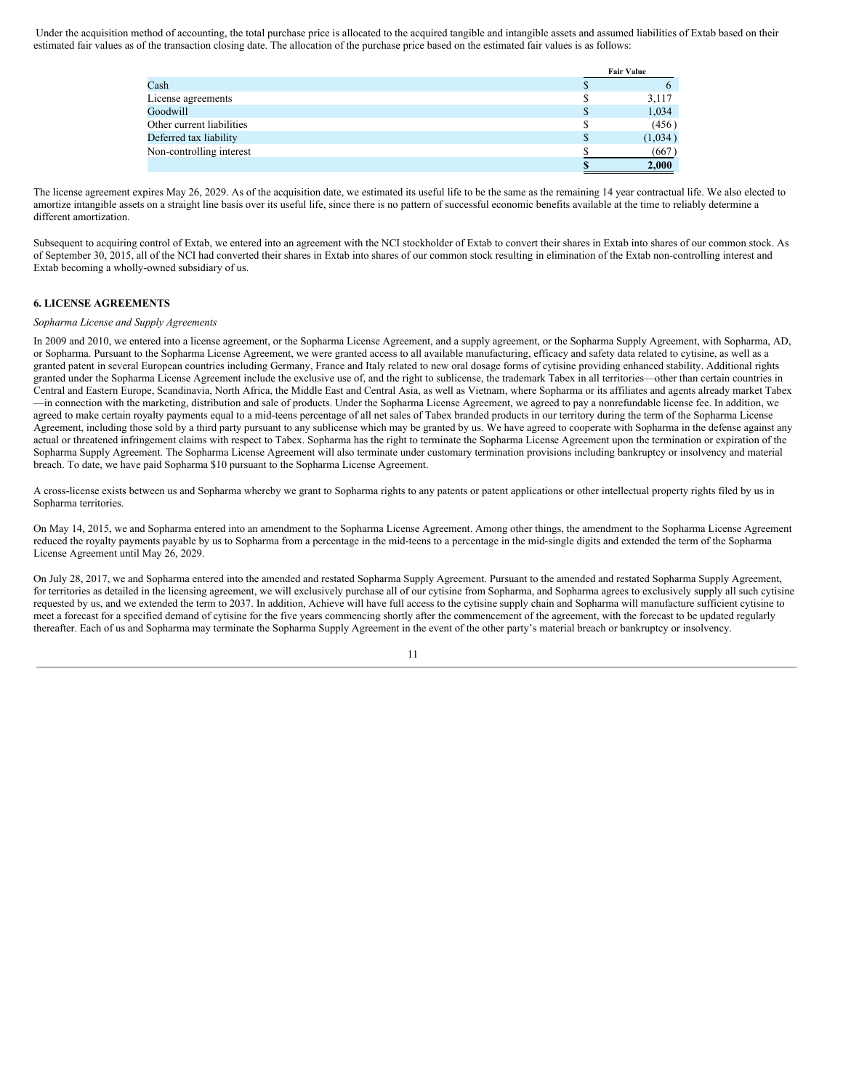Under the acquisition method of accounting, the total purchase price is allocated to the acquired tangible and intangible assets and assumed liabilities of Extab based on their estimated fair values as of the transaction closing date. The allocation of the purchase price based on the estimated fair values is as follows:

|                           |   | <b>Fair Value</b> |
|---------------------------|---|-------------------|
| Cash                      | Φ |                   |
| License agreements        |   | 3,117             |
| Goodwill                  | S | 1,034             |
| Other current liabilities | S | (456)             |
| Deferred tax liability    | S | (1,034)           |
| Non-controlling interest  |   | (667)             |
|                           |   | 2,000             |

The license agreement expires May 26, 2029. As of the acquisition date, we estimated its useful life to be the same as the remaining 14 year contractual life. We also elected to amortize intangible assets on a straight line basis over its useful life, since there is no pattern of successful economic benefits available at the time to reliably determine a different amortization.

Subsequent to acquiring control of Extab, we entered into an agreement with the NCI stockholder of Extab to convert their shares in Extab into shares of our common stock. As of September 30, 2015, all of the NCI had converted their shares in Extab into shares of our common stock resulting in elimination of the Extab non-controlling interest and Extab becoming a wholly-owned subsidiary of us.

## **6. LICENSE AGREEMENTS**

#### *Sopharma License and Supply Agreements*

In 2009 and 2010, we entered into a license agreement, or the Sopharma License Agreement, and a supply agreement, or the Sopharma Supply Agreement, with Sopharma, AD, or Sopharma. Pursuant to the Sopharma License Agreement, we were granted access to all available manufacturing, efficacy and safety data related to cytisine, as well as a granted patent in several European countries including Germany, France and Italy related to new oral dosage forms of cytisine providing enhanced stability. Additional rights granted under the Sopharma License Agreement include the exclusive use of, and the right to sublicense, the trademark Tabex in all territories—other than certain countries in Central and Eastern Europe, Scandinavia, North Africa, the Middle East and Central Asia, as well as Vietnam, where Sopharma or its affiliates and agents already market Tabex —in connection with the marketing, distribution and sale of products. Under the Sopharma License Agreement, we agreed to pay a nonrefundable license fee. In addition, we agreed to make certain royalty payments equal to a mid-teens percentage of all net sales of Tabex branded products in our territory during the term of the Sopharma License Agreement, including those sold by a third party pursuant to any sublicense which may be granted by us. We have agreed to cooperate with Sopharma in the defense against any actual or threatened infringement claims with respect to Tabex. Sopharma has the right to terminate the Sopharma License Agreement upon the termination or expiration of the Sopharma Supply Agreement. The Sopharma License Agreement will also terminate under customary termination provisions including bankruptcy or insolvency and material breach. To date, we have paid Sopharma \$10 pursuant to the Sopharma License Agreement.

A cross-license exists between us and Sopharma whereby we grant to Sopharma rights to any patents or patent applications or other intellectual property rights filed by us in Sopharma territories.

On May 14, 2015, we and Sopharma entered into an amendment to the Sopharma License Agreement. Among other things, the amendment to the Sopharma License Agreement reduced the royalty payments payable by us to Sopharma from a percentage in the mid-teens to a percentage in the mid-single digits and extended the term of the Sopharma License Agreement until May 26, 2029.

On July 28, 2017, we and Sopharma entered into the amended and restated Sopharma Supply Agreement. Pursuant to the amended and restated Sopharma Supply Agreement, for territories as detailed in the licensing agreement, we will exclusively purchase all of our cytisine from Sopharma, and Sopharma agrees to exclusively supply all such cytisine requested by us, and we extended the term to 2037. In addition, Achieve will have full access to the cytisine supply chain and Sopharma will manufacture sufficient cytisine to meet a forecast for a specified demand of cytisine for the five years commencing shortly after the commencement of the agreement, with the forecast to be updated regularly thereafter. Each of us and Sopharma may terminate the Sopharma Supply Agreement in the event of the other party's material breach or bankruptcy or insolvency.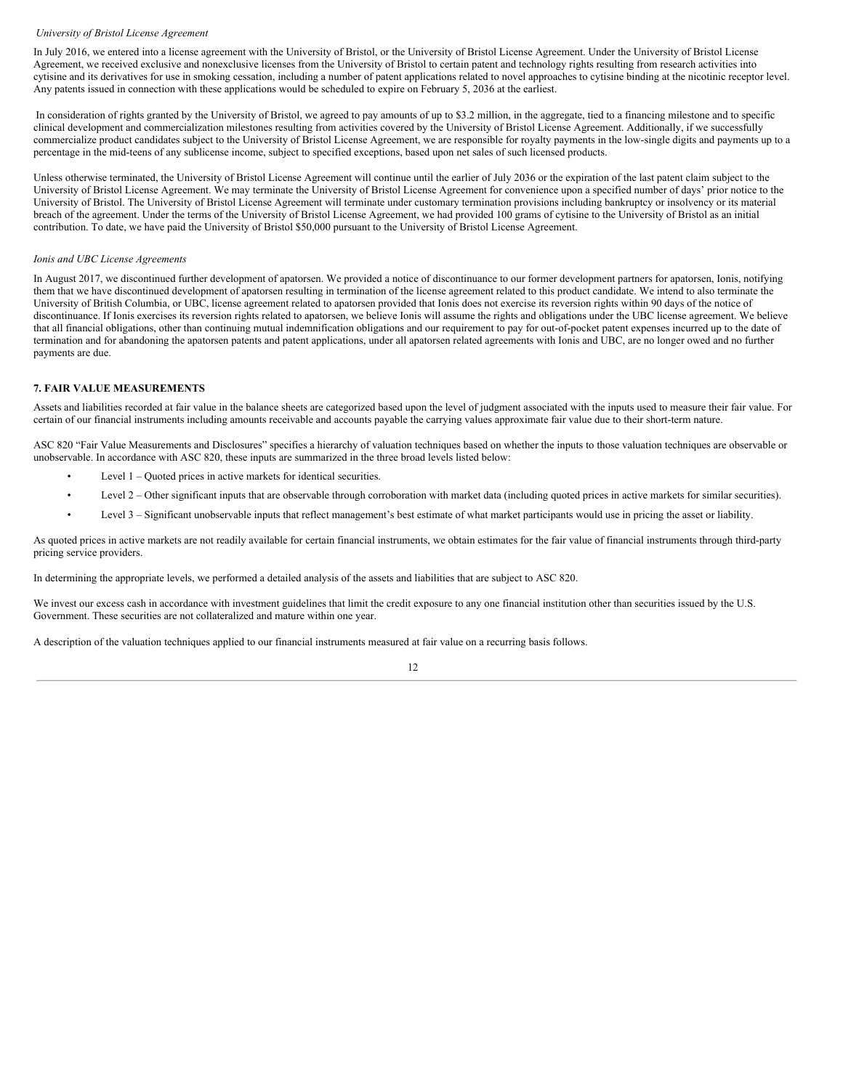#### *University of Bristol License Agreement*

In July 2016, we entered into a license agreement with the University of Bristol, or the University of Bristol License Agreement. Under the University of Bristol License Agreement, we received exclusive and nonexclusive licenses from the University of Bristol to certain patent and technology rights resulting from research activities into cytisine and its derivatives for use in smoking cessation, including a number of patent applications related to novel approaches to cytisine binding at the nicotinic receptor level. Any patents issued in connection with these applications would be scheduled to expire on February 5, 2036 at the earliest.

In consideration of rights granted by the University of Bristol, we agreed to pay amounts of up to \$3.2 million, in the aggregate, tied to a financing milestone and to specific clinical development and commercialization milestones resulting from activities covered by the University of Bristol License Agreement. Additionally, if we successfully commercialize product candidates subject to the University of Bristol License Agreement, we are responsible for royalty payments in the low-single digits and payments up to a percentage in the mid-teens of any sublicense income, subject to specified exceptions, based upon net sales of such licensed products.

Unless otherwise terminated, the University of Bristol License Agreement will continue until the earlier of July 2036 or the expiration of the last patent claim subject to the University of Bristol License Agreement. We may terminate the University of Bristol License Agreement for convenience upon a specified number of days' prior notice to the University of Bristol. The University of Bristol License Agreement will terminate under customary termination provisions including bankruptcy or insolvency or its material breach of the agreement. Under the terms of the University of Bristol License Agreement, we had provided 100 grams of cytisine to the University of Bristol as an initial contribution. To date, we have paid the University of Bristol \$50,000 pursuant to the University of Bristol License Agreement.

#### *Ionis and UBC License Agreements*

In August 2017, we discontinued further development of apatorsen. We provided a notice of discontinuance to our former development partners for apatorsen, Ionis, notifying them that we have discontinued development of apatorsen resulting in termination of the license agreement related to this product candidate. We intend to also terminate the University of British Columbia, or UBC, license agreement related to apatorsen provided that Ionis does not exercise its reversion rights within 90 days of the notice of discontinuance. If Ionis exercises its reversion rights related to apatorsen, we believe Ionis will assume the rights and obligations under the UBC license agreement. We believe that all financial obligations, other than continuing mutual indemnification obligations and our requirement to pay for out-of-pocket patent expenses incurred up to the date of termination and for abandoning the apatorsen patents and patent applications, under all apatorsen related agreements with Ionis and UBC, are no longer owed and no further payments are due.

#### **7. FAIR VALUE MEASUREMENTS**

Assets and liabilities recorded at fair value in the balance sheets are categorized based upon the level of judgment associated with the inputs used to measure their fair value. For certain of our financial instruments including amounts receivable and accounts payable the carrying values approximate fair value due to their short-term nature.

ASC 820 "Fair Value Measurements and Disclosures" specifies a hierarchy of valuation techniques based on whether the inputs to those valuation techniques are observable or unobservable. In accordance with ASC 820, these inputs are summarized in the three broad levels listed below:

- Level 1 Quoted prices in active markets for identical securities.
- Level 2 Other significant inputs that are observable through corroboration with market data (including quoted prices in active markets for similar securities).
- Level 3 Significant unobservable inputs that reflect management's best estimate of what market participants would use in pricing the asset or liability.

As quoted prices in active markets are not readily available for certain financial instruments, we obtain estimates for the fair value of financial instruments through third-party pricing service providers.

In determining the appropriate levels, we performed a detailed analysis of the assets and liabilities that are subject to ASC 820.

We invest our excess cash in accordance with investment guidelines that limit the credit exposure to any one financial institution other than securities issued by the U.S. Government. These securities are not collateralized and mature within one year.

A description of the valuation techniques applied to our financial instruments measured at fair value on a recurring basis follows.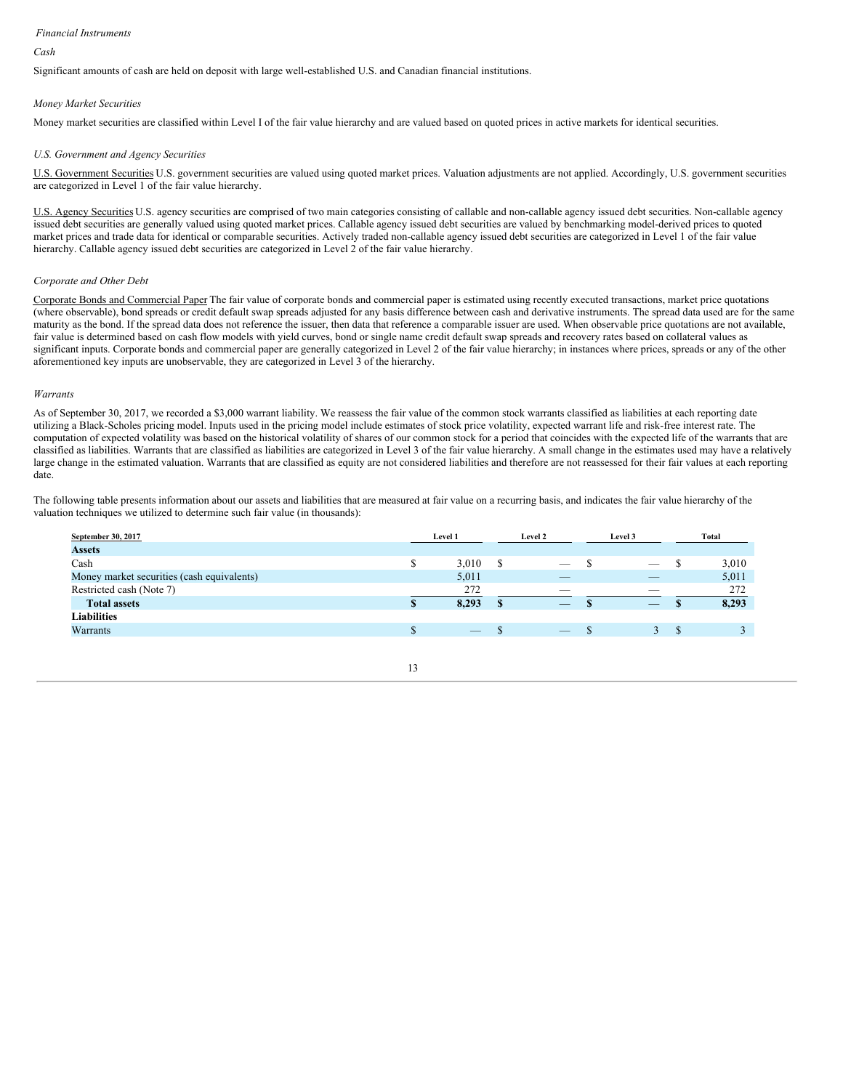#### *Financial Instruments*

#### *Cash*

Significant amounts of cash are held on deposit with large well-established U.S. and Canadian financial institutions.

#### *Money Market Securities*

Money market securities are classified within Level I of the fair value hierarchy and are valued based on quoted prices in active markets for identical securities.

#### *U.S. Government and Agency Securities*

U.S. Government Securities U.S. government securities are valued using quoted market prices. Valuation adjustments are not applied. Accordingly, U.S. government securities are categorized in Level 1 of the fair value hierarchy.

U.S. Agency Securities U.S. agency securities are comprised of two main categories consisting of callable and non-callable agency issued debt securities. Non-callable agency issued debt securities are generally valued using quoted market prices. Callable agency issued debt securities are valued by benchmarking model-derived prices to quoted market prices and trade data for identical or comparable securities. Actively traded non-callable agency issued debt securities are categorized in Level 1 of the fair value hierarchy. Callable agency issued debt securities are categorized in Level 2 of the fair value hierarchy.

#### *Corporate and Other Debt*

Corporate Bonds and Commercial Paper The fair value of corporate bonds and commercial paper is estimated using recently executed transactions, market price quotations (where observable), bond spreads or credit default swap spreads adjusted for any basis difference between cash and derivative instruments. The spread data used are for the same maturity as the bond. If the spread data does not reference the issuer, then data that reference a comparable issuer are used. When observable price quotations are not available, fair value is determined based on cash flow models with yield curves, bond or single name credit default swap spreads and recovery rates based on collateral values as significant inputs. Corporate bonds and commercial paper are generally categorized in Level 2 of the fair value hierarchy; in instances where prices, spreads or any of the other aforementioned key inputs are unobservable, they are categorized in Level 3 of the hierarchy.

#### *Warrants*

As of September 30, 2017, we recorded a \$3,000 warrant liability. We reassess the fair value of the common stock warrants classified as liabilities at each reporting date utilizing a Black-Scholes pricing model. Inputs used in the pricing model include estimates of stock price volatility, expected warrant life and risk-free interest rate. The computation of expected volatility was based on the historical volatility of shares of our common stock for a period that coincides with the expected life of the warrants that are classified as liabilities. Warrants that are classified as liabilities are categorized in Level 3 of the fair value hierarchy. A small change in the estimates used may have a relatively large change in the estimated valuation. Warrants that are classified as equity are not considered liabilities and therefore are not reassessed for their fair values at each reporting date.

The following table presents information about our assets and liabilities that are measured at fair value on a recurring basis, and indicates the fair value hierarchy of the valuation techniques we utilized to determine such fair value (in thousands):

| September 30, 2017                         |   | <b>Level 1</b><br>Level 2       |   | Level 3                         | Total                    |      |       |
|--------------------------------------------|---|---------------------------------|---|---------------------------------|--------------------------|------|-------|
| <b>Assets</b>                              |   |                                 |   |                                 |                          |      |       |
| Cash                                       | S | 3,010                           | S | $\hspace{0.1mm}-\hspace{0.1mm}$ |                          | ۰D   | 3,010 |
| Money market securities (cash equivalents) |   | 5,011                           |   | $\overline{\phantom{a}}$        | $\overline{\phantom{a}}$ |      | 5,011 |
| Restricted cash (Note 7)                   |   | 272                             |   | $\overline{\phantom{a}}$        | __                       |      | 272   |
| <b>Total assets</b>                        | ъ | 8,293                           | S |                                 |                          | -38  | 8,293 |
| <b>Liabilities</b>                         |   |                                 |   |                                 |                          |      |       |
| Warrants                                   |   | $\hspace{0.1mm}-\hspace{0.1mm}$ | S | $\overline{\phantom{m}}$        | 3 <sup>1</sup>           | - \$ |       |
|                                            |   |                                 |   |                                 |                          |      |       |
|                                            |   |                                 |   |                                 |                          |      |       |

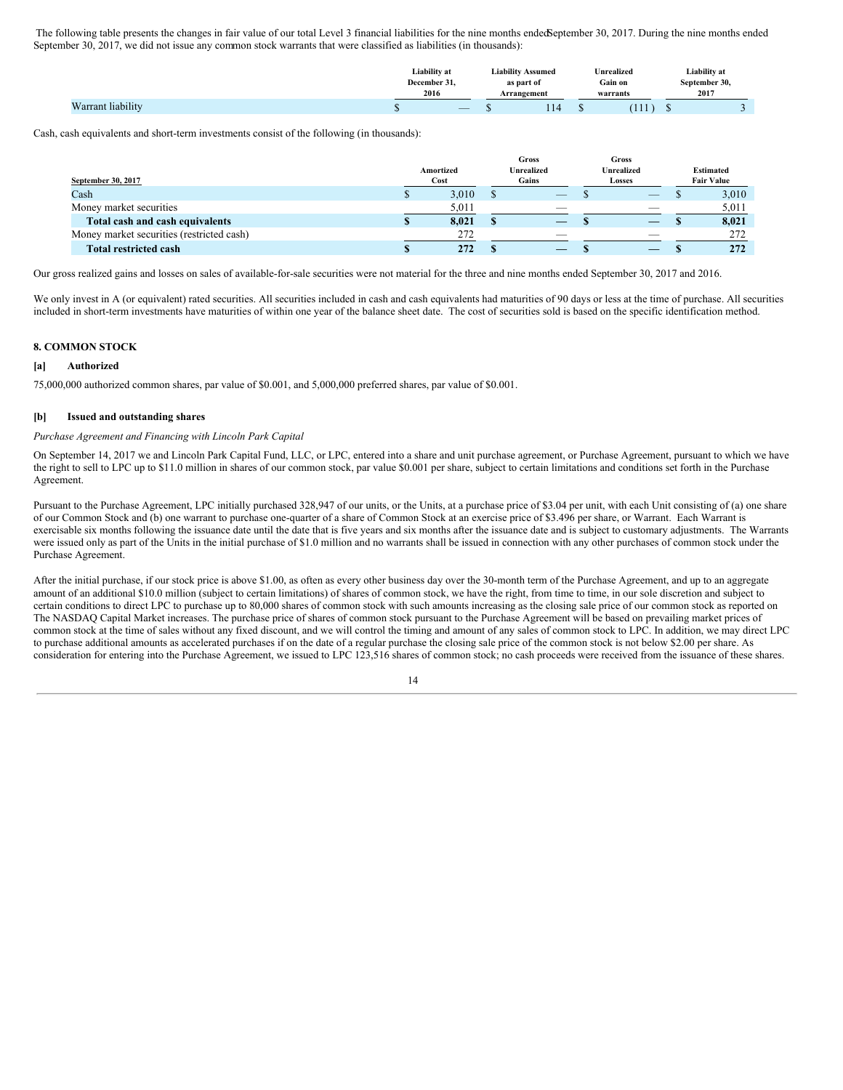The following table presents the changes in fair value of our total Level 3 financial liabilities for the nine months endedSeptember 30, 2017. During the nine months ended September 30, 2017, we did not issue any common stock warrants that were classified as liabilities (in thousands):

|                   | <b>Liability</b> at<br>December 31.<br>2016 | <b>Liability Assumed</b><br>as part of<br>Arrangement | Unrealized<br>Gain on<br>warrants | <b>Liability</b> at<br>September 30,<br>2017 |
|-------------------|---------------------------------------------|-------------------------------------------------------|-----------------------------------|----------------------------------------------|
| Warrant liability | $\qquad \qquad$                             | 14<br>.                                               | .                                 |                                              |

Cash, cash equivalents and short-term investments consist of the following (in thousands):

|                                           |           | Gross                    | <b>Gross</b>             |                   |
|-------------------------------------------|-----------|--------------------------|--------------------------|-------------------|
|                                           | Amortized | Unrealized               | Unrealized               | <b>Estimated</b>  |
| September 30, 2017                        | Cost      | Gains                    | Losses                   | <b>Fair Value</b> |
| Cash                                      | 3,010     | $-$                      | $\qquad \qquad - \qquad$ | 3,010             |
| Money market securities                   | 5,011     | $\overline{\phantom{a}}$ | _                        | 5,011             |
| Total cash and cash equivalents           | 8,021     |                          |                          | 8,021             |
| Money market securities (restricted cash) | 272       | $\overline{\phantom{a}}$ | $\overline{\phantom{a}}$ | 272               |
| <b>Total restricted cash</b>              | 272       |                          |                          | 272               |

Our gross realized gains and losses on sales of available-for-sale securities were not material for the three and nine months ended September 30, 2017 and 2016.

We only invest in A (or equivalent) rated securities. All securities included in cash and cash equivalents had maturities of 90 days or less at the time of purchase. All securities included in short-term investments have maturities of within one year of the balance sheet date. The cost of securities sold is based on the specific identification method.

## **8. COMMON STOCK**

#### **[a] Authorized**

75,000,000 authorized common shares, par value of \$0.001, and 5,000,000 preferred shares, par value of \$0.001.

#### **[b] Issued and outstanding shares**

#### *Purchase Agreement and Financing with Lincoln Park Capital*

On September 14, 2017 we and Lincoln Park Capital Fund, LLC, or LPC, entered into a share and unit purchase agreement, or Purchase Agreement, pursuant to which we have the right to sell to LPC up to \$11.0 million in shares of our common stock, par value \$0.001 per share, subject to certain limitations and conditions set forth in the Purchase Agreement.

Pursuant to the Purchase Agreement, LPC initially purchased 328,947 of our units, or the Units, at a purchase price of \$3.04 per unit, with each Unit consisting of (a) one share of our Common Stock and (b) one warrant to purchase one-quarter of a share of Common Stock at an exercise price of \$3.496 per share, or Warrant. Each Warrant is exercisable six months following the issuance date until the date that is five years and six months after the issuance date and is subject to customary adjustments. The Warrants were issued only as part of the Units in the initial purchase of \$1.0 million and no warrants shall be issued in connection with any other purchases of common stock under the Purchase Agreement.

After the initial purchase, if our stock price is above \$1.00, as often as every other business day over the 30-month term of the Purchase Agreement, and up to an aggregate amount of an additional \$10.0 million (subject to certain limitations) of shares of common stock, we have the right, from time to time, in our sole discretion and subject to certain conditions to direct LPC to purchase up to 80,000 shares of common stock with such amounts increasing as the closing sale price of our common stock as reported on The NASDAQ Capital Market increases. The purchase price of shares of common stock pursuant to the Purchase Agreement will be based on prevailing market prices of common stock at the time of sales without any fixed discount, and we will control the timing and amount of any sales of common stock to LPC. In addition, we may direct LPC to purchase additional amounts as accelerated purchases if on the date of a regular purchase the closing sale price of the common stock is not below \$2.00 per share. As consideration for entering into the Purchase Agreement, we issued to LPC 123,516 shares of common stock; no cash proceeds were received from the issuance of these shares.

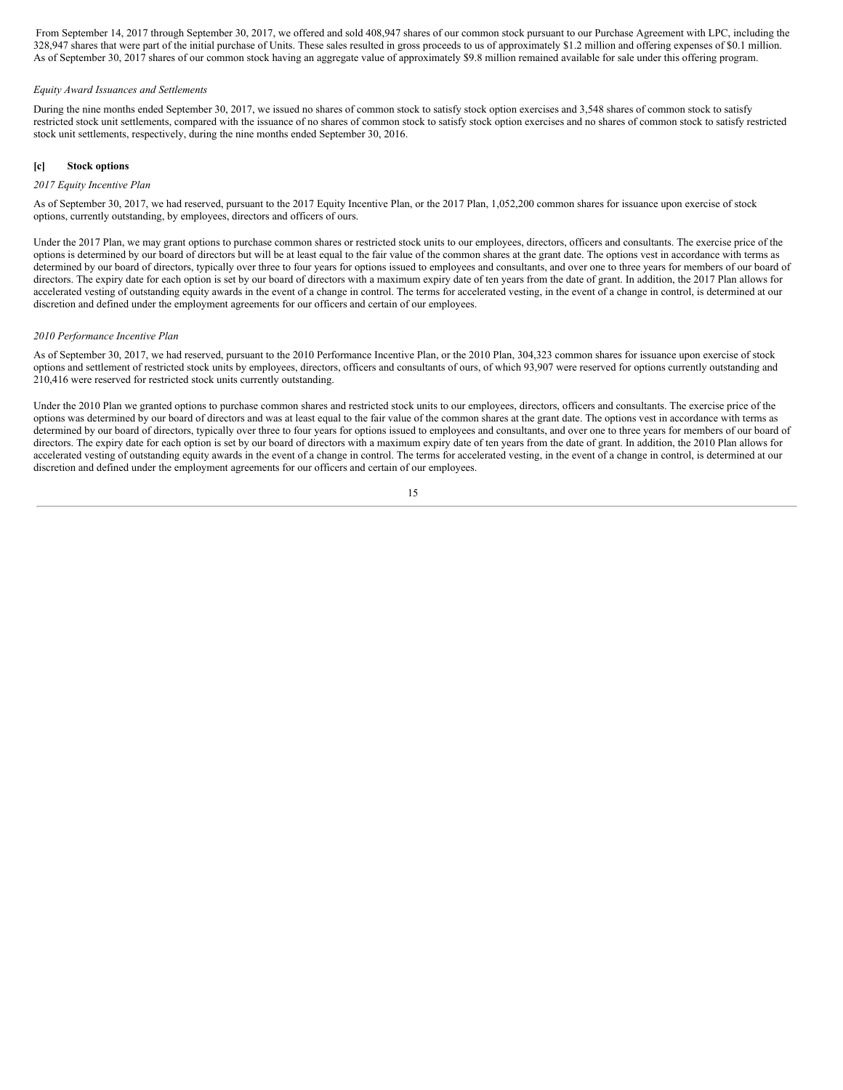From September 14, 2017 through September 30, 2017, we offered and sold 408,947 shares of our common stock pursuant to our Purchase Agreement with LPC, including the 328,947 shares that were part of the initial purchase of Units. These sales resulted in gross proceeds to us of approximately \$1.2 million and offering expenses of \$0.1 million. As of September 30, 2017 shares of our common stock having an aggregate value of approximately \$9.8 million remained available for sale under this offering program.

#### *Equity Award Issuances and Settlements*

During the nine months ended September 30, 2017, we issued no shares of common stock to satisfy stock option exercises and 3,548 shares of common stock to satisfy restricted stock unit settlements, compared with the issuance of no shares of common stock to satisfy stock option exercises and no shares of common stock to satisfy restricted stock unit settlements, respectively, during the nine months ended September 30, 2016.

#### **[c] Stock options**

#### *2017 Equity Incentive Plan*

As of September 30, 2017, we had reserved, pursuant to the 2017 Equity Incentive Plan, or the 2017 Plan, 1,052,200 common shares for issuance upon exercise of stock options, currently outstanding, by employees, directors and officers of ours.

Under the 2017 Plan, we may grant options to purchase common shares or restricted stock units to our employees, directors, officers and consultants. The exercise price of the options is determined by our board of directors but will be at least equal to the fair value of the common shares at the grant date. The options vest in accordance with terms as determined by our board of directors, typically over three to four years for options issued to employees and consultants, and over one to three years for members of our board of directors. The expiry date for each option is set by our board of directors with a maximum expiry date of ten years from the date of grant. In addition, the 2017 Plan allows for accelerated vesting of outstanding equity awards in the event of a change in control. The terms for accelerated vesting, in the event of a change in control, is determined at our discretion and defined under the employment agreements for our officers and certain of our employees.

#### *2010 Performance Incentive Plan*

As of September 30, 2017, we had reserved, pursuant to the 2010 Performance Incentive Plan, or the 2010 Plan, 304,323 common shares for issuance upon exercise of stock options and settlement of restricted stock units by employees, directors, officers and consultants of ours, of which 93,907 were reserved for options currently outstanding and 210,416 were reserved for restricted stock units currently outstanding.

Under the 2010 Plan we granted options to purchase common shares and restricted stock units to our employees, directors, officers and consultants. The exercise price of the options was determined by our board of directors and was at least equal to the fair value of the common shares at the grant date. The options vest in accordance with terms as determined by our board of directors, typically over three to four years for options issued to employees and consultants, and over one to three years for members of our board of directors. The expiry date for each option is set by our board of directors with a maximum expiry date of ten years from the date of grant. In addition, the 2010 Plan allows for accelerated vesting of outstanding equity awards in the event of a change in control. The terms for accelerated vesting, in the event of a change in control, is determined at our discretion and defined under the employment agreements for our officers and certain of our employees.

15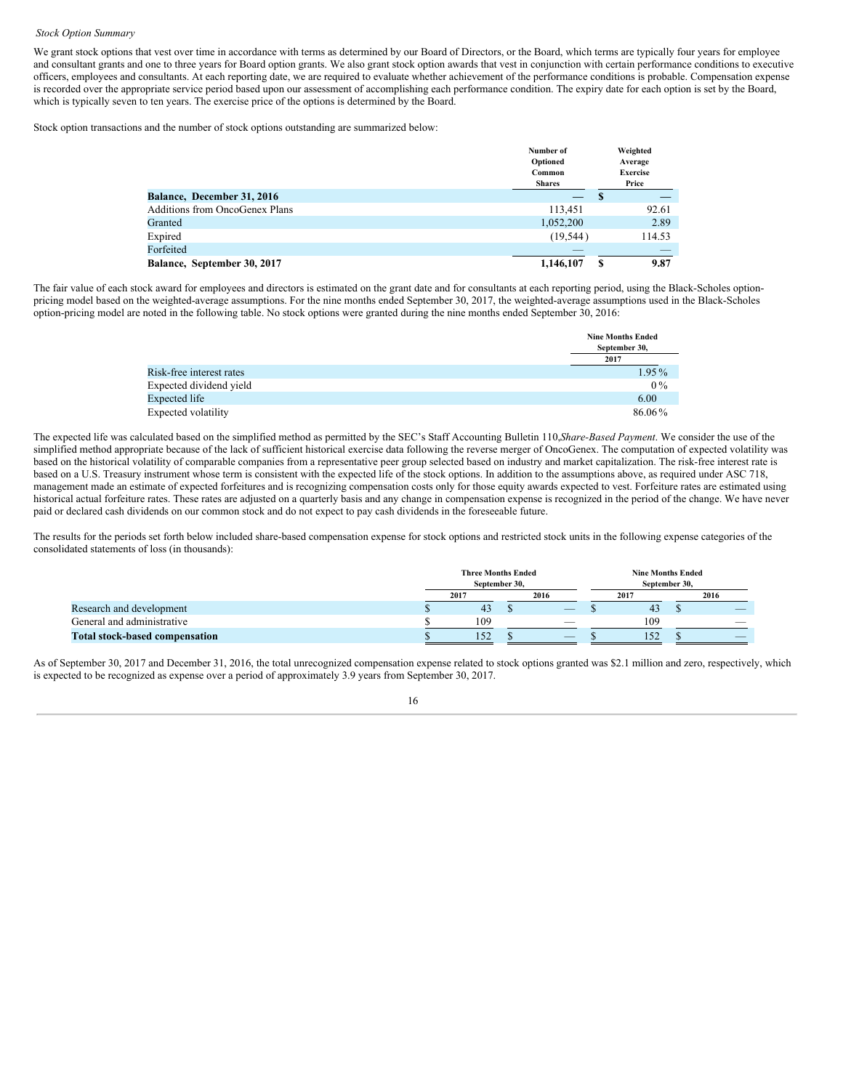#### *Stock Option Summary*

We grant stock options that vest over time in accordance with terms as determined by our Board of Directors, or the Board, which terms are typically four years for employee and consultant grants and one to three years for Board option grants. We also grant stock option awards that vest in conjunction with certain performance conditions to executive officers, employees and consultants. At each reporting date, we are required to evaluate whether achievement of the performance conditions is probable. Compensation expense is recorded over the appropriate service period based upon our assessment of accomplishing each performance condition. The expiry date for each option is set by the Board, which is typically seven to ten years. The exercise price of the options is determined by the Board.

Stock option transactions and the number of stock options outstanding are summarized below:

|                                       | Number of     |   | Weighted        |
|---------------------------------------|---------------|---|-----------------|
|                                       | Optioned      |   | Average         |
|                                       | Common        |   | <b>Exercise</b> |
|                                       | <b>Shares</b> |   | Price           |
| Balance, December 31, 2016            | _             | S |                 |
| <b>Additions from OncoGenex Plans</b> | 113.451       |   | 92.61           |
| Granted                               | 1,052,200     |   | 2.89            |
| Expired                               | (19, 544)     |   | 114.53          |
| Forfeited                             |               |   |                 |
| Balance, September 30, 2017           | 1,146,107     | S | 9.87            |

The fair value of each stock award for employees and directors is estimated on the grant date and for consultants at each reporting period, using the Black-Scholes optionpricing model based on the weighted-average assumptions. For the nine months ended September 30, 2017, the weighted-average assumptions used in the Black-Scholes option-pricing model are noted in the following table. No stock options were granted during the nine months ended September 30, 2016:

|                          | <b>Nine Months Ended</b> |
|--------------------------|--------------------------|
|                          | September 30.            |
|                          | 2017                     |
| Risk-free interest rates | $1.95\%$                 |
| Expected dividend yield  | $0\%$                    |
| Expected life            | 6.00                     |
| Expected volatility      | 86.06%                   |

The expected life was calculated based on the simplified method as permitted by the SEC's Staff Accounting Bulletin 110,*Share-Based Payment*. We consider the use of the simplified method appropriate because of the lack of sufficient historical exercise data following the reverse merger of OncoGenex. The computation of expected volatility was based on the historical volatility of comparable companies from a representative peer group selected based on industry and market capitalization. The risk-free interest rate is based on a U.S. Treasury instrument whose term is consistent with the expected life of the stock options. In addition to the assumptions above, as required under ASC 718, management made an estimate of expected forfeitures and is recognizing compensation costs only for those equity awards expected to vest. Forfeiture rates are estimated using historical actual forfeiture rates. These rates are adjusted on a quarterly basis and any change in compensation expense is recognized in the period of the change. We have never paid or declared cash dividends on our common stock and do not expect to pay cash dividends in the foreseeable future.

The results for the periods set forth below included share-based compensation expense for stock options and restricted stock units in the following expense categories of the consolidated statements of loss (in thousands):

|                                       | <b>Three Months Ended</b><br>September 30. |     |  |      |      | <b>Nine Months Ended</b><br>September 30. |  |                          |  |  |
|---------------------------------------|--------------------------------------------|-----|--|------|------|-------------------------------------------|--|--------------------------|--|--|
|                                       | 2017                                       |     |  | 2016 | 2017 |                                           |  | 2016                     |  |  |
| Research and development              |                                            | 43  |  | $-$  |      | 43                                        |  |                          |  |  |
| General and administrative            |                                            | 109 |  |      |      | 109                                       |  | $\overline{\phantom{a}}$ |  |  |
| <b>Total stock-based compensation</b> |                                            | 152 |  | $-$  |      | 152                                       |  | $\overline{\phantom{a}}$ |  |  |

As of September 30, 2017 and December 31, 2016, the total unrecognized compensation expense related to stock options granted was \$2.1 million and zero, respectively, which is expected to be recognized as expense over a period of approximately 3.9 years from September 30, 2017.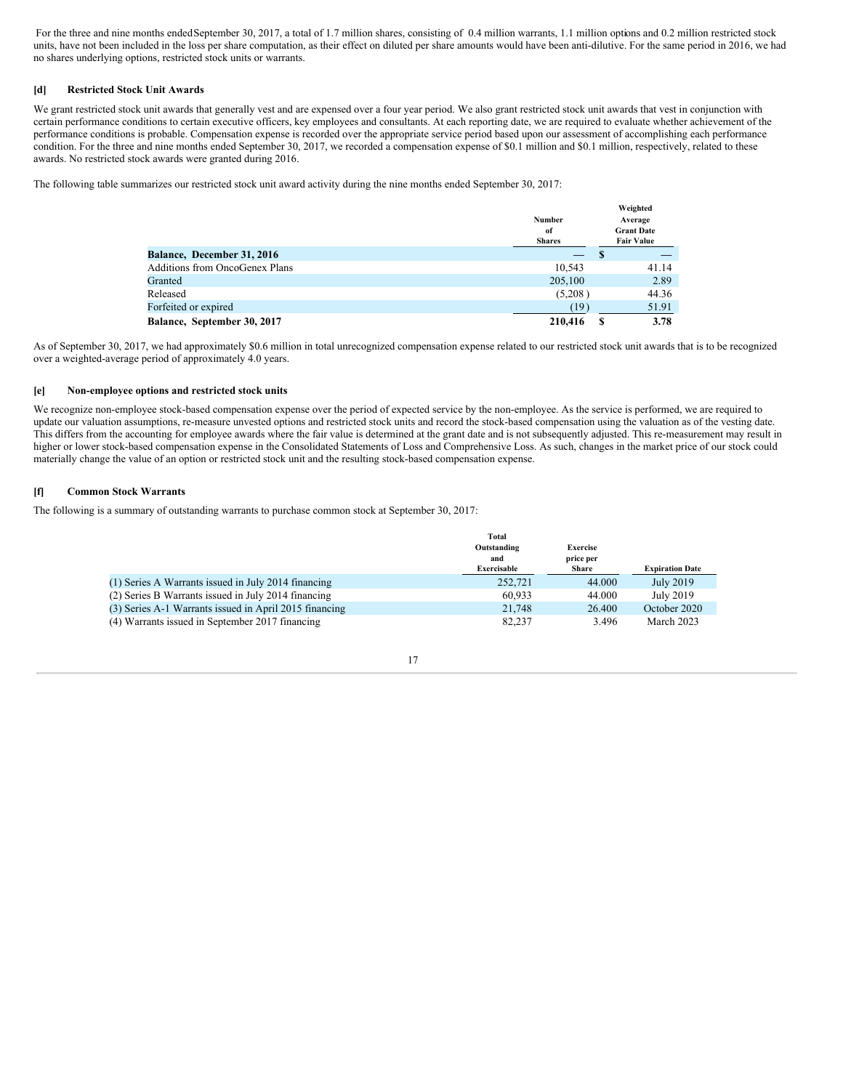For the three and nine months endedSeptember 30, 2017, a total of 1.7 million shares, consisting of 0.4 million warrants, 1.1 million options and 0.2 million restricted stock units, have not been included in the loss per share computation, as their effect on diluted per share amounts would have been anti-dilutive. For the same period in 2016, we had no shares underlying options, restricted stock units or warrants.

#### **[d] Restricted Stock Unit Awards**

We grant restricted stock unit awards that generally vest and are expensed over a four year period. We also grant restricted stock unit awards that vest in conjunction with certain performance conditions to certain executive officers, key employees and consultants. At each reporting date, we are required to evaluate whether achievement of the performance conditions is probable. Compensation expense is recorded over the appropriate service period based upon our assessment of accomplishing each performance condition. For the three and nine months ended September 30, 2017, we recorded a compensation expense of \$0.1 million and \$0.1 million, respectively, related to these awards. No restricted stock awards were granted during 2016.

The following table summarizes our restricted stock unit award activity during the nine months ended September 30, 2017:

|                                       | <b>Number</b><br>of<br><b>Shares</b> | Weighted<br>Average<br><b>Grant Date</b><br><b>Fair Value</b> |       |  |  |
|---------------------------------------|--------------------------------------|---------------------------------------------------------------|-------|--|--|
| Balance, December 31, 2016            |                                      | æ                                                             |       |  |  |
| <b>Additions from OncoGenex Plans</b> | 10.543                               |                                                               | 41.14 |  |  |
| Granted                               | 205,100                              |                                                               | 2.89  |  |  |
| Released                              | (5,208)                              |                                                               | 44.36 |  |  |
| Forfeited or expired                  | (19)                                 |                                                               | 51.91 |  |  |
| Balance, September 30, 2017           | 210,416                              |                                                               | 3.78  |  |  |

As of September 30, 2017, we had approximately \$0.6 million in total unrecognized compensation expense related to our restricted stock unit awards that is to be recognized over a weighted-average period of approximately 4.0 years.

#### **[e] Non-employee options and restricted stock units**

We recognize non-employee stock-based compensation expense over the period of expected service by the non-employee. As the service is performed, we are required to update our valuation assumptions, re-measure unvested options and restricted stock units and record the stock-based compensation using the valuation as of the vesting date. This differs from the accounting for employee awards where the fair value is determined at the grant date and is not subsequently adjusted. This re-measurement may result in higher or lower stock-based compensation expense in the Consolidated Statements of Loss and Comprehensive Loss. As such, changes in the market price of our stock could materially change the value of an option or restricted stock unit and the resulting stock-based compensation expense.

#### **[f] Common Stock Warrants**

The following is a summary of outstanding warrants to purchase common stock at September 30, 2017:

|                                                        | Total       |                 |                        |
|--------------------------------------------------------|-------------|-----------------|------------------------|
|                                                        | Outstanding | <b>Exercise</b> |                        |
|                                                        | and         | price per       |                        |
|                                                        | Exercisable | <b>Share</b>    | <b>Expiration Date</b> |
| (1) Series A Warrants issued in July 2014 financing    | 252,721     | 44.000          | July 2019              |
| (2) Series B Warrants issued in July 2014 financing    | 60.933      | 44.000          | July 2019              |
| (3) Series A-1 Warrants issued in April 2015 financing | 21,748      | 26.400          | October 2020           |
| (4) Warrants issued in September 2017 financing        | 82,237      | 3.496           | March 2023             |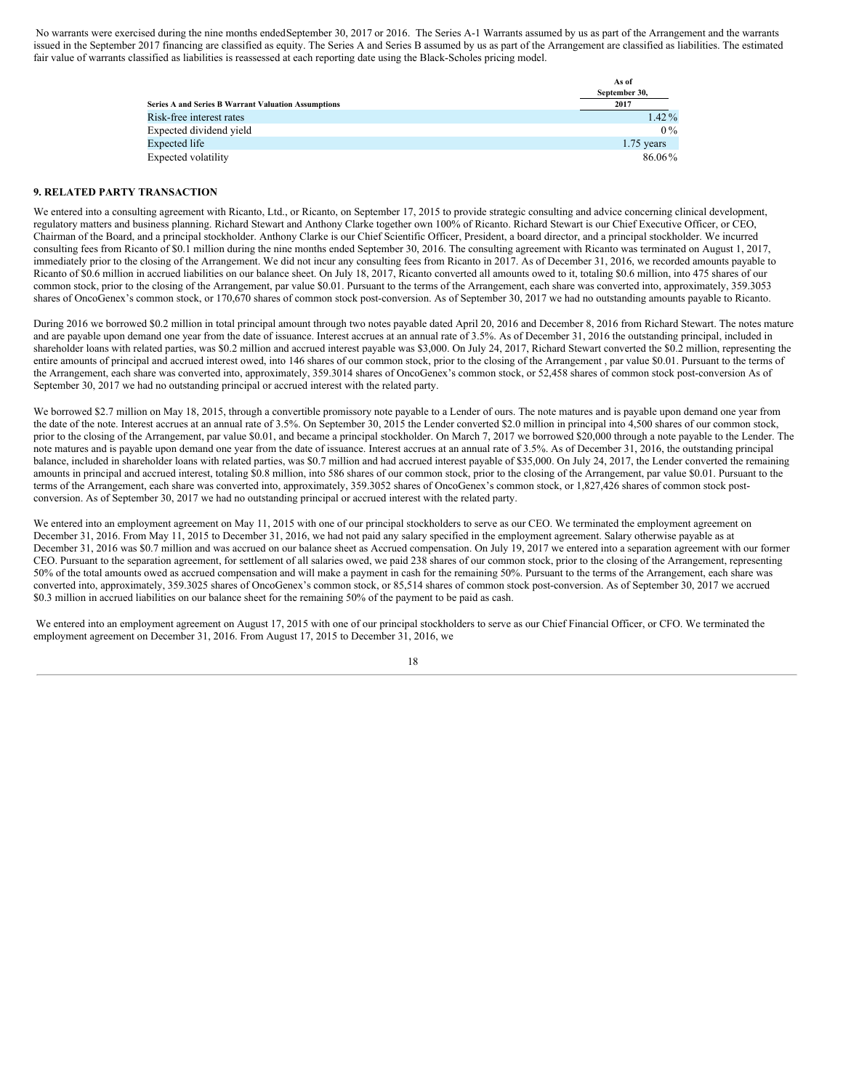No warrants were exercised during the nine months endedSeptember 30, 2017 or 2016. The Series A-1 Warrants assumed by us as part of the Arrangement and the warrants issued in the September 2017 financing are classified as equity. The Series A and Series B assumed by us as part of the Arrangement are classified as liabilities. The estimated fair value of warrants classified as liabilities is reassessed at each reporting date using the Black-Scholes pricing model.

|                                                            | As of         |
|------------------------------------------------------------|---------------|
|                                                            | September 30, |
| <b>Series A and Series B Warrant Valuation Assumptions</b> | 2017          |
| Risk-free interest rates                                   | $1.42\%$      |
| Expected dividend yield                                    | $0\%$         |
| <b>Expected life</b>                                       | $1.75$ years  |
| <b>Expected volatility</b>                                 | 86.06%        |

#### **9. RELATED PARTY TRANSACTION**

We entered into a consulting agreement with Ricanto, Ltd., or Ricanto, on September 17, 2015 to provide strategic consulting and advice concerning clinical development, regulatory matters and business planning. Richard Stewart and Anthony Clarke together own 100% of Ricanto. Richard Stewart is our Chief Executive Officer, or CEO, Chairman of the Board, and a principal stockholder. Anthony Clarke is our Chief Scientific Officer, President, a board director, and a principal stockholder. We incurred consulting fees from Ricanto of \$0.1 million during the nine months ended September 30, 2016. The consulting agreement with Ricanto was terminated on August 1, 2017, immediately prior to the closing of the Arrangement. We did not incur any consulting fees from Ricanto in 2017. As of December 31, 2016, we recorded amounts payable to Ricanto of \$0.6 million in accrued liabilities on our balance sheet. On July 18, 2017, Ricanto converted all amounts owed to it, totaling \$0.6 million, into 475 shares of our common stock, prior to the closing of the Arrangement, par value \$0.01. Pursuant to the terms of the Arrangement, each share was converted into, approximately, 359.3053 shares of OncoGenex's common stock, or 170,670 shares of common stock post-conversion. As of September 30, 2017 we had no outstanding amounts payable to Ricanto.

During 2016 we borrowed \$0.2 million in total principal amount through two notes payable dated April 20, 2016 and December 8, 2016 from Richard Stewart. The notes mature and are payable upon demand one year from the date of issuance. Interest accrues at an annual rate of 3.5%. As of December 31, 2016 the outstanding principal, included in shareholder loans with related parties, was \$0.2 million and accrued interest payable was \$3,000. On July 24, 2017, Richard Stewart converted the \$0.2 million, representing the entire amounts of principal and accrued interest owed, into 146 shares of our common stock, prior to the closing of the Arrangement , par value \$0.01. Pursuant to the terms of the Arrangement, each share was converted into, approximately, 359.3014 shares of OncoGenex's common stock, or 52,458 shares of common stock post-conversion As of September 30, 2017 we had no outstanding principal or accrued interest with the related party.

We borrowed \$2.7 million on May 18, 2015, through a convertible promissory note payable to a Lender of ours. The note matures and is payable upon demand one year from the date of the note. Interest accrues at an annual rate of 3.5%. On September 30, 2015 the Lender converted \$2.0 million in principal into 4,500 shares of our common stock, prior to the closing of the Arrangement, par value \$0.01, and became a principal stockholder. On March 7, 2017 we borrowed \$20,000 through a note payable to the Lender. The note matures and is payable upon demand one year from the date of issuance. Interest accrues at an annual rate of 3.5%. As of December 31, 2016, the outstanding principal balance, included in shareholder loans with related parties, was \$0.7 million and had accrued interest payable of \$35,000. On July 24, 2017, the Lender converted the remaining amounts in principal and accrued interest, totaling \$0.8 million, into 586 shares of our common stock, prior to the closing of the Arrangement, par value \$0.01. Pursuant to the terms of the Arrangement, each share was converted into, approximately, 359.3052 shares of OncoGenex's common stock, or 1,827,426 shares of common stock postconversion. As of September 30, 2017 we had no outstanding principal or accrued interest with the related party.

We entered into an employment agreement on May 11, 2015 with one of our principal stockholders to serve as our CEO. We terminated the employment agreement on December 31, 2016. From May 11, 2015 to December 31, 2016, we had not paid any salary specified in the employment agreement. Salary otherwise payable as at December 31, 2016 was \$0.7 million and was accrued on our balance sheet as Accrued compensation. On July 19, 2017 we entered into a separation agreement with our former CEO. Pursuant to the separation agreement, for settlement of all salaries owed, we paid 238 shares of our common stock, prior to the closing of the Arrangement, representing 50% of the total amounts owed as accrued compensation and will make a payment in cash for the remaining 50%. Pursuant to the terms of the Arrangement, each share was converted into, approximately, 359.3025 shares of OncoGenex's common stock, or 85,514 shares of common stock post-conversion. As of September 30, 2017 we accrued \$0.3 million in accrued liabilities on our balance sheet for the remaining 50% of the payment to be paid as cash.

We entered into an employment agreement on August 17, 2015 with one of our principal stockholders to serve as our Chief Financial Officer, or CFO. We terminated the employment agreement on December 31, 2016. From August 17, 2015 to December 31, 2016, we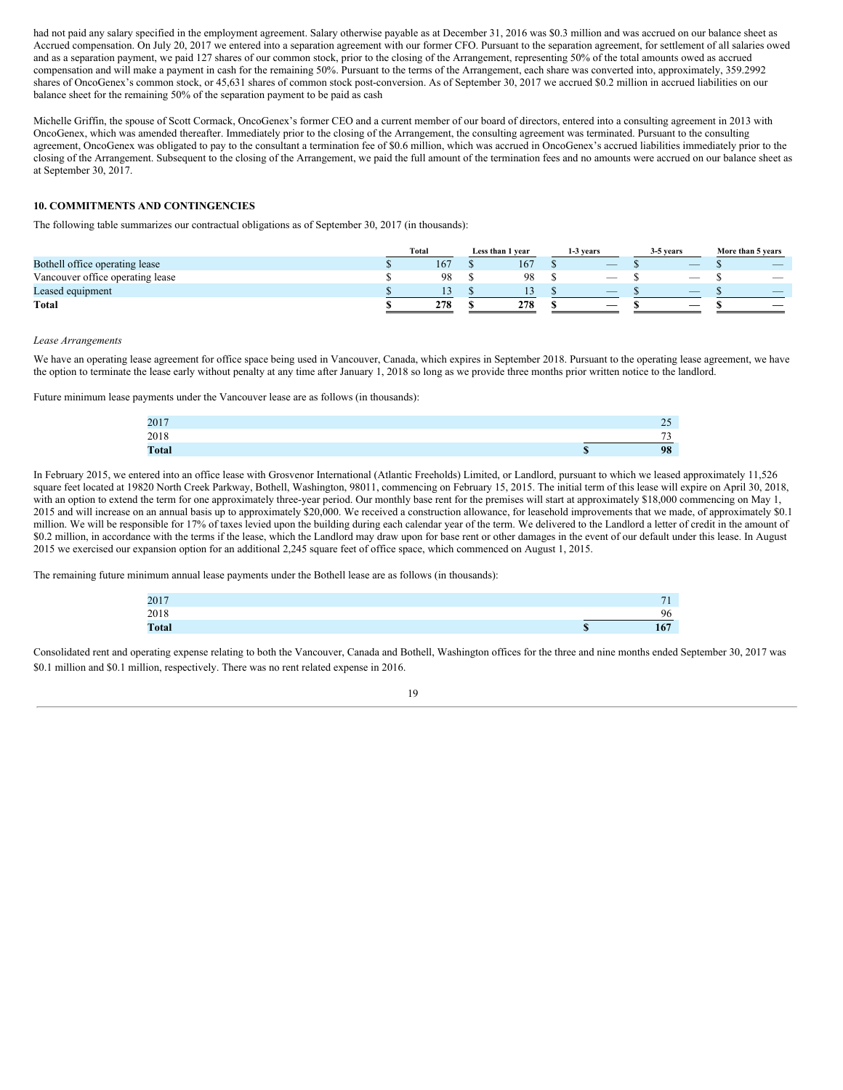had not paid any salary specified in the employment agreement. Salary otherwise payable as at December 31, 2016 was \$0.3 million and was accrued on our balance sheet as Accrued compensation. On July 20, 2017 we entered into a separation agreement with our former CFO. Pursuant to the separation agreement, for settlement of all salaries owed and as a separation payment, we paid 127 shares of our common stock, prior to the closing of the Arrangement, representing 50% of the total amounts owed as accrued compensation and will make a payment in cash for the remaining 50%. Pursuant to the terms of the Arrangement, each share was converted into, approximately, 359.2992 shares of OncoGenex's common stock, or 45,631 shares of common stock post-conversion. As of September 30, 2017 we accrued \$0.2 million in accrued liabilities on our balance sheet for the remaining 50% of the separation payment to be paid as cash

Michelle Griffin, the spouse of Scott Cormack, OncoGenex's former CEO and a current member of our board of directors, entered into a consulting agreement in 2013 with OncoGenex, which was amended thereafter. Immediately prior to the closing of the Arrangement, the consulting agreement was terminated. Pursuant to the consulting agreement, OncoGenex was obligated to pay to the consultant a termination fee of \$0.6 million, which was accrued in OncoGenex's accrued liabilities immediately prior to the closing of the Arrangement. Subsequent to the closing of the Arrangement, we paid the full amount of the termination fees and no amounts were accrued on our balance sheet as at September 30, 2017.

#### **10. COMMITMENTS AND CONTINGENCIES**

The following table summarizes our contractual obligations as of September 30, 2017 (in thousands):

|                                  | Total |     | Less than 1 year | 1-3 years                | 3-5 years                | More than 5 years        |
|----------------------------------|-------|-----|------------------|--------------------------|--------------------------|--------------------------|
| Bothell office operating lease   |       | 167 | 167              |                          | $-$                      | $\overline{\phantom{a}}$ |
| Vancouver office operating lease |       | 98  | 98               | _                        | _                        | $\overline{\phantom{a}}$ |
| Leased equipment                 |       |     |                  | $\overline{\phantom{a}}$ | $\overline{\phantom{a}}$ | $\overline{\phantom{a}}$ |
| <b>Total</b>                     |       | 278 | 278              |                          |                          |                          |

*Lease Arrangements*

We have an operating lease agreement for office space being used in Vancouver, Canada, which expires in September 2018. Pursuant to the operating lease agreement, we have the option to terminate the lease early without penalty at any time after January 1, 2018 so long as we provide three months prior written notice to the landlord.

Future minimum lease payments under the Vancouver lease are as follows (in thousands):

| 2017         |    | $\overline{C}$<br>رے<br>$\overline{ }$ |
|--------------|----|----------------------------------------|
| 2018         |    | ້                                      |
| <b>Total</b> | ۰D | 98                                     |

In February 2015, we entered into an office lease with Grosvenor International (Atlantic Freeholds) Limited, or Landlord, pursuant to which we leased approximately 11,526 square feet located at 19820 North Creek Parkway, Bothell, Washington, 98011, commencing on February 15, 2015. The initial term of this lease will expire on April 30, 2018, with an option to extend the term for one approximately three-year period. Our monthly base rent for the premises will start at approximately \$18,000 commencing on May 1, 2015 and will increase on an annual basis up to approximately \$20,000. We received a construction allowance, for leasehold improvements that we made, of approximately \$0.1 million. We will be responsible for 17% of taxes levied upon the building during each calendar year of the term. We delivered to the Landlord a letter of credit in the amount of \$0.2 million, in accordance with the terms if the lease, which the Landlord may draw upon for base rent or other damages in the event of our default under this lease. In August 2015 we exercised our expansion option for an additional 2,245 square feet of office space, which commenced on August 1, 2015.

The remaining future minimum annual lease payments under the Bothell lease are as follows (in thousands):

| 2017         | 71                        |
|--------------|---------------------------|
| 2018         | 96                        |
| <b>Total</b> | 167<br>$\mathbf{C}$<br>۰D |

Consolidated rent and operating expense relating to both the Vancouver, Canada and Bothell, Washington offices for the three and nine months ended September 30, 2017 was \$0.1 million and \$0.1 million, respectively. There was no rent related expense in 2016.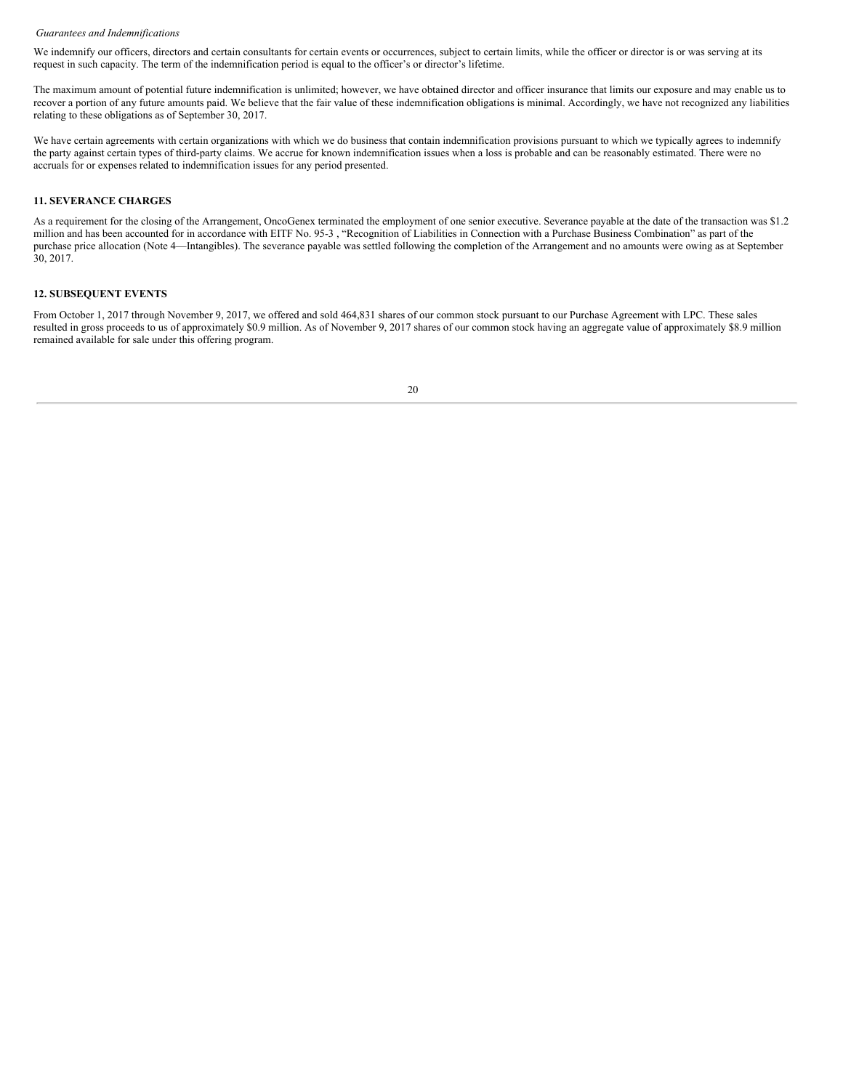#### *Guarantees and Indemnifications*

We indemnify our officers, directors and certain consultants for certain events or occurrences, subject to certain limits, while the officer or director is or was serving at its request in such capacity. The term of the indemnification period is equal to the officer's or director's lifetime.

The maximum amount of potential future indemnification is unlimited; however, we have obtained director and officer insurance that limits our exposure and may enable us to recover a portion of any future amounts paid. We believe that the fair value of these indemnification obligations is minimal. Accordingly, we have not recognized any liabilities relating to these obligations as of September 30, 2017.

We have certain agreements with certain organizations with which we do business that contain indemnification provisions pursuant to which we typically agrees to indemnify the party against certain types of third-party claims. We accrue for known indemnification issues when a loss is probable and can be reasonably estimated. There were no accruals for or expenses related to indemnification issues for any period presented.

#### **11. SEVERANCE CHARGES**

As a requirement for the closing of the Arrangement, OncoGenex terminated the employment of one senior executive. Severance payable at the date of the transaction was \$1.2 million and has been accounted for in accordance with EITF No. 95-3 , "Recognition of Liabilities in Connection with a Purchase Business Combination" as part of the purchase price allocation (Note 4—Intangibles). The severance payable was settled following the completion of the Arrangement and no amounts were owing as at September 30, 2017.

#### **12. SUBSEQUENT EVENTS**

From October 1, 2017 through November 9, 2017, we offered and sold 464,831 shares of our common stock pursuant to our Purchase Agreement with LPC. These sales resulted in gross proceeds to us of approximately \$0.9 million. As of November 9, 2017 shares of our common stock having an aggregate value of approximately \$8.9 million remained available for sale under this offering program.

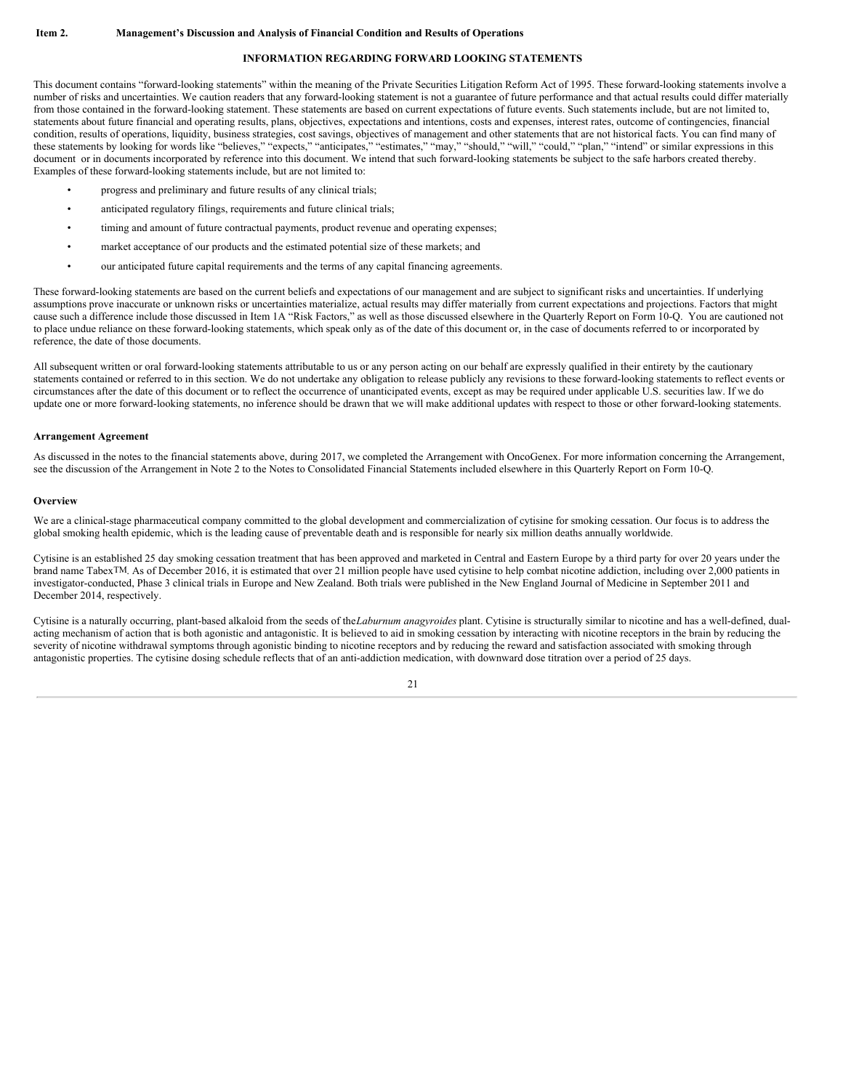#### **INFORMATION REGARDING FORWARD LOOKING STATEMENTS**

<span id="page-20-0"></span>This document contains "forward-looking statements" within the meaning of the Private Securities Litigation Reform Act of 1995. These forward-looking statements involve a number of risks and uncertainties. We caution readers that any forward-looking statement is not a guarantee of future performance and that actual results could differ materially from those contained in the forward-looking statement. These statements are based on current expectations of future events. Such statements include, but are not limited to, statements about future financial and operating results, plans, objectives, expectations and intentions, costs and expenses, interest rates, outcome of contingencies, financial condition, results of operations, liquidity, business strategies, cost savings, objectives of management and other statements that are not historical facts. You can find many of these statements by looking for words like "believes," "expects," "anticipates," "estimates," "may," "should," "will," "could," "plan," "intend" or similar expressions in this document or in documents incorporated by reference into this document. We intend that such forward-looking statements be subject to the safe harbors created thereby. Examples of these forward-looking statements include, but are not limited to:

- progress and preliminary and future results of any clinical trials;
- anticipated regulatory filings, requirements and future clinical trials;
- timing and amount of future contractual payments, product revenue and operating expenses;
- market acceptance of our products and the estimated potential size of these markets; and
- our anticipated future capital requirements and the terms of any capital financing agreements.

These forward-looking statements are based on the current beliefs and expectations of our management and are subject to significant risks and uncertainties. If underlying assumptions prove inaccurate or unknown risks or uncertainties materialize, actual results may differ materially from current expectations and projections. Factors that might cause such a difference include those discussed in Item 1A "Risk Factors," as well as those discussed elsewhere in the Quarterly Report on Form 10-Q. You are cautioned not to place undue reliance on these forward-looking statements, which speak only as of the date of this document or, in the case of documents referred to or incorporated by reference, the date of those documents.

All subsequent written or oral forward-looking statements attributable to us or any person acting on our behalf are expressly qualified in their entirety by the cautionary statements contained or referred to in this section. We do not undertake any obligation to release publicly any revisions to these forward-looking statements to reflect events or circumstances after the date of this document or to reflect the occurrence of unanticipated events, except as may be required under applicable U.S. securities law. If we do update one or more forward-looking statements, no inference should be drawn that we will make additional updates with respect to those or other forward-looking statements.

#### **Arrangement Agreement**

As discussed in the notes to the financial statements above, during 2017, we completed the Arrangement with OncoGenex. For more information concerning the Arrangement, see the discussion of the Arrangement in Note 2 to the Notes to Consolidated Financial Statements included elsewhere in this Quarterly Report on Form 10-Q.

#### **Overview**

We are a clinical-stage pharmaceutical company committed to the global development and commercialization of cytisine for smoking cessation. Our focus is to address the global smoking health epidemic, which is the leading cause of preventable death and is responsible for nearly six million deaths annually worldwide.

Cytisine is an established 25 day smoking cessation treatment that has been approved and marketed in Central and Eastern Europe by a third party for over 20 years under the brand name TabexTM. As of December 2016, it is estimated that over 21 million people have used cytisine to help combat nicotine addiction, including over 2,000 patients in investigator-conducted, Phase 3 clinical trials in Europe and New Zealand. Both trials were published in the New England Journal of Medicine in September 2011 and December 2014, respectively.

Cytisine is a naturally occurring, plant-based alkaloid from the seeds of the*Laburnum anagyroides* plant. Cytisine is structurally similar to nicotine and has a well-defined, dualacting mechanism of action that is both agonistic and antagonistic. It is believed to aid in smoking cessation by interacting with nicotine receptors in the brain by reducing the severity of nicotine withdrawal symptoms through agonistic binding to nicotine receptors and by reducing the reward and satisfaction associated with smoking through antagonistic properties. The cytisine dosing schedule reflects that of an anti-addiction medication, with downward dose titration over a period of 25 days.

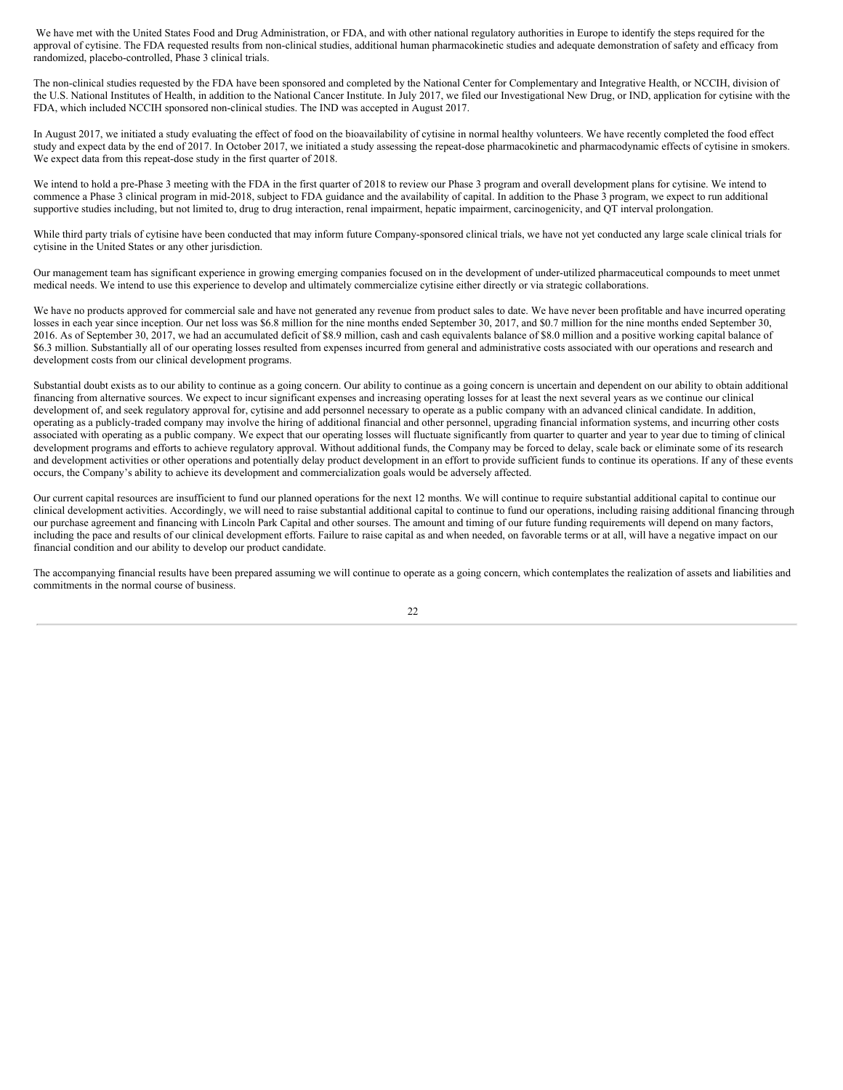We have met with the United States Food and Drug Administration, or FDA, and with other national regulatory authorities in Europe to identify the steps required for the approval of cytisine. The FDA requested results from non-clinical studies, additional human pharmacokinetic studies and adequate demonstration of safety and efficacy from randomized, placebo-controlled, Phase 3 clinical trials.

The non-clinical studies requested by the FDA have been sponsored and completed by the National Center for Complementary and Integrative Health, or NCCIH, division of the U.S. National Institutes of Health, in addition to the National Cancer Institute. In July 2017, we filed our Investigational New Drug, or IND, application for cytisine with the FDA, which included NCCIH sponsored non-clinical studies. The IND was accepted in August 2017.

In August 2017, we initiated a study evaluating the effect of food on the bioavailability of cytisine in normal healthy volunteers. We have recently completed the food effect study and expect data by the end of 2017. In October 2017, we initiated a study assessing the repeat-dose pharmacokinetic and pharmacodynamic effects of cytisine in smokers. We expect data from this repeat-dose study in the first quarter of 2018.

We intend to hold a pre-Phase 3 meeting with the FDA in the first quarter of 2018 to review our Phase 3 program and overall development plans for cytisine. We intend to commence a Phase 3 clinical program in mid-2018, subject to FDA guidance and the availability of capital. In addition to the Phase 3 program, we expect to run additional supportive studies including, but not limited to, drug to drug interaction, renal impairment, hepatic impairment, carcinogenicity, and QT interval prolongation.

While third party trials of cytisine have been conducted that may inform future Company-sponsored clinical trials, we have not yet conducted any large scale clinical trials for cytisine in the United States or any other jurisdiction.

Our management team has significant experience in growing emerging companies focused on in the development of under-utilized pharmaceutical compounds to meet unmet medical needs. We intend to use this experience to develop and ultimately commercialize cytisine either directly or via strategic collaborations.

We have no products approved for commercial sale and have not generated any revenue from product sales to date. We have never been profitable and have incurred operating losses in each year since inception. Our net loss was \$6.8 million for the nine months ended September 30, 2017, and \$0.7 million for the nine months ended September 30, 2016. As of September 30, 2017, we had an accumulated deficit of \$8.9 million, cash and cash equivalents balance of \$8.0 million and a positive working capital balance of \$6.3 million. Substantially all of our operating losses resulted from expenses incurred from general and administrative costs associated with our operations and research and development costs from our clinical development programs.

Substantial doubt exists as to our ability to continue as a going concern. Our ability to continue as a going concern is uncertain and dependent on our ability to obtain additional financing from alternative sources. We expect to incur significant expenses and increasing operating losses for at least the next several years as we continue our clinical development of, and seek regulatory approval for, cytisine and add personnel necessary to operate as a public company with an advanced clinical candidate. In addition, operating as a publicly-traded company may involve the hiring of additional financial and other personnel, upgrading financial information systems, and incurring other costs associated with operating as a public company. We expect that our operating losses will fluctuate significantly from quarter to quarter and year to year due to timing of clinical development programs and efforts to achieve regulatory approval. Without additional funds, the Company may be forced to delay, scale back or eliminate some of its research and development activities or other operations and potentially delay product development in an effort to provide sufficient funds to continue its operations. If any of these events occurs, the Company's ability to achieve its development and commercialization goals would be adversely affected.

Our current capital resources are insufficient to fund our planned operations for the next 12 months. We will continue to require substantial additional capital to continue our clinical development activities. Accordingly, we will need to raise substantial additional capital to continue to fund our operations, including raising additional financing through our purchase agreement and financing with Lincoln Park Capital and other sourses. The amount and timing of our future funding requirements will depend on many factors, including the pace and results of our clinical development efforts. Failure to raise capital as and when needed, on favorable terms or at all, will have a negative impact on our financial condition and our ability to develop our product candidate.

The accompanying financial results have been prepared assuming we will continue to operate as a going concern, which contemplates the realization of assets and liabilities and commitments in the normal course of business.

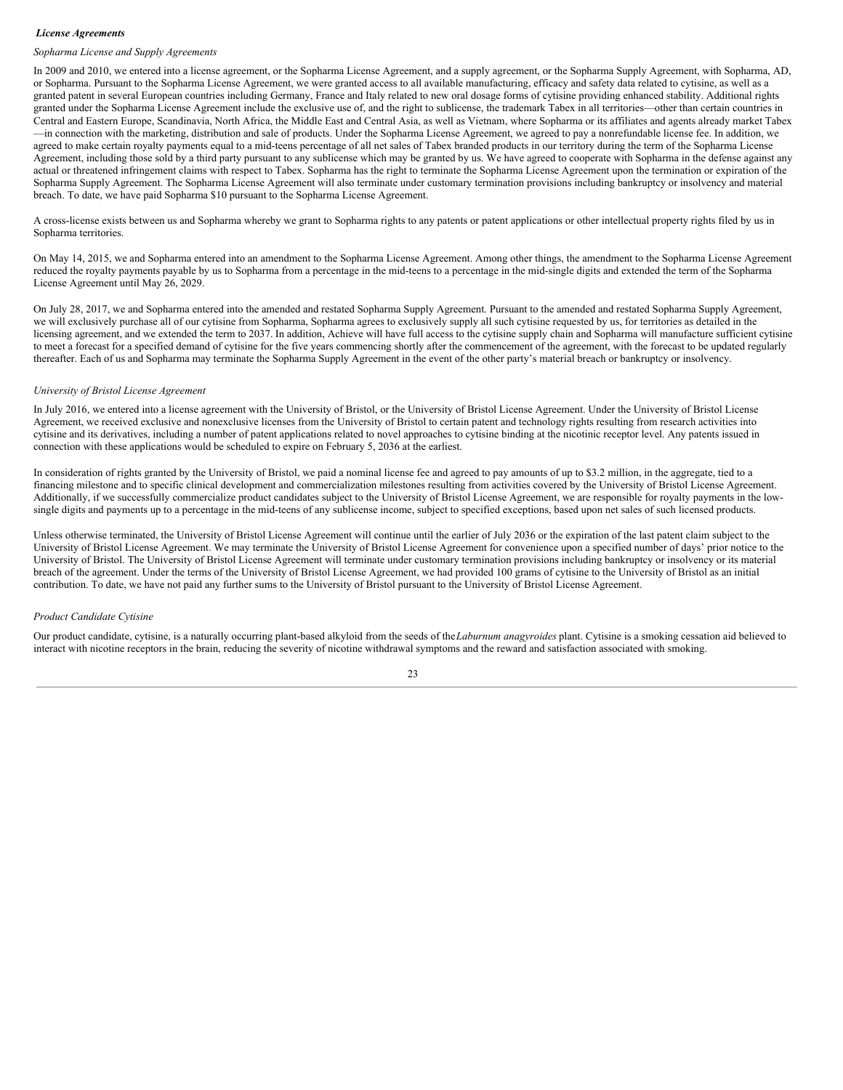#### *License Agreements*

#### *Sopharma License and Supply Agreements*

In 2009 and 2010, we entered into a license agreement, or the Sopharma License Agreement, and a supply agreement, or the Sopharma Supply Agreement, with Sopharma, AD, or Sopharma. Pursuant to the Sopharma License Agreement, we were granted access to all available manufacturing, efficacy and safety data related to cytisine, as well as a granted patent in several European countries including Germany, France and Italy related to new oral dosage forms of cytisine providing enhanced stability. Additional rights granted under the Sopharma License Agreement include the exclusive use of, and the right to sublicense, the trademark Tabex in all territories—other than certain countries in Central and Eastern Europe, Scandinavia, North Africa, the Middle East and Central Asia, as well as Vietnam, where Sopharma or its affiliates and agents already market Tabex —in connection with the marketing, distribution and sale of products. Under the Sopharma License Agreement, we agreed to pay a nonrefundable license fee. In addition, we agreed to make certain royalty payments equal to a mid-teens percentage of all net sales of Tabex branded products in our territory during the term of the Sopharma License Agreement, including those sold by a third party pursuant to any sublicense which may be granted by us. We have agreed to cooperate with Sopharma in the defense against any actual or threatened infringement claims with respect to Tabex. Sopharma has the right to terminate the Sopharma License Agreement upon the termination or expiration of the Sopharma Supply Agreement. The Sopharma License Agreement will also terminate under customary termination provisions including bankruptcy or insolvency and material breach. To date, we have paid Sopharma \$10 pursuant to the Sopharma License Agreement.

A cross-license exists between us and Sopharma whereby we grant to Sopharma rights to any patents or patent applications or other intellectual property rights filed by us in Sopharma territories.

On May 14, 2015, we and Sopharma entered into an amendment to the Sopharma License Agreement. Among other things, the amendment to the Sopharma License Agreement reduced the royalty payments payable by us to Sopharma from a percentage in the mid-teens to a percentage in the mid-single digits and extended the term of the Sopharma License Agreement until May 26, 2029.

On July 28, 2017, we and Sopharma entered into the amended and restated Sopharma Supply Agreement. Pursuant to the amended and restated Sopharma Supply Agreement, we will exclusively purchase all of our cytisine from Sopharma, Sopharma agrees to exclusively supply all such cytisine requested by us, for territories as detailed in the licensing agreement, and we extended the term to 2037. In addition, Achieve will have full access to the cytisine supply chain and Sopharma will manufacture sufficient cytisine to meet a forecast for a specified demand of cytisine for the five years commencing shortly after the commencement of the agreement, with the forecast to be updated regularly thereafter. Each of us and Sopharma may terminate the Sopharma Supply Agreement in the event of the other party's material breach or bankruptcy or insolvency.

#### *University of Bristol License Agreement*

In July 2016, we entered into a license agreement with the University of Bristol, or the University of Bristol License Agreement. Under the University of Bristol License Agreement, we received exclusive and nonexclusive licenses from the University of Bristol to certain patent and technology rights resulting from research activities into cytisine and its derivatives, including a number of patent applications related to novel approaches to cytisine binding at the nicotinic receptor level. Any patents issued in connection with these applications would be scheduled to expire on February 5, 2036 at the earliest.

In consideration of rights granted by the University of Bristol, we paid a nominal license fee and agreed to pay amounts of up to \$3.2 million, in the aggregate, tied to a financing milestone and to specific clinical development and commercialization milestones resulting from activities covered by the University of Bristol License Agreement. Additionally, if we successfully commercialize product candidates subject to the University of Bristol License Agreement, we are responsible for royalty payments in the lowsingle digits and payments up to a percentage in the mid-teens of any sublicense income, subject to specified exceptions, based upon net sales of such licensed products.

Unless otherwise terminated, the University of Bristol License Agreement will continue until the earlier of July 2036 or the expiration of the last patent claim subject to the University of Bristol License Agreement. We may terminate the University of Bristol License Agreement for convenience upon a specified number of days' prior notice to the University of Bristol. The University of Bristol License Agreement will terminate under customary termination provisions including bankruptcy or insolvency or its material breach of the agreement. Under the terms of the University of Bristol License Agreement, we had provided 100 grams of cytisine to the University of Bristol as an initial contribution. To date, we have not paid any further sums to the University of Bristol pursuant to the University of Bristol License Agreement.

#### *Product Candidate Cytisine*

Our product candidate, cytisine, is a naturally occurring plant-based alkyloid from the seeds of the*Laburnum anagyroides* plant. Cytisine is a smoking cessation aid believed to interact with nicotine receptors in the brain, reducing the severity of nicotine withdrawal symptoms and the reward and satisfaction associated with smoking.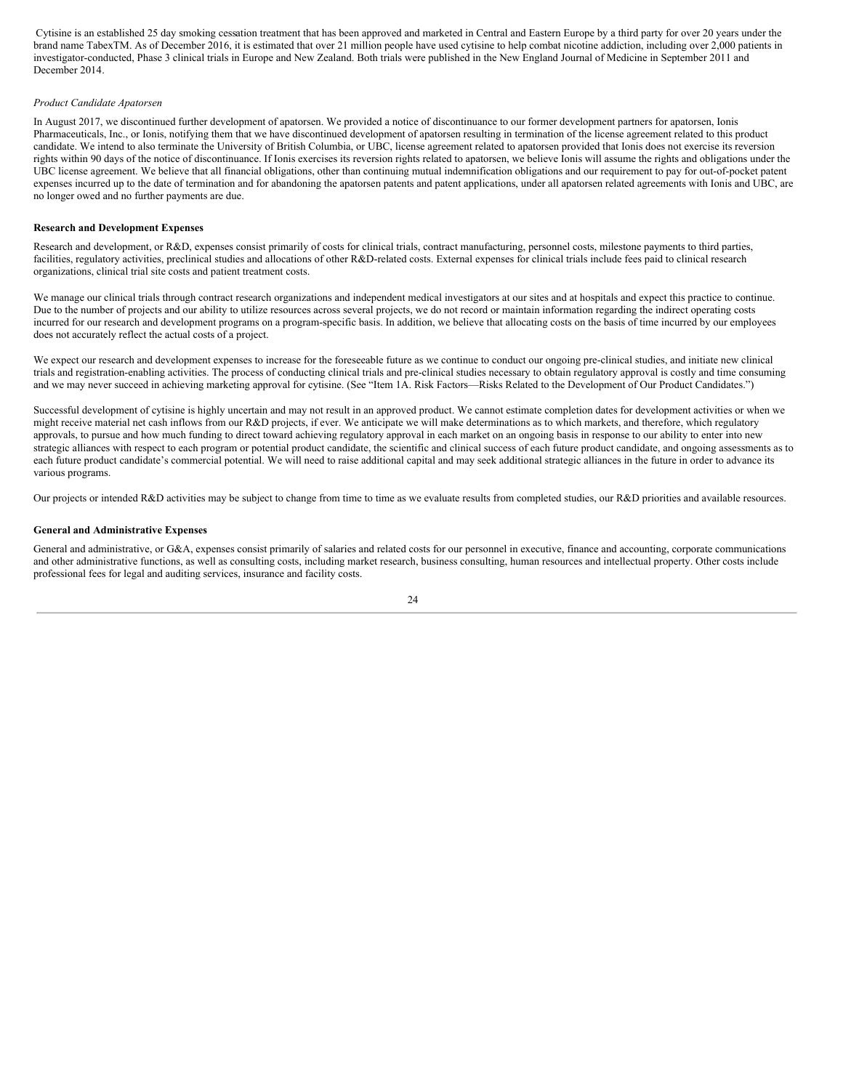Cytisine is an established 25 day smoking cessation treatment that has been approved and marketed in Central and Eastern Europe by a third party for over 20 years under the brand name TabexTM. As of December 2016, it is estimated that over 21 million people have used cytisine to help combat nicotine addiction, including over 2,000 patients in investigator-conducted, Phase 3 clinical trials in Europe and New Zealand. Both trials were published in the New England Journal of Medicine in September 2011 and December 2014.

#### *Product Candidate Apatorsen*

In August 2017, we discontinued further development of apatorsen. We provided a notice of discontinuance to our former development partners for apatorsen, Ionis Pharmaceuticals, Inc., or Ionis, notifying them that we have discontinued development of apatorsen resulting in termination of the license agreement related to this product candidate. We intend to also terminate the University of British Columbia, or UBC, license agreement related to apatorsen provided that Ionis does not exercise its reversion rights within 90 days of the notice of discontinuance. If Ionis exercises its reversion rights related to apatorsen, we believe Ionis will assume the rights and obligations under the UBC license agreement. We believe that all financial obligations, other than continuing mutual indemnification obligations and our requirement to pay for out-of-pocket patent expenses incurred up to the date of termination and for abandoning the apatorsen patents and patent applications, under all apatorsen related agreements with Ionis and UBC, are no longer owed and no further payments are due.

#### **Research and Development Expenses**

Research and development, or R&D, expenses consist primarily of costs for clinical trials, contract manufacturing, personnel costs, milestone payments to third parties, facilities, regulatory activities, preclinical studies and allocations of other R&D-related costs. External expenses for clinical trials include fees paid to clinical research organizations, clinical trial site costs and patient treatment costs.

We manage our clinical trials through contract research organizations and independent medical investigators at our sites and at hospitals and expect this practice to continue. Due to the number of projects and our ability to utilize resources across several projects, we do not record or maintain information regarding the indirect operating costs incurred for our research and development programs on a program-specific basis. In addition, we believe that allocating costs on the basis of time incurred by our employees does not accurately reflect the actual costs of a project.

We expect our research and development expenses to increase for the foreseeable future as we continue to conduct our ongoing pre-clinical studies, and initiate new clinical trials and registration-enabling activities. The process of conducting clinical trials and pre-clinical studies necessary to obtain regulatory approval is costly and time consuming and we may never succeed in achieving marketing approval for cytisine. (See "Item 1A. Risk Factors—Risks Related to the Development of Our Product Candidates.")

Successful development of cytisine is highly uncertain and may not result in an approved product. We cannot estimate completion dates for development activities or when we might receive material net cash inflows from our R&D projects, if ever. We anticipate we will make determinations as to which markets, and therefore, which regulatory approvals, to pursue and how much funding to direct toward achieving regulatory approval in each market on an ongoing basis in response to our ability to enter into new strategic alliances with respect to each program or potential product candidate, the scientific and clinical success of each future product candidate, and ongoing assessments as to each future product candidate's commercial potential. We will need to raise additional capital and may seek additional strategic alliances in the future in order to advance its various programs.

Our projects or intended R&D activities may be subject to change from time to time as we evaluate results from completed studies, our R&D priorities and available resources.

#### **General and Administrative Expenses**

General and administrative, or G&A, expenses consist primarily of salaries and related costs for our personnel in executive, finance and accounting, corporate communications and other administrative functions, as well as consulting costs, including market research, business consulting, human resources and intellectual property. Other costs include professional fees for legal and auditing services, insurance and facility costs.

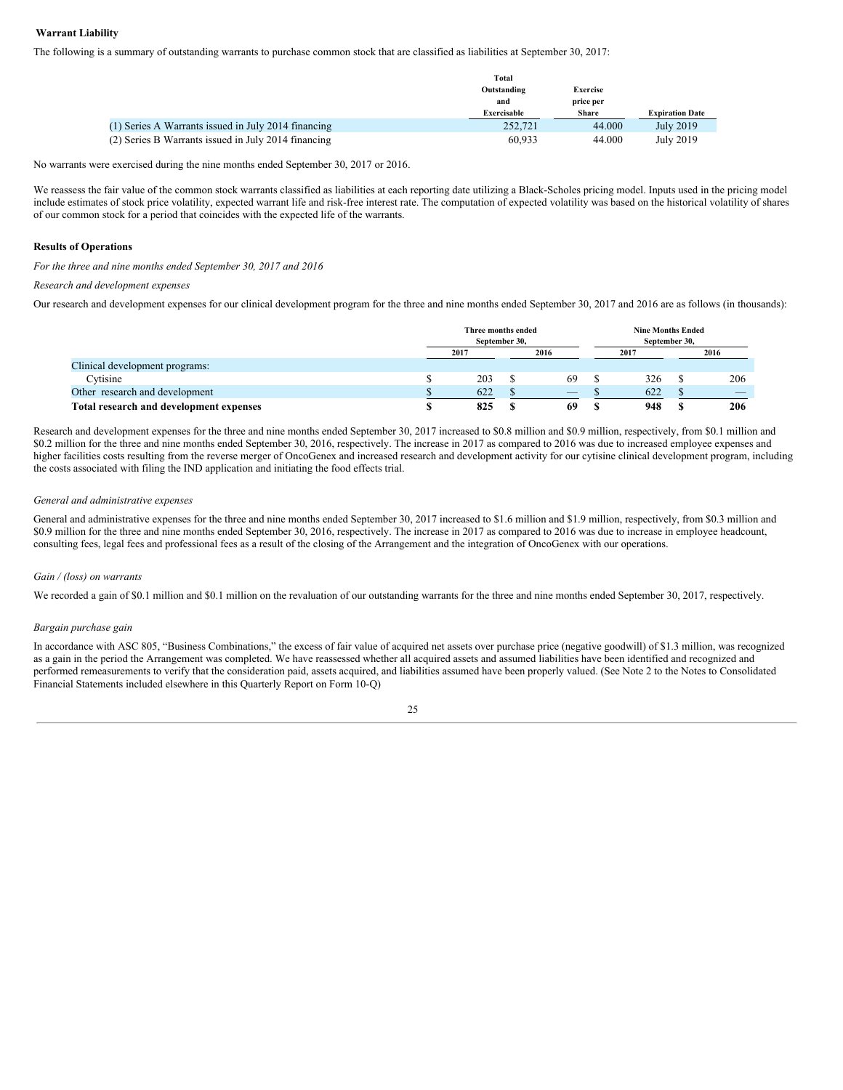#### **Warrant Liability**

The following is a summary of outstanding warrants to purchase common stock that are classified as liabilities at September 30, 2017:

|                                                     | Total       |                 |                        |  |  |
|-----------------------------------------------------|-------------|-----------------|------------------------|--|--|
|                                                     | Outstanding | <b>Exercise</b> |                        |  |  |
|                                                     | and         | price per       |                        |  |  |
|                                                     | Exercisable | <b>Share</b>    | <b>Expiration Date</b> |  |  |
| (1) Series A Warrants issued in July 2014 financing | 252.721     | 44,000          | <b>July 2019</b>       |  |  |
| (2) Series B Warrants issued in July 2014 financing | 60.933      | 44.000          | July 2019              |  |  |

No warrants were exercised during the nine months ended September 30, 2017 or 2016.

We reassess the fair value of the common stock warrants classified as liabilities at each reporting date utilizing a Black-Scholes pricing model. Inputs used in the pricing model include estimates of stock price volatility, expected warrant life and risk-free interest rate. The computation of expected volatility was based on the historical volatility of shares of our common stock for a period that coincides with the expected life of the warrants.

#### **Results of Operations**

*For the three and nine months ended September 30, 2017 and 2016*

#### *Research and development expenses*

Our research and development expenses for our clinical development program for the three and nine months ended September 30, 2017 and 2016 are as follows (in thousands):

|                                         | Three months ended<br>September 30, |  |      | <b>Nine Months Ended</b><br>September 30, |      |  |      |
|-----------------------------------------|-------------------------------------|--|------|-------------------------------------------|------|--|------|
|                                         | 2017                                |  | 2016 |                                           | 2017 |  | 2016 |
| Clinical development programs:          |                                     |  |      |                                           |      |  |      |
| Cvtisine                                | 203                                 |  | 69   |                                           | 326  |  | 206  |
| Other research and development          | 622                                 |  | $-$  |                                           | 622  |  |      |
| Total research and development expenses | 825                                 |  | 69   |                                           | 948  |  | 206  |

Research and development expenses for the three and nine months ended September 30, 2017 increased to \$0.8 million and \$0.9 million, respectively, from \$0.1 million and \$0.2 million for the three and nine months ended September 30, 2016, respectively. The increase in 2017 as compared to 2016 was due to increased employee expenses and higher facilities costs resulting from the reverse merger of OncoGenex and increased research and development activity for our cytisine clinical development program, including the costs associated with filing the IND application and initiating the food effects trial.

#### *General and administrative expenses*

General and administrative expenses for the three and nine months ended September 30, 2017 increased to \$1.6 million and \$1.9 million, respectively, from \$0.3 million and \$0.9 million for the three and nine months ended September 30, 2016, respectively. The increase in 2017 as compared to 2016 was due to increase in employee headcount, consulting fees, legal fees and professional fees as a result of the closing of the Arrangement and the integration of OncoGenex with our operations.

#### *Gain / (loss) on warrants*

We recorded a gain of \$0.1 million and \$0.1 million on the revaluation of our outstanding warrants for the three and nine months ended September 30, 2017, respectively.

#### *Bargain purchase gain*

In accordance with ASC 805, "Business Combinations," the excess of fair value of acquired net assets over purchase price (negative goodwill) of \$1.3 million, was recognized as a gain in the period the Arrangement was completed. We have reassessed whether all acquired assets and assumed liabilities have been identified and recognized and performed remeasurements to verify that the consideration paid, assets acquired, and liabilities assumed have been properly valued. (See Note 2 to the Notes to Consolidated Financial Statements included elsewhere in this Quarterly Report on Form 10-Q)

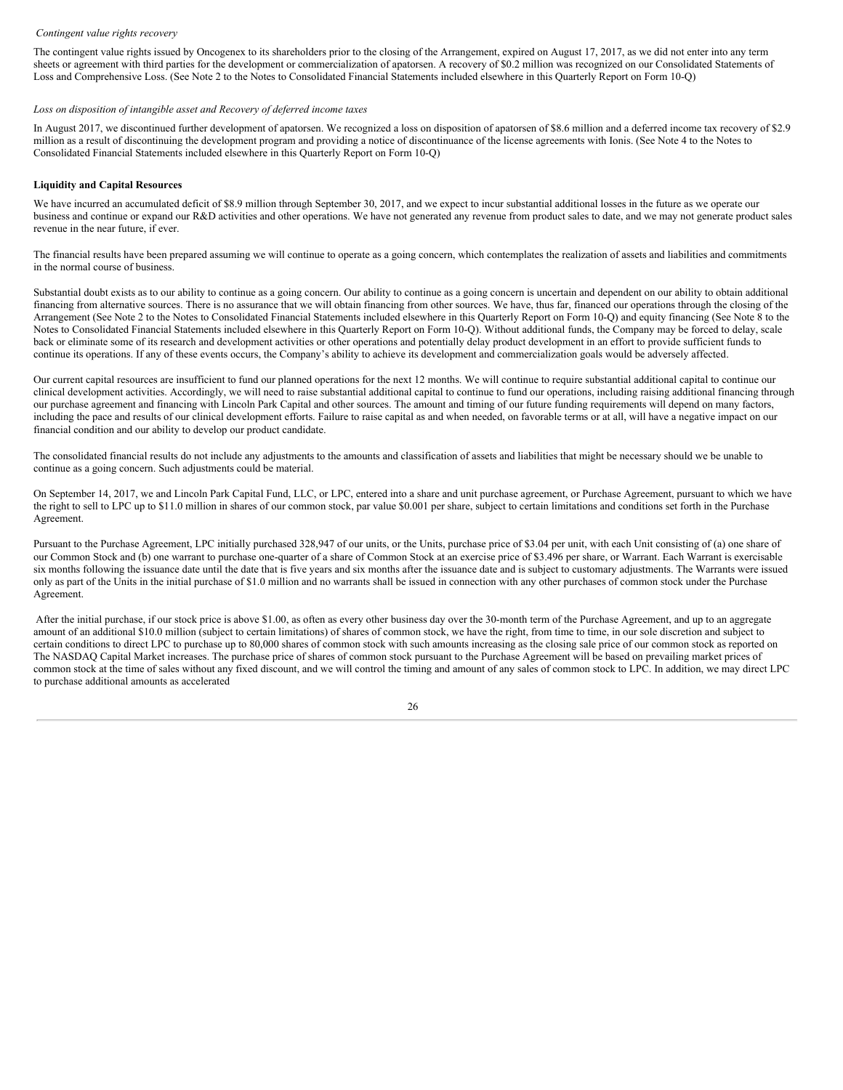#### *Contingent value rights recovery*

The contingent value rights issued by Oncogenex to its shareholders prior to the closing of the Arrangement, expired on August 17, 2017, as we did not enter into any term sheets or agreement with third parties for the development or commercialization of apatorsen. A recovery of \$0.2 million was recognized on our Consolidated Statements of Loss and Comprehensive Loss. (See Note 2 to the Notes to Consolidated Financial Statements included elsewhere in this Quarterly Report on Form 10-Q)

#### *Loss on disposition of intangible asset and Recovery of deferred income taxes*

In August 2017, we discontinued further development of apatorsen. We recognized a loss on disposition of apatorsen of \$8.6 million and a deferred income tax recovery of \$2.9 million as a result of discontinuing the development program and providing a notice of discontinuance of the license agreements with Ionis. (See Note 4 to the Notes to Consolidated Financial Statements included elsewhere in this Quarterly Report on Form 10-Q)

#### **Liquidity and Capital Resources**

We have incurred an accumulated deficit of \$8.9 million through September 30, 2017, and we expect to incur substantial additional losses in the future as we operate our business and continue or expand our R&D activities and other operations. We have not generated any revenue from product sales to date, and we may not generate product sales revenue in the near future, if ever.

The financial results have been prepared assuming we will continue to operate as a going concern, which contemplates the realization of assets and liabilities and commitments in the normal course of business.

Substantial doubt exists as to our ability to continue as a going concern. Our ability to continue as a going concern is uncertain and dependent on our ability to obtain additional financing from alternative sources. There is no assurance that we will obtain financing from other sources. We have, thus far, financed our operations through the closing of the Arrangement (See Note 2 to the Notes to Consolidated Financial Statements included elsewhere in this Quarterly Report on Form 10-Q) and equity financing (See Note 8 to the Notes to Consolidated Financial Statements included elsewhere in this Quarterly Report on Form 10-Q). Without additional funds, the Company may be forced to delay, scale back or eliminate some of its research and development activities or other operations and potentially delay product development in an effort to provide sufficient funds to continue its operations. If any of these events occurs, the Company's ability to achieve its development and commercialization goals would be adversely affected.

Our current capital resources are insufficient to fund our planned operations for the next 12 months. We will continue to require substantial additional capital to continue our clinical development activities. Accordingly, we will need to raise substantial additional capital to continue to fund our operations, including raising additional financing through our purchase agreement and financing with Lincoln Park Capital and other sources. The amount and timing of our future funding requirements will depend on many factors, including the pace and results of our clinical development efforts. Failure to raise capital as and when needed, on favorable terms or at all, will have a negative impact on our financial condition and our ability to develop our product candidate.

The consolidated financial results do not include any adjustments to the amounts and classification of assets and liabilities that might be necessary should we be unable to continue as a going concern. Such adjustments could be material.

On September 14, 2017, we and Lincoln Park Capital Fund, LLC, or LPC, entered into a share and unit purchase agreement, or Purchase Agreement, pursuant to which we have the right to sell to LPC up to \$11.0 million in shares of our common stock, par value \$0.001 per share, subject to certain limitations and conditions set forth in the Purchase Agreement.

Pursuant to the Purchase Agreement, LPC initially purchased 328,947 of our units, or the Units, purchase price of \$3.04 per unit, with each Unit consisting of (a) one share of our Common Stock and (b) one warrant to purchase one-quarter of a share of Common Stock at an exercise price of \$3.496 per share, or Warrant. Each Warrant is exercisable six months following the issuance date until the date that is five years and six months after the issuance date and is subject to customary adjustments. The Warrants were issued only as part of the Units in the initial purchase of \$1.0 million and no warrants shall be issued in connection with any other purchases of common stock under the Purchase Agreement.

After the initial purchase, if our stock price is above \$1.00, as often as every other business day over the 30-month term of the Purchase Agreement, and up to an aggregate amount of an additional \$10.0 million (subject to certain limitations) of shares of common stock, we have the right, from time to time, in our sole discretion and subject to certain conditions to direct LPC to purchase up to 80,000 shares of common stock with such amounts increasing as the closing sale price of our common stock as reported on The NASDAQ Capital Market increases. The purchase price of shares of common stock pursuant to the Purchase Agreement will be based on prevailing market prices of common stock at the time of sales without any fixed discount, and we will control the timing and amount of any sales of common stock to LPC. In addition, we may direct LPC to purchase additional amounts as accelerated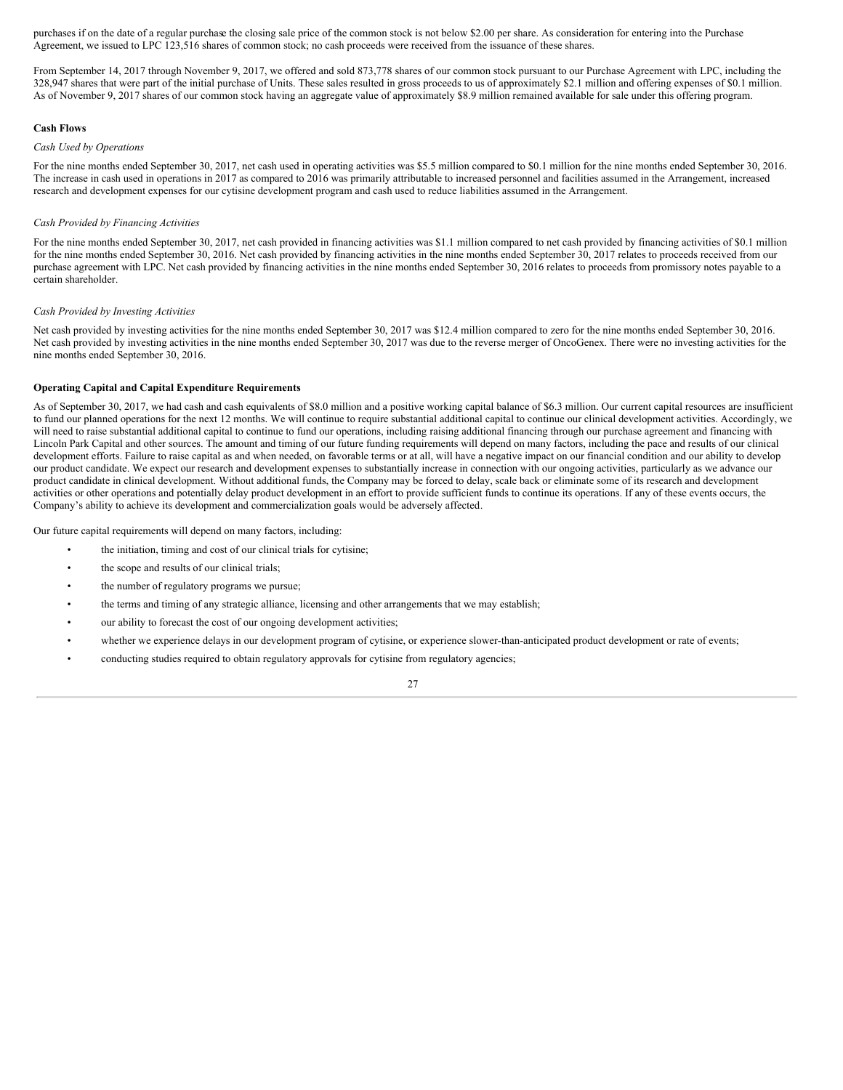purchases if on the date of a regular purchase the closing sale price of the common stock is not below \$2.00 per share. As consideration for entering into the Purchase Agreement, we issued to LPC 123,516 shares of common stock; no cash proceeds were received from the issuance of these shares.

From September 14, 2017 through November 9, 2017, we offered and sold 873,778 shares of our common stock pursuant to our Purchase Agreement with LPC, including the 328,947 shares that were part of the initial purchase of Units. These sales resulted in gross proceeds to us of approximately \$2.1 million and offering expenses of \$0.1 million. As of November 9, 2017 shares of our common stock having an aggregate value of approximately \$8.9 million remained available for sale under this offering program.

#### **Cash Flows**

#### *Cash Used by Operations*

For the nine months ended September 30, 2017, net cash used in operating activities was \$5.5 million compared to \$0.1 million for the nine months ended September 30, 2016. The increase in cash used in operations in 2017 as compared to 2016 was primarily attributable to increased personnel and facilities assumed in the Arrangement, increased research and development expenses for our cytisine development program and cash used to reduce liabilities assumed in the Arrangement.

#### *Cash Provided by Financing Activities*

For the nine months ended September 30, 2017, net cash provided in financing activities was \$1.1 million compared to net cash provided by financing activities of \$0.1 million for the nine months ended September 30, 2016. Net cash provided by financing activities in the nine months ended September 30, 2017 relates to proceeds received from our purchase agreement with LPC. Net cash provided by financing activities in the nine months ended September 30, 2016 relates to proceeds from promissory notes payable to a certain shareholder.

#### *Cash Provided by Investing Activities*

Net cash provided by investing activities for the nine months ended September 30, 2017 was \$12.4 million compared to zero for the nine months ended September 30, 2016. Net cash provided by investing activities in the nine months ended September 30, 2017 was due to the reverse merger of OncoGenex. There were no investing activities for the nine months ended September 30, 2016.

#### **Operating Capital and Capital Expenditure Requirements**

As of September 30, 2017, we had cash and cash equivalents of \$8.0 million and a positive working capital balance of \$6.3 million. Our current capital resources are insufficient to fund our planned operations for the next 12 months. We will continue to require substantial additional capital to continue our clinical development activities. Accordingly, we will need to raise substantial additional capital to continue to fund our operations, including raising additional financing through our purchase agreement and financing with Lincoln Park Capital and other sources. The amount and timing of our future funding requirements will depend on many factors, including the pace and results of our clinical development efforts. Failure to raise capital as and when needed, on favorable terms or at all, will have a negative impact on our financial condition and our ability to develop our product candidate. We expect our research and development expenses to substantially increase in connection with our ongoing activities, particularly as we advance our product candidate in clinical development. Without additional funds, the Company may be forced to delay, scale back or eliminate some of its research and development activities or other operations and potentially delay product development in an effort to provide sufficient funds to continue its operations. If any of these events occurs, the Company's ability to achieve its development and commercialization goals would be adversely affected.

Our future capital requirements will depend on many factors, including:

- the initiation, timing and cost of our clinical trials for cytisine;
- the scope and results of our clinical trials;
- the number of regulatory programs we pursue;
- the terms and timing of any strategic alliance, licensing and other arrangements that we may establish;
- our ability to forecast the cost of our ongoing development activities;
- whether we experience delays in our development program of cytisine, or experience slower-than-anticipated product development or rate of events;
- conducting studies required to obtain regulatory approvals for cytisine from regulatory agencies;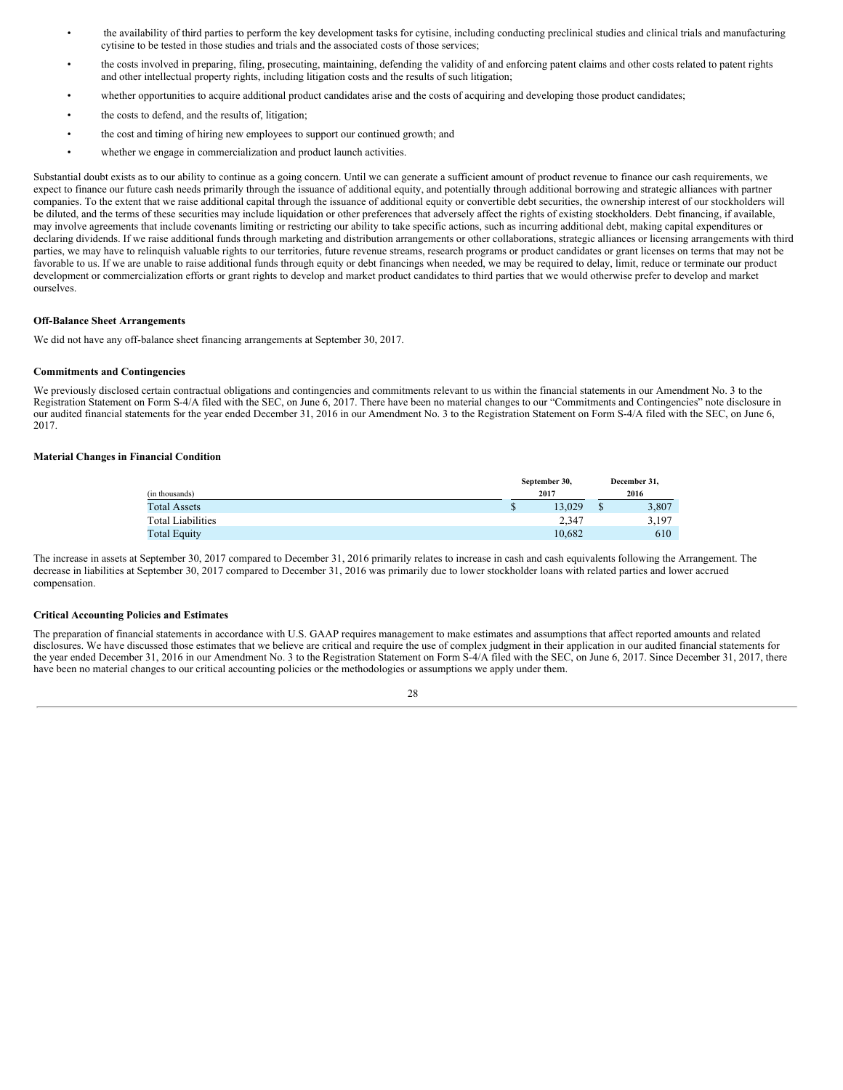- the availability of third parties to perform the key development tasks for cytisine, including conducting preclinical studies and clinical trials and manufacturing cytisine to be tested in those studies and trials and the associated costs of those services;
- the costs involved in preparing, filing, prosecuting, maintaining, defending the validity of and enforcing patent claims and other costs related to patent rights and other intellectual property rights, including litigation costs and the results of such litigation;
- whether opportunities to acquire additional product candidates arise and the costs of acquiring and developing those product candidates;
- the costs to defend, and the results of, litigation;
- the cost and timing of hiring new employees to support our continued growth; and
- whether we engage in commercialization and product launch activities.

Substantial doubt exists as to our ability to continue as a going concern. Until we can generate a sufficient amount of product revenue to finance our cash requirements, we expect to finance our future cash needs primarily through the issuance of additional equity, and potentially through additional borrowing and strategic alliances with partner companies. To the extent that we raise additional capital through the issuance of additional equity or convertible debt securities, the ownership interest of our stockholders will be diluted, and the terms of these securities may include liquidation or other preferences that adversely affect the rights of existing stockholders. Debt financing, if available, may involve agreements that include covenants limiting or restricting our ability to take specific actions, such as incurring additional debt, making capital expenditures or declaring dividends. If we raise additional funds through marketing and distribution arrangements or other collaborations, strategic alliances or licensing arrangements with third parties, we may have to relinquish valuable rights to our territories, future revenue streams, research programs or product candidates or grant licenses on terms that may not be favorable to us. If we are unable to raise additional funds through equity or debt financings when needed, we may be required to delay, limit, reduce or terminate our product development or commercialization efforts or grant rights to develop and market product candidates to third parties that we would otherwise prefer to develop and market ourselves.

#### **Off-Balance Sheet Arrangements**

We did not have any off-balance sheet financing arrangements at September 30, 2017.

#### **Commitments and Contingencies**

We previously disclosed certain contractual obligations and contingencies and commitments relevant to us within the financial statements in our Amendment No. 3 to the Registration Statement on Form S-4/A filed with the SEC, on June 6, 2017. There have been no material changes to our "Commitments and Contingencies" note disclosure in our audited financial statements for the year ended December 31, 2016 in our Amendment No. 3 to the Registration Statement on Form S-4/A filed with the SEC, on June 6, 2017.

#### **Material Changes in Financial Condition**

|                          |   | September 30, | December 31. |       |  |  |
|--------------------------|---|---------------|--------------|-------|--|--|
| (in thousands)           |   | 2017          |              | 2016  |  |  |
| <b>Total Assets</b>      | S | 13.029        | ъ            | 3,807 |  |  |
| <b>Total Liabilities</b> |   | 2.347         |              | 3,197 |  |  |
| <b>Total Equity</b>      |   | 10.682        |              | 610   |  |  |

The increase in assets at September 30, 2017 compared to December 31, 2016 primarily relates to increase in cash and cash equivalents following the Arrangement. The decrease in liabilities at September 30, 2017 compared to December 31, 2016 was primarily due to lower stockholder loans with related parties and lower accrued compensation.

#### **Critical Accounting Policies and Estimates**

The preparation of financial statements in accordance with U.S. GAAP requires management to make estimates and assumptions that affect reported amounts and related disclosures. We have discussed those estimates that we believe are critical and require the use of complex judgment in their application in our audited financial statements for the year ended December 31, 2016 in our Amendment No. 3 to the Registration Statement on Form S-4/A filed with the SEC, on June 6, 2017. Since December 31, 2017, there have been no material changes to our critical accounting policies or the methodologies or assumptions we apply under them.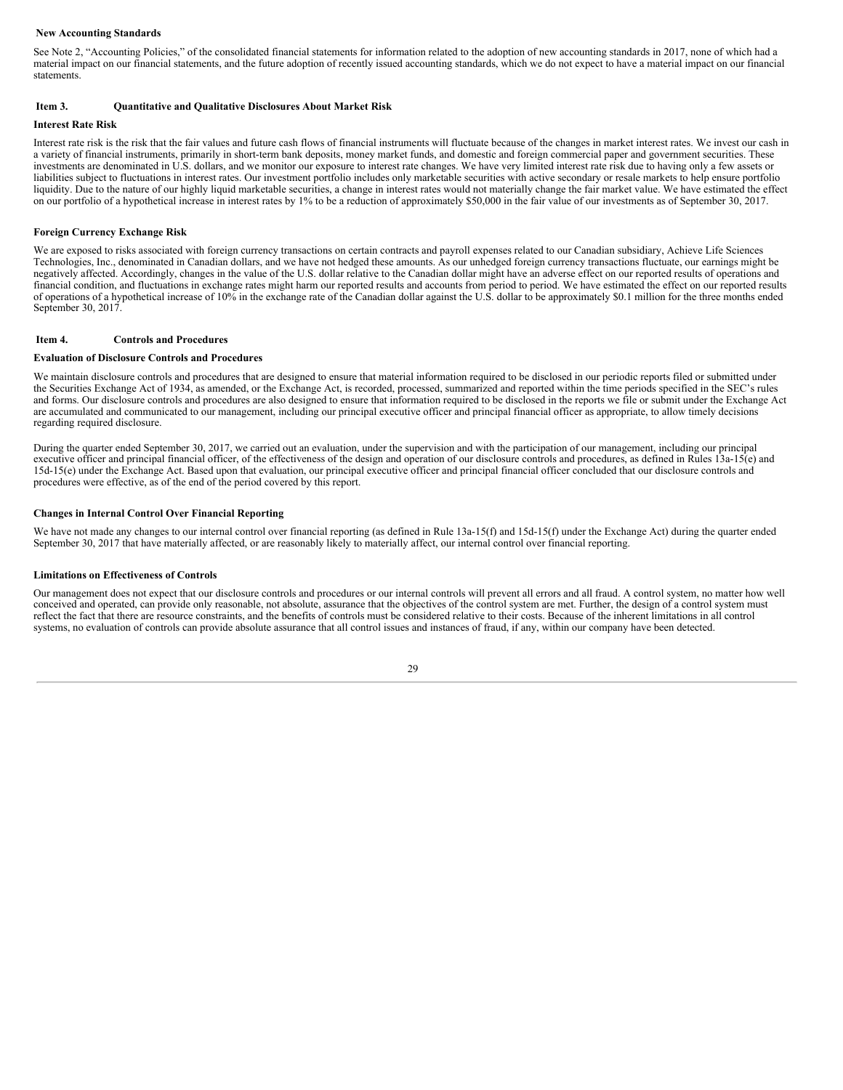#### **New Accounting Standards**

See Note 2, "Accounting Policies," of the consolidated financial statements for information related to the adoption of new accounting standards in 2017, none of which had a material impact on our financial statements, and the future adoption of recently issued accounting standards, which we do not expect to have a material impact on our financial statements.

#### <span id="page-28-0"></span>**Item 3. Quantitative and Qualitative Disclosures About Market Risk**

#### **Interest Rate Risk**

Interest rate risk is the risk that the fair values and future cash flows of financial instruments will fluctuate because of the changes in market interest rates. We invest our cash in a variety of financial instruments, primarily in short-term bank deposits, money market funds, and domestic and foreign commercial paper and government securities. These investments are denominated in U.S. dollars, and we monitor our exposure to interest rate changes. We have very limited interest rate risk due to having only a few assets or liabilities subject to fluctuations in interest rates. Our investment portfolio includes only marketable securities with active secondary or resale markets to help ensure portfolio liquidity. Due to the nature of our highly liquid marketable securities, a change in interest rates would not materially change the fair market value. We have estimated the effect on our portfolio of a hypothetical increase in interest rates by 1% to be a reduction of approximately \$50,000 in the fair value of our investments as of September 30, 2017.

#### **Foreign Currency Exchange Risk**

We are exposed to risks associated with foreign currency transactions on certain contracts and payroll expenses related to our Canadian subsidiary, Achieve Life Sciences Technologies, Inc., denominated in Canadian dollars, and we have not hedged these amounts. As our unhedged foreign currency transactions fluctuate, our earnings might be negatively affected. Accordingly, changes in the value of the U.S. dollar relative to the Canadian dollar might have an adverse effect on our reported results of operations and financial condition, and fluctuations in exchange rates might harm our reported results and accounts from period to period. We have estimated the effect on our reported results of operations of a hypothetical increase of 10% in the exchange rate of the Canadian dollar against the U.S. dollar to be approximately \$0.1 million for the three months ended September 30, 2017.

#### <span id="page-28-1"></span>**Item 4. Controls and Procedures**

#### **Evaluation of Disclosure Controls and Procedures**

We maintain disclosure controls and procedures that are designed to ensure that material information required to be disclosed in our periodic reports filed or submitted under the Securities Exchange Act of 1934, as amended, or the Exchange Act, is recorded, processed, summarized and reported within the time periods specified in the SEC's rules and forms. Our disclosure controls and procedures are also designed to ensure that information required to be disclosed in the reports we file or submit under the Exchange Act are accumulated and communicated to our management, including our principal executive officer and principal financial officer as appropriate, to allow timely decisions regarding required disclosure.

During the quarter ended September 30, 2017, we carried out an evaluation, under the supervision and with the participation of our management, including our principal executive officer and principal financial officer, of the effectiveness of the design and operation of our disclosure controls and procedures, as defined in Rules 13a-15(e) and 15d-15(e) under the Exchange Act. Based upon that evaluation, our principal executive officer and principal financial officer concluded that our disclosure controls and procedures were effective, as of the end of the period covered by this report.

#### **Changes in Internal Control Over Financial Reporting**

We have not made any changes to our internal control over financial reporting (as defined in Rule 13a-15(f) and 15d-15(f) under the Exchange Act) during the quarter ended September 30, 2017 that have materially affected, or are reasonably likely to materially affect, our internal control over financial reporting.

#### **Limitations on Effectiveness of Controls**

Our management does not expect that our disclosure controls and procedures or our internal controls will prevent all errors and all fraud. A control system, no matter how well conceived and operated, can provide only reasonable, not absolute, assurance that the objectives of the control system are met. Further, the design of a control system must reflect the fact that there are resource constraints, and the benefits of controls must be considered relative to their costs. Because of the inherent limitations in all control systems, no evaluation of controls can provide absolute assurance that all control issues and instances of fraud, if any, within our company have been detected.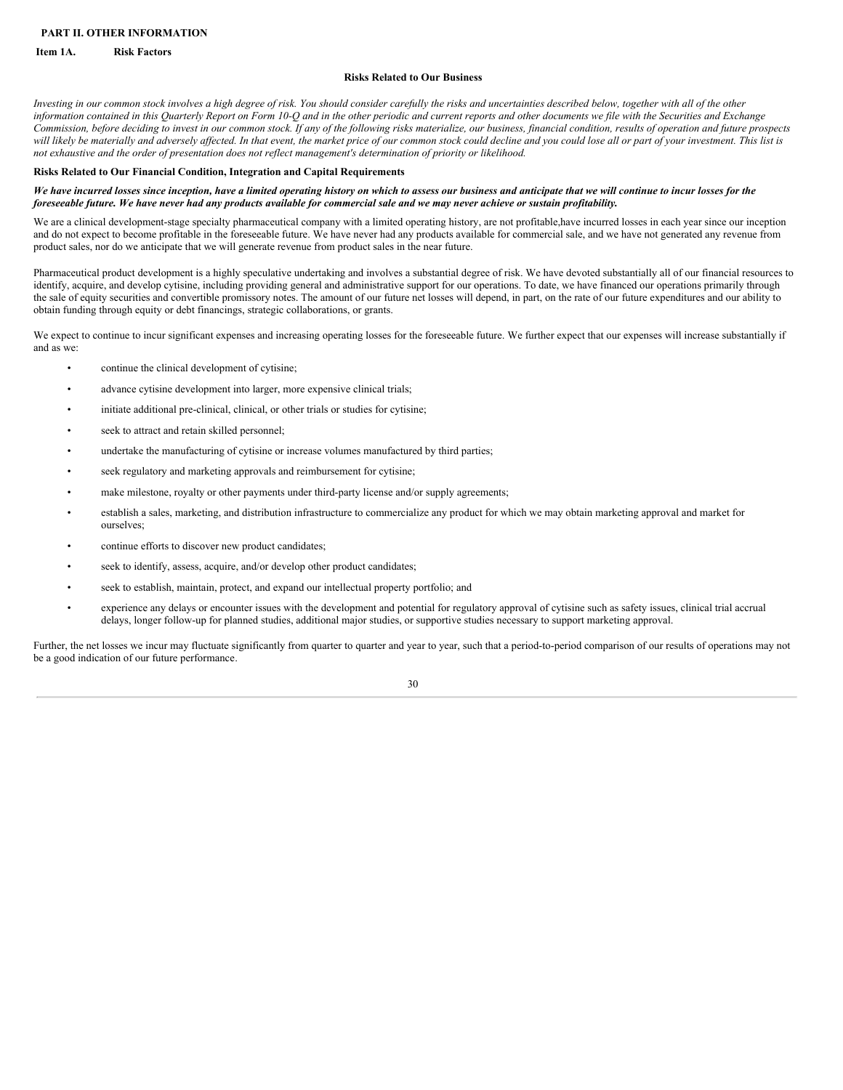#### <span id="page-29-0"></span>**PART II. OTHER INFORMATION**

#### <span id="page-29-1"></span>**Item 1A. Risk Factors**

#### **Risks Related to Our Business**

Investing in our common stock involves a high degree of risk. You should consider carefully the risks and uncertainties described below, together with all of the other information contained in this Quarterly Report on Form 10-Q and in the other periodic and current reports and other documents we file with the Securities and Exchange Commission, before deciding to invest in our common stock. If any of the following risks materialize, our business, financial condition, results of operation and future prospects will likely be materially and adversely affected. In that event, the market price of our common stock could decline and you could lose all or part of your investment. This list is not exhaustive and the order of presentation does not reflect management's determination of priority or likelihood.

#### **Risks Related to Our Financial Condition, Integration and Capital Requirements**

#### We have incurred losses since inception, have a limited operating history on which to assess our business and anticipate that we will continue to incur losses for the foreseeable future. We have never had any products available for commercial sale and we may never achieve or sustain profitability.

We are a clinical development-stage specialty pharmaceutical company with a limited operating history, are not profitable,have incurred losses in each year since our inception and do not expect to become profitable in the foreseeable future. We have never had any products available for commercial sale, and we have not generated any revenue from product sales, nor do we anticipate that we will generate revenue from product sales in the near future.

Pharmaceutical product development is a highly speculative undertaking and involves a substantial degree of risk. We have devoted substantially all of our financial resources to identify, acquire, and develop cytisine, including providing general and administrative support for our operations. To date, we have financed our operations primarily through the sale of equity securities and convertible promissory notes. The amount of our future net losses will depend, in part, on the rate of our future expenditures and our ability to obtain funding through equity or debt financings, strategic collaborations, or grants.

We expect to continue to incur significant expenses and increasing operating losses for the foreseeable future. We further expect that our expenses will increase substantially if and as we:

- continue the clinical development of cytisine;
- advance cytisine development into larger, more expensive clinical trials;
- initiate additional pre-clinical, clinical, or other trials or studies for cytisine;
- seek to attract and retain skilled personnel;
- undertake the manufacturing of cytisine or increase volumes manufactured by third parties;
- seek regulatory and marketing approvals and reimbursement for cytisine;
- make milestone, royalty or other payments under third-party license and/or supply agreements;
- establish a sales, marketing, and distribution infrastructure to commercialize any product for which we may obtain marketing approval and market for ourselves;
- continue efforts to discover new product candidates;
- seek to identify, assess, acquire, and/or develop other product candidates;
- seek to establish, maintain, protect, and expand our intellectual property portfolio; and
- experience any delays or encounter issues with the development and potential for regulatory approval of cytisine such as safety issues, clinical trial accrual delays, longer follow-up for planned studies, additional major studies, or supportive studies necessary to support marketing approval.

Further, the net losses we incur may fluctuate significantly from quarter to quarter and year to year, such that a period-to-period comparison of our results of operations may not be a good indication of our future performance.

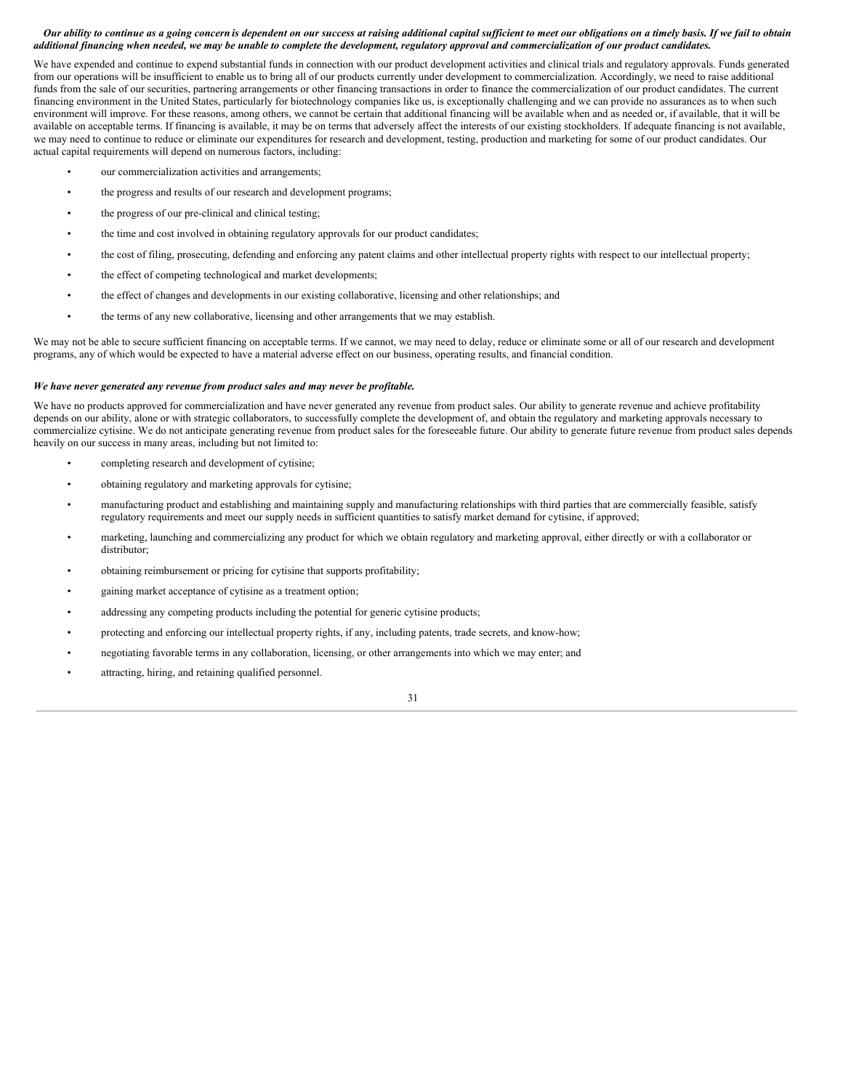#### Our ability to continue as a going concern is dependent on our success at raising additional capital sufficient to meet our obligations on a timely basis. If we fail to obtain additional financing when needed, we may be unable to complete the development, regulatory approval and commercialization of our product candidates.

We have expended and continue to expend substantial funds in connection with our product development activities and clinical trials and regulatory approvals. Funds generated from our operations will be insufficient to enable us to bring all of our products currently under development to commercialization. Accordingly, we need to raise additional funds from the sale of our securities, partnering arrangements or other financing transactions in order to finance the commercialization of our product candidates. The current financing environment in the United States, particularly for biotechnology companies like us, is exceptionally challenging and we can provide no assurances as to when such environment will improve. For these reasons, among others, we cannot be certain that additional financing will be available when and as needed or, if available, that it will be available on acceptable terms. If financing is available, it may be on terms that adversely affect the interests of our existing stockholders. If adequate financing is not available, we may need to continue to reduce or eliminate our expenditures for research and development, testing, production and marketing for some of our product candidates. Our actual capital requirements will depend on numerous factors, including:

- our commercialization activities and arrangements;
- the progress and results of our research and development programs;
- the progress of our pre-clinical and clinical testing;
- the time and cost involved in obtaining regulatory approvals for our product candidates;
- the cost of filing, prosecuting, defending and enforcing any patent claims and other intellectual property rights with respect to our intellectual property;
- the effect of competing technological and market developments;
- the effect of changes and developments in our existing collaborative, licensing and other relationships; and
- the terms of any new collaborative, licensing and other arrangements that we may establish.

We may not be able to secure sufficient financing on acceptable terms. If we cannot, we may need to delay, reduce or eliminate some or all of our research and development programs, any of which would be expected to have a material adverse effect on our business, operating results, and financial condition.

#### *We have never generated any revenue from product sales and may never be profitable.*

We have no products approved for commercialization and have never generated any revenue from product sales. Our ability to generate revenue and achieve profitability depends on our ability, alone or with strategic collaborators, to successfully complete the development of, and obtain the regulatory and marketing approvals necessary to commercialize cytisine. We do not anticipate generating revenue from product sales for the foreseeable future. Our ability to generate future revenue from product sales depends heavily on our success in many areas, including but not limited to:

- completing research and development of cytisine;
- obtaining regulatory and marketing approvals for cytisine;
- manufacturing product and establishing and maintaining supply and manufacturing relationships with third parties that are commercially feasible, satisfy regulatory requirements and meet our supply needs in sufficient quantities to satisfy market demand for cytisine, if approved;
- marketing, launching and commercializing any product for which we obtain regulatory and marketing approval, either directly or with a collaborator or distributor:
- obtaining reimbursement or pricing for cytisine that supports profitability;
- gaining market acceptance of cytisine as a treatment option;
- addressing any competing products including the potential for generic cytisine products;
- protecting and enforcing our intellectual property rights, if any, including patents, trade secrets, and know-how;
- negotiating favorable terms in any collaboration, licensing, or other arrangements into which we may enter; and
- attracting, hiring, and retaining qualified personnel.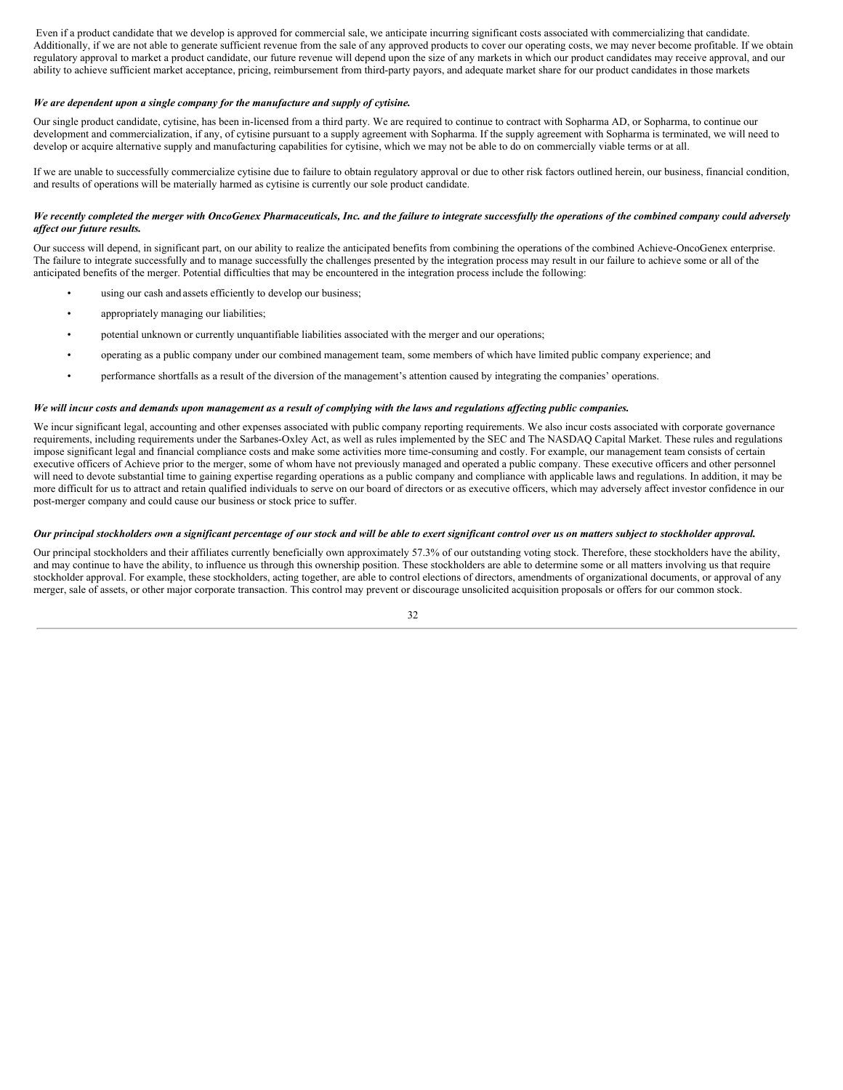Even if a product candidate that we develop is approved for commercial sale, we anticipate incurring significant costs associated with commercializing that candidate. Additionally, if we are not able to generate sufficient revenue from the sale of any approved products to cover our operating costs, we may never become profitable. If we obtain regulatory approval to market a product candidate, our future revenue will depend upon the size of any markets in which our product candidates may receive approval, and our ability to achieve sufficient market acceptance, pricing, reimbursement from third-party payors, and adequate market share for our product candidates in those markets

#### *We are dependent upon a single company for the manufacture and supply of cytisine.*

Our single product candidate, cytisine, has been in-licensed from a third party. We are required to continue to contract with Sopharma AD, or Sopharma, to continue our development and commercialization, if any, of cytisine pursuant to a supply agreement with Sopharma. If the supply agreement with Sopharma is terminated, we will need to develop or acquire alternative supply and manufacturing capabilities for cytisine, which we may not be able to do on commercially viable terms or at all.

If we are unable to successfully commercialize cytisine due to failure to obtain regulatory approval or due to other risk factors outlined herein, our business, financial condition, and results of operations will be materially harmed as cytisine is currently our sole product candidate.

#### We recently completed the merger with OncoGenex Pharmaceuticals, Inc. and the failure to integrate successfully the operations of the combined company could adversely *af ect our future results.*

Our success will depend, in significant part, on our ability to realize the anticipated benefits from combining the operations of the combined Achieve-OncoGenex enterprise. The failure to integrate successfully and to manage successfully the challenges presented by the integration process may result in our failure to achieve some or all of the anticipated benefits of the merger. Potential difficulties that may be encountered in the integration process include the following:

- using our cash and assets efficiently to develop our business;
- appropriately managing our liabilities;
- potential unknown or currently unquantifiable liabilities associated with the merger and our operations;
- operating as a public company under our combined management team, some members of which have limited public company experience; and
- performance shortfalls as a result of the diversion of the management's attention caused by integrating the companies' operations.

#### We will incur costs and demands upon management as a result of complying with the laws and regulations affecting public companies.

We incur significant legal, accounting and other expenses associated with public company reporting requirements. We also incur costs associated with corporate governance requirements, including requirements under the Sarbanes-Oxley Act, as well as rules implemented by the SEC and The NASDAQ Capital Market. These rules and regulations impose significant legal and financial compliance costs and make some activities more time-consuming and costly. For example, our management team consists of certain executive officers of Achieve prior to the merger, some of whom have not previously managed and operated a public company. These executive officers and other personnel will need to devote substantial time to gaining expertise regarding operations as a public company and compliance with applicable laws and regulations. In addition, it may be more difficult for us to attract and retain qualified individuals to serve on our board of directors or as executive officers, which may adversely affect investor confidence in our post-merger company and could cause our business or stock price to suffer.

#### Our principal stockholders own a significant percentage of our stock and will be able to exert significant control over us on matters subject to stockholder approval.

Our principal stockholders and their affiliates currently beneficially own approximately 57.3% of our outstanding voting stock. Therefore, these stockholders have the ability, and may continue to have the ability, to influence us through this ownership position. These stockholders are able to determine some or all matters involving us that require stockholder approval. For example, these stockholders, acting together, are able to control elections of directors, amendments of organizational documents, or approval of any merger, sale of assets, or other major corporate transaction. This control may prevent or discourage unsolicited acquisition proposals or offers for our common stock.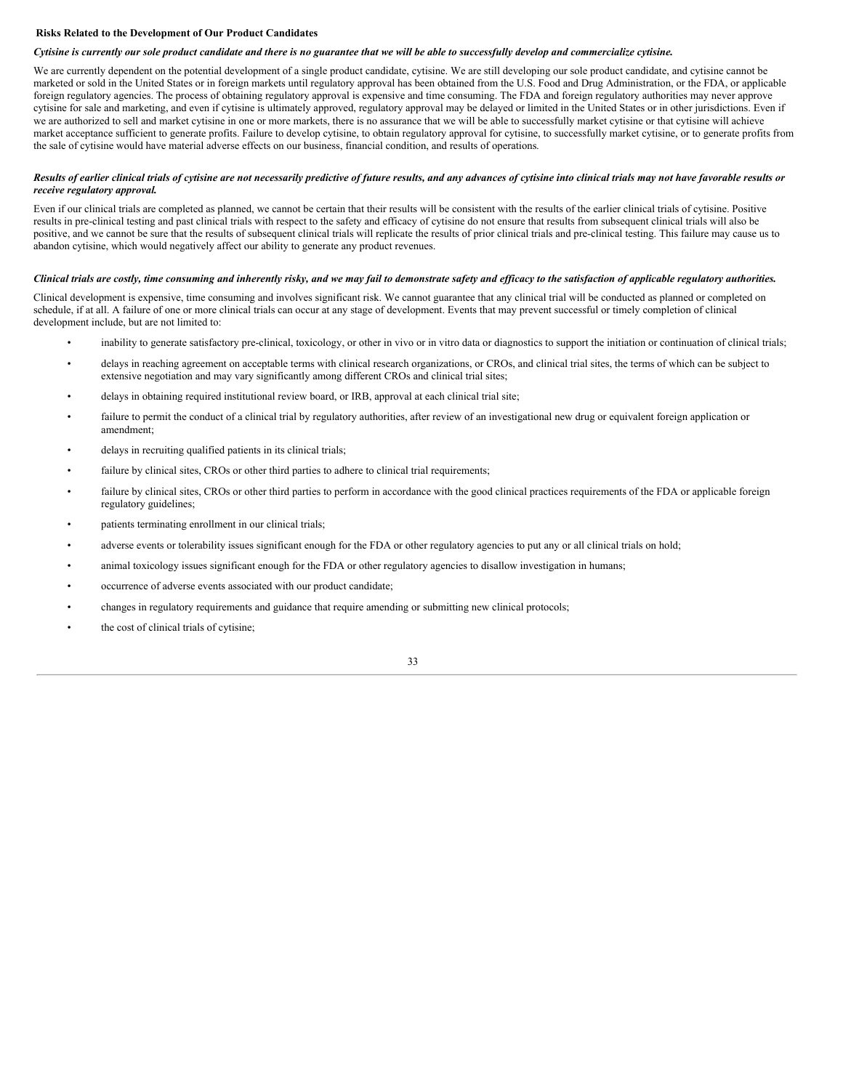#### **Risks Related to the Development of Our Product Candidates**

#### Cytisine is currently our sole product candidate and there is no guarantee that we will be able to successfully develop and commercialize cytisine.

We are currently dependent on the potential development of a single product candidate, cytisine. We are still developing our sole product candidate, and cytisine cannot be marketed or sold in the United States or in foreign markets until regulatory approval has been obtained from the U.S. Food and Drug Administration, or the FDA, or applicable foreign regulatory agencies. The process of obtaining regulatory approval is expensive and time consuming. The FDA and foreign regulatory authorities may never approve cytisine for sale and marketing, and even if cytisine is ultimately approved, regulatory approval may be delayed or limited in the United States or in other jurisdictions. Even if we are authorized to sell and market cytisine in one or more markets, there is no assurance that we will be able to successfully market cytisine or that cytisine will achieve market acceptance sufficient to generate profits. Failure to develop cytisine, to obtain regulatory approval for cytisine, to successfully market cytisine, or to generate profits from the sale of cytisine would have material adverse effects on our business, financial condition, and results of operations.

#### Results of earlier clinical trials of cytisine are not necessarily predictive of future results, and any advances of cytisine into clinical trials may not have favorable results or *receive regulatory approval.*

Even if our clinical trials are completed as planned, we cannot be certain that their results will be consistent with the results of the earlier clinical trials of cytisine. Positive results in pre-clinical testing and past clinical trials with respect to the safety and efficacy of cytisine do not ensure that results from subsequent clinical trials will also be positive, and we cannot be sure that the results of subsequent clinical trials will replicate the results of prior clinical trials and pre-clinical testing. This failure may cause us to abandon cytisine, which would negatively affect our ability to generate any product revenues.

#### Clinical trials are costly, time consuming and inherently risky, and we may fail to demonstrate safety and efficacy to the satisfaction of applicable regulatory authorities.

Clinical development is expensive, time consuming and involves significant risk. We cannot guarantee that any clinical trial will be conducted as planned or completed on schedule, if at all. A failure of one or more clinical trials can occur at any stage of development. Events that may prevent successful or timely completion of clinical development include, but are not limited to:

- inability to generate satisfactory pre-clinical, toxicology, or other in vivo or in vitro data or diagnostics to support the initiation or continuation of clinical trials;
- delays in reaching agreement on acceptable terms with clinical research organizations, or CROs, and clinical trial sites, the terms of which can be subject to extensive negotiation and may vary significantly among different CROs and clinical trial sites;
- delays in obtaining required institutional review board, or IRB, approval at each clinical trial site;
- failure to permit the conduct of a clinical trial by regulatory authorities, after review of an investigational new drug or equivalent foreign application or amendment;
- delays in recruiting qualified patients in its clinical trials;
- failure by clinical sites, CROs or other third parties to adhere to clinical trial requirements;
- failure by clinical sites, CROs or other third parties to perform in accordance with the good clinical practices requirements of the FDA or applicable foreign regulatory guidelines;
- patients terminating enrollment in our clinical trials;
- adverse events or tolerability issues significant enough for the FDA or other regulatory agencies to put any or all clinical trials on hold;
- animal toxicology issues significant enough for the FDA or other regulatory agencies to disallow investigation in humans;
- occurrence of adverse events associated with our product candidate;
- changes in regulatory requirements and guidance that require amending or submitting new clinical protocols;
- the cost of clinical trials of cytisine;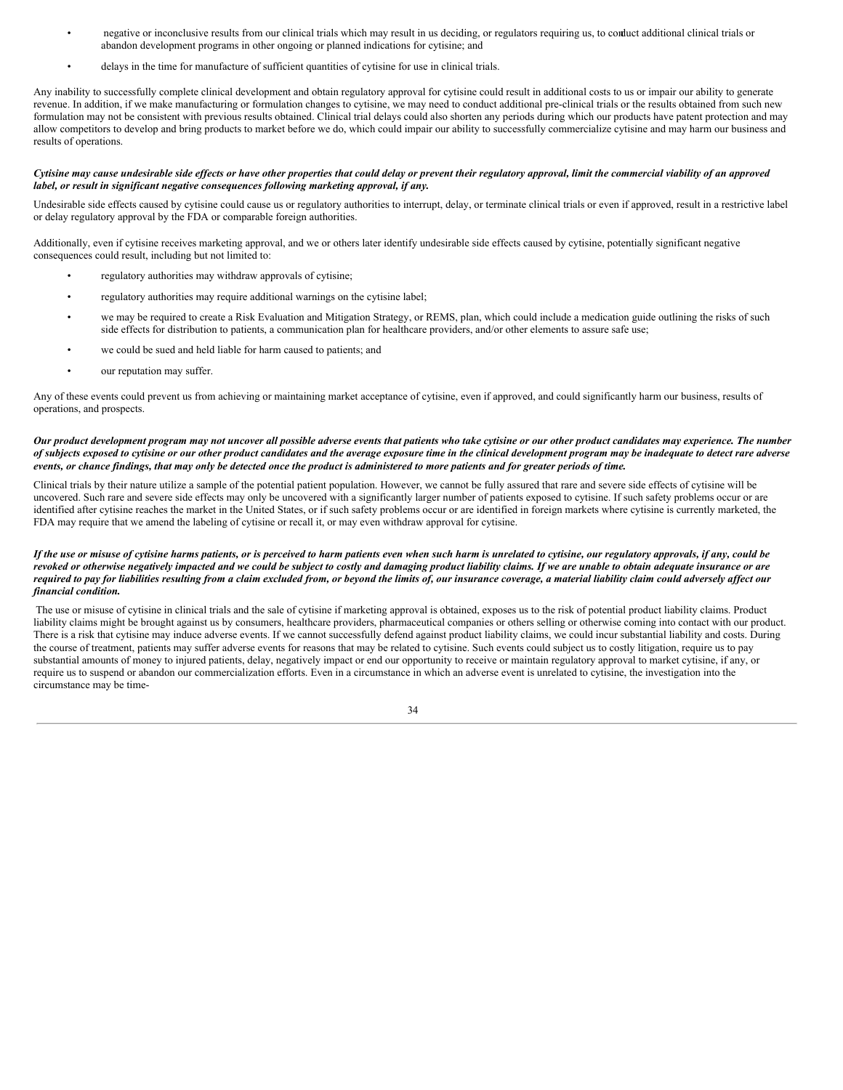- negative or inconclusive results from our clinical trials which may result in us deciding, or regulators requiring us, to conduct additional clinical trials or abandon development programs in other ongoing or planned indications for cytisine; and
- delays in the time for manufacture of sufficient quantities of cytisine for use in clinical trials.

Any inability to successfully complete clinical development and obtain regulatory approval for cytisine could result in additional costs to us or impair our ability to generate revenue. In addition, if we make manufacturing or formulation changes to cytisine, we may need to conduct additional pre-clinical trials or the results obtained from such new formulation may not be consistent with previous results obtained. Clinical trial delays could also shorten any periods during which our products have patent protection and may allow competitors to develop and bring products to market before we do, which could impair our ability to successfully commercialize cytisine and may harm our business and results of operations.

#### Cytisine may cause undesirable side effects or have other properties that could delay or prevent their regulatory approval, limit the commercial viability of an approved *label, or result in significant negative consequences following marketing approval, if any.*

Undesirable side effects caused by cytisine could cause us or regulatory authorities to interrupt, delay, or terminate clinical trials or even if approved, result in a restrictive label or delay regulatory approval by the FDA or comparable foreign authorities.

Additionally, even if cytisine receives marketing approval, and we or others later identify undesirable side effects caused by cytisine, potentially significant negative consequences could result, including but not limited to:

- regulatory authorities may withdraw approvals of cytisine;
- regulatory authorities may require additional warnings on the cytisine label;
- we may be required to create a Risk Evaluation and Mitigation Strategy, or REMS, plan, which could include a medication guide outlining the risks of such side effects for distribution to patients, a communication plan for healthcare providers, and/or other elements to assure safe use;
- we could be sued and held liable for harm caused to patients; and
- our reputation may suffer.

Any of these events could prevent us from achieving or maintaining market acceptance of cytisine, even if approved, and could significantly harm our business, results of operations, and prospects.

Our product development program may not uncover all possible adverse events that patients who take cytisine or our other product candidates may experience. The number of subjects exposed to cytisine or our other product candidates and the average exposure time in the clinical development program may be inadequate to detect rare adverse events, or chance findings, that may only be detected once the product is administered to more patients and for greater periods of time.

Clinical trials by their nature utilize a sample of the potential patient population. However, we cannot be fully assured that rare and severe side effects of cytisine will be uncovered. Such rare and severe side effects may only be uncovered with a significantly larger number of patients exposed to cytisine. If such safety problems occur or are identified after cytisine reaches the market in the United States, or if such safety problems occur or are identified in foreign markets where cytisine is currently marketed, the FDA may require that we amend the labeling of cytisine or recall it, or may even withdraw approval for cytisine.

#### If the use or misuse of cytisine harms patients, or is perceived to harm patients even when such harm is unrelated to cytisine, our regulatory approvals, if any, could be revoked or otherwise negatively impacted and we could be subject to costly and damaging product liability claims. If we are unable to obtain adequate insurance or are required to pay for liabilities resulting from a claim excluded from, or beyond the limits of, our insurance coverage, a material liability claim could adversely affect our *financial condition.*

The use or misuse of cytisine in clinical trials and the sale of cytisine if marketing approval is obtained, exposes us to the risk of potential product liability claims. Product liability claims might be brought against us by consumers, healthcare providers, pharmaceutical companies or others selling or otherwise coming into contact with our product. There is a risk that cytisine may induce adverse events. If we cannot successfully defend against product liability claims, we could incur substantial liability and costs. During the course of treatment, patients may suffer adverse events for reasons that may be related to cytisine. Such events could subject us to costly litigation, require us to pay substantial amounts of money to injured patients, delay, negatively impact or end our opportunity to receive or maintain regulatory approval to market cytisine, if any, or require us to suspend or abandon our commercialization efforts. Even in a circumstance in which an adverse event is unrelated to cytisine, the investigation into the circumstance may be time-

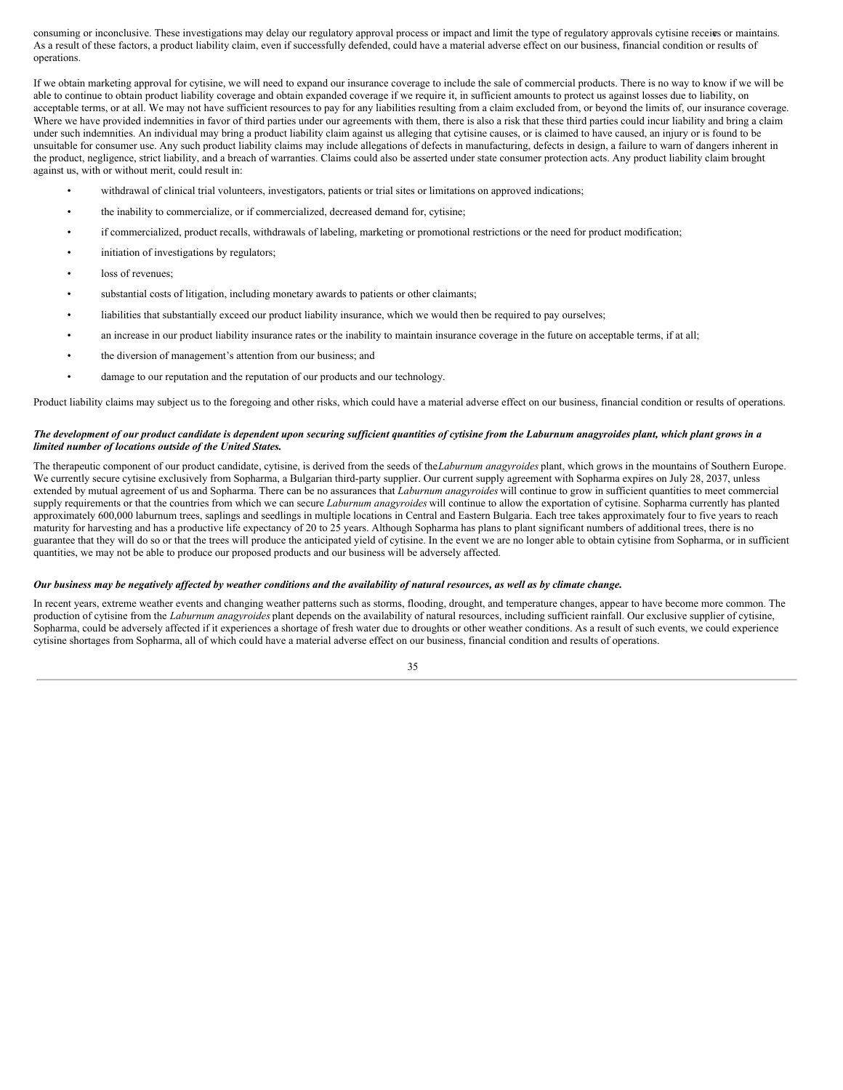consuming or inconclusive. These investigations may delay our regulatory approval process or impact and limit the type of regulatory approvals cytisine receivs or maintains. As a result of these factors, a product liability claim, even if successfully defended, could have a material adverse effect on our business, financial condition or results of operations.

If we obtain marketing approval for cytisine, we will need to expand our insurance coverage to include the sale of commercial products. There is no way to know if we will be able to continue to obtain product liability coverage and obtain expanded coverage if we require it, in sufficient amounts to protect us against losses due to liability, on acceptable terms, or at all. We may not have sufficient resources to pay for any liabilities resulting from a claim excluded from, or beyond the limits of, our insurance coverage. Where we have provided indemnities in favor of third parties under our agreements with them, there is also a risk that these third parties could incur liability and bring a claim under such indemnities. An individual may bring a product liability claim against us alleging that cytisine causes, or is claimed to have caused, an injury or is found to be unsuitable for consumer use. Any such product liability claims may include allegations of defects in manufacturing, defects in design, a failure to warn of dangers inherent in the product, negligence, strict liability, and a breach of warranties. Claims could also be asserted under state consumer protection acts. Any product liability claim brought against us, with or without merit, could result in:

- withdrawal of clinical trial volunteers, investigators, patients or trial sites or limitations on approved indications;
- the inability to commercialize, or if commercialized, decreased demand for, cytisine;
- if commercialized, product recalls, withdrawals of labeling, marketing or promotional restrictions or the need for product modification;
- initiation of investigations by regulators;
- loss of revenues;
- substantial costs of litigation, including monetary awards to patients or other claimants;
- liabilities that substantially exceed our product liability insurance, which we would then be required to pay ourselves;
- an increase in our product liability insurance rates or the inability to maintain insurance coverage in the future on acceptable terms, if at all;
- the diversion of management's attention from our business; and
- damage to our reputation and the reputation of our products and our technology.

Product liability claims may subject us to the foregoing and other risks, which could have a material adverse effect on our business, financial condition or results of operations.

#### The development of our product candidate is dependent upon securing sufficient quantities of cytisine from the Laburnum anagyroides plant, which plant grows in a *limited number of locations outside of the United States.*

The therapeutic component of our product candidate, cytisine, is derived from the seeds of the*Laburnum anagyroides* plant, which grows in the mountains of Southern Europe. We currently secure cytisine exclusively from Sopharma, a Bulgarian third-party supplier. Our current supply agreement with Sopharma expires on July 28, 2037, unless extended by mutual agreement of us and Sopharma. There can be no assurances that *Laburnum anagyroides* will continue to grow in sufficient quantities to meet commercial supply requirements or that the countries from which we can secure *Laburnum anagyroides* will continue to allow the exportation of cytisine. Sopharma currently has planted approximately 600,000 laburnum trees, saplings and seedlings in multiple locations in Central and Eastern Bulgaria. Each tree takes approximately four to five years to reach maturity for harvesting and has a productive life expectancy of 20 to 25 years. Although Sopharma has plans to plant significant numbers of additional trees, there is no guarantee that they will do so or that the trees will produce the anticipated yield of cytisine. In the event we are no longer able to obtain cytisine from Sopharma, or in sufficient quantities, we may not be able to produce our proposed products and our business will be adversely affected.

#### Our business may be negatively affected by weather conditions and the availability of natural resources, as well as by climate change.

In recent years, extreme weather events and changing weather patterns such as storms, flooding, drought, and temperature changes, appear to have become more common. The production of cytisine from the *Laburnum anagyroides* plant depends on the availability of natural resources, including sufficient rainfall. Our exclusive supplier of cytisine, Sopharma, could be adversely affected if it experiences a shortage of fresh water due to droughts or other weather conditions. As a result of such events, we could experience cytisine shortages from Sopharma, all of which could have a material adverse effect on our business, financial condition and results of operations.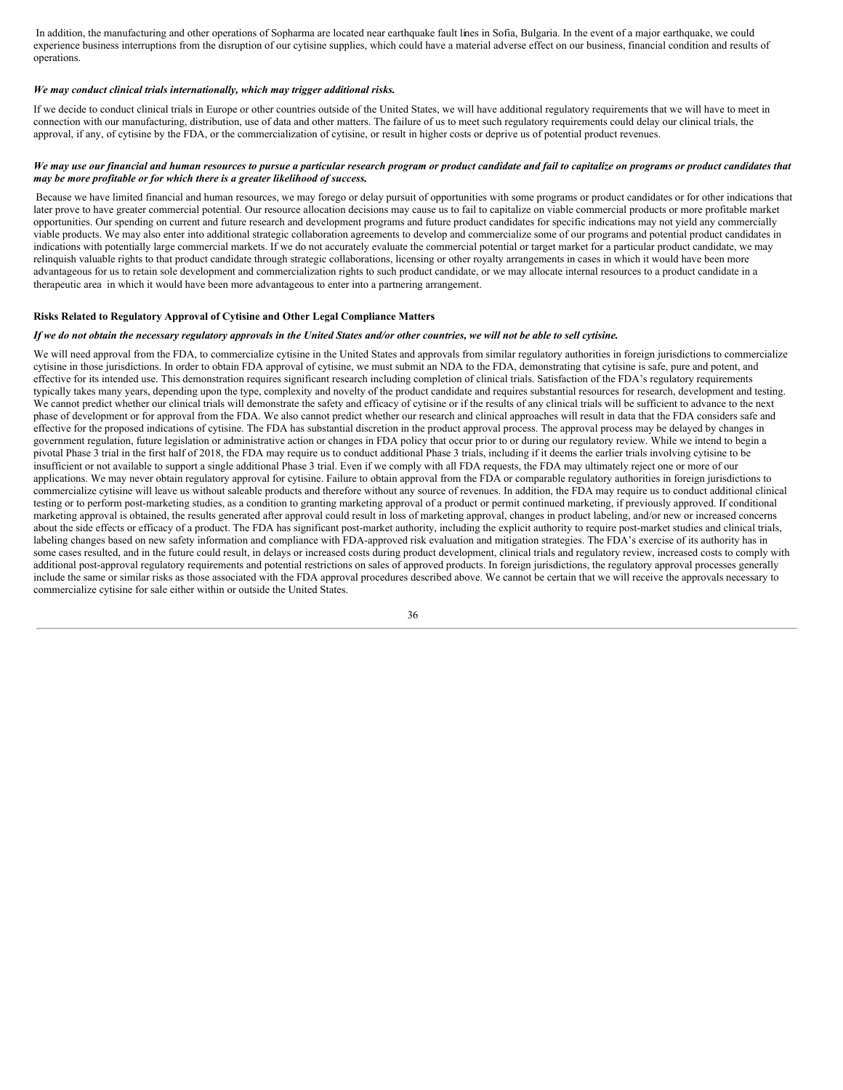In addition, the manufacturing and other operations of Sopharma are located near earthquake fault lines in Sofia, Bulgaria. In the event of a major earthquake, we could experience business interruptions from the disruption of our cytisine supplies, which could have a material adverse effect on our business, financial condition and results of operations.

#### *We may conduct clinical trials internationally, which may trigger additional risks.*

If we decide to conduct clinical trials in Europe or other countries outside of the United States, we will have additional regulatory requirements that we will have to meet in connection with our manufacturing, distribution, use of data and other matters. The failure of us to meet such regulatory requirements could delay our clinical trials, the approval, if any, of cytisine by the FDA, or the commercialization of cytisine, or result in higher costs or deprive us of potential product revenues.

#### We may use our financial and human resources to pursue a particular research program or product candidate and fail to capitalize on programs or product candidates that *may be more profitable or for which there is a greater likelihood of success.*

Because we have limited financial and human resources, we may forego or delay pursuit of opportunities with some programs or product candidates or for other indications that later prove to have greater commercial potential. Our resource allocation decisions may cause us to fail to capitalize on viable commercial products or more profitable market opportunities. Our spending on current and future research and development programs and future product candidates for specific indications may not yield any commercially viable products. We may also enter into additional strategic collaboration agreements to develop and commercialize some of our programs and potential product candidates in indications with potentially large commercial markets. If we do not accurately evaluate the commercial potential or target market for a particular product candidate, we may relinquish valuable rights to that product candidate through strategic collaborations, licensing or other royalty arrangements in cases in which it would have been more advantageous for us to retain sole development and commercialization rights to such product candidate, or we may allocate internal resources to a product candidate in a therapeutic area in which it would have been more advantageous to enter into a partnering arrangement.

## **Risks Related to Regulatory Approval of Cytisine and Other Legal Compliance Matters**

#### If we do not obtain the necessary regulatory approvals in the United States and/or other countries, we will not be able to sell cytisine.

We will need approval from the FDA, to commercialize cytisine in the United States and approvals from similar regulatory authorities in foreign jurisdictions to commercialize cytisine in those jurisdictions. In order to obtain FDA approval of cytisine, we must submit an NDA to the FDA, demonstrating that cytisine is safe, pure and potent, and effective for its intended use. This demonstration requires significant research including completion of clinical trials. Satisfaction of the FDA's regulatory requirements typically takes many years, depending upon the type, complexity and novelty of the product candidate and requires substantial resources for research, development and testing. We cannot predict whether our clinical trials will demonstrate the safety and efficacy of cytisine or if the results of any clinical trials will be sufficient to advance to the next phase of development or for approval from the FDA. We also cannot predict whether our research and clinical approaches will result in data that the FDA considers safe and effective for the proposed indications of cytisine. The FDA has substantial discretion in the product approval process. The approval process may be delayed by changes in government regulation, future legislation or administrative action or changes in FDA policy that occur prior to or during our regulatory review. While we intend to begin a pivotal Phase 3 trial in the first half of 2018, the FDA may require us to conduct additional Phase 3 trials, including if it deems the earlier trials involving cytisine to be insufficient or not available to support a single additional Phase 3 trial. Even if we comply with all FDA requests, the FDA may ultimately reject one or more of our applications. We may never obtain regulatory approval for cytisine. Failure to obtain approval from the FDA or comparable regulatory authorities in foreign jurisdictions to commercialize cytisine will leave us without saleable products and therefore without any source of revenues. In addition, the FDA may require us to conduct additional clinical testing or to perform post-marketing studies, as a condition to granting marketing approval of a product or permit continued marketing, if previously approved. If conditional marketing approval is obtained, the results generated after approval could result in loss of marketing approval, changes in product labeling, and/or new or increased concerns about the side effects or efficacy of a product. The FDA has significant post-market authority, including the explicit authority to require post-market studies and clinical trials, labeling changes based on new safety information and compliance with FDA-approved risk evaluation and mitigation strategies. The FDA's exercise of its authority has in some cases resulted, and in the future could result, in delays or increased costs during product development, clinical trials and regulatory review, increased costs to comply with additional post-approval regulatory requirements and potential restrictions on sales of approved products. In foreign jurisdictions, the regulatory approval processes generally include the same or similar risks as those associated with the FDA approval procedures described above. We cannot be certain that we will receive the approvals necessary to commercialize cytisine for sale either within or outside the United States.

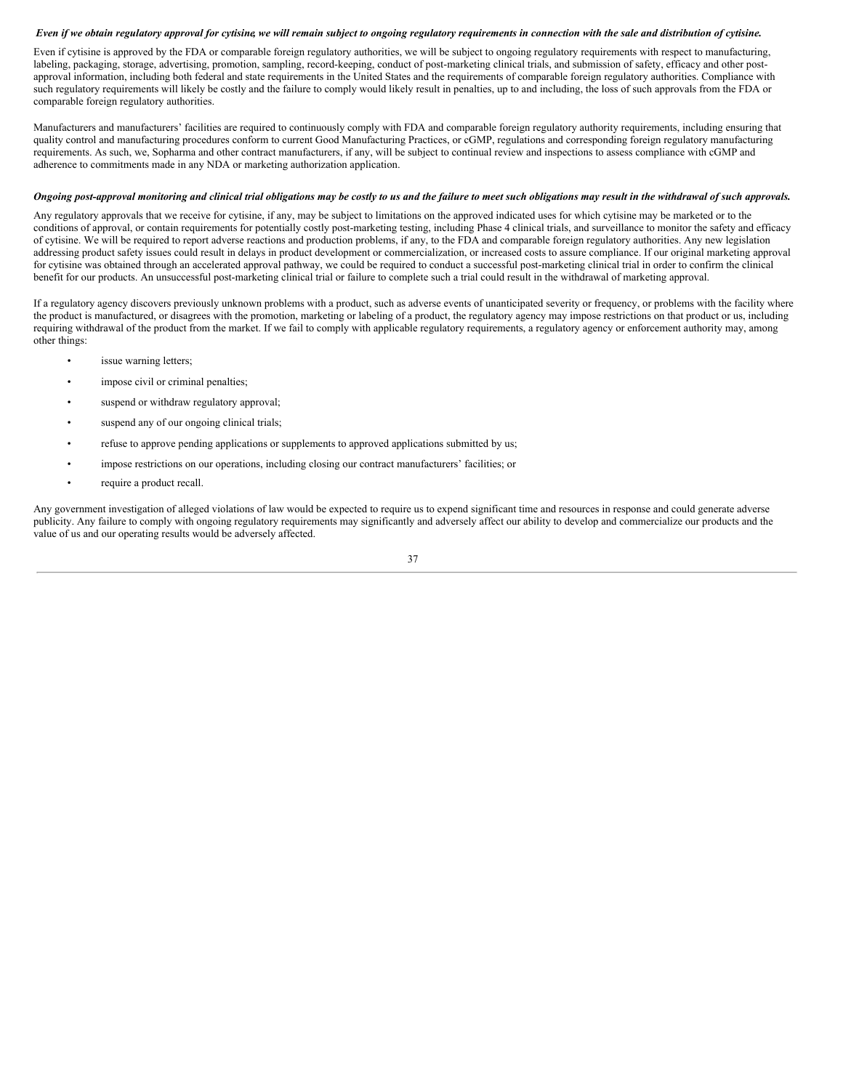#### Even if we obtain regulatory approval for cytisine, we will remain subject to ongoing regulatory requirements in connection with the sale and distribution of cytisine.

Even if cytisine is approved by the FDA or comparable foreign regulatory authorities, we will be subject to ongoing regulatory requirements with respect to manufacturing, labeling, packaging, storage, advertising, promotion, sampling, record-keeping, conduct of post-marketing clinical trials, and submission of safety, efficacy and other postapproval information, including both federal and state requirements in the United States and the requirements of comparable foreign regulatory authorities. Compliance with such regulatory requirements will likely be costly and the failure to comply would likely result in penalties, up to and including, the loss of such approvals from the FDA or comparable foreign regulatory authorities.

Manufacturers and manufacturers' facilities are required to continuously comply with FDA and comparable foreign regulatory authority requirements, including ensuring that quality control and manufacturing procedures conform to current Good Manufacturing Practices, or cGMP, regulations and corresponding foreign regulatory manufacturing requirements. As such, we, Sopharma and other contract manufacturers, if any, will be subject to continual review and inspections to assess compliance with cGMP and adherence to commitments made in any NDA or marketing authorization application.

#### Ongoing post-approval monitoring and clinical trial obligations may be costly to us and the failure to meet such obligations may result in the withdrawal of such approvals.

Any regulatory approvals that we receive for cytisine, if any, may be subject to limitations on the approved indicated uses for which cytisine may be marketed or to the conditions of approval, or contain requirements for potentially costly post-marketing testing, including Phase 4 clinical trials, and surveillance to monitor the safety and efficacy of cytisine. We will be required to report adverse reactions and production problems, if any, to the FDA and comparable foreign regulatory authorities. Any new legislation addressing product safety issues could result in delays in product development or commercialization, or increased costs to assure compliance. If our original marketing approval for cytisine was obtained through an accelerated approval pathway, we could be required to conduct a successful post-marketing clinical trial in order to confirm the clinical benefit for our products. An unsuccessful post-marketing clinical trial or failure to complete such a trial could result in the withdrawal of marketing approval.

If a regulatory agency discovers previously unknown problems with a product, such as adverse events of unanticipated severity or frequency, or problems with the facility where the product is manufactured, or disagrees with the promotion, marketing or labeling of a product, the regulatory agency may impose restrictions on that product or us, including requiring withdrawal of the product from the market. If we fail to comply with applicable regulatory requirements, a regulatory agency or enforcement authority may, among other things:

- issue warning letters;
- impose civil or criminal penalties;
- suspend or withdraw regulatory approval;
- suspend any of our ongoing clinical trials;
- refuse to approve pending applications or supplements to approved applications submitted by us;
- impose restrictions on our operations, including closing our contract manufacturers' facilities; or
- require a product recall.

Any government investigation of alleged violations of law would be expected to require us to expend significant time and resources in response and could generate adverse publicity. Any failure to comply with ongoing regulatory requirements may significantly and adversely affect our ability to develop and commercialize our products and the value of us and our operating results would be adversely affected.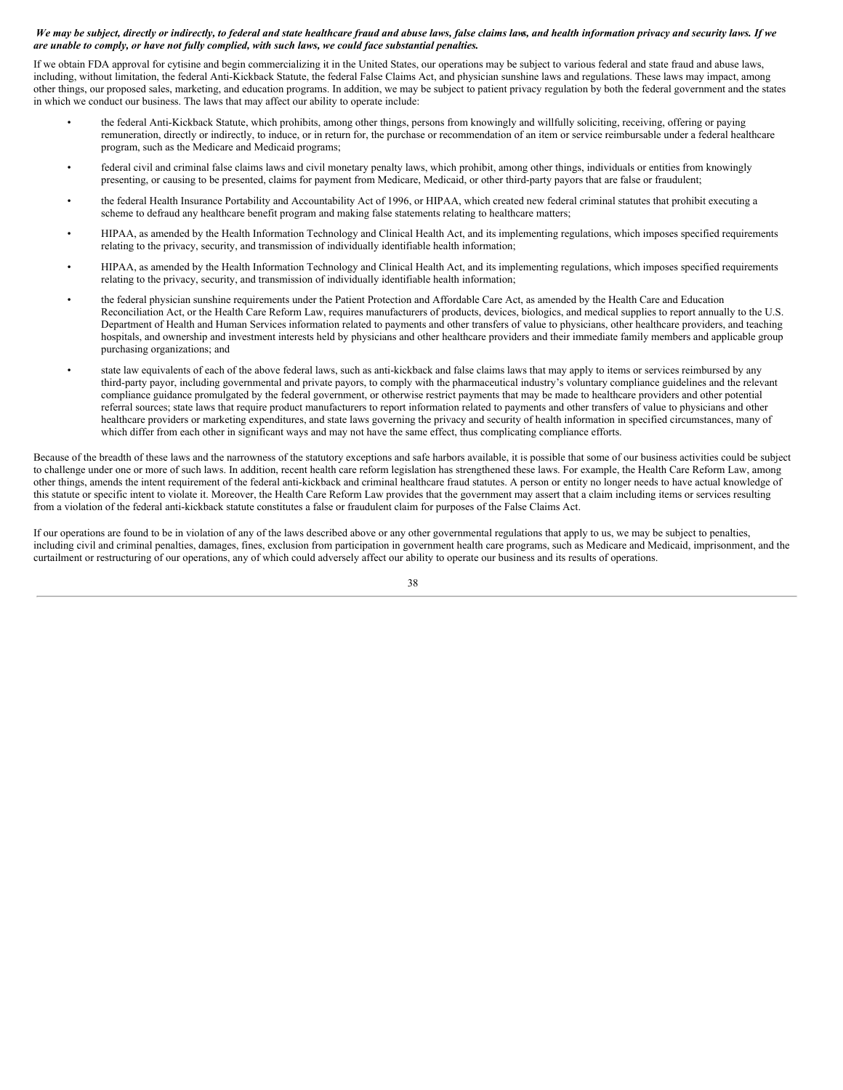## We may be subject, directly or indirectly, to federal and state healthcare fraud and abuse laws, false claims laws, and health information privacy and security laws. If we *are unable to comply, or have not fully complied, with such laws, we could face substantial penalties.*

If we obtain FDA approval for cytisine and begin commercializing it in the United States, our operations may be subject to various federal and state fraud and abuse laws, including, without limitation, the federal Anti-Kickback Statute, the federal False Claims Act, and physician sunshine laws and regulations. These laws may impact, among other things, our proposed sales, marketing, and education programs. In addition, we may be subject to patient privacy regulation by both the federal government and the states in which we conduct our business. The laws that may affect our ability to operate include:

- the federal Anti-Kickback Statute, which prohibits, among other things, persons from knowingly and willfully soliciting, receiving, offering or paying remuneration, directly or indirectly, to induce, or in return for, the purchase or recommendation of an item or service reimbursable under a federal healthcare program, such as the Medicare and Medicaid programs;
- federal civil and criminal false claims laws and civil monetary penalty laws, which prohibit, among other things, individuals or entities from knowingly presenting, or causing to be presented, claims for payment from Medicare, Medicaid, or other third-party payors that are false or fraudulent;
- the federal Health Insurance Portability and Accountability Act of 1996, or HIPAA, which created new federal criminal statutes that prohibit executing a scheme to defraud any healthcare benefit program and making false statements relating to healthcare matters;
- HIPAA, as amended by the Health Information Technology and Clinical Health Act, and its implementing regulations, which imposes specified requirements relating to the privacy, security, and transmission of individually identifiable health information;
- HIPAA, as amended by the Health Information Technology and Clinical Health Act, and its implementing regulations, which imposes specified requirements relating to the privacy, security, and transmission of individually identifiable health information;
- the federal physician sunshine requirements under the Patient Protection and Affordable Care Act, as amended by the Health Care and Education Reconciliation Act, or the Health Care Reform Law, requires manufacturers of products, devices, biologics, and medical supplies to report annually to the U.S. Department of Health and Human Services information related to payments and other transfers of value to physicians, other healthcare providers, and teaching hospitals, and ownership and investment interests held by physicians and other healthcare providers and their immediate family members and applicable group purchasing organizations; and
- state law equivalents of each of the above federal laws, such as anti-kickback and false claims laws that may apply to items or services reimbursed by any third-party payor, including governmental and private payors, to comply with the pharmaceutical industry's voluntary compliance guidelines and the relevant compliance guidance promulgated by the federal government, or otherwise restrict payments that may be made to healthcare providers and other potential referral sources; state laws that require product manufacturers to report information related to payments and other transfers of value to physicians and other healthcare providers or marketing expenditures, and state laws governing the privacy and security of health information in specified circumstances, many of which differ from each other in significant ways and may not have the same effect, thus complicating compliance efforts.

Because of the breadth of these laws and the narrowness of the statutory exceptions and safe harbors available, it is possible that some of our business activities could be subject to challenge under one or more of such laws. In addition, recent health care reform legislation has strengthened these laws. For example, the Health Care Reform Law, among other things, amends the intent requirement of the federal anti-kickback and criminal healthcare fraud statutes. A person or entity no longer needs to have actual knowledge of this statute or specific intent to violate it. Moreover, the Health Care Reform Law provides that the government may assert that a claim including items or services resulting from a violation of the federal anti-kickback statute constitutes a false or fraudulent claim for purposes of the False Claims Act.

If our operations are found to be in violation of any of the laws described above or any other governmental regulations that apply to us, we may be subject to penalties, including civil and criminal penalties, damages, fines, exclusion from participation in government health care programs, such as Medicare and Medicaid, imprisonment, and the curtailment or restructuring of our operations, any of which could adversely affect our ability to operate our business and its results of operations.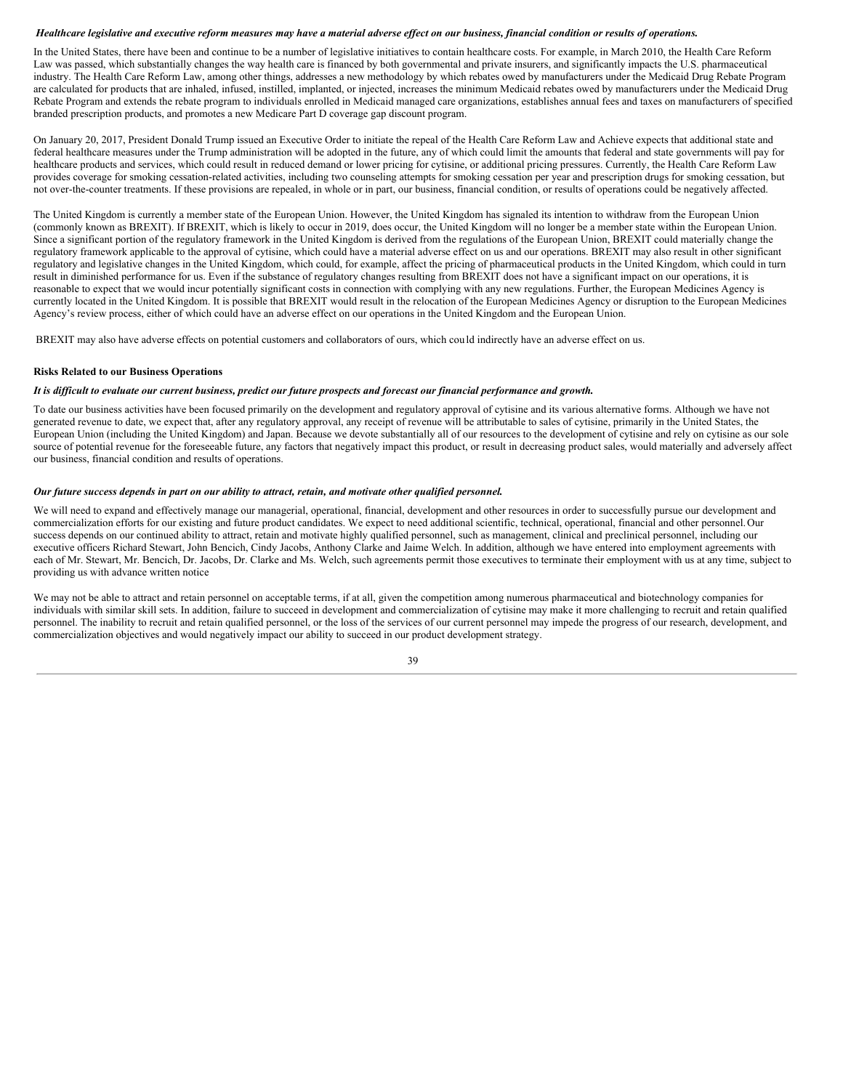#### Healthcare legislative and executive reform measures may have a material adverse effect on our business, financial condition or results of operations.

In the United States, there have been and continue to be a number of legislative initiatives to contain healthcare costs. For example, in March 2010, the Health Care Reform Law was passed, which substantially changes the way health care is financed by both governmental and private insurers, and significantly impacts the U.S. pharmaceutical industry. The Health Care Reform Law, among other things, addresses a new methodology by which rebates owed by manufacturers under the Medicaid Drug Rebate Program are calculated for products that are inhaled, infused, instilled, implanted, or injected, increases the minimum Medicaid rebates owed by manufacturers under the Medicaid Drug Rebate Program and extends the rebate program to individuals enrolled in Medicaid managed care organizations, establishes annual fees and taxes on manufacturers of specified branded prescription products, and promotes a new Medicare Part D coverage gap discount program.

On January 20, 2017, President Donald Trump issued an Executive Order to initiate the repeal of the Health Care Reform Law and Achieve expects that additional state and federal healthcare measures under the Trump administration will be adopted in the future, any of which could limit the amounts that federal and state governments will pay for healthcare products and services, which could result in reduced demand or lower pricing for cytisine, or additional pricing pressures. Currently, the Health Care Reform Law provides coverage for smoking cessation-related activities, including two counseling attempts for smoking cessation per year and prescription drugs for smoking cessation, but not over-the-counter treatments. If these provisions are repealed, in whole or in part, our business, financial condition, or results of operations could be negatively affected.

The United Kingdom is currently a member state of the European Union. However, the United Kingdom has signaled its intention to withdraw from the European Union (commonly known as BREXIT). If BREXIT, which is likely to occur in 2019, does occur, the United Kingdom will no longer be a member state within the European Union. Since a significant portion of the regulatory framework in the United Kingdom is derived from the regulations of the European Union, BREXIT could materially change the regulatory framework applicable to the approval of cytisine, which could have a material adverse effect on us and our operations. BREXIT may also result in other significant regulatory and legislative changes in the United Kingdom, which could, for example, affect the pricing of pharmaceutical products in the United Kingdom, which could in turn result in diminished performance for us. Even if the substance of regulatory changes resulting from BREXIT does not have a significant impact on our operations, it is reasonable to expect that we would incur potentially significant costs in connection with complying with any new regulations. Further, the European Medicines Agency is currently located in the United Kingdom. It is possible that BREXIT would result in the relocation of the European Medicines Agency or disruption to the European Medicines Agency's review process, either of which could have an adverse effect on our operations in the United Kingdom and the European Union.

BREXIT may also have adverse effects on potential customers and collaborators of ours, which cou ld indirectly have an adverse effect on us.

#### **Risks Related to our Business Operations**

#### It is difficult to evaluate our current business, predict our future prospects and forecast our financial performance and growth.

To date our business activities have been focused primarily on the development and regulatory approval of cytisine and its various alternative forms. Although we have not generated revenue to date, we expect that, after any regulatory approval, any receipt of revenue will be attributable to sales of cytisine, primarily in the United States, the European Union (including the United Kingdom) and Japan. Because we devote substantially all of our resources to the development of cytisine and rely on cytisine as our sole source of potential revenue for the foreseeable future, any factors that negatively impact this product, or result in decreasing product sales, would materially and adversely affect our business, financial condition and results of operations.

#### Our future success depends in part on our ability to attract, retain, and motivate other qualified personnel.

We will need to expand and effectively manage our managerial, operational, financial, development and other resources in order to successfully pursue our development and commercialization efforts for our existing and future product candidates. We expect to need additional scientific, technical, operational, financial and other personnel.Our success depends on our continued ability to attract, retain and motivate highly qualified personnel, such as management, clinical and preclinical personnel, including our executive officers Richard Stewart, John Bencich, Cindy Jacobs, Anthony Clarke and Jaime Welch. In addition, although we have entered into employment agreements with each of Mr. Stewart, Mr. Bencich, Dr. Jacobs, Dr. Clarke and Ms. Welch, such agreements permit those executives to terminate their employment with us at any time, subject to providing us with advance written notice

We may not be able to attract and retain personnel on acceptable terms, if at all, given the competition among numerous pharmaceutical and biotechnology companies for individuals with similar skill sets. In addition, failure to succeed in development and commercialization of cytisine may make it more challenging to recruit and retain qualified personnel. The inability to recruit and retain qualified personnel, or the loss of the services of our current personnel may impede the progress of our research, development, and commercialization objectives and would negatively impact our ability to succeed in our product development strategy.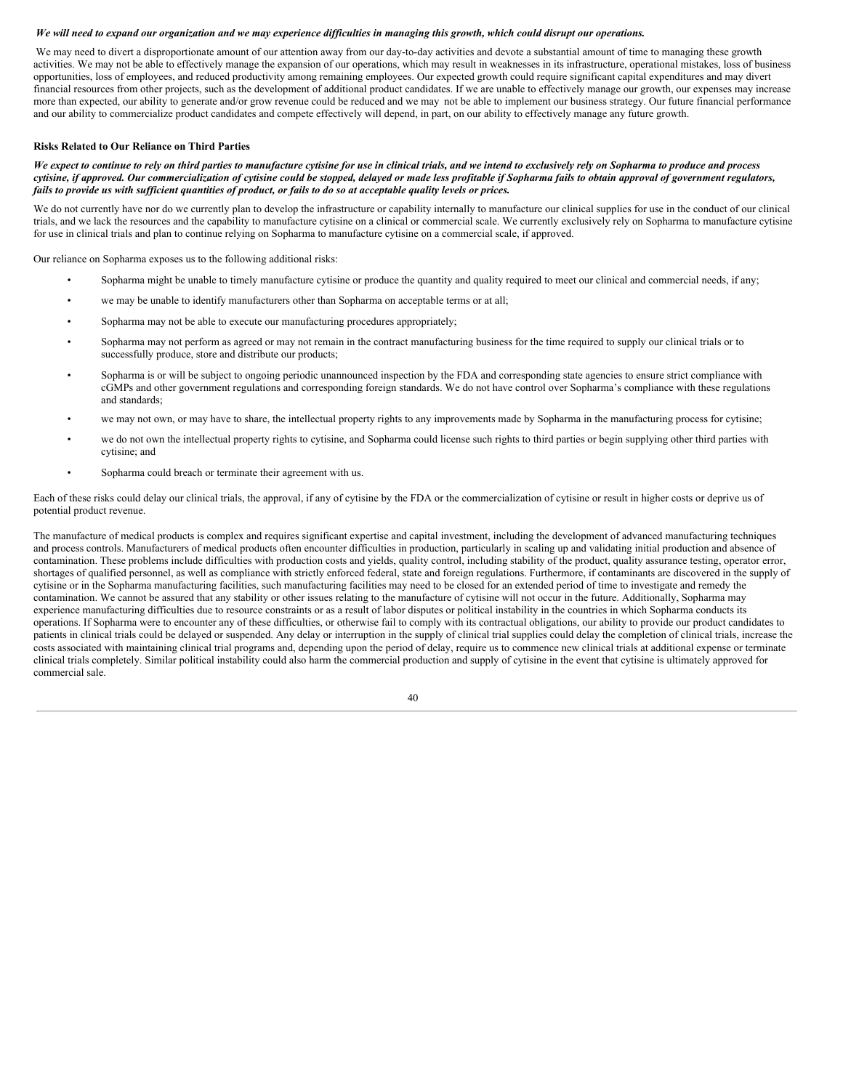### We will need to expand our organization and we may experience difficulties in managing this growth, which could disrupt our operations.

We may need to divert a disproportionate amount of our attention away from our day-to-day activities and devote a substantial amount of time to managing these growth activities. We may not be able to effectively manage the expansion of our operations, which may result in weaknesses in its infrastructure, operational mistakes, loss of business opportunities, loss of employees, and reduced productivity among remaining employees. Our expected growth could require significant capital expenditures and may divert financial resources from other projects, such as the development of additional product candidates. If we are unable to effectively manage our growth, our expenses may increase more than expected, our ability to generate and/or grow revenue could be reduced and we may not be able to implement our business strategy. Our future financial performance and our ability to commercialize product candidates and compete effectively will depend, in part, on our ability to effectively manage any future growth.

### **Risks Related to Our Reliance on Third Parties**

### We expect to continue to rely on third parties to manufacture cytisine for use in clinical trials, and we intend to exclusively rely on Sopharma to produce and process cytisine, if approved. Our commercialization of cytisine could be stopped, delayed or made less profitable if Sopharma fails to obtain approval of government regulators, fails to provide us with sufficient quantities of product, or fails to do so at acceptable quality levels or prices.

We do not currently have nor do we currently plan to develop the infrastructure or capability internally to manufacture our clinical supplies for use in the conduct of our clinical trials, and we lack the resources and the capability to manufacture cytisine on a clinical or commercial scale. We currently exclusively rely on Sopharma to manufacture cytisine for use in clinical trials and plan to continue relying on Sopharma to manufacture cytisine on a commercial scale, if approved.

Our reliance on Sopharma exposes us to the following additional risks:

- Sopharma might be unable to timely manufacture cytisine or produce the quantity and quality required to meet our clinical and commercial needs, if any;
- we may be unable to identify manufacturers other than Sopharma on acceptable terms or at all;
- Sopharma may not be able to execute our manufacturing procedures appropriately;
- Sopharma may not perform as agreed or may not remain in the contract manufacturing business for the time required to supply our clinical trials or to successfully produce, store and distribute our products;
- Sopharma is or will be subject to ongoing periodic unannounced inspection by the FDA and corresponding state agencies to ensure strict compliance with cGMPs and other government regulations and corresponding foreign standards. We do not have control over Sopharma's compliance with these regulations and standards;
- we may not own, or may have to share, the intellectual property rights to any improvements made by Sopharma in the manufacturing process for cytisine;
- we do not own the intellectual property rights to cytisine, and Sopharma could license such rights to third parties or begin supplying other third parties with cytisine; and
- Sopharma could breach or terminate their agreement with us.

Each of these risks could delay our clinical trials, the approval, if any of cytisine by the FDA or the commercialization of cytisine or result in higher costs or deprive us of potential product revenue.

The manufacture of medical products is complex and requires significant expertise and capital investment, including the development of advanced manufacturing techniques and process controls. Manufacturers of medical products often encounter difficulties in production, particularly in scaling up and validating initial production and absence of contamination. These problems include difficulties with production costs and yields, quality control, including stability of the product, quality assurance testing, operator error, shortages of qualified personnel, as well as compliance with strictly enforced federal, state and foreign regulations. Furthermore, if contaminants are discovered in the supply of cytisine or in the Sopharma manufacturing facilities, such manufacturing facilities may need to be closed for an extended period of time to investigate and remedy the contamination. We cannot be assured that any stability or other issues relating to the manufacture of cytisine will not occur in the future. Additionally, Sopharma may experience manufacturing difficulties due to resource constraints or as a result of labor disputes or political instability in the countries in which Sopharma conducts its operations. If Sopharma were to encounter any of these difficulties, or otherwise fail to comply with its contractual obligations, our ability to provide our product candidates to patients in clinical trials could be delayed or suspended. Any delay or interruption in the supply of clinical trial supplies could delay the completion of clinical trials, increase the costs associated with maintaining clinical trial programs and, depending upon the period of delay, require us to commence new clinical trials at additional expense or terminate clinical trials completely. Similar political instability could also harm the commercial production and supply of cytisine in the event that cytisine is ultimately approved for commercial sale.

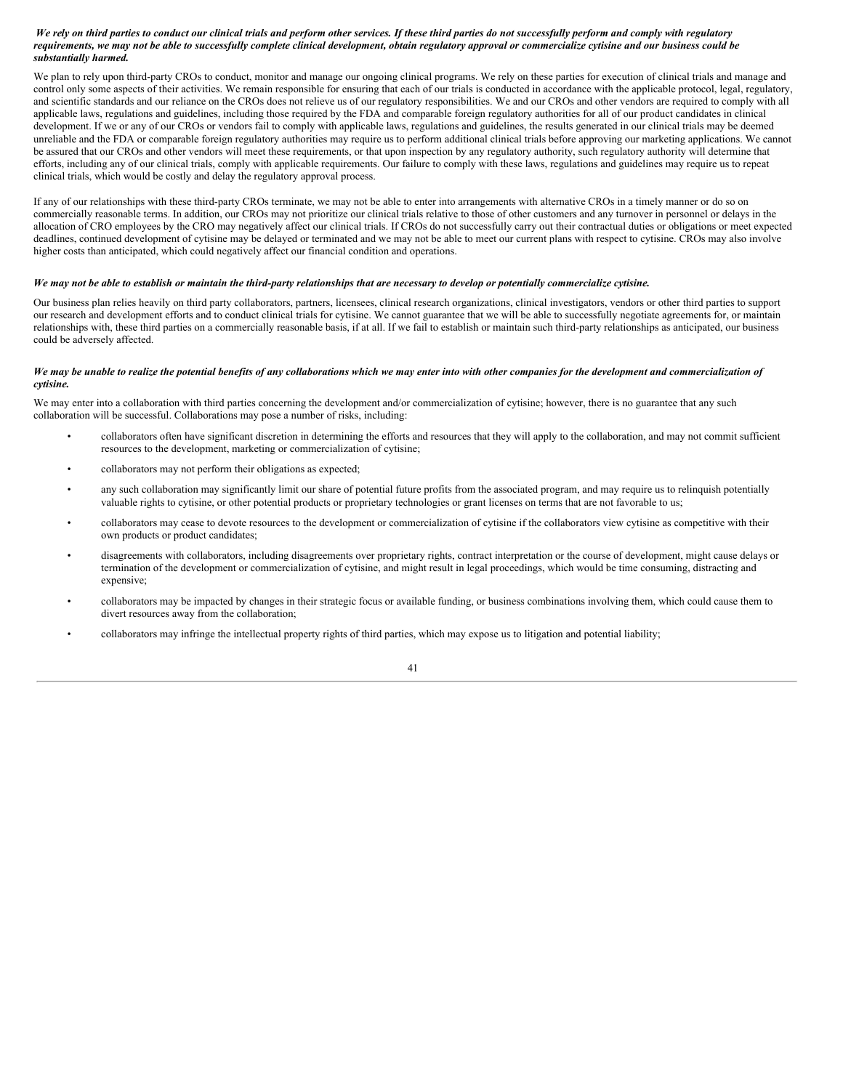## We rely on third parties to conduct our clinical trials and perform other services. If these third parties do not successfully perform and comply with regulatory requirements, we may not be able to successfully complete clinical development, obtain regulatory approval or commercialize cytisine and our business could be *substantially harmed.*

We plan to rely upon third-party CROs to conduct, monitor and manage our ongoing clinical programs. We rely on these parties for execution of clinical trials and manage and control only some aspects of their activities. We remain responsible for ensuring that each of our trials is conducted in accordance with the applicable protocol, legal, regulatory, and scientific standards and our reliance on the CROs does not relieve us of our regulatory responsibilities. We and our CROs and other vendors are required to comply with all applicable laws, regulations and guidelines, including those required by the FDA and comparable foreign regulatory authorities for all of our product candidates in clinical development. If we or any of our CROs or vendors fail to comply with applicable laws, regulations and guidelines, the results generated in our clinical trials may be deemed unreliable and the FDA or comparable foreign regulatory authorities may require us to perform additional clinical trials before approving our marketing applications. We cannot be assured that our CROs and other vendors will meet these requirements, or that upon inspection by any regulatory authority, such regulatory authority will determine that efforts, including any of our clinical trials, comply with applicable requirements. Our failure to comply with these laws, regulations and guidelines may require us to repeat clinical trials, which would be costly and delay the regulatory approval process.

If any of our relationships with these third-party CROs terminate, we may not be able to enter into arrangements with alternative CROs in a timely manner or do so on commercially reasonable terms. In addition, our CROs may not prioritize our clinical trials relative to those of other customers and any turnover in personnel or delays in the allocation of CRO employees by the CRO may negatively affect our clinical trials. If CROs do not successfully carry out their contractual duties or obligations or meet expected deadlines, continued development of cytisine may be delayed or terminated and we may not be able to meet our current plans with respect to cytisine. CROs may also involve higher costs than anticipated, which could negatively affect our financial condition and operations.

## We may not be able to establish or maintain the third-party relationships that are necessary to develop or potentially commercialize cytisine.

Our business plan relies heavily on third party collaborators, partners, licensees, clinical research organizations, clinical investigators, vendors or other third parties to support our research and development efforts and to conduct clinical trials for cytisine. We cannot guarantee that we will be able to successfully negotiate agreements for, or maintain relationships with, these third parties on a commercially reasonable basis, if at all. If we fail to establish or maintain such third-party relationships as anticipated, our business could be adversely affected.

### We may be unable to realize the potential benefits of any collaborations which we may enter into with other companies for the development and commercialization of *cytisine.*

We may enter into a collaboration with third parties concerning the development and/or commercialization of cytisine; however, there is no guarantee that any such collaboration will be successful. Collaborations may pose a number of risks, including:

- collaborators often have significant discretion in determining the efforts and resources that they will apply to the collaboration, and may not commit sufficient resources to the development, marketing or commercialization of cytisine;
- collaborators may not perform their obligations as expected;
- any such collaboration may significantly limit our share of potential future profits from the associated program, and may require us to relinquish potentially valuable rights to cytisine, or other potential products or proprietary technologies or grant licenses on terms that are not favorable to us;
- collaborators may cease to devote resources to the development or commercialization of cytisine if the collaborators view cytisine as competitive with their own products or product candidates;
- disagreements with collaborators, including disagreements over proprietary rights, contract interpretation or the course of development, might cause delays or termination of the development or commercialization of cytisine, and might result in legal proceedings, which would be time consuming, distracting and expensive;
- collaborators may be impacted by changes in their strategic focus or available funding, or business combinations involving them, which could cause them to divert resources away from the collaboration;
- collaborators may infringe the intellectual property rights of third parties, which may expose us to litigation and potential liability;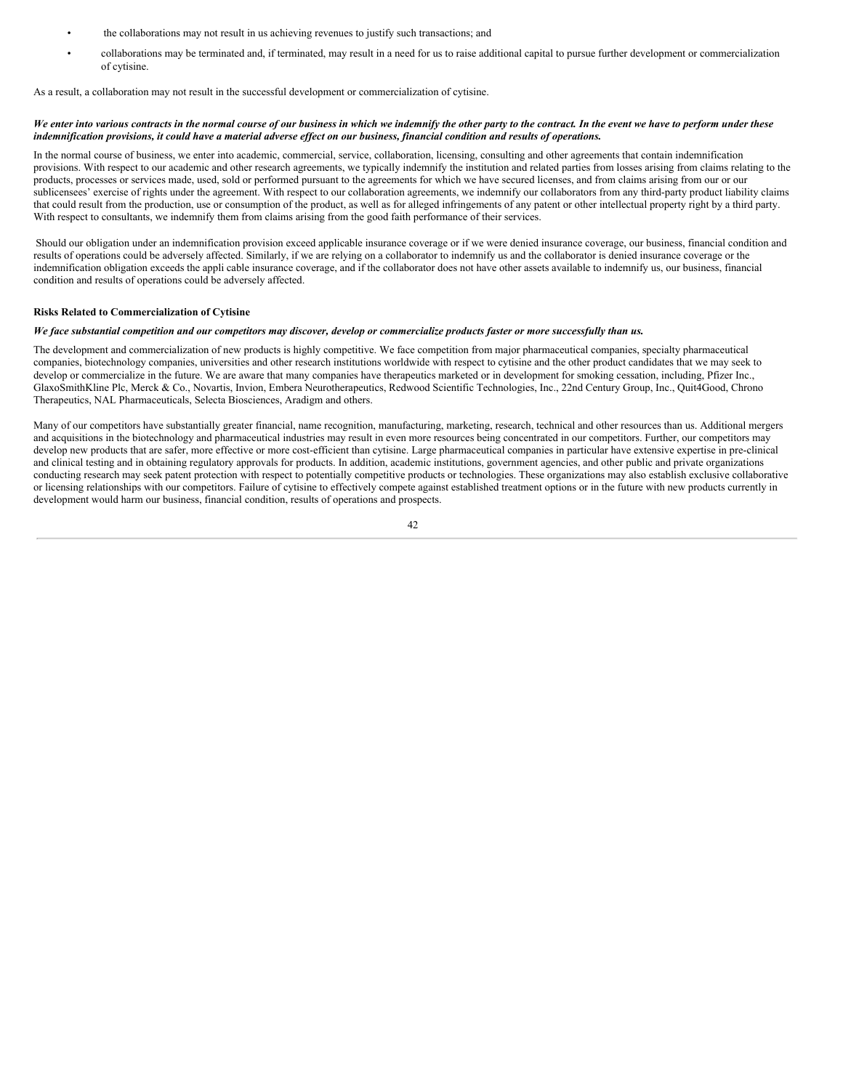- the collaborations may not result in us achieving revenues to justify such transactions; and
- collaborations may be terminated and, if terminated, may result in a need for us to raise additional capital to pursue further development or commercialization of cytisine.

As a result, a collaboration may not result in the successful development or commercialization of cytisine.

### We enter into various contracts in the normal course of our business in which we indemnify the other party to the contract. In the event we have to perform under these indemnification provisions, it could have a material adverse effect on our business, financial condition and results of operations.

In the normal course of business, we enter into academic, commercial, service, collaboration, licensing, consulting and other agreements that contain indemnification provisions. With respect to our academic and other research agreements, we typically indemnify the institution and related parties from losses arising from claims relating to the products, processes or services made, used, sold or performed pursuant to the agreements for which we have secured licenses, and from claims arising from our or our sublicensees' exercise of rights under the agreement. With respect to our collaboration agreements, we indemnify our collaborators from any third-party product liability claims that could result from the production, use or consumption of the product, as well as for alleged infringements of any patent or other intellectual property right by a third party. With respect to consultants, we indemnify them from claims arising from the good faith performance of their services.

Should our obligation under an indemnification provision exceed applicable insurance coverage or if we were denied insurance coverage, our business, financial condition and results of operations could be adversely affected. Similarly, if we are relying on a collaborator to indemnify us and the collaborator is denied insurance coverage or the indemnification obligation exceeds the appli cable insurance coverage, and if the collaborator does not have other assets available to indemnify us, our business, financial condition and results of operations could be adversely affected.

### **Risks Related to Commercialization of Cytisine**

### We face substantial competition and our competitors may discover, develop or commercialize products faster or more successfully than us.

The development and commercialization of new products is highly competitive. We face competition from major pharmaceutical companies, specialty pharmaceutical companies, biotechnology companies, universities and other research institutions worldwide with respect to cytisine and the other product candidates that we may seek to develop or commercialize in the future. We are aware that many companies have therapeutics marketed or in development for smoking cessation, including, Pfizer Inc., GlaxoSmithKline Plc, Merck & Co., Novartis, Invion, Embera Neurotherapeutics, Redwood Scientific Technologies, Inc., 22nd Century Group, Inc., Quit4Good, Chrono Therapeutics, NAL Pharmaceuticals, Selecta Biosciences, Aradigm and others.

Many of our competitors have substantially greater financial, name recognition, manufacturing, marketing, research, technical and other resources than us. Additional mergers and acquisitions in the biotechnology and pharmaceutical industries may result in even more resources being concentrated in our competitors. Further, our competitors may develop new products that are safer, more effective or more cost-efficient than cytisine. Large pharmaceutical companies in particular have extensive expertise in pre-clinical and clinical testing and in obtaining regulatory approvals for products. In addition, academic institutions, government agencies, and other public and private organizations conducting research may seek patent protection with respect to potentially competitive products or technologies. These organizations may also establish exclusive collaborative or licensing relationships with our competitors. Failure of cytisine to effectively compete against established treatment options or in the future with new products currently in development would harm our business, financial condition, results of operations and prospects.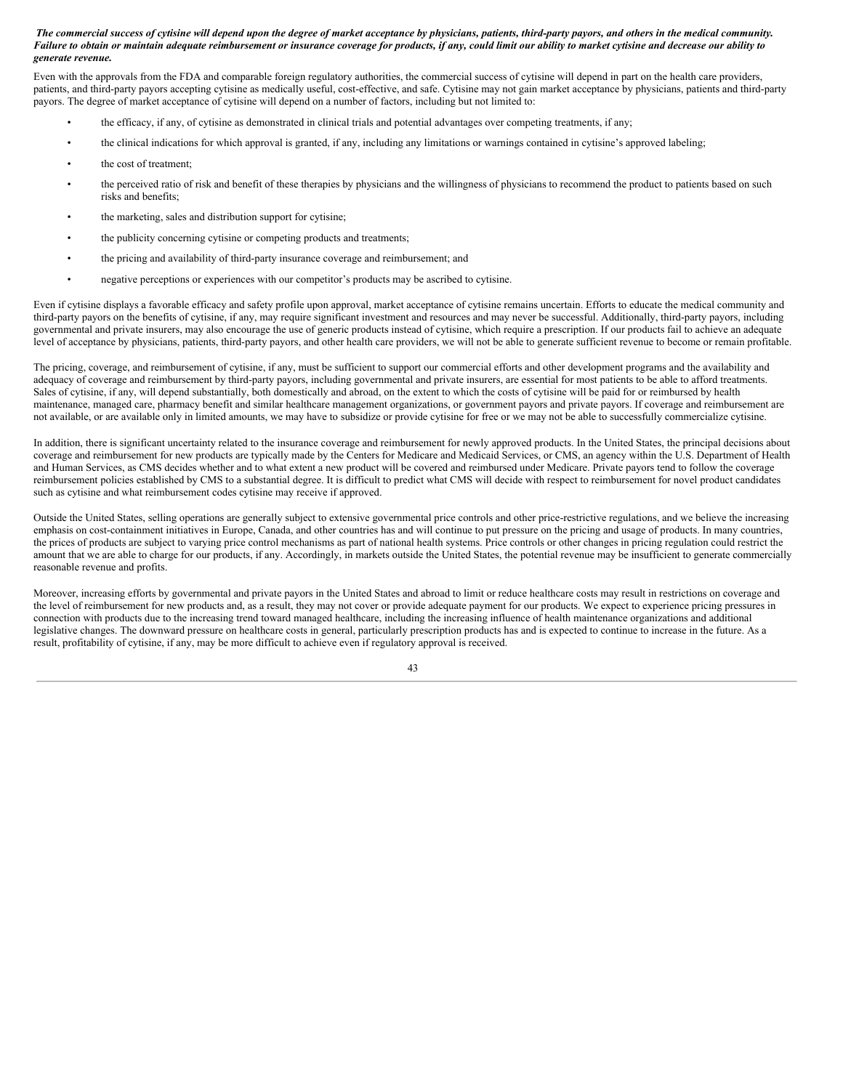## The commercial success of cytisine will depend upon the degree of market acceptance by physicians, patients, third-party payors, and others in the medical community. Failure to obtain or maintain adequate reimbursement or insurance coverage for products, if any, could limit our ability to market cytisine and decrease our ability to *generate revenue.*

Even with the approvals from the FDA and comparable foreign regulatory authorities, the commercial success of cytisine will depend in part on the health care providers, patients, and third-party payors accepting cytisine as medically useful, cost-effective, and safe. Cytisine may not gain market acceptance by physicians, patients and third-party payors. The degree of market acceptance of cytisine will depend on a number of factors, including but not limited to:

- the efficacy, if any, of cytisine as demonstrated in clinical trials and potential advantages over competing treatments, if any;
- the clinical indications for which approval is granted, if any, including any limitations or warnings contained in cytisine's approved labeling;
- the cost of treatment;
- the perceived ratio of risk and benefit of these therapies by physicians and the willingness of physicians to recommend the product to patients based on such risks and benefits;
- the marketing, sales and distribution support for cytisine;
- the publicity concerning cytisine or competing products and treatments;
- the pricing and availability of third-party insurance coverage and reimbursement; and
- negative perceptions or experiences with our competitor's products may be ascribed to cytisine.

Even if cytisine displays a favorable efficacy and safety profile upon approval, market acceptance of cytisine remains uncertain. Efforts to educate the medical community and third-party payors on the benefits of cytisine, if any, may require significant investment and resources and may never be successful. Additionally, third-party payors, including governmental and private insurers, may also encourage the use of generic products instead of cytisine, which require a prescription. If our products fail to achieve an adequate level of acceptance by physicians, patients, third-party payors, and other health care providers, we will not be able to generate sufficient revenue to become or remain profitable.

The pricing, coverage, and reimbursement of cytisine, if any, must be sufficient to support our commercial efforts and other development programs and the availability and adequacy of coverage and reimbursement by third-party payors, including governmental and private insurers, are essential for most patients to be able to afford treatments. Sales of cytisine, if any, will depend substantially, both domestically and abroad, on the extent to which the costs of cytisine will be paid for or reimbursed by health maintenance, managed care, pharmacy benefit and similar healthcare management organizations, or government payors and private payors. If coverage and reimbursement are not available, or are available only in limited amounts, we may have to subsidize or provide cytisine for free or we may not be able to successfully commercialize cytisine.

In addition, there is significant uncertainty related to the insurance coverage and reimbursement for newly approved products. In the United States, the principal decisions about coverage and reimbursement for new products are typically made by the Centers for Medicare and Medicaid Services, or CMS, an agency within the U.S. Department of Health and Human Services, as CMS decides whether and to what extent a new product will be covered and reimbursed under Medicare. Private payors tend to follow the coverage reimbursement policies established by CMS to a substantial degree. It is difficult to predict what CMS will decide with respect to reimbursement for novel product candidates such as cytisine and what reimbursement codes cytisine may receive if approved.

Outside the United States, selling operations are generally subject to extensive governmental price controls and other price-restrictive regulations, and we believe the increasing emphasis on cost-containment initiatives in Europe, Canada, and other countries has and will continue to put pressure on the pricing and usage of products. In many countries, the prices of products are subject to varying price control mechanisms as part of national health systems. Price controls or other changes in pricing regulation could restrict the amount that we are able to charge for our products, if any. Accordingly, in markets outside the United States, the potential revenue may be insufficient to generate commercially reasonable revenue and profits.

Moreover, increasing efforts by governmental and private payors in the United States and abroad to limit or reduce healthcare costs may result in restrictions on coverage and the level of reimbursement for new products and, as a result, they may not cover or provide adequate payment for our products. We expect to experience pricing pressures in connection with products due to the increasing trend toward managed healthcare, including the increasing influence of health maintenance organizations and additional legislative changes. The downward pressure on healthcare costs in general, particularly prescription products has and is expected to continue to increase in the future. As a result, profitability of cytisine, if any, may be more difficult to achieve even if regulatory approval is received.

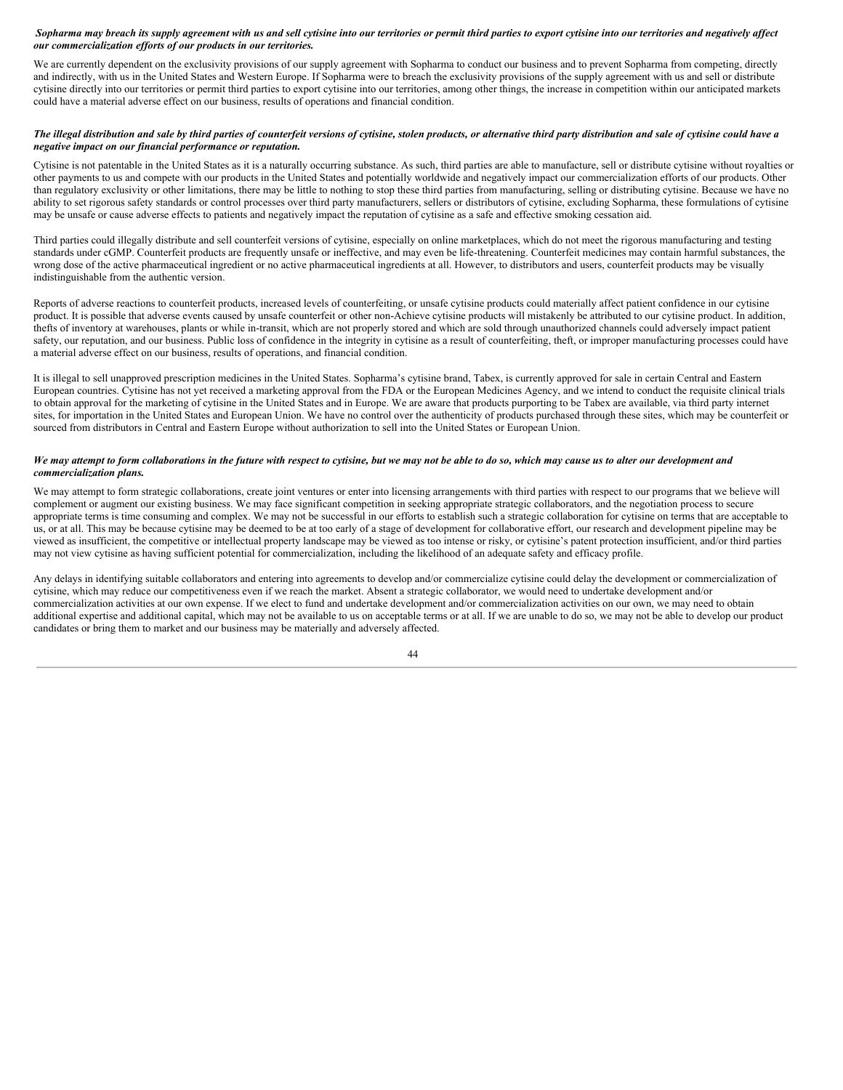## Sopharma may breach its supply agreement with us and sell cytisine into our territories or permit third parties to export cytisine into our territories and negatively affect *our commercialization ef orts of our products in our territories.*

We are currently dependent on the exclusivity provisions of our supply agreement with Sopharma to conduct our business and to prevent Sopharma from competing, directly and indirectly, with us in the United States and Western Europe. If Sopharma were to breach the exclusivity provisions of the supply agreement with us and sell or distribute cytisine directly into our territories or permit third parties to export cytisine into our territories, among other things, the increase in competition within our anticipated markets could have a material adverse effect on our business, results of operations and financial condition.

## The illegal distribution and sale by third parties of counterfeit versions of cytisine, stolen products, or alternative third party distribution and sale of cytisine could have a *negative impact on our financial performance or reputation.*

Cytisine is not patentable in the United States as it is a naturally occurring substance. As such, third parties are able to manufacture, sell or distribute cytisine without royalties or other payments to us and compete with our products in the United States and potentially worldwide and negatively impact our commercialization efforts of our products. Other than regulatory exclusivity or other limitations, there may be little to nothing to stop these third parties from manufacturing, selling or distributing cytisine. Because we have no ability to set rigorous safety standards or control processes over third party manufacturers, sellers or distributors of cytisine, excluding Sopharma, these formulations of cytisine may be unsafe or cause adverse effects to patients and negatively impact the reputation of cytisine as a safe and effective smoking cessation aid.

Third parties could illegally distribute and sell counterfeit versions of cytisine, especially on online marketplaces, which do not meet the rigorous manufacturing and testing standards under cGMP. Counterfeit products are frequently unsafe or ineffective, and may even be life-threatening. Counterfeit medicines may contain harmful substances, the wrong dose of the active pharmaceutical ingredient or no active pharmaceutical ingredients at all. However, to distributors and users, counterfeit products may be visually indistinguishable from the authentic version.

Reports of adverse reactions to counterfeit products, increased levels of counterfeiting, or unsafe cytisine products could materially affect patient confidence in our cytisine product. It is possible that adverse events caused by unsafe counterfeit or other non-Achieve cytisine products will mistakenly be attributed to our cytisine product. In addition, thefts of inventory at warehouses, plants or while in-transit, which are not properly stored and which are sold through unauthorized channels could adversely impact patient safety, our reputation, and our business. Public loss of confidence in the integrity in cytisine as a result of counterfeiting, theft, or improper manufacturing processes could have a material adverse effect on our business, results of operations, and financial condition.

It is illegal to sell unapproved prescription medicines in the United States. Sopharma's cytisine brand, Tabex, is currently approved for sale in certain Central and Eastern European countries. Cytisine has not yet received a marketing approval from the FDA or the European Medicines Agency, and we intend to conduct the requisite clinical trials to obtain approval for the marketing of cytisine in the United States and in Europe. We are aware that products purporting to be Tabex are available, via third party internet sites, for importation in the United States and European Union. We have no control over the authenticity of products purchased through these sites, which may be counterfeit or sourced from distributors in Central and Eastern Europe without authorization to sell into the United States or European Union.

## We may attempt to form collaborations in the future with respect to cytisine, but we may not be able to do so, which may cause us to alter our development and *commercialization plans.*

We may attempt to form strategic collaborations, create joint ventures or enter into licensing arrangements with third parties with respect to our programs that we believe will complement or augment our existing business. We may face significant competition in seeking appropriate strategic collaborators, and the negotiation process to secure appropriate terms is time consuming and complex. We may not be successful in our efforts to establish such a strategic collaboration for cytisine on terms that are acceptable to us, or at all. This may be because cytisine may be deemed to be at too early of a stage of development for collaborative effort, our research and development pipeline may be viewed as insufficient, the competitive or intellectual property landscape may be viewed as too intense or risky, or cytisine's patent protection insufficient, and/or third parties may not view cytisine as having sufficient potential for commercialization, including the likelihood of an adequate safety and efficacy profile.

Any delays in identifying suitable collaborators and entering into agreements to develop and/or commercialize cytisine could delay the development or commercialization of cytisine, which may reduce our competitiveness even if we reach the market. Absent a strategic collaborator, we would need to undertake development and/or commercialization activities at our own expense. If we elect to fund and undertake development and/or commercialization activities on our own, we may need to obtain additional expertise and additional capital, which may not be available to us on acceptable terms or at all. If we are unable to do so, we may not be able to develop our product candidates or bring them to market and our business may be materially and adversely affected.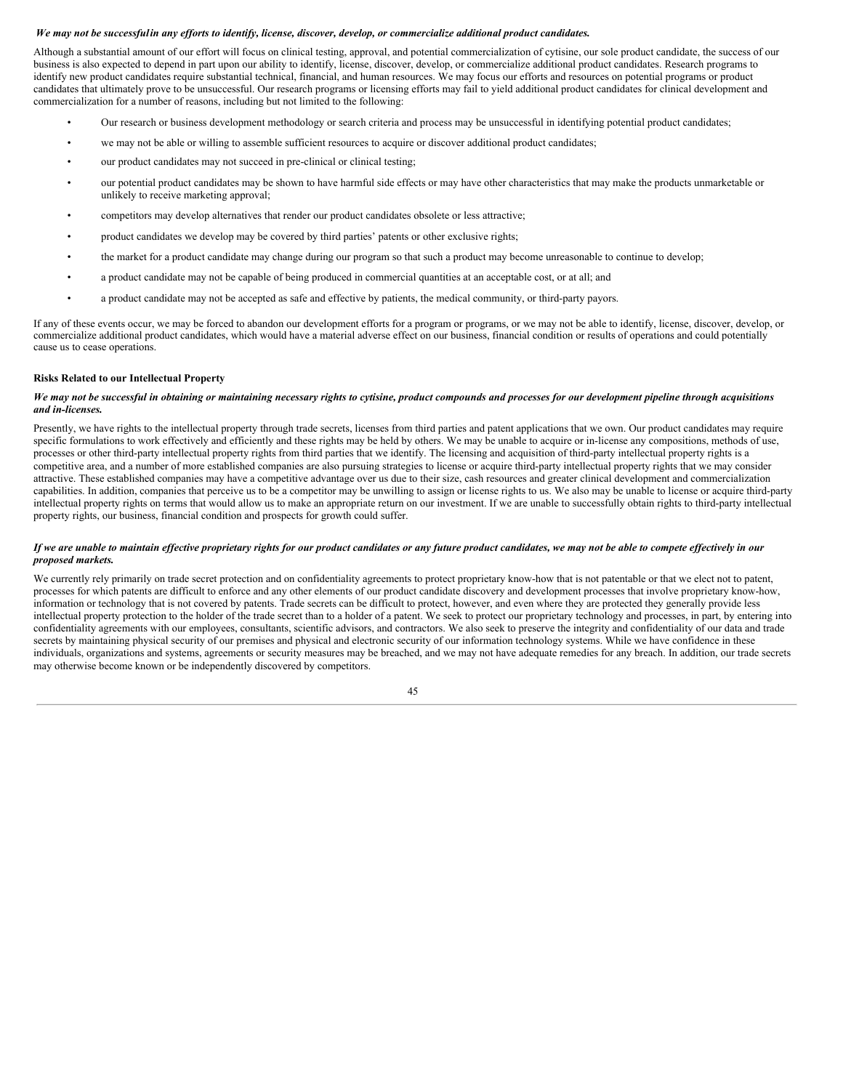### We may not be successfulin any efforts to identify, license, discover, develop, or commercialize additional product candidates.

Although a substantial amount of our effort will focus on clinical testing, approval, and potential commercialization of cytisine, our sole product candidate, the success of our business is also expected to depend in part upon our ability to identify, license, discover, develop, or commercialize additional product candidates. Research programs to identify new product candidates require substantial technical, financial, and human resources. We may focus our efforts and resources on potential programs or product candidates that ultimately prove to be unsuccessful. Our research programs or licensing efforts may fail to yield additional product candidates for clinical development and commercialization for a number of reasons, including but not limited to the following:

- Our research or business development methodology or search criteria and process may be unsuccessful in identifying potential product candidates;
- we may not be able or willing to assemble sufficient resources to acquire or discover additional product candidates;
- our product candidates may not succeed in pre-clinical or clinical testing;
- our potential product candidates may be shown to have harmful side effects or may have other characteristics that may make the products unmarketable or unlikely to receive marketing approval;
- competitors may develop alternatives that render our product candidates obsolete or less attractive;
- product candidates we develop may be covered by third parties' patents or other exclusive rights;
- the market for a product candidate may change during our program so that such a product may become unreasonable to continue to develop;
- a product candidate may not be capable of being produced in commercial quantities at an acceptable cost, or at all; and
- a product candidate may not be accepted as safe and effective by patients, the medical community, or third-party payors.

If any of these events occur, we may be forced to abandon our development efforts for a program or programs, or we may not be able to identify, license, discover, develop, or commercialize additional product candidates, which would have a material adverse effect on our business, financial condition or results of operations and could potentially cause us to cease operations.

## **Risks Related to our Intellectual Property**

#### We may not be successful in obtaining or maintaining necessary rights to cytisine, product compounds and processes for our development pipeline through acquisitions *and in-licenses.*

Presently, we have rights to the intellectual property through trade secrets, licenses from third parties and patent applications that we own. Our product candidates may require specific formulations to work effectively and efficiently and these rights may be held by others. We may be unable to acquire or in-license any compositions, methods of use, processes or other third-party intellectual property rights from third parties that we identify. The licensing and acquisition of third-party intellectual property rights is a competitive area, and a number of more established companies are also pursuing strategies to license or acquire third-party intellectual property rights that we may consider attractive. These established companies may have a competitive advantage over us due to their size, cash resources and greater clinical development and commercialization capabilities. In addition, companies that perceive us to be a competitor may be unwilling to assign or license rights to us. We also may be unable to license or acquire third-party intellectual property rights on terms that would allow us to make an appropriate return on our investment. If we are unable to successfully obtain rights to third-party intellectual property rights, our business, financial condition and prospects for growth could suffer.

### If we are unable to maintain effective proprietary rights for our product candidates or any future product candidates, we may not be able to compete effectively in our *proposed markets.*

We currently rely primarily on trade secret protection and on confidentiality agreements to protect proprietary know-how that is not patentable or that we elect not to patent, processes for which patents are difficult to enforce and any other elements of our product candidate discovery and development processes that involve proprietary know-how, information or technology that is not covered by patents. Trade secrets can be difficult to protect, however, and even where they are protected they generally provide less intellectual property protection to the holder of the trade secret than to a holder of a patent. We seek to protect our proprietary technology and processes, in part, by entering into confidentiality agreements with our employees, consultants, scientific advisors, and contractors. We also seek to preserve the integrity and confidentiality of our data and trade secrets by maintaining physical security of our premises and physical and electronic security of our information technology systems. While we have confidence in these individuals, organizations and systems, agreements or security measures may be breached, and we may not have adequate remedies for any breach. In addition, our trade secrets may otherwise become known or be independently discovered by competitors.

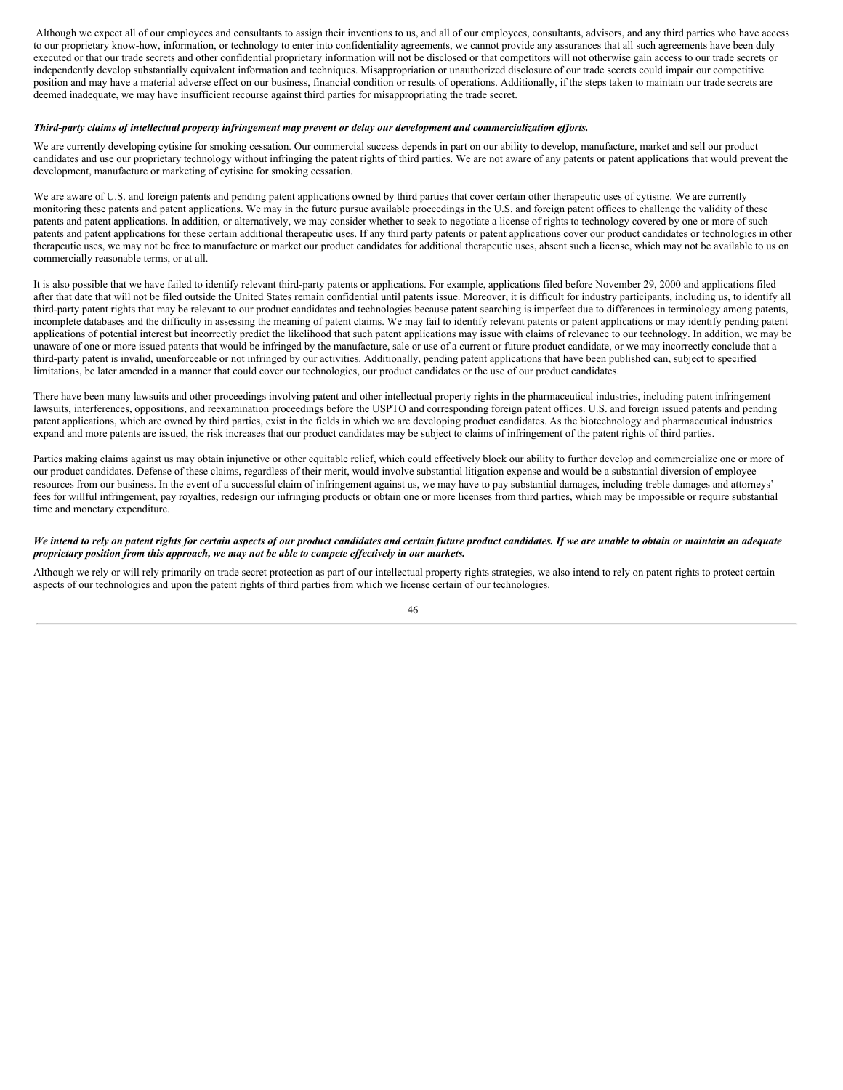Although we expect all of our employees and consultants to assign their inventions to us, and all of our employees, consultants, advisors, and any third parties who have access to our proprietary know-how, information, or technology to enter into confidentiality agreements, we cannot provide any assurances that all such agreements have been duly executed or that our trade secrets and other confidential proprietary information will not be disclosed or that competitors will not otherwise gain access to our trade secrets or independently develop substantially equivalent information and techniques. Misappropriation or unauthorized disclosure of our trade secrets could impair our competitive position and may have a material adverse effect on our business, financial condition or results of operations. Additionally, if the steps taken to maintain our trade secrets are deemed inadequate, we may have insufficient recourse against third parties for misappropriating the trade secret.

## Third-party claims of intellectual property infringement may prevent or delay our development and commercialization efforts.

We are currently developing cytisine for smoking cessation. Our commercial success depends in part on our ability to develop, manufacture, market and sell our product candidates and use our proprietary technology without infringing the patent rights of third parties. We are not aware of any patents or patent applications that would prevent the development, manufacture or marketing of cytisine for smoking cessation.

We are aware of U.S. and foreign patents and pending patent applications owned by third parties that cover certain other therapeutic uses of cytisine. We are currently monitoring these patents and patent applications. We may in the future pursue available proceedings in the U.S. and foreign patent offices to challenge the validity of these patents and patent applications. In addition, or alternatively, we may consider whether to seek to negotiate a license of rights to technology covered by one or more of such patents and patent applications for these certain additional therapeutic uses. If any third party patents or patent applications cover our product candidates or technologies in other therapeutic uses, we may not be free to manufacture or market our product candidates for additional therapeutic uses, absent such a license, which may not be available to us on commercially reasonable terms, or at all.

It is also possible that we have failed to identify relevant third-party patents or applications. For example, applications filed before November 29, 2000 and applications filed after that date that will not be filed outside the United States remain confidential until patents issue. Moreover, it is difficult for industry participants, including us, to identify all third-party patent rights that may be relevant to our product candidates and technologies because patent searching is imperfect due to differences in terminology among patents, incomplete databases and the difficulty in assessing the meaning of patent claims. We may fail to identify relevant patents or patent applications or may identify pending patent applications of potential interest but incorrectly predict the likelihood that such patent applications may issue with claims of relevance to our technology. In addition, we may be unaware of one or more issued patents that would be infringed by the manufacture, sale or use of a current or future product candidate, or we may incorrectly conclude that a third-party patent is invalid, unenforceable or not infringed by our activities. Additionally, pending patent applications that have been published can, subject to specified limitations, be later amended in a manner that could cover our technologies, our product candidates or the use of our product candidates.

There have been many lawsuits and other proceedings involving patent and other intellectual property rights in the pharmaceutical industries, including patent infringement lawsuits, interferences, oppositions, and reexamination proceedings before the USPTO and corresponding foreign patent offices. U.S. and foreign issued patents and pending patent applications, which are owned by third parties, exist in the fields in which we are developing product candidates. As the biotechnology and pharmaceutical industries expand and more patents are issued, the risk increases that our product candidates may be subject to claims of infringement of the patent rights of third parties.

Parties making claims against us may obtain injunctive or other equitable relief, which could effectively block our ability to further develop and commercialize one or more of our product candidates. Defense of these claims, regardless of their merit, would involve substantial litigation expense and would be a substantial diversion of employee resources from our business. In the event of a successful claim of infringement against us, we may have to pay substantial damages, including treble damages and attorneys' fees for willful infringement, pay royalties, redesign our infringing products or obtain one or more licenses from third parties, which may be impossible or require substantial time and monetary expenditure.

### We intend to rely on patent rights for certain aspects of our product candidates and certain future product candidates. If we are unable to obtain or maintain an adequate *proprietary position from this approach, we may not be able to compete ef ectively in our markets.*

Although we rely or will rely primarily on trade secret protection as part of our intellectual property rights strategies, we also intend to rely on patent rights to protect certain aspects of our technologies and upon the patent rights of third parties from which we license certain of our technologies.

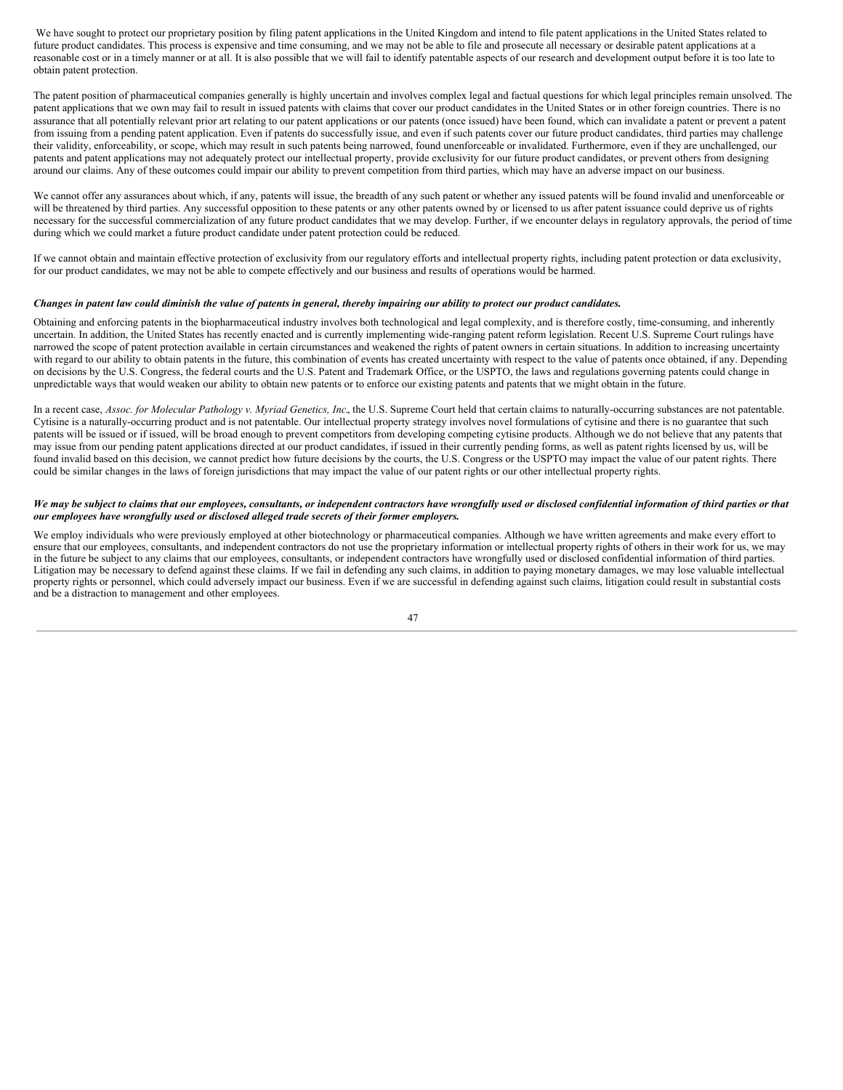We have sought to protect our proprietary position by filing patent applications in the United Kingdom and intend to file patent applications in the United States related to future product candidates. This process is expensive and time consuming, and we may not be able to file and prosecute all necessary or desirable patent applications at a reasonable cost or in a timely manner or at all. It is also possible that we will fail to identify patentable aspects of our research and development output before it is too late to obtain patent protection.

The patent position of pharmaceutical companies generally is highly uncertain and involves complex legal and factual questions for which legal principles remain unsolved. The patent applications that we own may fail to result in issued patents with claims that cover our product candidates in the United States or in other foreign countries. There is no assurance that all potentially relevant prior art relating to our patent applications or our patents (once issued) have been found, which can invalidate a patent or prevent a patent from issuing from a pending patent application. Even if patents do successfully issue, and even if such patents cover our future product candidates, third parties may challenge their validity, enforceability, or scope, which may result in such patents being narrowed, found unenforceable or invalidated. Furthermore, even if they are unchallenged, our patents and patent applications may not adequately protect our intellectual property, provide exclusivity for our future product candidates, or prevent others from designing around our claims. Any of these outcomes could impair our ability to prevent competition from third parties, which may have an adverse impact on our business.

We cannot offer any assurances about which, if any, patents will issue, the breadth of any such patent or whether any issued patents will be found invalid and unenforceable or will be threatened by third parties. Any successful opposition to these patents or any other patents owned by or licensed to us after patent issuance could deprive us of rights necessary for the successful commercialization of any future product candidates that we may develop. Further, if we encounter delays in regulatory approvals, the period of time during which we could market a future product candidate under patent protection could be reduced.

If we cannot obtain and maintain effective protection of exclusivity from our regulatory efforts and intellectual property rights, including patent protection or data exclusivity, for our product candidates, we may not be able to compete effectively and our business and results of operations would be harmed.

## Changes in patent law could diminish the value of patents in general, thereby impairing our ability to protect our product candidates.

Obtaining and enforcing patents in the biopharmaceutical industry involves both technological and legal complexity, and is therefore costly, time-consuming, and inherently uncertain. In addition, the United States has recently enacted and is currently implementing wide-ranging patent reform legislation. Recent U.S. Supreme Court rulings have narrowed the scope of patent protection available in certain circumstances and weakened the rights of patent owners in certain situations. In addition to increasing uncertainty with regard to our ability to obtain patents in the future, this combination of events has created uncertainty with respect to the value of patents once obtained, if any. Depending on decisions by the U.S. Congress, the federal courts and the U.S. Patent and Trademark Office, or the USPTO, the laws and regulations governing patents could change in unpredictable ways that would weaken our ability to obtain new patents or to enforce our existing patents and patents that we might obtain in the future.

In a recent case, Assoc. for Molecular Pathology v. Myriad Genetics, Inc., the U.S. Supreme Court held that certain claims to naturally-occurring substances are not patentable. Cytisine is a naturally-occurring product and is not patentable. Our intellectual property strategy involves novel formulations of cytisine and there is no guarantee that such patents will be issued or if issued, will be broad enough to prevent competitors from developing competing cytisine products. Although we do not believe that any patents that may issue from our pending patent applications directed at our product candidates, if issued in their currently pending forms, as well as patent rights licensed by us, will be found invalid based on this decision, we cannot predict how future decisions by the courts, the U.S. Congress or the USPTO may impact the value of our patent rights. There could be similar changes in the laws of foreign jurisdictions that may impact the value of our patent rights or our other intellectual property rights.

### We may be subject to claims that our employees, consultants, or independent contractors have wrongfully used or disclosed confidential information of third parties or that *our employees have wrongfully used or disclosed alleged trade secrets of their former employers.*

We employ individuals who were previously employed at other biotechnology or pharmaceutical companies. Although we have written agreements and make every effort to ensure that our employees, consultants, and independent contractors do not use the proprietary information or intellectual property rights of others in their work for us, we may in the future be subject to any claims that our employees, consultants, or independent contractors have wrongfully used or disclosed confidential information of third parties. Litigation may be necessary to defend against these claims. If we fail in defending any such claims, in addition to paying monetary damages, we may lose valuable intellectual property rights or personnel, which could adversely impact our business. Even if we are successful in defending against such claims, litigation could result in substantial costs and be a distraction to management and other employees.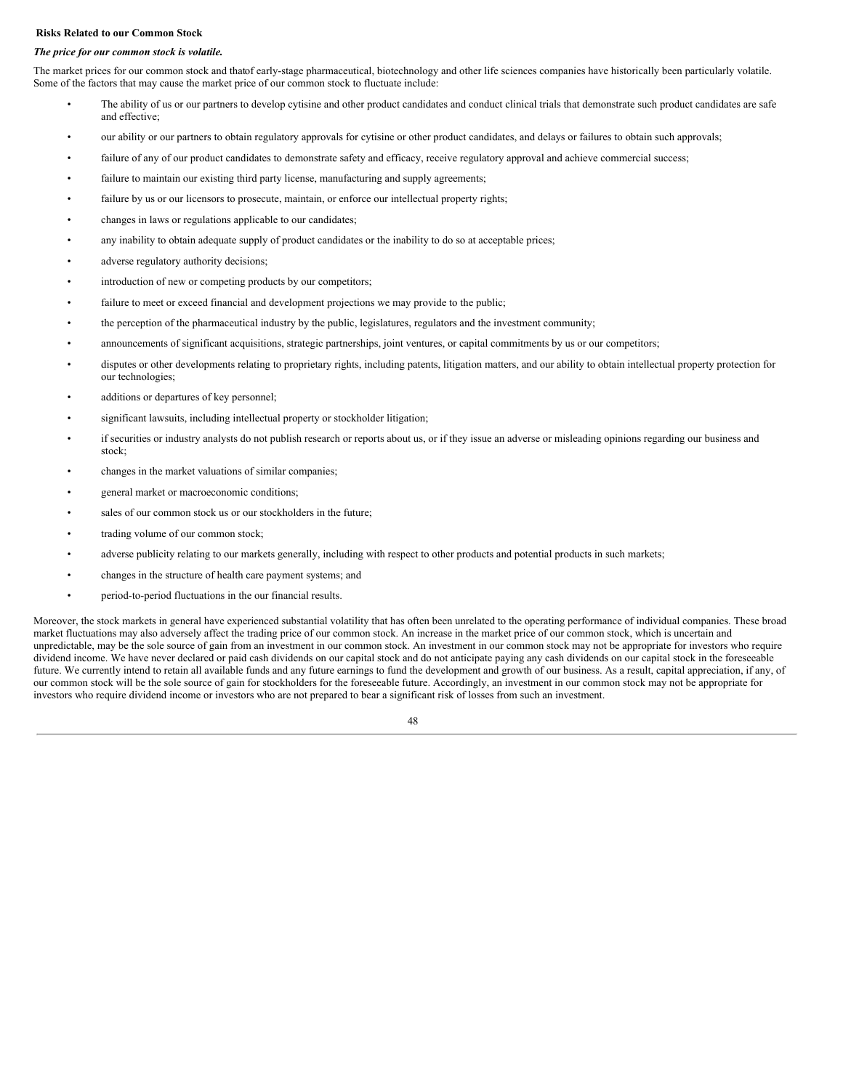### **Risks Related to our Common Stock**

## *The price for our common stock is volatile.*

The market prices for our common stock and thatof early-stage pharmaceutical, biotechnology and other life sciences companies have historically been particularly volatile. Some of the factors that may cause the market price of our common stock to fluctuate include:

- The ability of us or our partners to develop cytisine and other product candidates and conduct clinical trials that demonstrate such product candidates are safe and effective;
- our ability or our partners to obtain regulatory approvals for cytisine or other product candidates, and delays or failures to obtain such approvals;
- failure of any of our product candidates to demonstrate safety and efficacy, receive regulatory approval and achieve commercial success;
- failure to maintain our existing third party license, manufacturing and supply agreements;
- failure by us or our licensors to prosecute, maintain, or enforce our intellectual property rights;
- changes in laws or regulations applicable to our candidates;
- any inability to obtain adequate supply of product candidates or the inability to do so at acceptable prices;
- adverse regulatory authority decisions;
- introduction of new or competing products by our competitors;
- failure to meet or exceed financial and development projections we may provide to the public;
- the perception of the pharmaceutical industry by the public, legislatures, regulators and the investment community;
- announcements of significant acquisitions, strategic partnerships, joint ventures, or capital commitments by us or our competitors;
- disputes or other developments relating to proprietary rights, including patents, litigation matters, and our ability to obtain intellectual property protection for our technologies;
- additions or departures of key personnel;
- significant lawsuits, including intellectual property or stockholder litigation;
- if securities or industry analysts do not publish research or reports about us, or if they issue an adverse or misleading opinions regarding our business and stock;
- changes in the market valuations of similar companies;
- general market or macroeconomic conditions;
- sales of our common stock us or our stockholders in the future;
- trading volume of our common stock;
- adverse publicity relating to our markets generally, including with respect to other products and potential products in such markets;
- changes in the structure of health care payment systems; and
- period-to-period fluctuations in the our financial results.

Moreover, the stock markets in general have experienced substantial volatility that has often been unrelated to the operating performance of individual companies. These broad market fluctuations may also adversely affect the trading price of our common stock. An increase in the market price of our common stock, which is uncertain and unpredictable, may be the sole source of gain from an investment in our common stock. An investment in our common stock may not be appropriate for investors who require dividend income. We have never declared or paid cash dividends on our capital stock and do not anticipate paying any cash dividends on our capital stock in the foreseeable future. We currently intend to retain all available funds and any future earnings to fund the development and growth of our business. As a result, capital appreciation, if any, of our common stock will be the sole source of gain for stockholders for the foreseeable future. Accordingly, an investment in our common stock may not be appropriate for investors who require dividend income or investors who are not prepared to bear a significant risk of losses from such an investment.

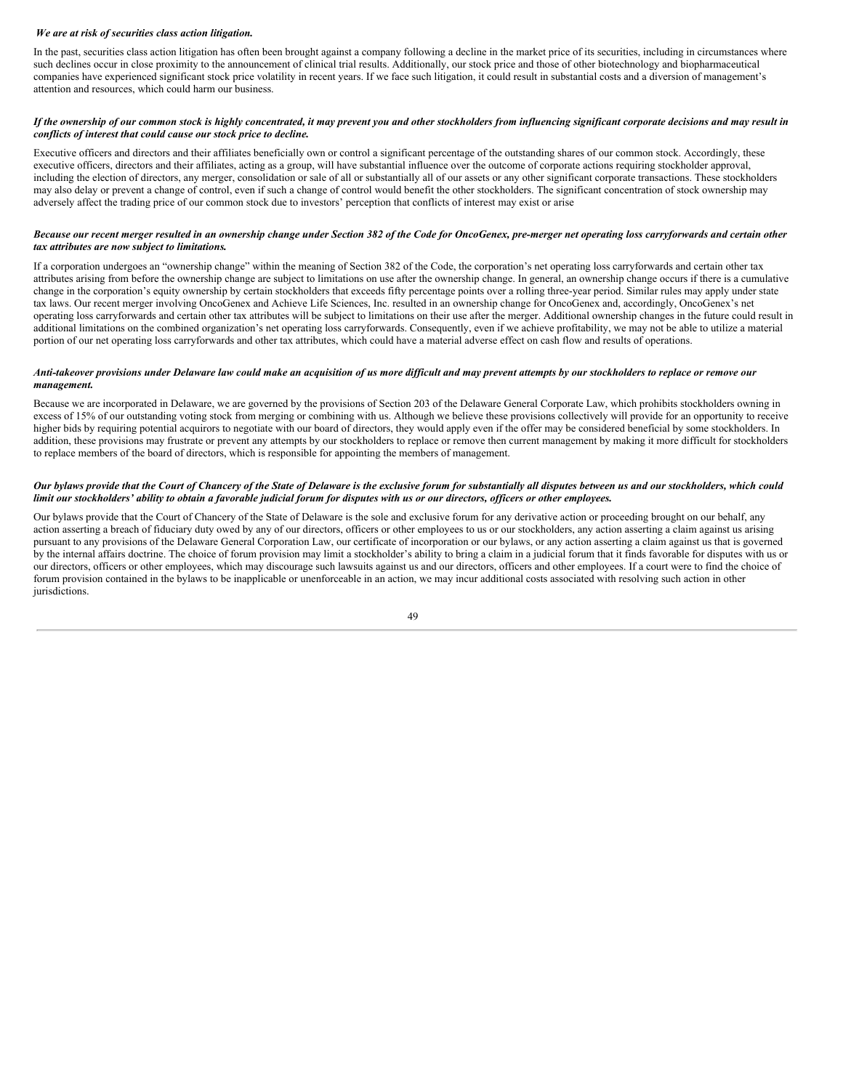### *We are at risk of securities class action litigation.*

In the past, securities class action litigation has often been brought against a company following a decline in the market price of its securities, including in circumstances where such declines occur in close proximity to the announcement of clinical trial results. Additionally, our stock price and those of other biotechnology and biopharmaceutical companies have experienced significant stock price volatility in recent years. If we face such litigation, it could result in substantial costs and a diversion of management's attention and resources, which could harm our business.

### If the ownership of our common stock is highly concentrated, it may prevent you and other stockholders from influencing significant corporate decisions and may result in *conflicts of interest that could cause our stock price to decline.*

Executive officers and directors and their affiliates beneficially own or control a significant percentage of the outstanding shares of our common stock. Accordingly, these executive officers, directors and their affiliates, acting as a group, will have substantial influence over the outcome of corporate actions requiring stockholder approval, including the election of directors, any merger, consolidation or sale of all or substantially all of our assets or any other significant corporate transactions. These stockholders may also delay or prevent a change of control, even if such a change of control would benefit the other stockholders. The significant concentration of stock ownership may adversely affect the trading price of our common stock due to investors' perception that conflicts of interest may exist or arise

### Because our recent merger resulted in an ownership change under Section 382 of the Code for OncoGenex, pre-merger net operating loss carryforwards and certain other *tax attributes are now subject to limitations.*

If a corporation undergoes an "ownership change" within the meaning of Section 382 of the Code, the corporation's net operating loss carryforwards and certain other tax attributes arising from before the ownership change are subject to limitations on use after the ownership change. In general, an ownership change occurs if there is a cumulative change in the corporation's equity ownership by certain stockholders that exceeds fifty percentage points over a rolling three-year period. Similar rules may apply under state tax laws. Our recent merger involving OncoGenex and Achieve Life Sciences, Inc. resulted in an ownership change for OncoGenex and, accordingly, OncoGenex's net operating loss carryforwards and certain other tax attributes will be subject to limitations on their use after the merger. Additional ownership changes in the future could result in additional limitations on the combined organization's net operating loss carryforwards. Consequently, even if we achieve profitability, we may not be able to utilize a material portion of our net operating loss carryforwards and other tax attributes, which could have a material adverse effect on cash flow and results of operations.

## Anti-takeover provisions under Delaware law could make an acquisition of us more difficult and may prevent attempts by our stockholders to replace or remove our *management.*

Because we are incorporated in Delaware, we are governed by the provisions of Section 203 of the Delaware General Corporate Law, which prohibits stockholders owning in excess of 15% of our outstanding voting stock from merging or combining with us. Although we believe these provisions collectively will provide for an opportunity to receive higher bids by requiring potential acquirors to negotiate with our board of directors, they would apply even if the offer may be considered beneficial by some stockholders. In addition, these provisions may frustrate or prevent any attempts by our stockholders to replace or remove then current management by making it more difficult for stockholders to replace members of the board of directors, which is responsible for appointing the members of management.

### Our bylaws provide that the Court of Chancery of the State of Delaware is the exclusive forum for substantially all disputes between us and our stockholders, which could limit our stockholders' ability to obtain a favorable judicial forum for disputes with us or our directors, officers or other employees.

Our bylaws provide that the Court of Chancery of the State of Delaware is the sole and exclusive forum for any derivative action or proceeding brought on our behalf, any action asserting a breach of fiduciary duty owed by any of our directors, officers or other employees to us or our stockholders, any action asserting a claim against us arising pursuant to any provisions of the Delaware General Corporation Law, our certificate of incorporation or our bylaws, or any action asserting a claim against us that is governed by the internal affairs doctrine. The choice of forum provision may limit a stockholder's ability to bring a claim in a judicial forum that it finds favorable for disputes with us or our directors, officers or other employees, which may discourage such lawsuits against us and our directors, officers and other employees. If a court were to find the choice of forum provision contained in the bylaws to be inapplicable or unenforceable in an action, we may incur additional costs associated with resolving such action in other jurisdictions.

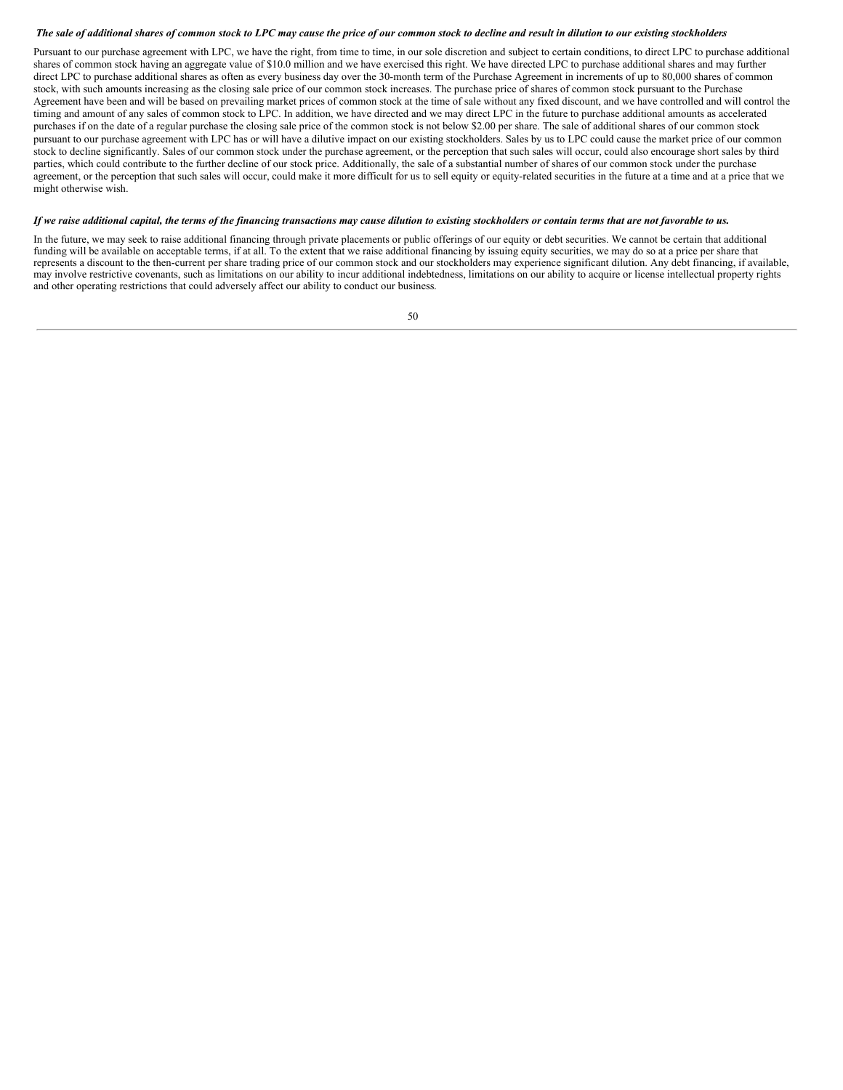### The sale of additional shares of common stock to LPC may cause the price of our common stock to decline and result in dilution to our existing stockholders

Pursuant to our purchase agreement with LPC, we have the right, from time to time, in our sole discretion and subject to certain conditions, to direct LPC to purchase additional shares of common stock having an aggregate value of \$10.0 million and we have exercised this right. We have directed LPC to purchase additional shares and may further direct LPC to purchase additional shares as often as every business day over the 30-month term of the Purchase Agreement in increments of up to 80,000 shares of common stock, with such amounts increasing as the closing sale price of our common stock increases. The purchase price of shares of common stock pursuant to the Purchase Agreement have been and will be based on prevailing market prices of common stock at the time of sale without any fixed discount, and we have controlled and will control the timing and amount of any sales of common stock to LPC. In addition, we have directed and we may direct LPC in the future to purchase additional amounts as accelerated purchases if on the date of a regular purchase the closing sale price of the common stock is not below \$2.00 per share. The sale of additional shares of our common stock pursuant to our purchase agreement with LPC has or will have a dilutive impact on our existing stockholders. Sales by us to LPC could cause the market price of our common stock to decline significantly. Sales of our common stock under the purchase agreement, or the perception that such sales will occur, could also encourage short sales by third parties, which could contribute to the further decline of our stock price. Additionally, the sale of a substantial number of shares of our common stock under the purchase agreement, or the perception that such sales will occur, could make it more difficult for us to sell equity or equity-related securities in the future at a time and at a price that we might otherwise wish.

#### If we raise additional capital, the terms of the financing transactions may cause dilution to existing stockholders or contain terms that are not favorable to us.

In the future, we may seek to raise additional financing through private placements or public offerings of our equity or debt securities. We cannot be certain that additional funding will be available on acceptable terms, if at all. To the extent that we raise additional financing by issuing equity securities, we may do so at a price per share that represents a discount to the then-current per share trading price of our common stock and our stockholders may experience significant dilution. Any debt financing, if available, may involve restrictive covenants, such as limitations on our ability to incur additional indebtedness, limitations on our ability to acquire or license intellectual property rights and other operating restrictions that could adversely affect our ability to conduct our business.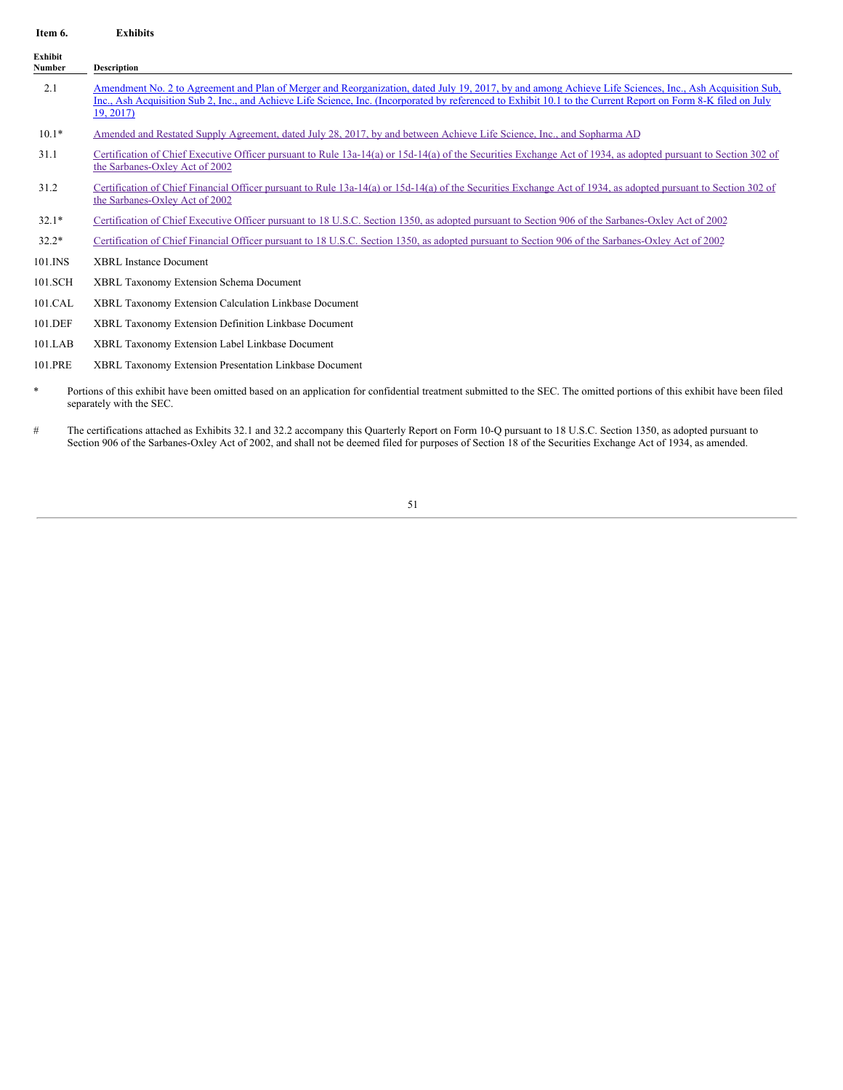| Item 6. | <b>Exhibits</b> |
|---------|-----------------|
|---------|-----------------|

| Exhibit<br>Number | <b>Description</b>                                                                                                                                                                                                                                                                                                                   |
|-------------------|--------------------------------------------------------------------------------------------------------------------------------------------------------------------------------------------------------------------------------------------------------------------------------------------------------------------------------------|
| 2.1               | Amendment No. 2 to Agreement and Plan of Merger and Reorganization, dated July 19, 2017, by and among Achieve Life Sciences, Inc., Ash Acquisition Sub,<br>Inc., Ash Acquisition Sub 2, Inc., and Achieve Life Science, Inc. (Incorporated by referenced to Exhibit 10.1 to the Current Report on Form 8-K filed on July<br>19, 2017 |
| $10.1*$           | Amended and Restated Supply Agreement, dated July 28, 2017, by and between Achieve Life Science, Inc., and Sopharma AD                                                                                                                                                                                                               |
| 31.1              | Certification of Chief Executive Officer pursuant to Rule 13a-14(a) or 15d-14(a) of the Securities Exchange Act of 1934, as adopted pursuant to Section 302 of<br>the Sarbanes-Oxley Act of 2002                                                                                                                                     |
| 31.2              | Certification of Chief Financial Officer pursuant to Rule 13a-14(a) or 15d-14(a) of the Securities Exchange Act of 1934, as adopted pursuant to Section 302 of<br>the Sarbanes-Oxley Act of 2002                                                                                                                                     |
| $32.1*$           | Certification of Chief Executive Officer pursuant to 18 U.S.C. Section 1350, as adopted pursuant to Section 906 of the Sarbanes-Oxley Act of 2002                                                                                                                                                                                    |
| $32.2*$           | Certification of Chief Financial Officer pursuant to 18 U.S.C. Section 1350, as adopted pursuant to Section 906 of the Sarbanes-Oxley Act of 2002                                                                                                                                                                                    |
| 101.INS           | <b>XBRL Instance Document</b>                                                                                                                                                                                                                                                                                                        |
| 101.SCH           | XBRL Taxonomy Extension Schema Document                                                                                                                                                                                                                                                                                              |
| 101.CAL           | XBRL Taxonomy Extension Calculation Linkbase Document                                                                                                                                                                                                                                                                                |
| 101.DEF           | XBRL Taxonomy Extension Definition Linkbase Document                                                                                                                                                                                                                                                                                 |
| $101$ .LAB        | XBRL Taxonomy Extension Label Linkbase Document                                                                                                                                                                                                                                                                                      |
| 101.PRE           | XBRL Taxonomy Extension Presentation Linkbase Document                                                                                                                                                                                                                                                                               |

- \* Portions of this exhibit have been omitted based on an application for confidential treatment submitted to the SEC. The omitted portions of this exhibit have been filed separately with the SEC.
- # The certifications attached as Exhibits 32.1 and 32.2 accompany this Quarterly Report on Form 10-Q pursuant to 18 U.S.C. Section 1350, as adopted pursuant to Section 906 of the Sarbanes-Oxley Act of 2002, and shall not be deemed filed for purposes of Section 18 of the Securities Exchange Act of 1934, as amended.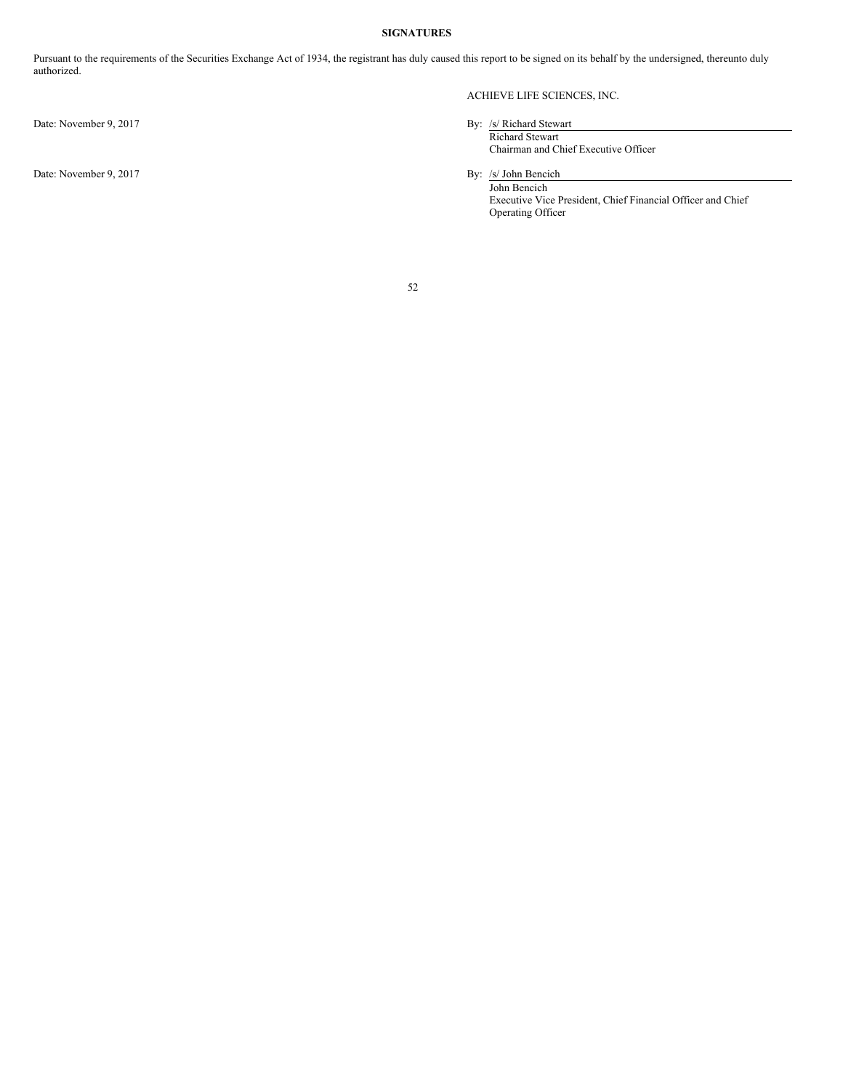## **SIGNATURES**

Pursuant to the requirements of the Securities Exchange Act of 1934, the registrant has duly caused this report to be signed on its behalf by the undersigned, thereunto duly authorized.

Date: November 9, 2017

## ACHIEVE LIFE SCIENCES, INC.

Date: November 9, 2017 By: /s/ Richard Stewart

Richard Stewart Chairman and Chief Executive Officer

By: <u>/s/ John Bencich</u><br>John Bencich Executive Vice President, Chief Financial Officer and Chief Operating Officer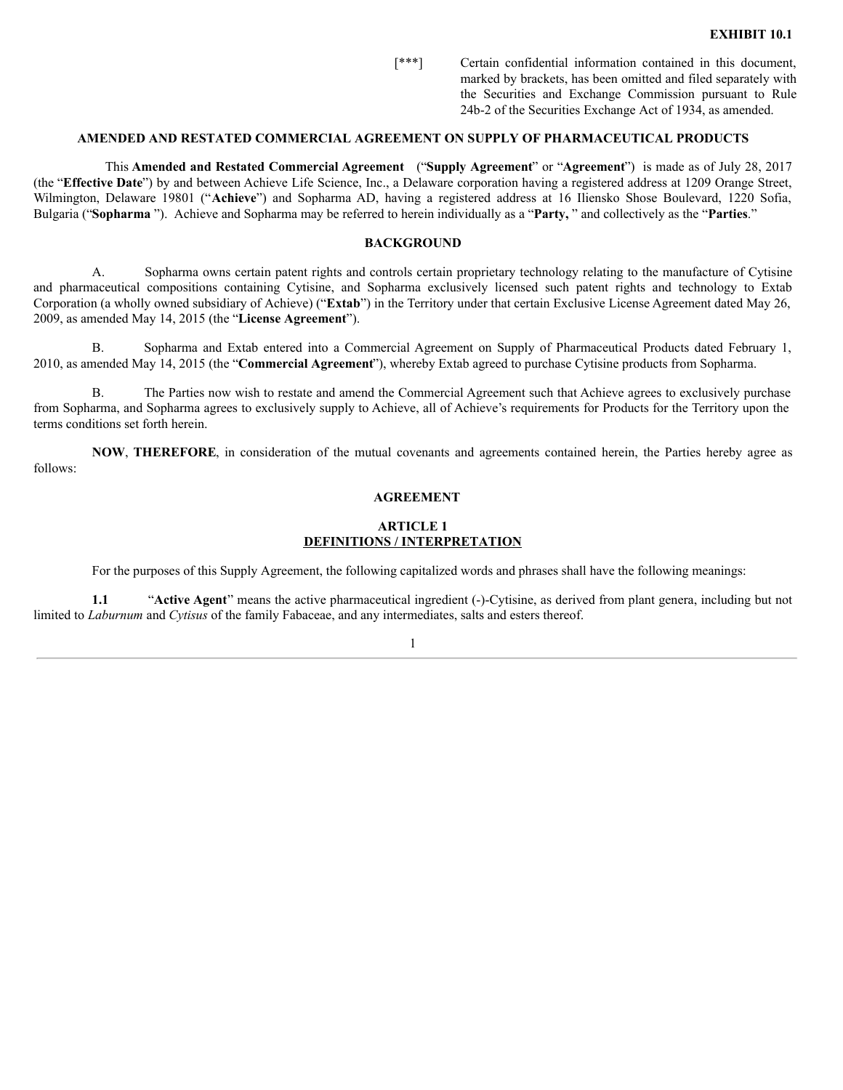[\*\*\*] Certain confidential information contained in this document, marked by brackets, has been omitted and filed separately with the Securities and Exchange Commission pursuant to Rule 24b-2 of the Securities Exchange Act of 1934, as amended.

## **AMENDED AND RESTATED COMMERCIAL AGREEMENT ON SUPPLY OF PHARMACEUTICAL PRODUCTS**

This **Amended and Restated Commercial Agreement** ("**Supply Agreement**" or "**Agreement**") is made as of July 28, 2017 (the "**Effective Date**") by and between Achieve Life Science, Inc., a Delaware corporation having a registered address at 1209 Orange Street, Wilmington, Delaware 19801 ("**Achieve**") and Sopharma AD, having a registered address at 16 Iliensko Shose Boulevard, 1220 Sofia, Bulgaria ("**Sopharma** "). Achieve and Sopharma may be referred to herein individually as a "**Party,** " and collectively as the "**Parties**."

## **BACKGROUND**

A. Sopharma owns certain patent rights and controls certain proprietary technology relating to the manufacture of Cytisine and pharmaceutical compositions containing Cytisine, and Sopharma exclusively licensed such patent rights and technology to Extab Corporation (a wholly owned subsidiary of Achieve) ("**Extab**") in the Territory under that certain Exclusive License Agreement dated May 26, 2009, as amended May 14, 2015 (the "**License Agreement**").

B. Sopharma and Extab entered into a Commercial Agreement on Supply of Pharmaceutical Products dated February 1, 2010, as amended May 14, 2015 (the "**Commercial Agreement**"), whereby Extab agreed to purchase Cytisine products from Sopharma.

B. The Parties now wish to restate and amend the Commercial Agreement such that Achieve agrees to exclusively purchase from Sopharma, and Sopharma agrees to exclusively supply to Achieve, all of Achieve's requirements for Products for the Territory upon the terms conditions set forth herein.

**NOW**, **THEREFORE**, in consideration of the mutual covenants and agreements contained herein, the Parties hereby agree as follows:

## **AGREEMENT**

## **ARTICLE 1 DEFINITIONS / INTERPRETATION**

For the purposes of this Supply Agreement, the following capitalized words and phrases shall have the following meanings:

**1.1** "**Active Agent**" means the active pharmaceutical ingredient (-)-Cytisine, as derived from plant genera, including but not limited to *Laburnum* and *Cytisus* of the family Fabaceae, and any intermediates, salts and esters thereof.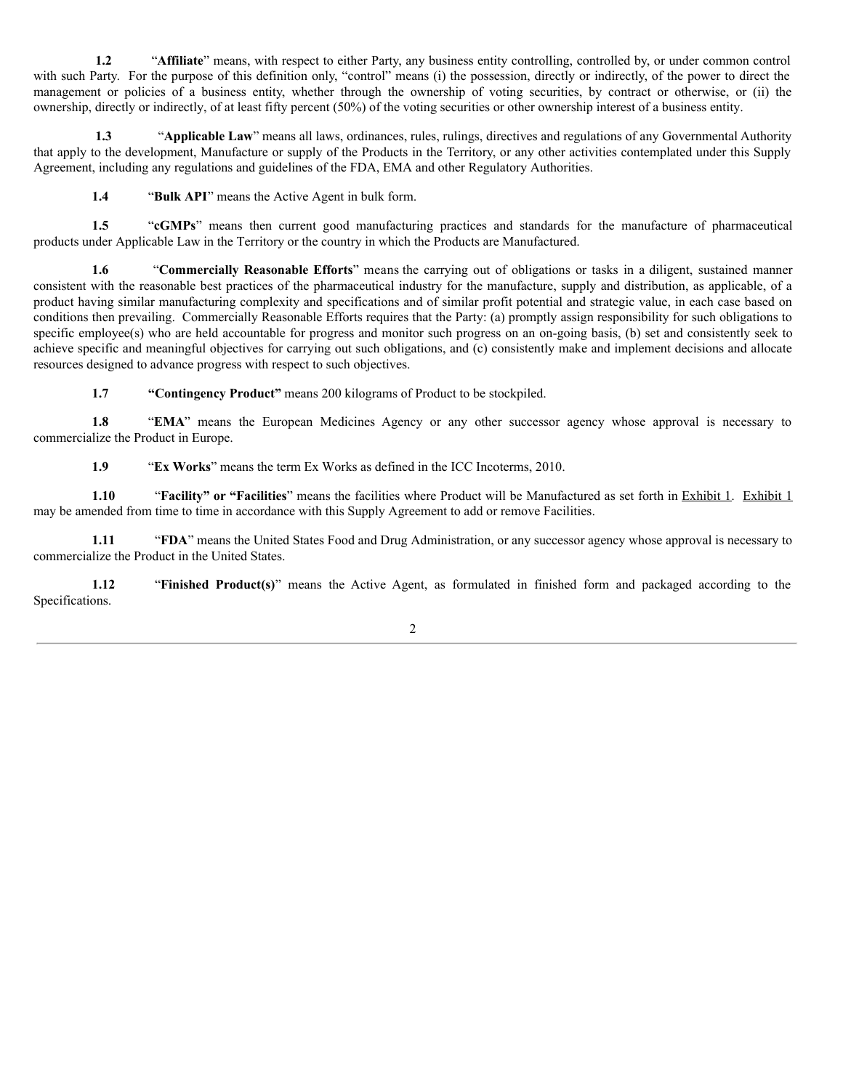**1.2** "**Affiliate**" means, with respect to either Party, any business entity controlling, controlled by, or under common control with such Party. For the purpose of this definition only, "control" means (i) the possession, directly or indirectly, of the power to direct the management or policies of a business entity, whether through the ownership of voting securities, by contract or otherwise, or (ii) the ownership, directly or indirectly, of at least fifty percent (50%) of the voting securities or other ownership interest of a business entity.

**1.3** "**Applicable Law**" means all laws, ordinances, rules, rulings, directives and regulations of any Governmental Authority that apply to the development, Manufacture or supply of the Products in the Territory, or any other activities contemplated under this Supply Agreement, including any regulations and guidelines of the FDA, EMA and other Regulatory Authorities.

**1.4** "**Bulk API**" means the Active Agent in bulk form.

**1.5** "**cGMPs**" means then current good manufacturing practices and standards for the manufacture of pharmaceutical products under Applicable Law in the Territory or the country in which the Products are Manufactured.

**1.6** "**Commercially Reasonable Efforts**" means the carrying out of obligations or tasks in a diligent, sustained manner consistent with the reasonable best practices of the pharmaceutical industry for the manufacture, supply and distribution, as applicable, of a product having similar manufacturing complexity and specifications and of similar profit potential and strategic value, in each case based on conditions then prevailing. Commercially Reasonable Efforts requires that the Party: (a) promptly assign responsibility for such obligations to specific employee(s) who are held accountable for progress and monitor such progress on an on-going basis, (b) set and consistently seek to achieve specific and meaningful objectives for carrying out such obligations, and (c) consistently make and implement decisions and allocate resources designed to advance progress with respect to such objectives.

**1.7 "Contingency Product"** means 200 kilograms of Product to be stockpiled.

**1.8** "**EMA**" means the European Medicines Agency or any other successor agency whose approval is necessary to commercialize the Product in Europe.

**1.9** "**Ex Works**" means the term Ex Works as defined in the ICC Incoterms, 2010.

**1.10** "**Facility" or "Facilities**" means the facilities where Product will be Manufactured as set forth in Exhibit 1. Exhibit 1 may be amended from time to time in accordance with this Supply Agreement to add or remove Facilities.

**1.11** "**FDA**" means the United States Food and Drug Administration, or any successor agency whose approval is necessary to commercialize the Product in the United States.

**1.12** "**Finished Product(s)**" means the Active Agent, as formulated in finished form and packaged according to the Specifications.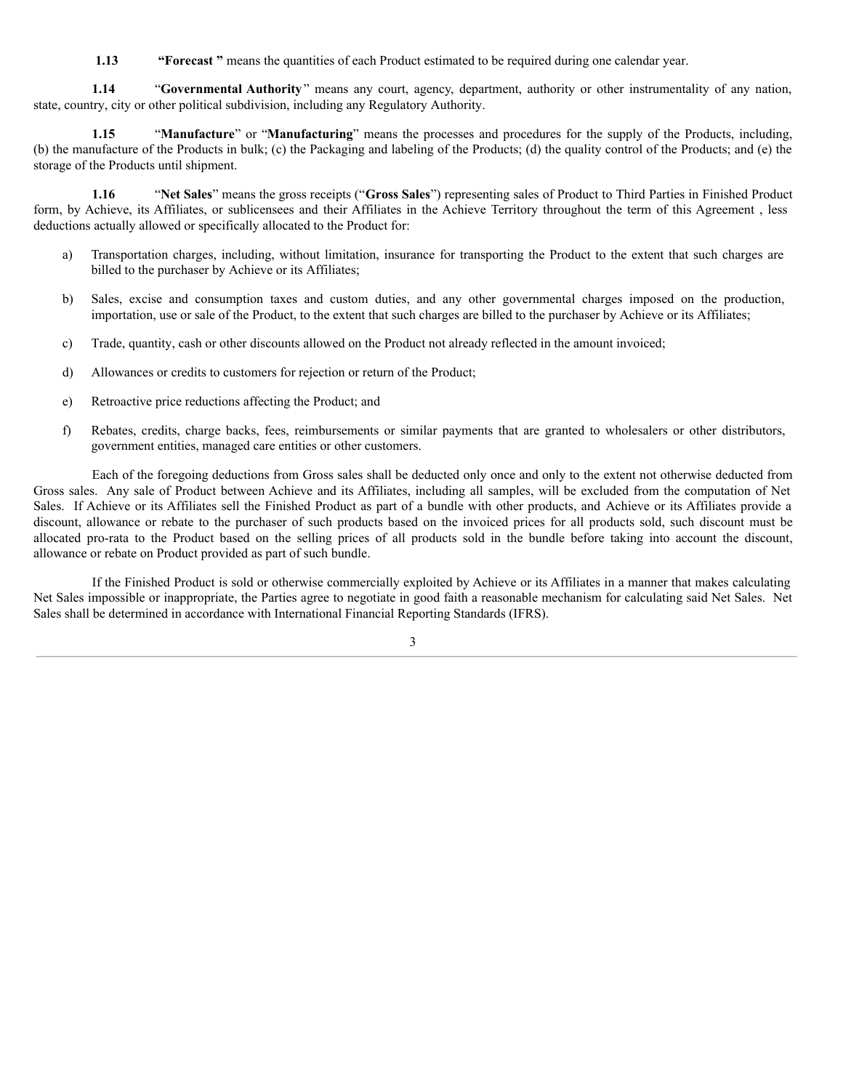**1.13 "Forecast "** means the quantities of each Product estimated to be required during one calendar year.

**1.14** "**Governmental Authority**" means any court, agency, department, authority or other instrumentality of any nation, state, country, city or other political subdivision, including any Regulatory Authority.

**1.15** "**Manufacture**" or "**Manufacturing**" means the processes and procedures for the supply of the Products, including, (b) the manufacture of the Products in bulk; (c) the Packaging and labeling of the Products; (d) the quality control of the Products; and (e) the storage of the Products until shipment.

**1.16** "**Net Sales**" means the gross receipts ("**Gross Sales**") representing sales of Product to Third Parties in Finished Product form, by Achieve, its Affiliates, or sublicensees and their Affiliates in the Achieve Territory throughout the term of this Agreement , less deductions actually allowed or specifically allocated to the Product for:

- a) Transportation charges, including, without limitation, insurance for transporting the Product to the extent that such charges are billed to the purchaser by Achieve or its Affiliates;
- b) Sales, excise and consumption taxes and custom duties, and any other governmental charges imposed on the production, importation, use or sale of the Product, to the extent that such charges are billed to the purchaser by Achieve or its Affiliates;
- c) Trade, quantity, cash or other discounts allowed on the Product not already reflected in the amount invoiced;
- d) Allowances or credits to customers for rejection or return of the Product;
- e) Retroactive price reductions affecting the Product; and
- f) Rebates, credits, charge backs, fees, reimbursements or similar payments that are granted to wholesalers or other distributors, government entities, managed care entities or other customers.

Each of the foregoing deductions from Gross sales shall be deducted only once and only to the extent not otherwise deducted from Gross sales. Any sale of Product between Achieve and its Affiliates, including all samples, will be excluded from the computation of Net Sales. If Achieve or its Affiliates sell the Finished Product as part of a bundle with other products, and Achieve or its Affiliates provide a discount, allowance or rebate to the purchaser of such products based on the invoiced prices for all products sold, such discount must be allocated pro-rata to the Product based on the selling prices of all products sold in the bundle before taking into account the discount, allowance or rebate on Product provided as part of such bundle.

If the Finished Product is sold or otherwise commercially exploited by Achieve or its Affiliates in a manner that makes calculating Net Sales impossible or inappropriate, the Parties agree to negotiate in good faith a reasonable mechanism for calculating said Net Sales. Net Sales shall be determined in accordance with International Financial Reporting Standards (IFRS).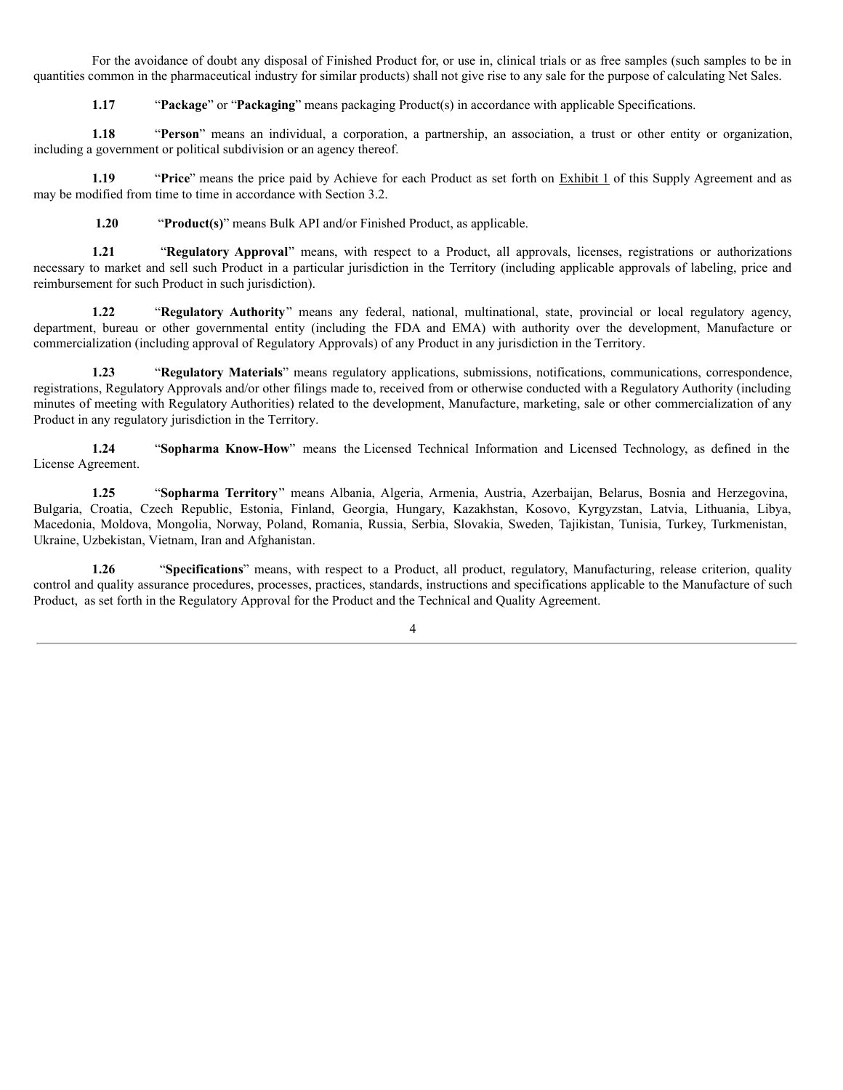For the avoidance of doubt any disposal of Finished Product for, or use in, clinical trials or as free samples (such samples to be in quantities common in the pharmaceutical industry for similar products) shall not give rise to any sale for the purpose of calculating Net Sales.

**1.17** "**Package**" or "**Packaging**" means packaging Product(s) in accordance with applicable Specifications.

**1.18** "**Person**" means an individual, a corporation, a partnership, an association, a trust or other entity or organization, including a government or political subdivision or an agency thereof.

**1.19** "**Price**" means the price paid by Achieve for each Product as set forth on Exhibit 1 of this Supply Agreement and as may be modified from time to time in accordance with Section 3.2.

**1.20** "**Product(s)**" means Bulk API and/or Finished Product, as applicable.

**1.21** "**Regulatory Approval**" means, with respect to a Product, all approvals, licenses, registrations or authorizations necessary to market and sell such Product in a particular jurisdiction in the Territory (including applicable approvals of labeling, price and reimbursement for such Product in such jurisdiction).

**1.22** "**Regulatory Authority**" means any federal, national, multinational, state, provincial or local regulatory agency, department, bureau or other governmental entity (including the FDA and EMA) with authority over the development, Manufacture or commercialization (including approval of Regulatory Approvals) of any Product in any jurisdiction in the Territory.

**1.23** "**Regulatory Materials**" means regulatory applications, submissions, notifications, communications, correspondence, registrations, Regulatory Approvals and/or other filings made to, received from or otherwise conducted with a Regulatory Authority (including minutes of meeting with Regulatory Authorities) related to the development, Manufacture, marketing, sale or other commercialization of any Product in any regulatory jurisdiction in the Territory.

**1.24** "**Sopharma Know-How**" means the Licensed Technical Information and Licensed Technology, as defined in the License Agreement.

**1.25** "**Sopharma Territory**" means Albania, Algeria, Armenia, Austria, Azerbaijan, Belarus, Bosnia and Herzegovina, Bulgaria, Croatia, Czech Republic, Estonia, Finland, Georgia, Hungary, Kazakhstan, Kosovo, Kyrgyzstan, Latvia, Lithuania, Libya, Macedonia, Moldova, Mongolia, Norway, Poland, Romania, Russia, Serbia, Slovakia, Sweden, Tajikistan, Tunisia, Turkey, Turkmenistan, Ukraine, Uzbekistan, Vietnam, Iran and Afghanistan.

**1.26** "**Specifications**" means, with respect to a Product, all product, regulatory, Manufacturing, release criterion, quality control and quality assurance procedures, processes, practices, standards, instructions and specifications applicable to the Manufacture of such Product, as set forth in the Regulatory Approval for the Product and the Technical and Quality Agreement.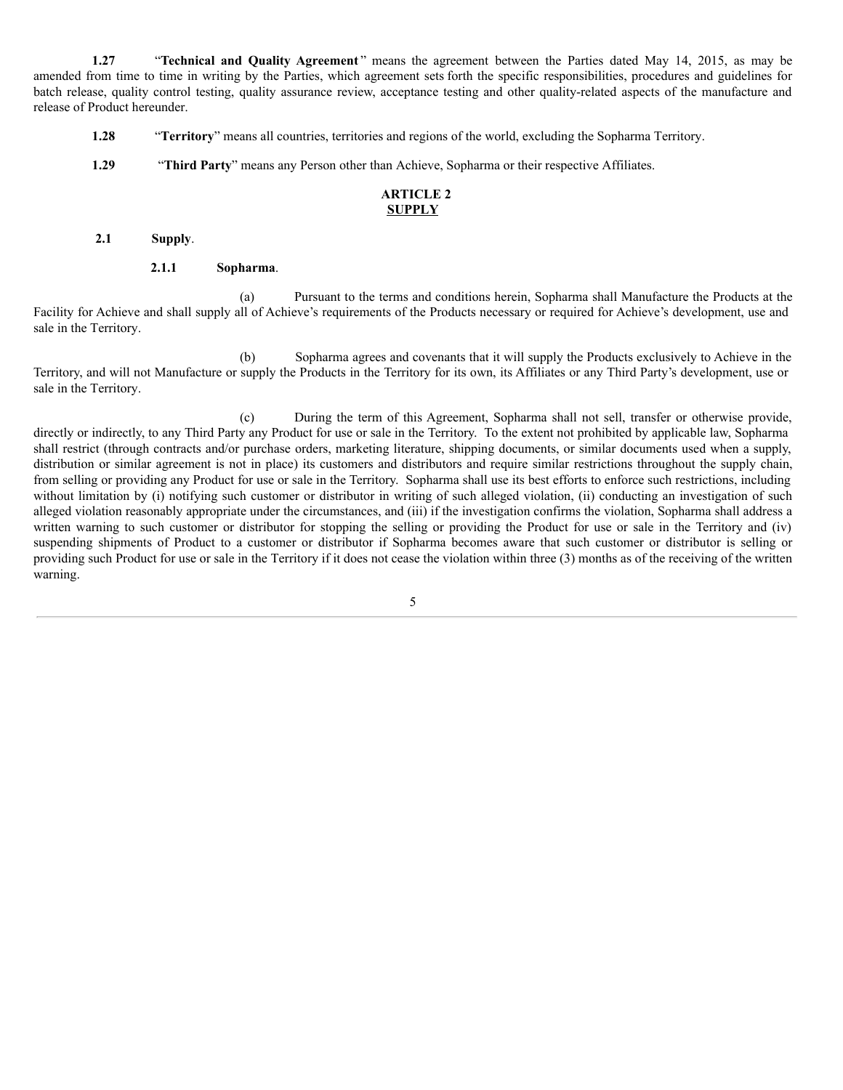**1.27** "**Technical and Quality Agreement** " means the agreement between the Parties dated May 14, 2015, as may be amended from time to time in writing by the Parties, which agreement sets forth the specific responsibilities, procedures and guidelines for batch release, quality control testing, quality assurance review, acceptance testing and other quality-related aspects of the manufacture and release of Product hereunder.

- **1.28** "**Territory**" means all countries, territories and regions of the world, excluding the Sopharma Territory.
- **1.29** "**Third Party**" means any Person other than Achieve, Sopharma or their respective Affiliates.

# **ARTICLE 2 SUPPLY**

## **2.1 Supply**.

## **2.1.1 Sopharma**.

(a) Pursuant to the terms and conditions herein, Sopharma shall Manufacture the Products at the Facility for Achieve and shall supply all of Achieve's requirements of the Products necessary or required for Achieve's development, use and sale in the Territory.

(b) Sopharma agrees and covenants that it will supply the Products exclusively to Achieve in the Territory, and will not Manufacture or supply the Products in the Territory for its own, its Affiliates or any Third Party's development, use or sale in the Territory.

(c) During the term of this Agreement, Sopharma shall not sell, transfer or otherwise provide, directly or indirectly, to any Third Party any Product for use or sale in the Territory. To the extent not prohibited by applicable law, Sopharma shall restrict (through contracts and/or purchase orders, marketing literature, shipping documents, or similar documents used when a supply, distribution or similar agreement is not in place) its customers and distributors and require similar restrictions throughout the supply chain, from selling or providing any Product for use or sale in the Territory. Sopharma shall use its best efforts to enforce such restrictions, including without limitation by (i) notifying such customer or distributor in writing of such alleged violation, (ii) conducting an investigation of such alleged violation reasonably appropriate under the circumstances, and (iii) if the investigation confirms the violation, Sopharma shall address a written warning to such customer or distributor for stopping the selling or providing the Product for use or sale in the Territory and (iv) suspending shipments of Product to a customer or distributor if Sopharma becomes aware that such customer or distributor is selling or providing such Product for use or sale in the Territory if it does not cease the violation within three (3) months as of the receiving of the written warning.

<sup>5</sup>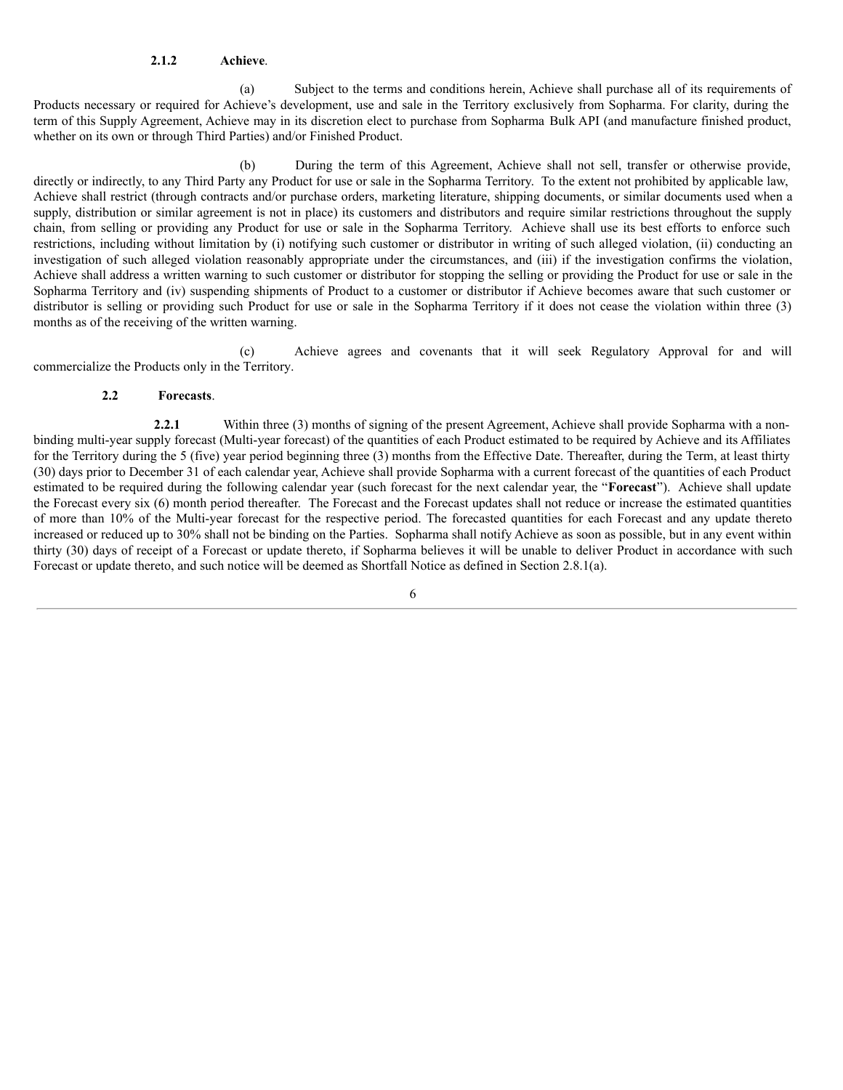## **2.1.2 Achieve**.

(a) Subject to the terms and conditions herein, Achieve shall purchase all of its requirements of Products necessary or required for Achieve's development, use and sale in the Territory exclusively from Sopharma. For clarity, during the term of this Supply Agreement, Achieve may in its discretion elect to purchase from Sopharma Bulk API (and manufacture finished product, whether on its own or through Third Parties) and/or Finished Product.

(b) During the term of this Agreement, Achieve shall not sell, transfer or otherwise provide, directly or indirectly, to any Third Party any Product for use or sale in the Sopharma Territory. To the extent not prohibited by applicable law, Achieve shall restrict (through contracts and/or purchase orders, marketing literature, shipping documents, or similar documents used when a supply, distribution or similar agreement is not in place) its customers and distributors and require similar restrictions throughout the supply chain, from selling or providing any Product for use or sale in the Sopharma Territory. Achieve shall use its best efforts to enforce such restrictions, including without limitation by (i) notifying such customer or distributor in writing of such alleged violation, (ii) conducting an investigation of such alleged violation reasonably appropriate under the circumstances, and (iii) if the investigation confirms the violation, Achieve shall address a written warning to such customer or distributor for stopping the selling or providing the Product for use or sale in the Sopharma Territory and (iv) suspending shipments of Product to a customer or distributor if Achieve becomes aware that such customer or distributor is selling or providing such Product for use or sale in the Sopharma Territory if it does not cease the violation within three (3) months as of the receiving of the written warning.

(c) Achieve agrees and covenants that it will seek Regulatory Approval for and will commercialize the Products only in the Territory.

## **2.2 Forecasts**.

**2.2.1** Within three (3) months of signing of the present Agreement, Achieve shall provide Sopharma with a nonbinding multi-year supply forecast (Multi-year forecast) of the quantities of each Product estimated to be required by Achieve and its Affiliates for the Territory during the 5 (five) year period beginning three (3) months from the Effective Date. Thereafter, during the Term, at least thirty (30) days prior to December 31 of each calendar year, Achieve shall provide Sopharma with a current forecast of the quantities of each Product estimated to be required during the following calendar year (such forecast for the next calendar year, the "**Forecast**"). Achieve shall update the Forecast every six (6) month period thereafter. The Forecast and the Forecast updates shall not reduce or increase the estimated quantities of more than 10% of the Multi-year forecast for the respective period. The forecasted quantities for each Forecast and any update thereto increased or reduced up to 30% shall not be binding on the Parties. Sopharma shall notify Achieve as soon as possible, but in any event within thirty (30) days of receipt of a Forecast or update thereto, if Sopharma believes it will be unable to deliver Product in accordance with such Forecast or update thereto, and such notice will be deemed as Shortfall Notice as defined in Section 2.8.1(a).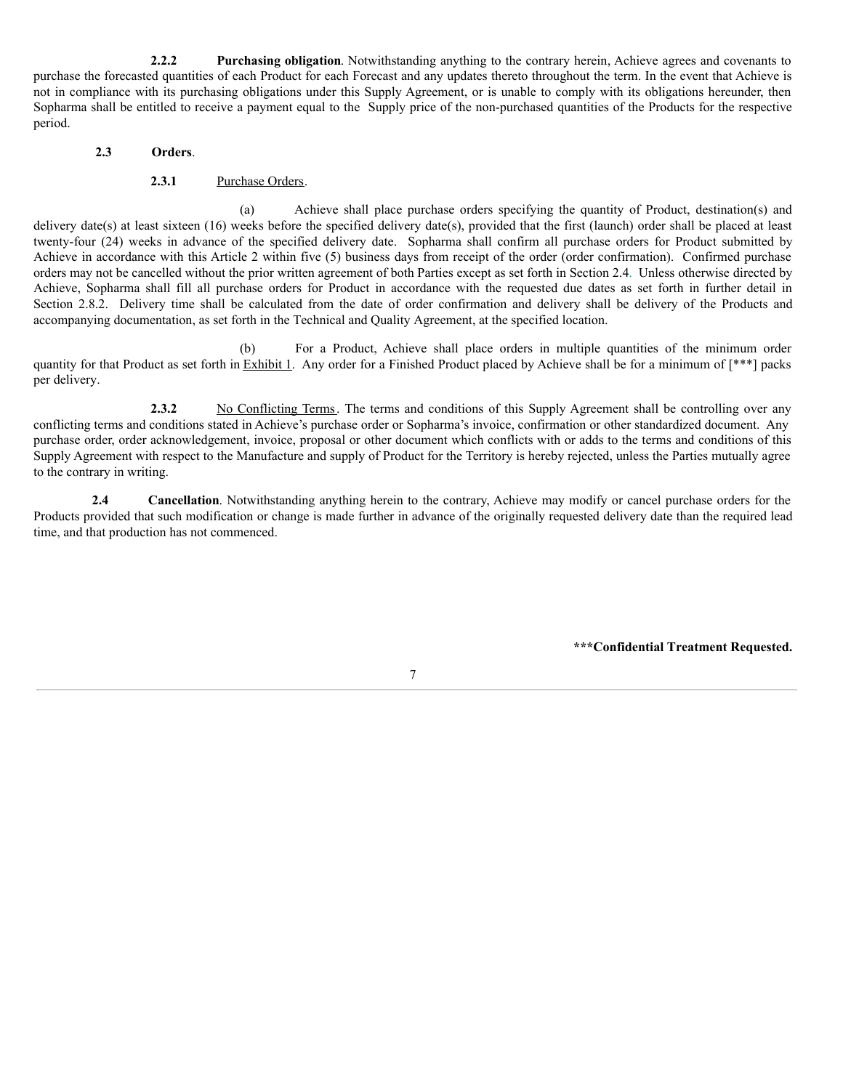**2.2.2 Purchasing obligation**. Notwithstanding anything to the contrary herein, Achieve agrees and covenants to purchase the forecasted quantities of each Product for each Forecast and any updates thereto throughout the term. In the event that Achieve is not in compliance with its purchasing obligations under this Supply Agreement, or is unable to comply with its obligations hereunder, then Sopharma shall be entitled to receive a payment equal to the Supply price of the non-purchased quantities of the Products for the respective period.

# **2.3 Orders**.

# 2.3.1 Purchase Orders.

(a) Achieve shall place purchase orders specifying the quantity of Product, destination(s) and delivery date(s) at least sixteen (16) weeks before the specified delivery date(s), provided that the first (launch) order shall be placed at least twenty-four (24) weeks in advance of the specified delivery date. Sopharma shall confirm all purchase orders for Product submitted by Achieve in accordance with this Article 2 within five (5) business days from receipt of the order (order confirmation). Confirmed purchase orders may not be cancelled without the prior written agreement of both Parties except as set forth in Section 2.4. Unless otherwise directed by Achieve, Sopharma shall fill all purchase orders for Product in accordance with the requested due dates as set forth in further detail in Section 2.8.2. Delivery time shall be calculated from the date of order confirmation and delivery shall be delivery of the Products and accompanying documentation, as set forth in the Technical and Quality Agreement, at the specified location.

(b) For a Product, Achieve shall place orders in multiple quantities of the minimum order quantity for that Product as set forth in Exhibit 1. Any order for a Finished Product placed by Achieve shall be for a minimum of [\*\*\*] packs per delivery.

**2.3.2** No Conflicting Terms. The terms and conditions of this Supply Agreement shall be controlling over any conflicting terms and conditions stated in Achieve's purchase order or Sopharma's invoice, confirmation or other standardized document. Any purchase order, order acknowledgement, invoice, proposal or other document which conflicts with or adds to the terms and conditions of this Supply Agreement with respect to the Manufacture and supply of Product for the Territory is hereby rejected, unless the Parties mutually agree to the contrary in writing.

**2.4 Cancellation**. Notwithstanding anything herein to the contrary, Achieve may modify or cancel purchase orders for the Products provided that such modification or change is made further in advance of the originally requested delivery date than the required lead time, and that production has not commenced.

**\*\*\*Confidential Treatment Requested.**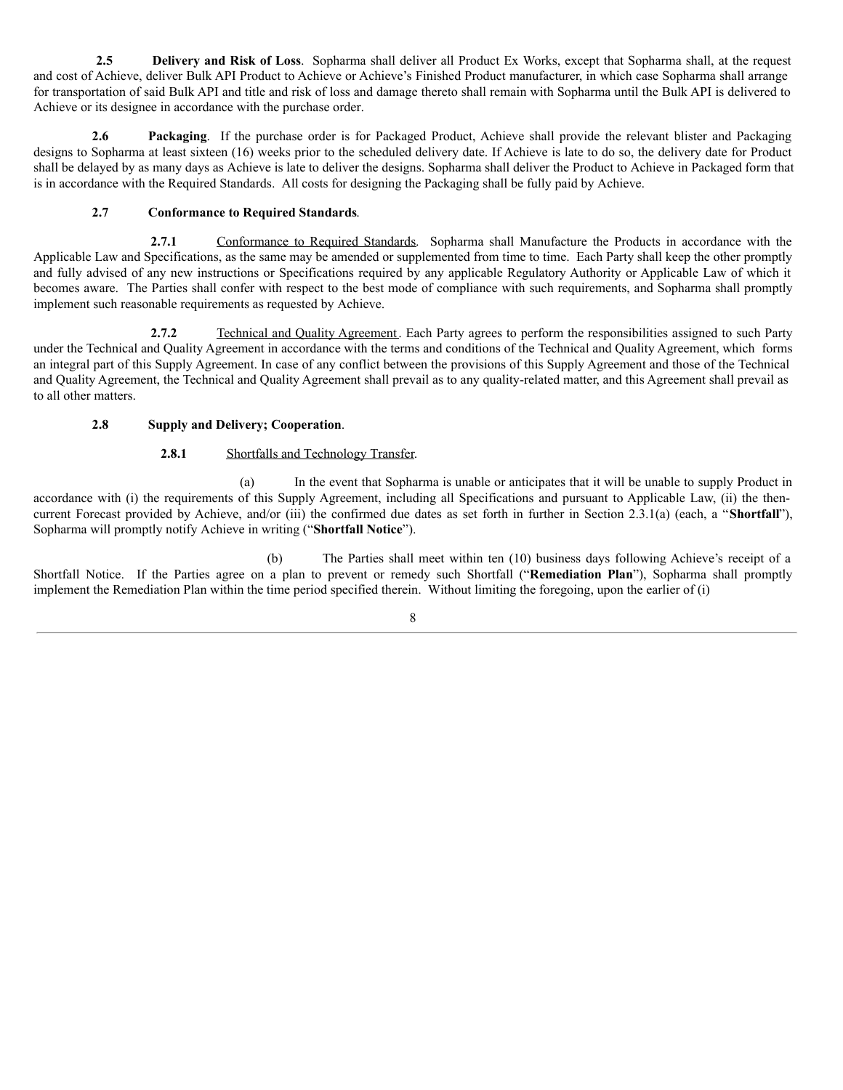**2.5 Delivery and Risk of Loss**. Sopharma shall deliver all Product Ex Works, except that Sopharma shall, at the request and cost of Achieve, deliver Bulk API Product to Achieve or Achieve's Finished Product manufacturer, in which case Sopharma shall arrange for transportation of said Bulk API and title and risk of loss and damage thereto shall remain with Sopharma until the Bulk API is delivered to Achieve or its designee in accordance with the purchase order.

**2.6 Packaging**. If the purchase order is for Packaged Product, Achieve shall provide the relevant blister and Packaging designs to Sopharma at least sixteen (16) weeks prior to the scheduled delivery date. If Achieve is late to do so, the delivery date for Product shall be delayed by as many days as Achieve is late to deliver the designs. Sopharma shall deliver the Product to Achieve in Packaged form that is in accordance with the Required Standards. All costs for designing the Packaging shall be fully paid by Achieve.

# **2.7 Conformance to Required Standards**.

2.7.1 Conformance to Required Standards. Sopharma shall Manufacture the Products in accordance with the Applicable Law and Specifications, as the same may be amended or supplemented from time to time. Each Party shall keep the other promptly and fully advised of any new instructions or Specifications required by any applicable Regulatory Authority or Applicable Law of which it becomes aware. The Parties shall confer with respect to the best mode of compliance with such requirements, and Sopharma shall promptly implement such reasonable requirements as requested by Achieve.

**2.7.2** Technical and Quality Agreement. Each Party agrees to perform the responsibilities assigned to such Party under the Technical and Quality Agreement in accordance with the terms and conditions of the Technical and Quality Agreement, which forms an integral part of this Supply Agreement. In case of any conflict between the provisions of this Supply Agreement and those of the Technical and Quality Agreement, the Technical and Quality Agreement shall prevail as to any quality-related matter, and this Agreement shall prevail as to all other matters.

# **2.8 Supply and Delivery; Cooperation**.

# 2.8.1 Shortfalls and Technology Transfer.

(a) In the event that Sopharma is unable or anticipates that it will be unable to supply Product in accordance with (i) the requirements of this Supply Agreement, including all Specifications and pursuant to Applicable Law, (ii) the thencurrent Forecast provided by Achieve, and/or (iii) the confirmed due dates as set forth in further in Section 2.3.1(a) (each, a "**Shortfall**"), Sopharma will promptly notify Achieve in writing ("**Shortfall Notice**").

(b) The Parties shall meet within ten (10) business days following Achieve's receipt of a Shortfall Notice. If the Parties agree on a plan to prevent or remedy such Shortfall ("**Remediation Plan**"), Sopharma shall promptly implement the Remediation Plan within the time period specified therein. Without limiting the foregoing, upon the earlier of (i)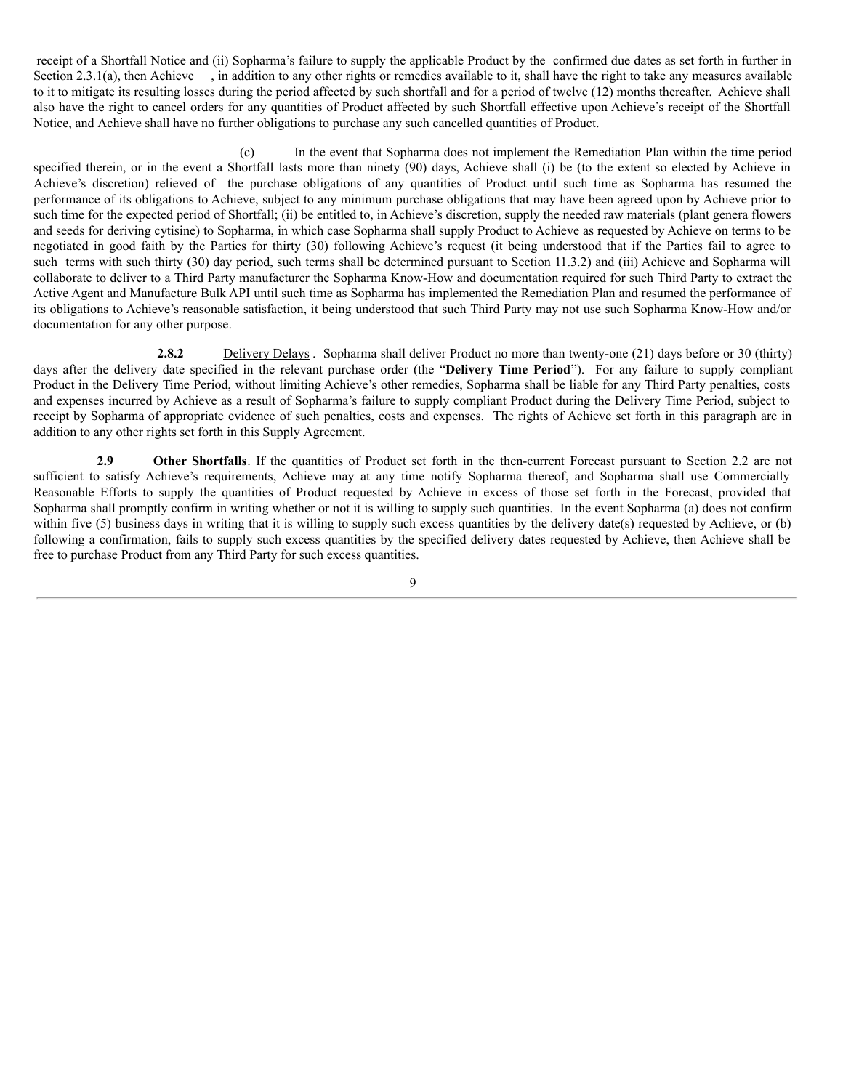receipt of a Shortfall Notice and (ii) Sopharma's failure to supply the applicable Product by the confirmed due dates as set forth in further in Section 2.3.1(a), then Achieve , in addition to any other rights or remedies available to it, shall have the right to take any measures available to it to mitigate its resulting losses during the period affected by such shortfall and for a period of twelve (12) months thereafter. Achieve shall also have the right to cancel orders for any quantities of Product affected by such Shortfall effective upon Achieve's receipt of the Shortfall Notice, and Achieve shall have no further obligations to purchase any such cancelled quantities of Product.

(c) In the event that Sopharma does not implement the Remediation Plan within the time period specified therein, or in the event a Shortfall lasts more than ninety (90) days, Achieve shall (i) be (to the extent so elected by Achieve in Achieve's discretion) relieved of the purchase obligations of any quantities of Product until such time as Sopharma has resumed the performance of its obligations to Achieve, subject to any minimum purchase obligations that may have been agreed upon by Achieve prior to such time for the expected period of Shortfall; (ii) be entitled to, in Achieve's discretion, supply the needed raw materials (plant genera flowers and seeds for deriving cytisine) to Sopharma, in which case Sopharma shall supply Product to Achieve as requested by Achieve on terms to be negotiated in good faith by the Parties for thirty (30) following Achieve's request (it being understood that if the Parties fail to agree to such terms with such thirty (30) day period, such terms shall be determined pursuant to Section 11.3.2) and (iii) Achieve and Sopharma will collaborate to deliver to a Third Party manufacturer the Sopharma Know-How and documentation required for such Third Party to extract the Active Agent and Manufacture Bulk API until such time as Sopharma has implemented the Remediation Plan and resumed the performance of its obligations to Achieve's reasonable satisfaction, it being understood that such Third Party may not use such Sopharma Know-How and/or documentation for any other purpose.

**2.8.2** Delivery Delays . Sopharma shall deliver Product no more than twenty-one (21) days before or 30 (thirty) days after the delivery date specified in the relevant purchase order (the "**Delivery Time Period**"). For any failure to supply compliant Product in the Delivery Time Period, without limiting Achieve's other remedies, Sopharma shall be liable for any Third Party penalties, costs and expenses incurred by Achieve as a result of Sopharma's failure to supply compliant Product during the Delivery Time Period, subject to receipt by Sopharma of appropriate evidence of such penalties, costs and expenses. The rights of Achieve set forth in this paragraph are in addition to any other rights set forth in this Supply Agreement.

**2.9 Other Shortfalls**. If the quantities of Product set forth in the then-current Forecast pursuant to Section 2.2 are not sufficient to satisfy Achieve's requirements, Achieve may at any time notify Sopharma thereof, and Sopharma shall use Commercially Reasonable Efforts to supply the quantities of Product requested by Achieve in excess of those set forth in the Forecast, provided that Sopharma shall promptly confirm in writing whether or not it is willing to supply such quantities. In the event Sopharma (a) does not confirm within five (5) business days in writing that it is willing to supply such excess quantities by the delivery date(s) requested by Achieve, or (b) following a confirmation, fails to supply such excess quantities by the specified delivery dates requested by Achieve, then Achieve shall be free to purchase Product from any Third Party for such excess quantities.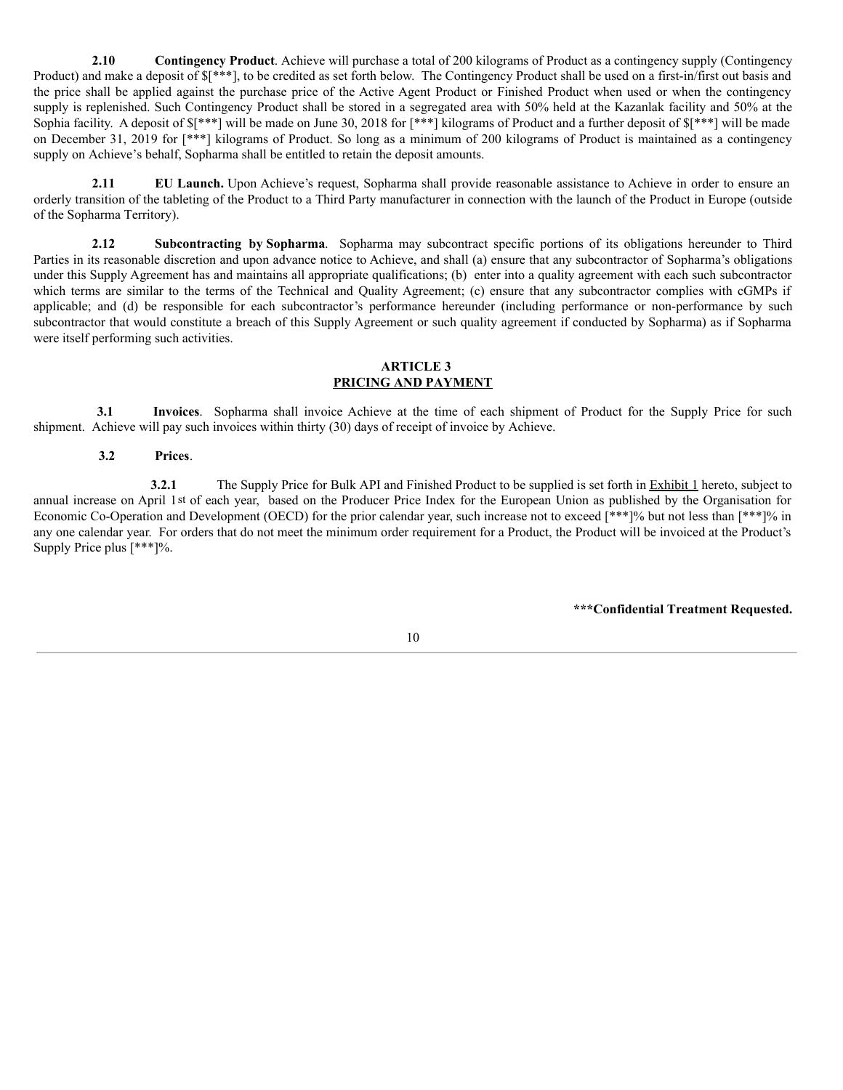**2.10 Contingency Product**. Achieve will purchase a total of 200 kilograms of Product as a contingency supply (Contingency Product) and make a deposit of \$[\*\*\*], to be credited as set forth below. The Contingency Product shall be used on a first-in/first out basis and the price shall be applied against the purchase price of the Active Agent Product or Finished Product when used or when the contingency supply is replenished. Such Contingency Product shall be stored in a segregated area with 50% held at the Kazanlak facility and 50% at the Sophia facility. A deposit of  $\{***\}$  will be made on June 30, 2018 for  $[***]$  kilograms of Product and a further deposit of  $\{***\}$  will be made on December 31, 2019 for [\*\*\*] kilograms of Product. So long as a minimum of 200 kilograms of Product is maintained as a contingency supply on Achieve's behalf, Sopharma shall be entitled to retain the deposit amounts.

**2.11 EU Launch.** Upon Achieve's request, Sopharma shall provide reasonable assistance to Achieve in order to ensure an orderly transition of the tableting of the Product to a Third Party manufacturer in connection with the launch of the Product in Europe (outside of the Sopharma Territory).

**2.12 Subcontracting by Sopharma**. Sopharma may subcontract specific portions of its obligations hereunder to Third Parties in its reasonable discretion and upon advance notice to Achieve, and shall (a) ensure that any subcontractor of Sopharma's obligations under this Supply Agreement has and maintains all appropriate qualifications; (b) enter into a quality agreement with each such subcontractor which terms are similar to the terms of the Technical and Quality Agreement; (c) ensure that any subcontractor complies with cGMPs if applicable; and (d) be responsible for each subcontractor's performance hereunder (including performance or non-performance by such subcontractor that would constitute a breach of this Supply Agreement or such quality agreement if conducted by Sopharma) as if Sopharma were itself performing such activities.

## **ARTICLE 3 PRICING AND PAYMENT**

**3.1 Invoices**. Sopharma shall invoice Achieve at the time of each shipment of Product for the Supply Price for such shipment. Achieve will pay such invoices within thirty (30) days of receipt of invoice by Achieve.

# **3.2 Prices**.

**3.2.1** The Supply Price for Bulk API and Finished Product to be supplied is set forth in **Exhibit 1** hereto, subject to annual increase on April 1st of each year, based on the Producer Price Index for the European Union as published by the Organisation for Economic Co-Operation and Development (OECD) for the prior calendar year, such increase not to exceed [\*\*\*]% but not less than [\*\*\*]% in any one calendar year. For orders that do not meet the minimum order requirement for a Product, the Product will be invoiced at the Product's Supply Price plus [\*\*\*]%.

## **\*\*\*Confidential Treatment Requested.**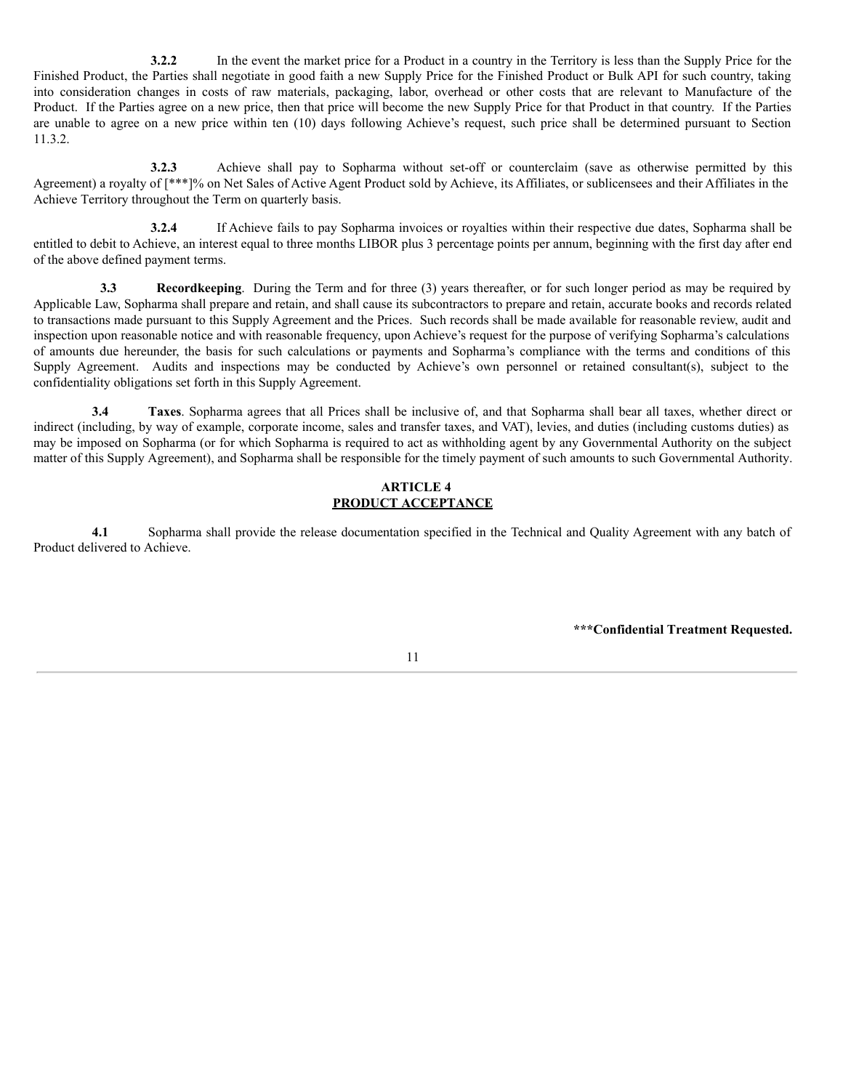**3.2.2** In the event the market price for a Product in a country in the Territory is less than the Supply Price for the Finished Product, the Parties shall negotiate in good faith a new Supply Price for the Finished Product or Bulk API for such country, taking into consideration changes in costs of raw materials, packaging, labor, overhead or other costs that are relevant to Manufacture of the Product. If the Parties agree on a new price, then that price will become the new Supply Price for that Product in that country. If the Parties are unable to agree on a new price within ten (10) days following Achieve's request, such price shall be determined pursuant to Section 11.3.2.

**3.2.3** Achieve shall pay to Sopharma without set-off or counterclaim (save as otherwise permitted by this Agreement) a royalty of  $[^{***}]$ % on Net Sales of Active Agent Product sold by Achieve, its Affiliates, or sublicensees and their Affiliates in the Achieve Territory throughout the Term on quarterly basis.

**3.2.4** If Achieve fails to pay Sopharma invoices or royalties within their respective due dates, Sopharma shall be entitled to debit to Achieve, an interest equal to three months LIBOR plus 3 percentage points per annum, beginning with the first day after end of the above defined payment terms.

**3.3 Recordkeeping**. During the Term and for three (3) years thereafter, or for such longer period as may be required by Applicable Law, Sopharma shall prepare and retain, and shall cause its subcontractors to prepare and retain, accurate books and records related to transactions made pursuant to this Supply Agreement and the Prices. Such records shall be made available for reasonable review, audit and inspection upon reasonable notice and with reasonable frequency, upon Achieve's request for the purpose of verifying Sopharma's calculations of amounts due hereunder, the basis for such calculations or payments and Sopharma's compliance with the terms and conditions of this Supply Agreement. Audits and inspections may be conducted by Achieve's own personnel or retained consultant(s), subject to the confidentiality obligations set forth in this Supply Agreement.

**3.4 Taxes**. Sopharma agrees that all Prices shall be inclusive of, and that Sopharma shall bear all taxes, whether direct or indirect (including, by way of example, corporate income, sales and transfer taxes, and VAT), levies, and duties (including customs duties) as may be imposed on Sopharma (or for which Sopharma is required to act as withholding agent by any Governmental Authority on the subject matter of this Supply Agreement), and Sopharma shall be responsible for the timely payment of such amounts to such Governmental Authority.

# **ARTICLE 4 PRODUCT ACCEPTANCE**

**4.1** Sopharma shall provide the release documentation specified in the Technical and Quality Agreement with any batch of Product delivered to Achieve.

**\*\*\*Confidential Treatment Requested.**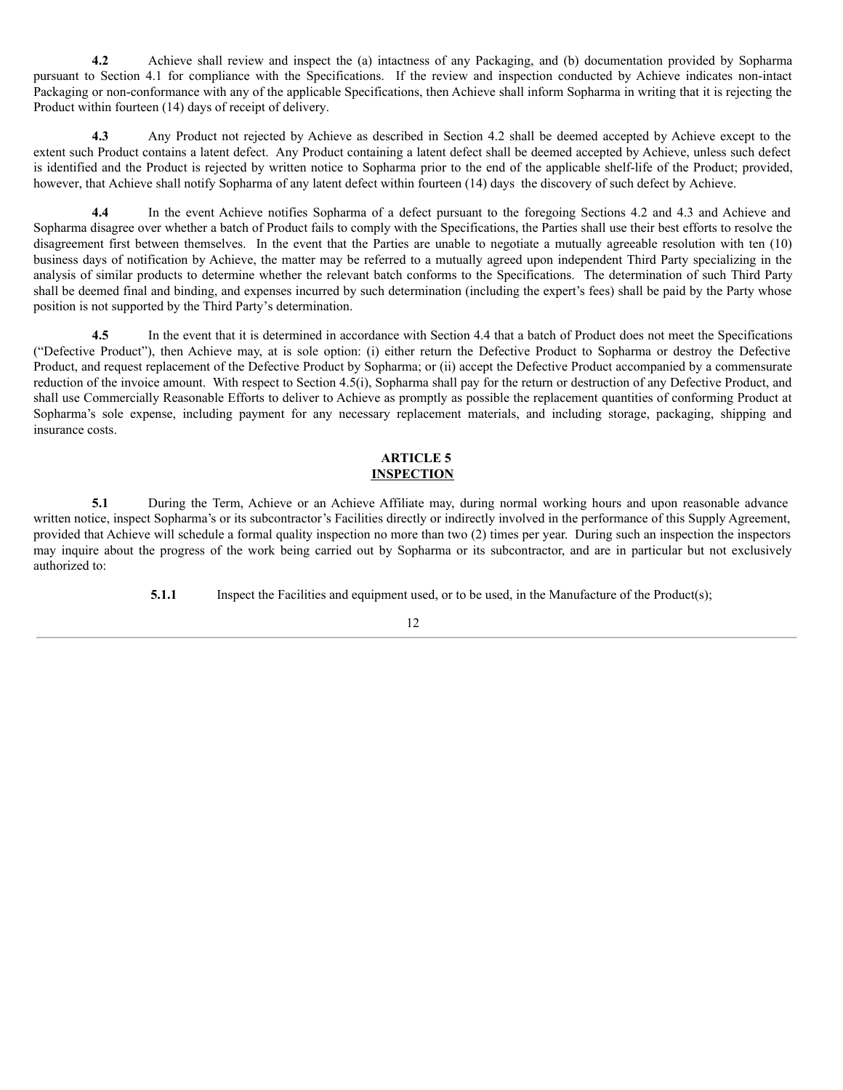**4.2** Achieve shall review and inspect the (a) intactness of any Packaging, and (b) documentation provided by Sopharma pursuant to Section 4.1 for compliance with the Specifications. If the review and inspection conducted by Achieve indicates non-intact Packaging or non-conformance with any of the applicable Specifications, then Achieve shall inform Sopharma in writing that it is rejecting the Product within fourteen (14) days of receipt of delivery.

**4.3** Any Product not rejected by Achieve as described in Section 4.2 shall be deemed accepted by Achieve except to the extent such Product contains a latent defect. Any Product containing a latent defect shall be deemed accepted by Achieve, unless such defect is identified and the Product is rejected by written notice to Sopharma prior to the end of the applicable shelf-life of the Product; provided, however, that Achieve shall notify Sopharma of any latent defect within fourteen (14) days the discovery of such defect by Achieve.

**4.4** In the event Achieve notifies Sopharma of a defect pursuant to the foregoing Sections 4.2 and 4.3 and Achieve and Sopharma disagree over whether a batch of Product fails to comply with the Specifications, the Parties shall use their best efforts to resolve the disagreement first between themselves. In the event that the Parties are unable to negotiate a mutually agreeable resolution with ten (10) business days of notification by Achieve, the matter may be referred to a mutually agreed upon independent Third Party specializing in the analysis of similar products to determine whether the relevant batch conforms to the Specifications. The determination of such Third Party shall be deemed final and binding, and expenses incurred by such determination (including the expert's fees) shall be paid by the Party whose position is not supported by the Third Party's determination.

**4.5** In the event that it is determined in accordance with Section 4.4 that a batch of Product does not meet the Specifications ("Defective Product"), then Achieve may, at is sole option: (i) either return the Defective Product to Sopharma or destroy the Defective Product, and request replacement of the Defective Product by Sopharma; or (ii) accept the Defective Product accompanied by a commensurate reduction of the invoice amount. With respect to Section 4.5(i), Sopharma shall pay for the return or destruction of any Defective Product, and shall use Commercially Reasonable Efforts to deliver to Achieve as promptly as possible the replacement quantities of conforming Product at Sopharma's sole expense, including payment for any necessary replacement materials, and including storage, packaging, shipping and insurance costs.

# **ARTICLE 5 INSPECTION**

**5.1** During the Term, Achieve or an Achieve Affiliate may, during normal working hours and upon reasonable advance written notice, inspect Sopharma's or its subcontractor's Facilities directly or indirectly involved in the performance of this Supply Agreement, provided that Achieve will schedule a formal quality inspection no more than two (2) times per year. During such an inspection the inspectors may inquire about the progress of the work being carried out by Sopharma or its subcontractor, and are in particular but not exclusively authorized to:

**5.1.1** Inspect the Facilities and equipment used, or to be used, in the Manufacture of the Product(s);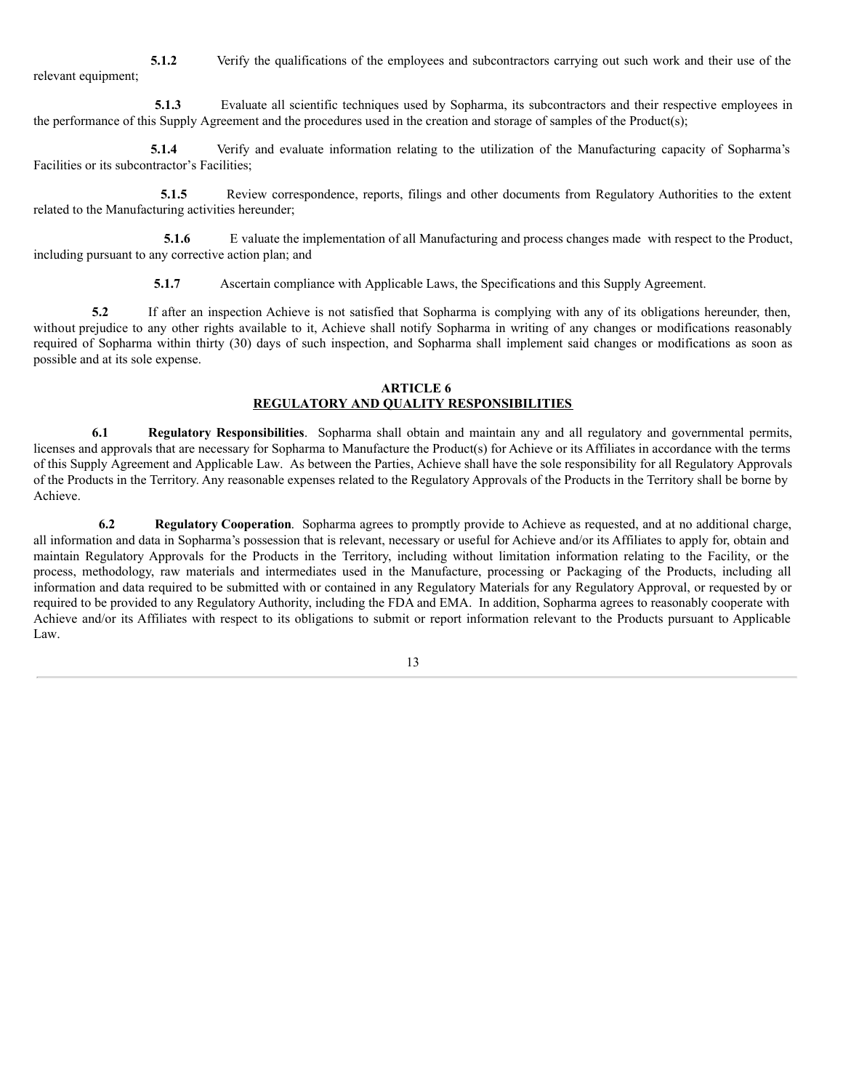<span id="page-64-0"></span>**5.1.2** Verify the qualifications of the employees and subcontractors carrying out such work and their use of the relevant equipment;

**5.1.3** Evaluate all scientific techniques used by Sopharma, its subcontractors and their respective employees in the performance of this Supply Agreement and the procedures used in the creation and storage of samples of the Product(s);

**5.1.4** Verify and evaluate information relating to the utilization of the Manufacturing capacity of Sopharma's Facilities or its subcontractor's Facilities;

**5.1.5** Review correspondence, reports, filings and other documents from Regulatory Authorities to the extent related to the Manufacturing activities hereunder;

**5.1.6** E valuate the implementation of all Manufacturing and process changes made with respect to the Product, including pursuant to any corrective action plan; and

**5.1.7** Ascertain compliance with Applicable Laws, the Specifications and this Supply Agreement.

**5.2** If after an inspection Achieve is not satisfied that Sopharma is complying with any of its obligations hereunder, then, without prejudice to any other rights available to it, Achieve shall notify Sopharma in writing of any changes or modifications reasonably required of Sopharma within thirty (30) days of such inspection, and Sopharma shall implement said changes or modifications as soon as possible and at its sole expense.

# **ARTICLE 6 REGULATORY AND QUALITY RESPONSIBILITIES**

**6.1 Regulatory Responsibilities**. Sopharma shall obtain and maintain any and all regulatory and governmental permits, licenses and approvals that are necessary for Sopharma to Manufacture the Product(s) for Achieve or its Affiliates in accordance with the terms of this Supply Agreement and Applicable Law. As between the Parties, Achieve shall have the sole responsibility for all Regulatory Approvals of the Products in the Territory. Any reasonable expenses related to the Regulatory Approvals of the Products in the Territory shall be borne by Achieve.

**6.2 Regulatory Cooperation**. Sopharma agrees to promptly provide to Achieve as requested, and at no additional charge, all information and data in Sopharma's possession that is relevant, necessary or useful for Achieve and/or its Affiliates to apply for, obtain and maintain Regulatory Approvals for the Products in the Territory, including without limitation information relating to the Facility, or the process, methodology, raw materials and intermediates used in the Manufacture, processing or Packaging of the Products, including all information and data required to be submitted with or contained in any Regulatory Materials for any Regulatory Approval, or requested by or required to be provided to any Regulatory Authority, including the FDA and EMA. In addition, Sopharma agrees to reasonably cooperate with Achieve and/or its Affiliates with respect to its obligations to submit or report information relevant to the Products pursuant to Applicable Law.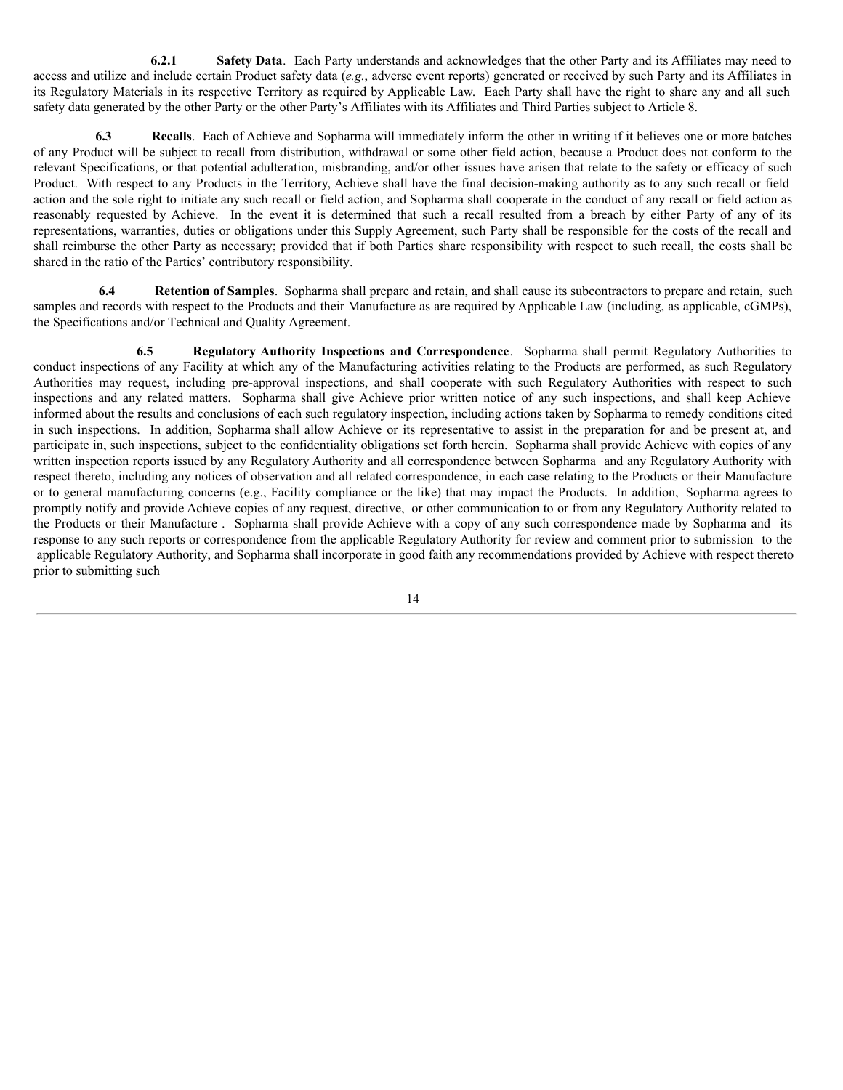**6.2.1 Safety Data**. Each Party understands and acknowledges that the other Party and its Affiliates may need to access and utilize and include certain Product safety data (*e.g.*, adverse event reports) generated or received by such Party and its Affiliates in its Regulatory Materials in its respective Territory as required by Applicable Law. Each Party shall have the right to share any and all such safety data generated by the other Party or the other Party's Affiliates with its Affiliates and Third Parties subject to Article 8.

**6.3 Recalls**. Each of Achieve and Sopharma will immediately inform the other in writing if it believes one or more batches of any Product will be subject to recall from distribution, withdrawal or some other field action, because a Product does not conform to the relevant Specifications, or that potential adulteration, misbranding, and/or other issues have arisen that relate to the safety or efficacy of such Product. With respect to any Products in the Territory, Achieve shall have the final decision-making authority as to any such recall or field action and the sole right to initiate any such recall or field action, and Sopharma shall cooperate in the conduct of any recall or field action as reasonably requested by Achieve. In the event it is determined that such a recall resulted from a breach by either Party of any of its representations, warranties, duties or obligations under this Supply Agreement, such Party shall be responsible for the costs of the recall and shall reimburse the other Party as necessary; provided that if both Parties share responsibility with respect to such recall, the costs shall be shared in the ratio of the Parties' contributory responsibility.

**6.4 Retention of Samples**. Sopharma shall prepare and retain, and shall cause its subcontractors to prepare and retain, such samples and records with respect to the Products and their Manufacture as are required by Applicable Law (including, as applicable, cGMPs), the Specifications and/or Technical and Quality Agreement.

**6.5 Regulatory Authority Inspections and Correspondence**. Sopharma shall permit Regulatory Authorities to conduct inspections of any Facility at which any of the Manufacturing activities relating to the Products are performed, as such Regulatory Authorities may request, including pre-approval inspections, and shall cooperate with such Regulatory Authorities with respect to such inspections and any related matters. Sopharma shall give Achieve prior written notice of any such inspections, and shall keep Achieve informed about the results and conclusions of each such regulatory inspection, including actions taken by Sopharma to remedy conditions cited in such inspections. In addition, Sopharma shall allow Achieve or its representative to assist in the preparation for and be present at, and participate in, such inspections, subject to the confidentiality obligations set forth herein. Sopharma shall provide Achieve with copies of any written inspection reports issued by any Regulatory Authority and all correspondence between Sopharma and any Regulatory Authority with respect thereto, including any notices of observation and all related correspondence, in each case relating to the Products or their Manufacture or to general manufacturing concerns (e.g., Facility compliance or the like) that may impact the Products. In addition, Sopharma agrees to promptly notify and provide Achieve copies of any request, directive, or other communication to or from any Regulatory Authority related to the Products or their Manufacture . Sopharma shall provide Achieve with a copy of any such correspondence made by Sopharma and its response to any such reports or correspondence from the applicable Regulatory Authority for review and comment prior to submission to the applicable Regulatory Authority, and Sopharma shall incorporate in good faith any recommendations provided by Achieve with respect thereto prior to submitting such

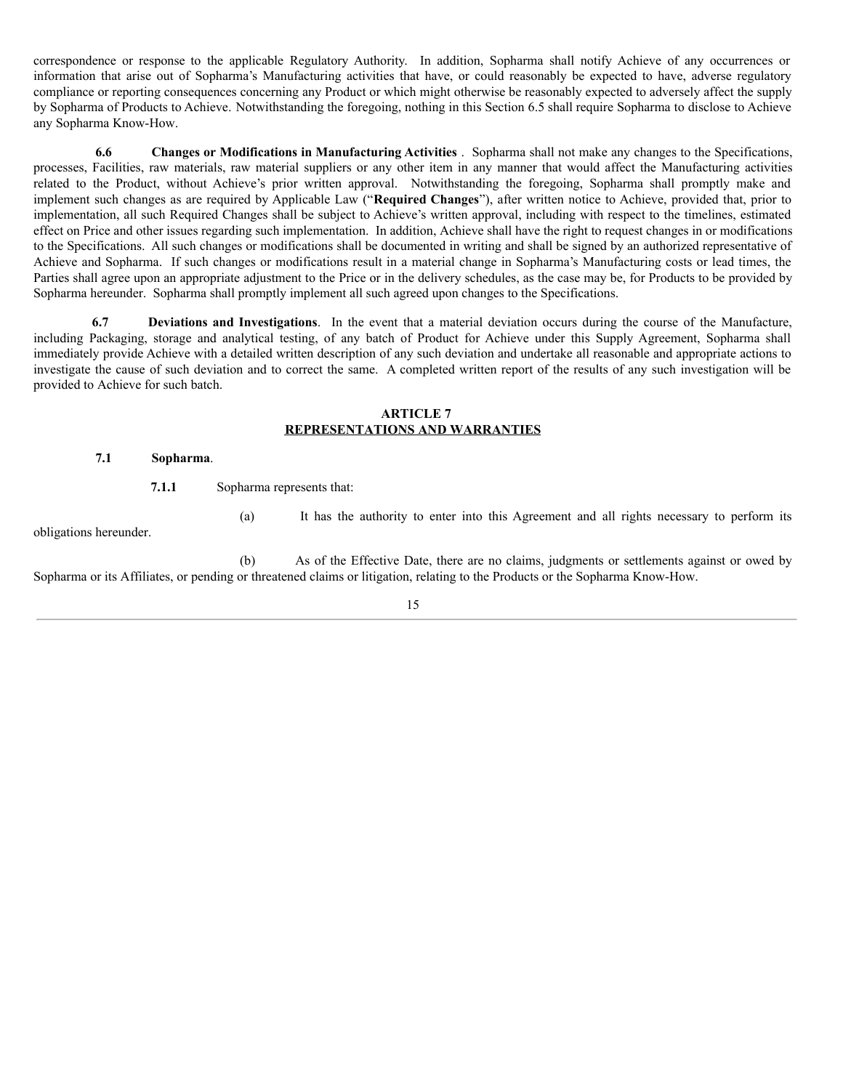correspondence or response to the applicable Regulatory Authority. In addition, Sopharma shall notify Achieve of any occurrences or information that arise out of Sopharma's Manufacturing activities that have, or could reasonably be expected to have, adverse regulatory compliance or reporting consequences concerning any Product or which might otherwise be reasonably expected to adversely affect the supply by Sopharma of Products to Achieve. Notwithstanding the foregoing, nothing in this Section 6.5 shall require Sopharma to disclose to Achieve any Sopharma Know-How.

**6.6 Changes or Modifications in Manufacturing Activities** . Sopharma shall not make any changes to the Specifications, processes, Facilities, raw materials, raw material suppliers or any other item in any manner that would affect the Manufacturing activities related to the Product, without Achieve's prior written approval. Notwithstanding the foregoing, Sopharma shall promptly make and implement such changes as are required by Applicable Law ("**Required Changes**"), after written notice to Achieve, provided that, prior to implementation, all such Required Changes shall be subject to Achieve's written approval, including with respect to the timelines, estimated effect on Price and other issues regarding such implementation. In addition, Achieve shall have the right to request changes in or modifications to the Specifications. All such changes or modifications shall be documented in writing and shall be signed by an authorized representative of Achieve and Sopharma. If such changes or modifications result in a material change in Sopharma's Manufacturing costs or lead times, the Parties shall agree upon an appropriate adjustment to the Price or in the delivery schedules, as the case may be, for Products to be provided by Sopharma hereunder. Sopharma shall promptly implement all such agreed upon changes to the Specifications.

**6.7 Deviations and Investigations**. In the event that a material deviation occurs during the course of the Manufacture, including Packaging, storage and analytical testing, of any batch of Product for Achieve under this Supply Agreement, Sopharma shall immediately provide Achieve with a detailed written description of any such deviation and undertake all reasonable and appropriate actions to investigate the cause of such deviation and to correct the same. A completed written report of the results of any such investigation will be provided to Achieve for such batch.

## **ARTICLE 7 REPRESENTATIONS AND WARRANTIES**

## **7.1 Sopharma**.

**7.1.1** Sopharma represents that:

obligations hereunder.

(b) As of the Effective Date, there are no claims, judgments or settlements against or owed by Sopharma or its Affiliates, or pending or threatened claims or litigation, relating to the Products or the Sopharma Know-How.

(a) It has the authority to enter into this Agreement and all rights necessary to perform its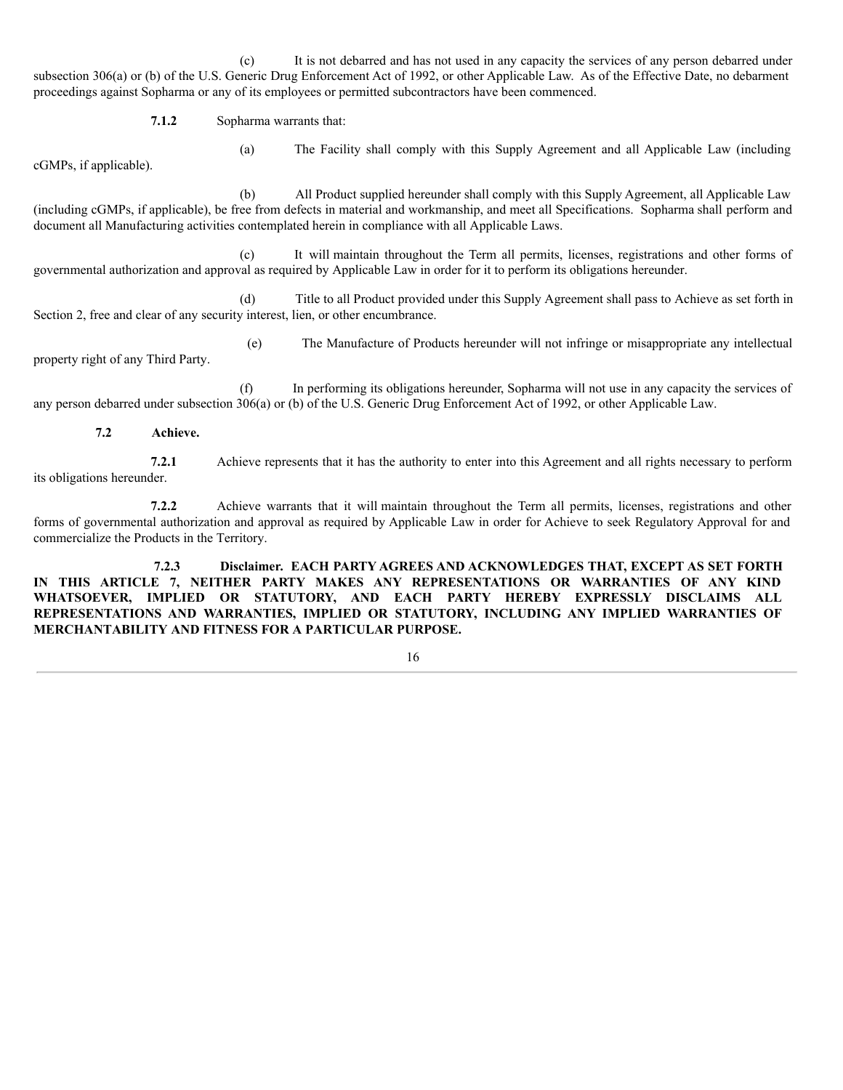(c) It is not debarred and has not used in any capacity the services of any person debarred under subsection 306(a) or (b) of the U.S. Generic Drug Enforcement Act of 1992, or other Applicable Law. As of the Effective Date, no debarment proceedings against Sopharma or any of its employees or permitted subcontractors have been commenced.

**7.1.2** Sopharma warrants that:

cGMPs, if applicable).

(a) The Facility shall comply with this Supply Agreement and all Applicable Law (including

(b) All Product supplied hereunder shall comply with this Supply Agreement, all Applicable Law (including cGMPs, if applicable), be free from defects in material and workmanship, and meet all Specifications. Sopharma shall perform and document all Manufacturing activities contemplated herein in compliance with all Applicable Laws.

(c) It will maintain throughout the Term all permits, licenses, registrations and other forms of governmental authorization and approval as required by Applicable Law in order for it to perform its obligations hereunder.

(d) Title to all Product provided under this Supply Agreement shall pass to Achieve as set forth in Section 2, free and clear of any security interest, lien, or other encumbrance.

(e) The Manufacture of Products hereunder will not infringe or misappropriate any intellectual property right of any Third Party.

(f) In performing its obligations hereunder, Sopharma will not use in any capacity the services of any person debarred under subsection 306(a) or (b) of the U.S. Generic Drug Enforcement Act of 1992, or other Applicable Law.

**7.2 Achieve.**

**7.2.1** Achieve represents that it has the authority to enter into this Agreement and all rights necessary to perform its obligations hereunder.

**7.2.2** Achieve warrants that it will maintain throughout the Term all permits, licenses, registrations and other forms of governmental authorization and approval as required by Applicable Law in order for Achieve to seek Regulatory Approval for and commercialize the Products in the Territory.

**7.2.3 Disclaimer. EACH PARTY AGREES AND ACKNOWLEDGES THAT, EXCEPT AS SET FORTH IN THIS ARTICLE 7, NEITHER PARTY MAKES ANY REPRESENTATIONS OR WARRANTIES OF ANY KIND WHATSOEVER, IMPLIED OR STATUTORY, AND EACH PARTY HEREBY EXPRESSLY DISCLAIMS ALL REPRESENTATIONS AND WARRANTIES, IMPLIED OR STATUTORY, INCLUDING ANY IMPLIED WARRANTIES OF MERCHANTABILITY AND FITNESS FOR A PARTICULAR PURPOSE.**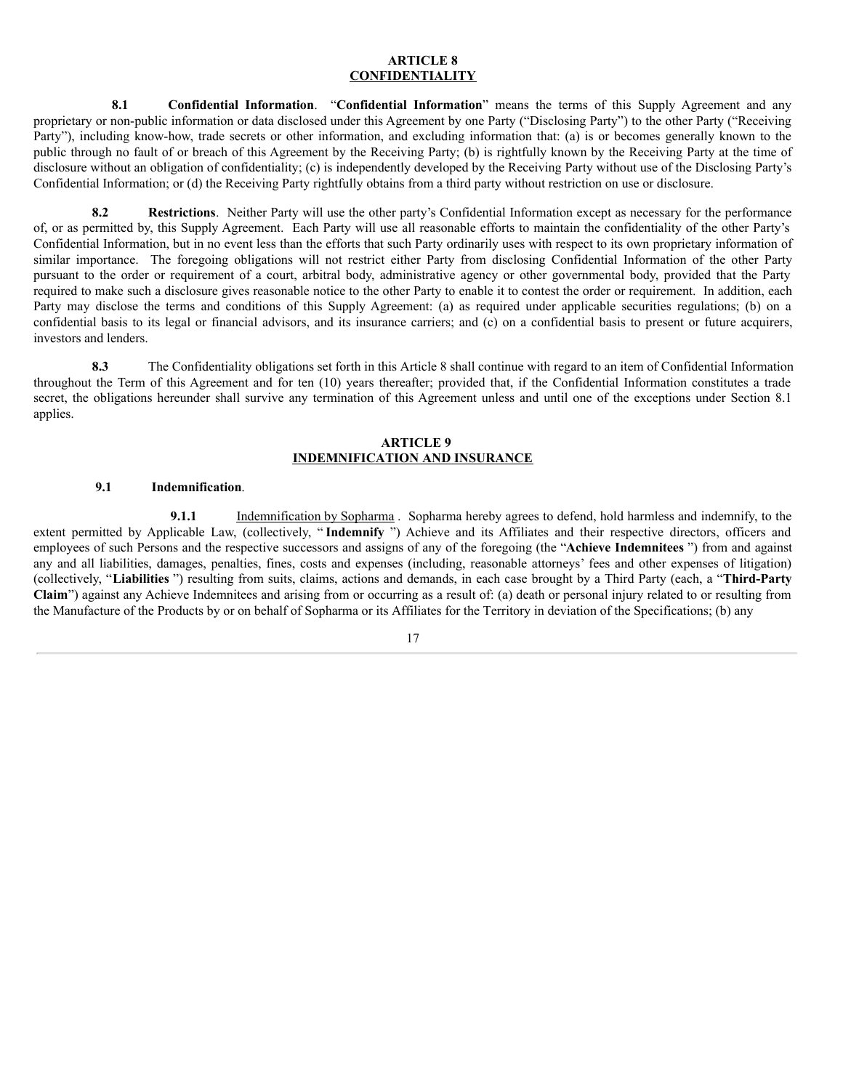# **ARTICLE 8 CONFIDENTIALITY**

**8.1 Confidential Information**. "**Confidential Information**" means the terms of this Supply Agreement and any proprietary or non-public information or data disclosed under this Agreement by one Party ("Disclosing Party") to the other Party ("Receiving Party"), including know-how, trade secrets or other information, and excluding information that: (a) is or becomes generally known to the public through no fault of or breach of this Agreement by the Receiving Party; (b) is rightfully known by the Receiving Party at the time of disclosure without an obligation of confidentiality; (c) is independently developed by the Receiving Party without use of the Disclosing Party's Confidential Information; or (d) the Receiving Party rightfully obtains from a third party without restriction on use or disclosure.

**8.2 Restrictions**. Neither Party will use the other party's Confidential Information except as necessary for the performance of, or as permitted by, this Supply Agreement. Each Party will use all reasonable efforts to maintain the confidentiality of the other Party's Confidential Information, but in no event less than the efforts that such Party ordinarily uses with respect to its own proprietary information of similar importance. The foregoing obligations will not restrict either Party from disclosing Confidential Information of the other Party pursuant to the order or requirement of a court, arbitral body, administrative agency or other governmental body, provided that the Party required to make such a disclosure gives reasonable notice to the other Party to enable it to contest the order or requirement. In addition, each Party may disclose the terms and conditions of this Supply Agreement: (a) as required under applicable securities regulations; (b) on a confidential basis to its legal or financial advisors, and its insurance carriers; and (c) on a confidential basis to present or future acquirers, investors and lenders.

**8.3** The Confidentiality obligations set forth in this Article 8 shall continue with regard to an item of Confidential Information throughout the Term of this Agreement and for ten (10) years thereafter; provided that, if the Confidential Information constitutes a trade secret, the obligations hereunder shall survive any termination of this Agreement unless and until one of the exceptions under Section 8.1 applies.

# **ARTICLE 9 INDEMNIFICATION AND INSURANCE**

## **9.1 Indemnification**.

**9.1.1** Indemnification by Sopharma . Sopharma hereby agrees to defend, hold harmless and indemnify, to the extent permitted by Applicable Law, (collectively, " **Indemnify** ") Achieve and its Affiliates and their respective directors, officers and employees of such Persons and the respective successors and assigns of any of the foregoing (the "**Achieve Indemnitees** ") from and against any and all liabilities, damages, penalties, fines, costs and expenses (including, reasonable attorneys' fees and other expenses of litigation) (collectively, "**Liabilities** ") resulting from suits, claims, actions and demands, in each case brought by a Third Party (each, a "**Third-Party Claim**") against any Achieve Indemnitees and arising from or occurring as a result of: (a) death or personal injury related to or resulting from the Manufacture of the Products by or on behalf of Sopharma or its Affiliates for the Territory in deviation of the Specifications; (b) any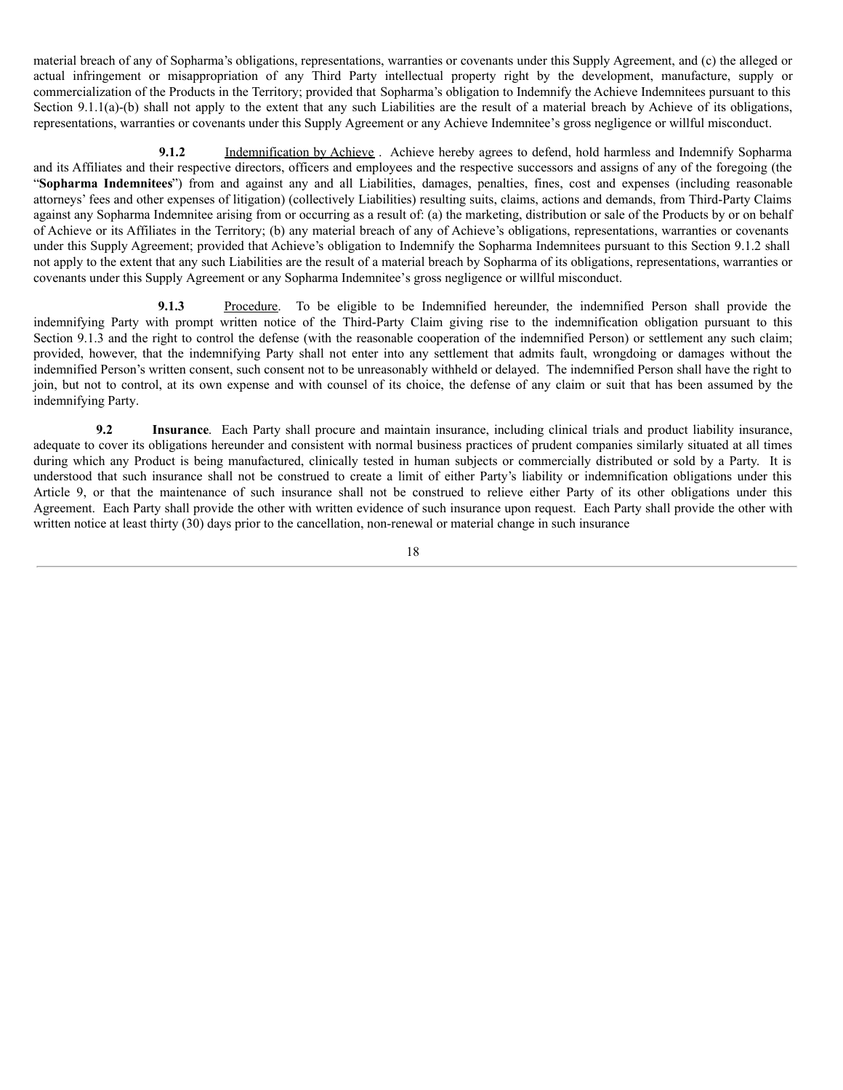material breach of any of Sopharma's obligations, representations, warranties or covenants under this Supply Agreement, and (c) the alleged or actual infringement or misappropriation of any Third Party intellectual property right by the development, manufacture, supply or commercialization of the Products in the Territory; provided that Sopharma's obligation to Indemnify the Achieve Indemnitees pursuant to this Section 9.1.1(a)-(b) shall not apply to the extent that any such Liabilities are the result of a material breach by Achieve of its obligations, representations, warranties or covenants under this Supply Agreement or any Achieve Indemnitee's gross negligence or willful misconduct.

**9.1.2** Indemnification by Achieve . Achieve hereby agrees to defend, hold harmless and Indemnify Sopharma and its Affiliates and their respective directors, officers and employees and the respective successors and assigns of any of the foregoing (the "**Sopharma Indemnitees**") from and against any and all Liabilities, damages, penalties, fines, cost and expenses (including reasonable attorneys' fees and other expenses of litigation) (collectively Liabilities) resulting suits, claims, actions and demands, from Third-Party Claims against any Sopharma Indemnitee arising from or occurring as a result of: (a) the marketing, distribution or sale of the Products by or on behalf of Achieve or its Affiliates in the Territory; (b) any material breach of any of Achieve's obligations, representations, warranties or covenants under this Supply Agreement; provided that Achieve's obligation to Indemnify the Sopharma Indemnitees pursuant to this Section 9.1.2 shall not apply to the extent that any such Liabilities are the result of a material breach by Sopharma of its obligations, representations, warranties or covenants under this Supply Agreement or any Sopharma Indemnitee's gross negligence or willful misconduct.

9.1.3 Procedure. To be eligible to be Indemnified hereunder, the indemnified Person shall provide the indemnifying Party with prompt written notice of the Third-Party Claim giving rise to the indemnification obligation pursuant to this Section 9.1.3 and the right to control the defense (with the reasonable cooperation of the indemnified Person) or settlement any such claim; provided, however, that the indemnifying Party shall not enter into any settlement that admits fault, wrongdoing or damages without the indemnified Person's written consent, such consent not to be unreasonably withheld or delayed. The indemnified Person shall have the right to join, but not to control, at its own expense and with counsel of its choice, the defense of any claim or suit that has been assumed by the indemnifying Party.

**9.2 Insurance**. Each Party shall procure and maintain insurance, including clinical trials and product liability insurance, adequate to cover its obligations hereunder and consistent with normal business practices of prudent companies similarly situated at all times during which any Product is being manufactured, clinically tested in human subjects or commercially distributed or sold by a Party. It is understood that such insurance shall not be construed to create a limit of either Party's liability or indemnification obligations under this Article 9, or that the maintenance of such insurance shall not be construed to relieve either Party of its other obligations under this Agreement. Each Party shall provide the other with written evidence of such insurance upon request. Each Party shall provide the other with written notice at least thirty (30) days prior to the cancellation, non-renewal or material change in such insurance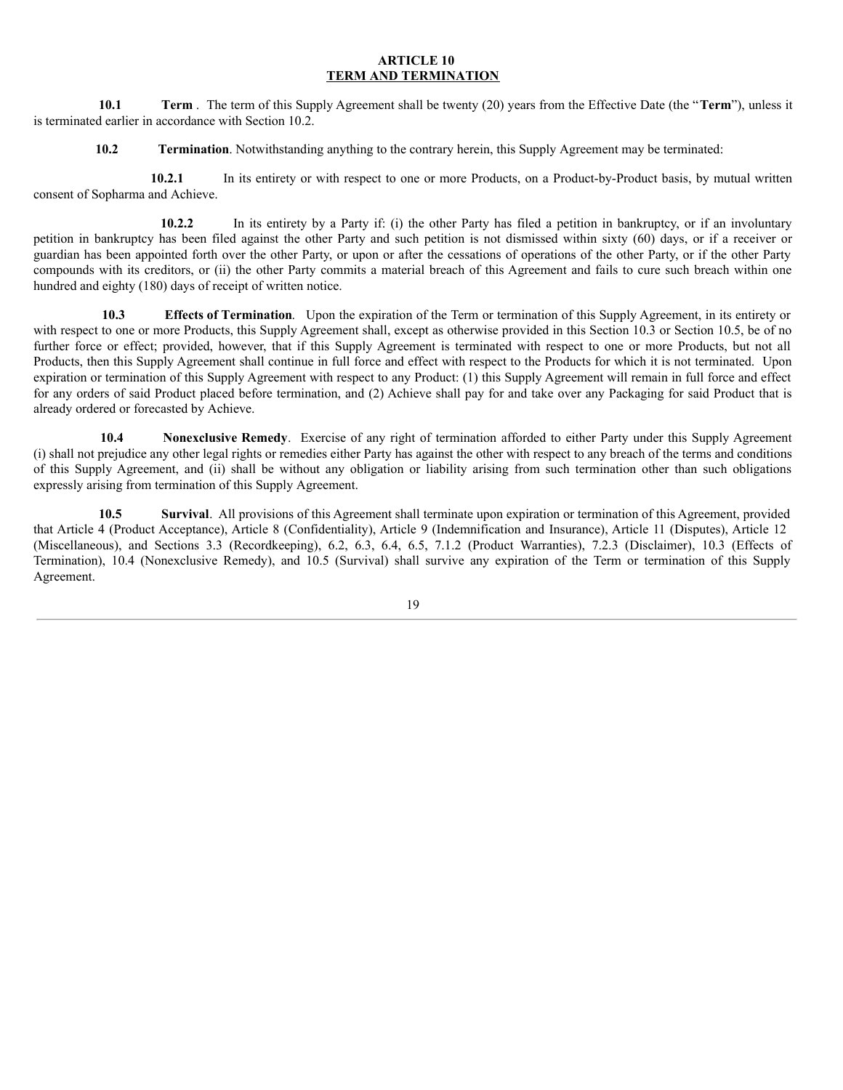# **ARTICLE 10 TERM AND TERMINATION**

**10.1 Term** . The term of this Supply Agreement shall be twenty (20) years from the Effective Date (the "**Term**"), unless it is terminated earlier in accordance with Section 10.2.

**10.2 Termination**. Notwithstanding anything to the contrary herein, this Supply Agreement may be terminated:

**10.2.1** In its entirety or with respect to one or more Products, on a Product-by-Product basis, by mutual written consent of Sopharma and Achieve.

**10.2.2** In its entirety by a Party if: (i) the other Party has filed a petition in bankruptcy, or if an involuntary petition in bankruptcy has been filed against the other Party and such petition is not dismissed within sixty (60) days, or if a receiver or guardian has been appointed forth over the other Party, or upon or after the cessations of operations of the other Party, or if the other Party compounds with its creditors, or (ii) the other Party commits a material breach of this Agreement and fails to cure such breach within one hundred and eighty (180) days of receipt of written notice.

**10.3 Effects of Termination**. Upon the expiration of the Term or termination of this Supply Agreement, in its entirety or with respect to one or more Products, this Supply Agreement shall, except as otherwise provided in this Section 10.3 or Section 10.5, be of no further force or effect; provided, however, that if this Supply Agreement is terminated with respect to one or more Products, but not all Products, then this Supply Agreement shall continue in full force and effect with respect to the Products for which it is not terminated. Upon expiration or termination of this Supply Agreement with respect to any Product: (1) this Supply Agreement will remain in full force and effect for any orders of said Product placed before termination, and (2) Achieve shall pay for and take over any Packaging for said Product that is already ordered or forecasted by Achieve.

**10.4 Nonexclusive Remedy**. Exercise of any right of termination afforded to either Party under this Supply Agreement (i) shall not prejudice any other legal rights or remedies either Party has against the other with respect to any breach of the terms and conditions of this Supply Agreement, and (ii) shall be without any obligation or liability arising from such termination other than such obligations expressly arising from termination of this Supply Agreement.

**10.5 Survival**. All provisions of this Agreement shall terminate upon expiration or termination of this Agreement, provided that Article 4 (Product Acceptance), Article 8 (Confidentiality), Article 9 (Indemnification and Insurance), Article 11 (Disputes), Article 12 (Miscellaneous), and Sections 3.3 (Recordkeeping), 6.2, 6.3, 6.4, 6.5, 7.1.2 (Product Warranties), 7.2.3 (Disclaimer), 10.3 (Effects of Termination), 10.4 (Nonexclusive Remedy), and 10.5 (Survival) shall survive any expiration of the Term or termination of this Supply Agreement.

<sup>19</sup>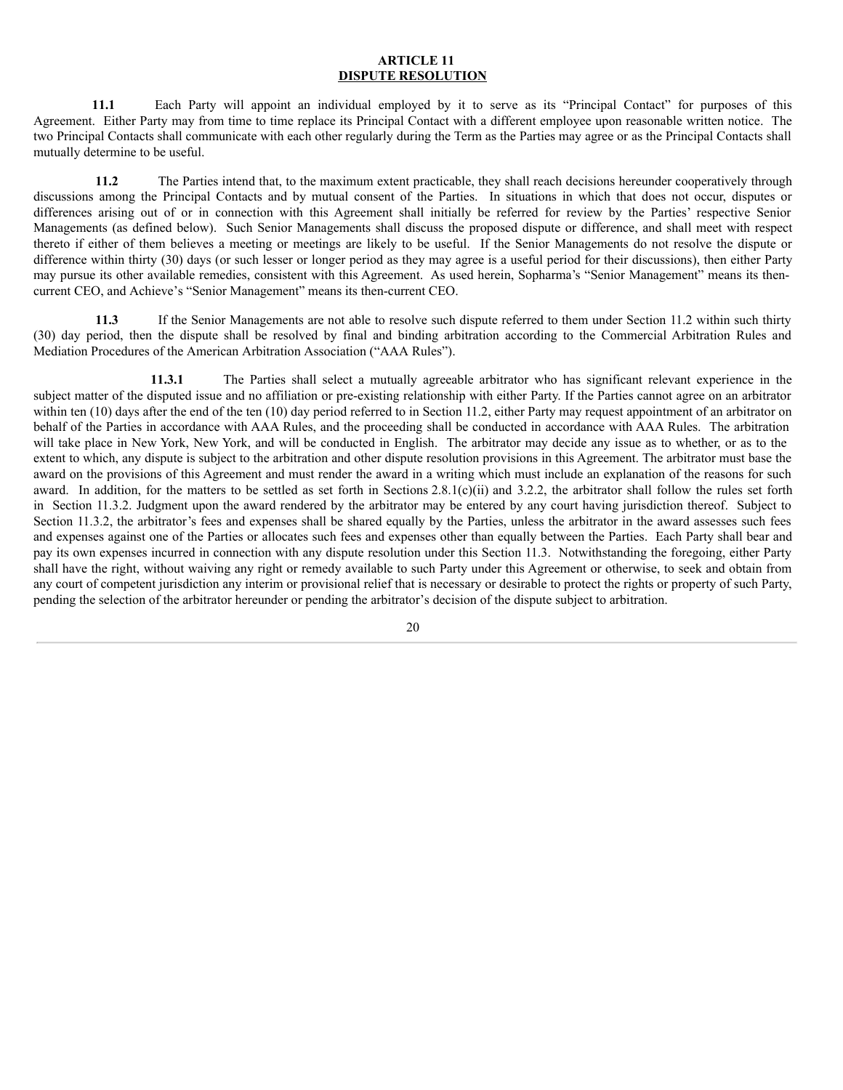# **ARTICLE 11 DISPUTE RESOLUTION**

**11.1** Each Party will appoint an individual employed by it to serve as its "Principal Contact" for purposes of this Agreement. Either Party may from time to time replace its Principal Contact with a different employee upon reasonable written notice. The two Principal Contacts shall communicate with each other regularly during the Term as the Parties may agree or as the Principal Contacts shall mutually determine to be useful.

**11.2** The Parties intend that, to the maximum extent practicable, they shall reach decisions hereunder cooperatively through discussions among the Principal Contacts and by mutual consent of the Parties. In situations in which that does not occur, disputes or differences arising out of or in connection with this Agreement shall initially be referred for review by the Parties' respective Senior Managements (as defined below). Such Senior Managements shall discuss the proposed dispute or difference, and shall meet with respect thereto if either of them believes a meeting or meetings are likely to be useful. If the Senior Managements do not resolve the dispute or difference within thirty (30) days (or such lesser or longer period as they may agree is a useful period for their discussions), then either Party may pursue its other available remedies, consistent with this Agreement. As used herein, Sopharma's "Senior Management" means its thencurrent CEO, and Achieve's "Senior Management" means its then-current CEO.

**11.3** If the Senior Managements are not able to resolve such dispute referred to them under Section 11.2 within such thirty (30) day period, then the dispute shall be resolved by final and binding arbitration according to the Commercial Arbitration Rules and Mediation Procedures of the American Arbitration Association ("AAA Rules").

**11.3.1** The Parties shall select a mutually agreeable arbitrator who has significant relevant experience in the subject matter of the disputed issue and no affiliation or pre-existing relationship with either Party. If the Parties cannot agree on an arbitrator within ten (10) days after the end of the ten (10) day period referred to in Section 11.2, either Party may request appointment of an arbitrator on behalf of the Parties in accordance with AAA Rules, and the proceeding shall be conducted in accordance with AAA Rules. The arbitration will take place in New York, New York, and will be conducted in English. The arbitrator may decide any issue as to whether, or as to the extent to which, any dispute is subject to the arbitration and other dispute resolution provisions in this Agreement. The arbitrator must base the award on the provisions of this Agreement and must render the award in a writing which must include an explanation of the reasons for such award. In addition, for the matters to be settled as set forth in Sections 2.8.1(c)(ii) and 3.2.2, the arbitrator shall follow the rules set forth in Section 11.3.2. Judgment upon the award rendered by the arbitrator may be entered by any court having jurisdiction thereof. Subject to Section 11.3.2, the arbitrator's fees and expenses shall be shared equally by the Parties, unless the arbitrator in the award assesses such fees and expenses against one of the Parties or allocates such fees and expenses other than equally between the Parties. Each Party shall bear and pay its own expenses incurred in connection with any dispute resolution under this Section 11.3. Notwithstanding the foregoing, either Party shall have the right, without waiving any right or remedy available to such Party under this Agreement or otherwise, to seek and obtain from any court of competent jurisdiction any interim or provisional relief that is necessary or desirable to protect the rights or property of such Party, pending the selection of the arbitrator hereunder or pending the arbitrator's decision of the dispute subject to arbitration.

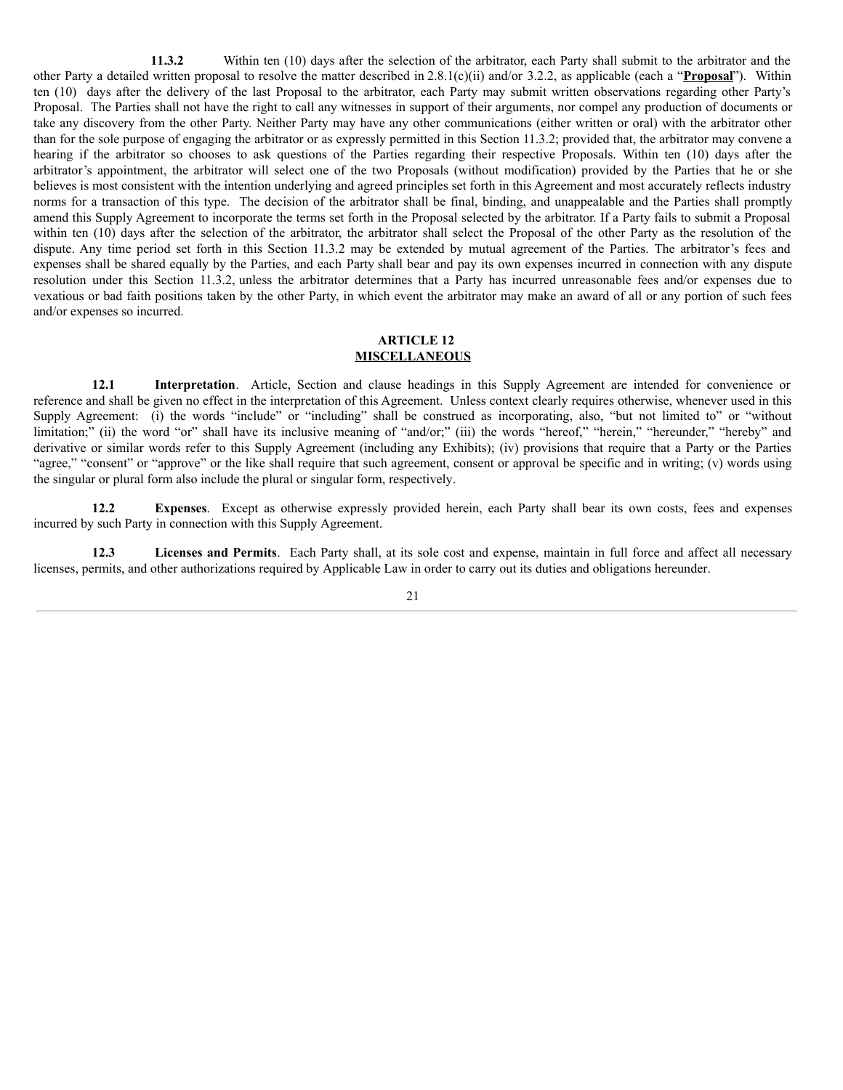**11.3.2** Within ten (10) days after the selection of the arbitrator, each Party shall submit to the arbitrator and the other Party a detailed written proposal to resolve the matter described in 2.8.1(c)(ii) and/or 3.2.2, as applicable (each a "**Proposal**"). Within ten (10) days after the delivery of the last Proposal to the arbitrator, each Party may submit written observations regarding other Party's Proposal. The Parties shall not have the right to call any witnesses in support of their arguments, nor compel any production of documents or take any discovery from the other Party. Neither Party may have any other communications (either written or oral) with the arbitrator other than for the sole purpose of engaging the arbitrator or as expressly permitted in this Section 11.3.2; provided that, the arbitrator may convene a hearing if the arbitrator so chooses to ask questions of the Parties regarding their respective Proposals. Within ten (10) days after the arbitrator's appointment, the arbitrator will select one of the two Proposals (without modification) provided by the Parties that he or she believes is most consistent with the intention underlying and agreed principles set forth in this Agreement and most accurately reflects industry norms for a transaction of this type. The decision of the arbitrator shall be final, binding, and unappealable and the Parties shall promptly amend this Supply Agreement to incorporate the terms set forth in the Proposal selected by the arbitrator. If a Party fails to submit a Proposal within ten (10) days after the selection of the arbitrator, the arbitrator shall select the Proposal of the other Party as the resolution of the dispute. Any time period set forth in this Section 11.3.2 may be extended by mutual agreement of the Parties. The arbitrator's fees and expenses shall be shared equally by the Parties, and each Party shall bear and pay its own expenses incurred in connection with any dispute resolution under this Section 11.3.2, unless the arbitrator determines that a Party has incurred unreasonable fees and/or expenses due to vexatious or bad faith positions taken by the other Party, in which event the arbitrator may make an award of all or any portion of such fees and/or expenses so incurred.

## **ARTICLE 12 MISCELLANEOUS**

**12.1 Interpretation**. Article, Section and clause headings in this Supply Agreement are intended for convenience or reference and shall be given no effect in the interpretation of this Agreement. Unless context clearly requires otherwise, whenever used in this Supply Agreement: (i) the words "include" or "including" shall be construed as incorporating, also, "but not limited to" or "without limitation;" (ii) the word "or" shall have its inclusive meaning of "and/or;" (iii) the words "hereof," "herein," "hereunder," "hereby" and derivative or similar words refer to this Supply Agreement (including any Exhibits); (iv) provisions that require that a Party or the Parties "agree," "consent" or "approve" or the like shall require that such agreement, consent or approval be specific and in writing; (v) words using the singular or plural form also include the plural or singular form, respectively.

**12.2 Expenses**. Except as otherwise expressly provided herein, each Party shall bear its own costs, fees and expenses incurred by such Party in connection with this Supply Agreement.

**12.3 Licenses and Permits**. Each Party shall, at its sole cost and expense, maintain in full force and affect all necessary licenses, permits, and other authorizations required by Applicable Law in order to carry out its duties and obligations hereunder.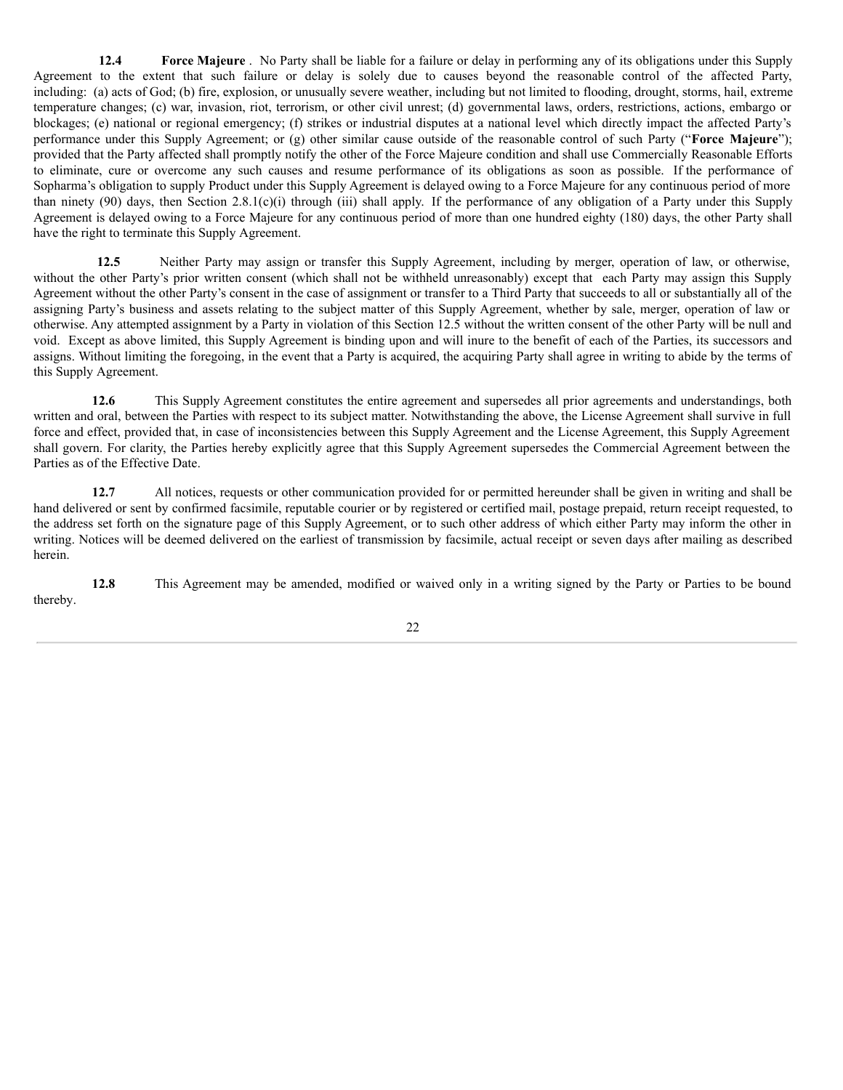**12.4 Force Majeure** . No Party shall be liable for a failure or delay in performing any of its obligations under this Supply Agreement to the extent that such failure or delay is solely due to causes beyond the reasonable control of the affected Party, including: (a) acts of God; (b) fire, explosion, or unusually severe weather, including but not limited to flooding, drought, storms, hail, extreme temperature changes; (c) war, invasion, riot, terrorism, or other civil unrest; (d) governmental laws, orders, restrictions, actions, embargo or blockages; (e) national or regional emergency; (f) strikes or industrial disputes at a national level which directly impact the affected Party's performance under this Supply Agreement; or (g) other similar cause outside of the reasonable control of such Party ("**Force Majeure**"); provided that the Party affected shall promptly notify the other of the Force Majeure condition and shall use Commercially Reasonable Efforts to eliminate, cure or overcome any such causes and resume performance of its obligations as soon as possible. If the performance of Sopharma's obligation to supply Product under this Supply Agreement is delayed owing to a Force Majeure for any continuous period of more than ninety (90) days, then Section 2.8.1(c)(i) through (iii) shall apply. If the performance of any obligation of a Party under this Supply Agreement is delayed owing to a Force Majeure for any continuous period of more than one hundred eighty (180) days, the other Party shall have the right to terminate this Supply Agreement.

**12.5** Neither Party may assign or transfer this Supply Agreement, including by merger, operation of law, or otherwise, without the other Party's prior written consent (which shall not be withheld unreasonably) except that each Party may assign this Supply Agreement without the other Party's consent in the case of assignment or transfer to a Third Party that succeeds to all or substantially all of the assigning Party's business and assets relating to the subject matter of this Supply Agreement, whether by sale, merger, operation of law or otherwise. Any attempted assignment by a Party in violation of this Section 12.5 without the written consent of the other Party will be null and void. Except as above limited, this Supply Agreement is binding upon and will inure to the benefit of each of the Parties, its successors and assigns. Without limiting the foregoing, in the event that a Party is acquired, the acquiring Party shall agree in writing to abide by the terms of this Supply Agreement.

**12.6** This Supply Agreement constitutes the entire agreement and supersedes all prior agreements and understandings, both written and oral, between the Parties with respect to its subject matter. Notwithstanding the above, the License Agreement shall survive in full force and effect, provided that, in case of inconsistencies between this Supply Agreement and the License Agreement, this Supply Agreement shall govern. For clarity, the Parties hereby explicitly agree that this Supply Agreement supersedes the Commercial Agreement between the Parties as of the Effective Date.

**12.7** All notices, requests or other communication provided for or permitted hereunder shall be given in writing and shall be hand delivered or sent by confirmed facsimile, reputable courier or by registered or certified mail, postage prepaid, return receipt requested, to the address set forth on the signature page of this Supply Agreement, or to such other address of which either Party may inform the other in writing. Notices will be deemed delivered on the earliest of transmission by facsimile, actual receipt or seven days after mailing as described herein.

**12.8** This Agreement may be amended, modified or waived only in a writing signed by the Party or Parties to be bound thereby.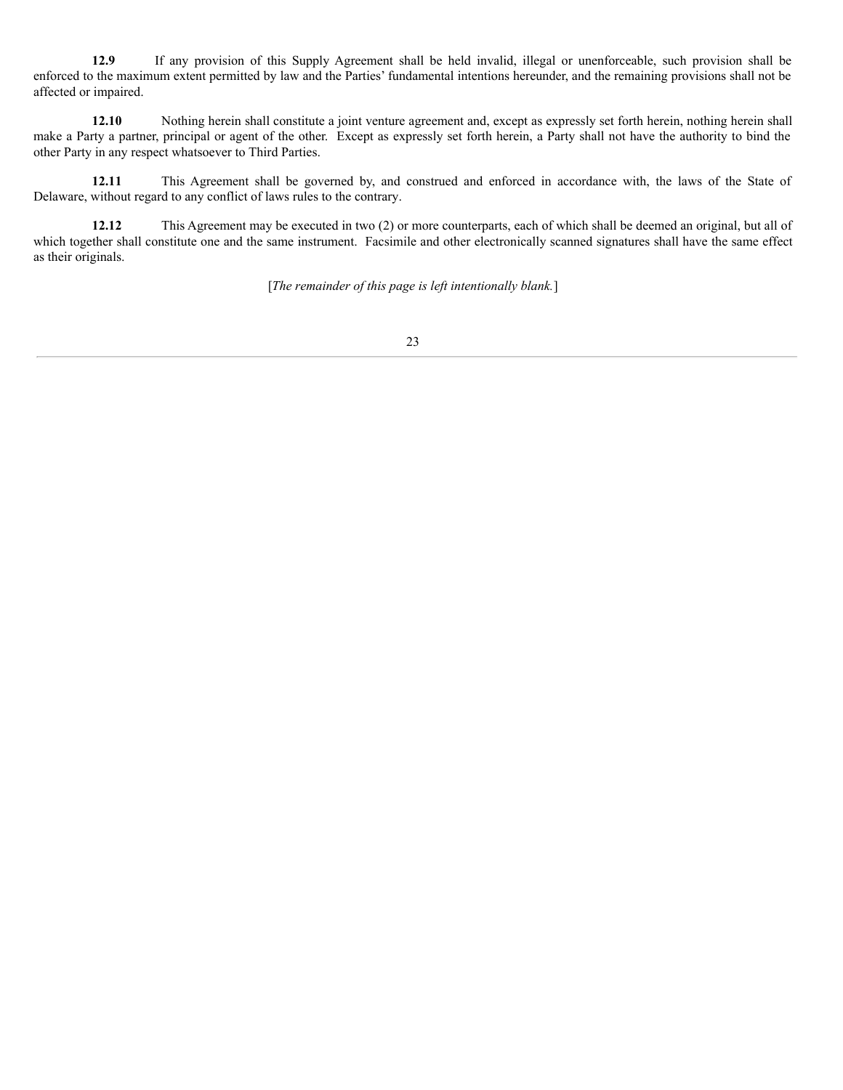**12.9** If any provision of this Supply Agreement shall be held invalid, illegal or unenforceable, such provision shall be enforced to the maximum extent permitted by law and the Parties' fundamental intentions hereunder, and the remaining provisions shall not be affected or impaired.

**12.10** Nothing herein shall constitute a joint venture agreement and, except as expressly set forth herein, nothing herein shall make a Party a partner, principal or agent of the other. Except as expressly set forth herein, a Party shall not have the authority to bind the other Party in any respect whatsoever to Third Parties.

**12.11** This Agreement shall be governed by, and construed and enforced in accordance with, the laws of the State of Delaware, without regard to any conflict of laws rules to the contrary.

**12.12** This Agreement may be executed in two (2) or more counterparts, each of which shall be deemed an original, but all of which together shall constitute one and the same instrument. Facsimile and other electronically scanned signatures shall have the same effect as their originals.

[*The remainder of this page is left intentionally blank.*]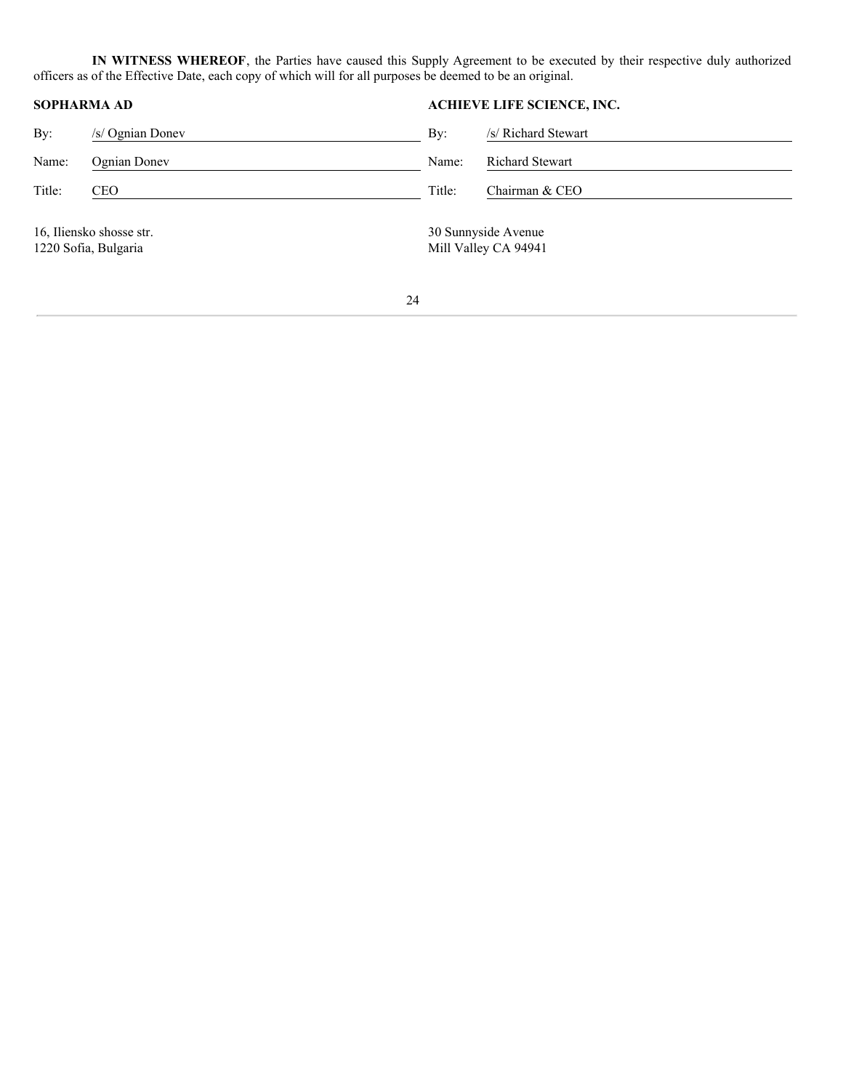**IN WITNESS WHEREOF**, the Parties have caused this Supply Agreement to be executed by their respective duly authorized officers as of the Effective Date, each copy of which will for all purposes be deemed to be an original.

| <b>SOPHARMA AD</b>                               |                  |        | <b>ACHIEVE LIFE SCIENCE, INC.</b>           |  |  |
|--------------------------------------------------|------------------|--------|---------------------------------------------|--|--|
| By:                                              | /s/ Ognian Doney | By:    | /s/ Richard Stewart                         |  |  |
| Name:                                            | Ognian Doney     | Name:  | <b>Richard Stewart</b>                      |  |  |
| Title:                                           | <b>CEO</b>       | Title: | Chairman & CEO                              |  |  |
| 16, Iliensko shosse str.<br>1220 Sofia, Bulgaria |                  |        | 30 Sunnyside Avenue<br>Mill Valley CA 94941 |  |  |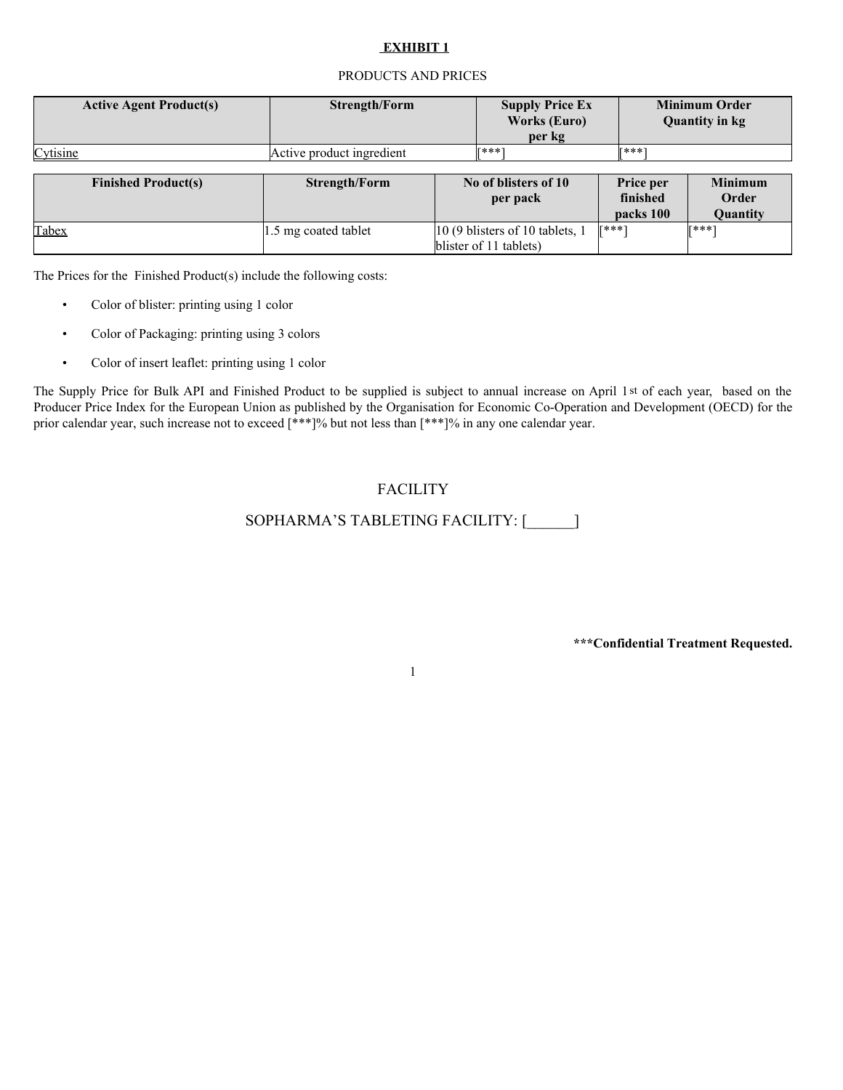## **EXHIBIT 1**

## PRODUCTS AND PRICES

| <b>Active Agent Product(s)</b> | <b>Strength/Form</b>      | <b>Supply Price Ex</b><br><b>Works (Euro)</b><br>per kg   |                                    | <b>Minimum Order</b><br><b>Quantity in kg</b> |  |
|--------------------------------|---------------------------|-----------------------------------------------------------|------------------------------------|-----------------------------------------------|--|
| Cytisine                       | Active product ingredient | <b>F***1</b>                                              | <b>T***</b>                        |                                               |  |
| <b>Finished Product(s)</b>     | <b>Strength/Form</b>      | No of blisters of 10<br>per pack                          | Price per<br>finished<br>packs 100 | <b>Minimum</b><br>Order<br>Quantity           |  |
| Tabex                          | 1.5 mg coated tablet      | 10 (9 blisters of 10 tablets, 1<br>blister of 11 tablets) | [***]                              | <b>T***1</b>                                  |  |

The Prices for the Finished Product(s) include the following costs:

- Color of blister: printing using 1 color
- Color of Packaging: printing using 3 colors
- Color of insert leaflet: printing using 1 color

The Supply Price for Bulk API and Finished Product to be supplied is subject to annual increase on April 1st of each year, based on the Producer Price Index for the European Union as published by the Organisation for Economic Co-Operation and Development (OECD) for the prior calendar year, such increase not to exceed  $[***]$ % but not less than  $[***]$ % in any one calendar year.

# FACILITY

# SOPHARMA'S TABLETING FACILITY: [\_\_\_\_\_\_]

1

**\*\*\*Confidential Treatment Requested.**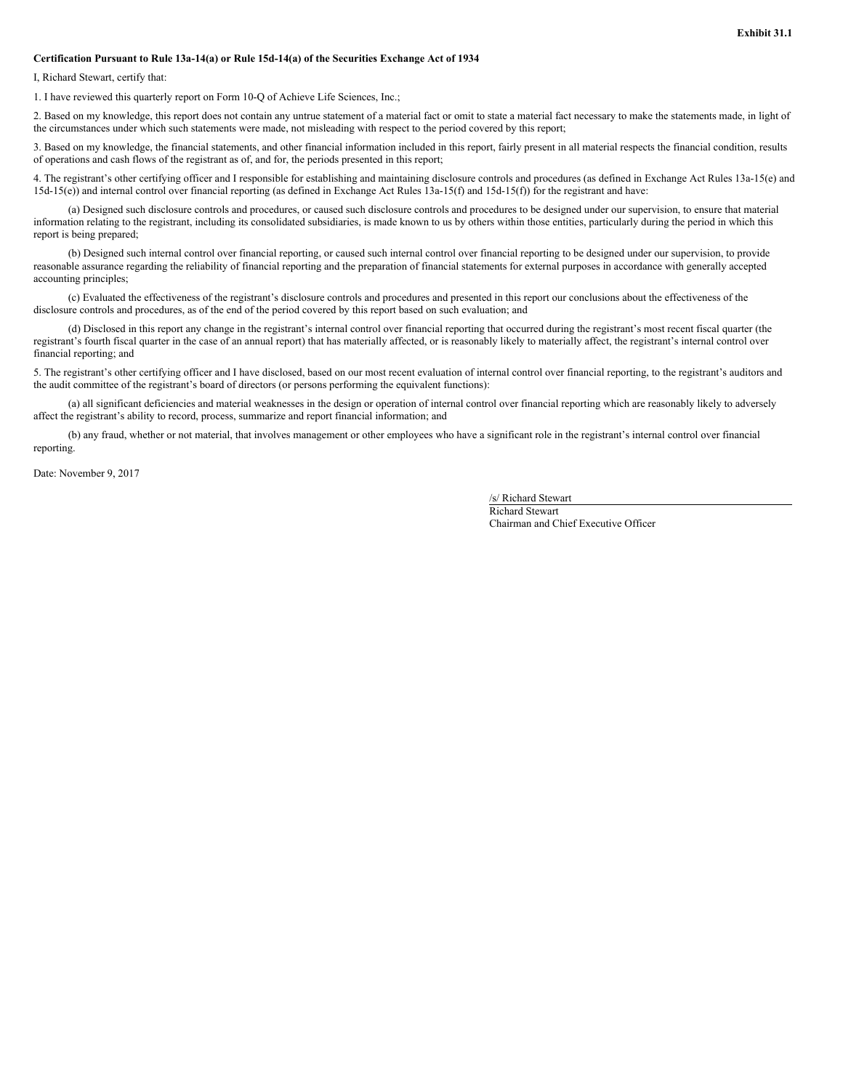#### **Certification Pursuant to Rule 13a-14(a) or Rule 15d-14(a) of the Securities Exchange Act of 1934**

I, Richard Stewart, certify that:

1. I have reviewed this quarterly report on Form 10-Q of Achieve Life Sciences, Inc.;

2. Based on my knowledge, this report does not contain any untrue statement of a material fact or omit to state a material fact necessary to make the statements made, in light of the circumstances under which such statements were made, not misleading with respect to the period covered by this report;

3. Based on my knowledge, the financial statements, and other financial information included in this report, fairly present in all material respects the financial condition, results of operations and cash flows of the registrant as of, and for, the periods presented in this report;

4. The registrant's other certifying officer and I responsible for establishing and maintaining disclosure controls and procedures (as defined in Exchange Act Rules 13a-15(e) and 15d-15(e)) and internal control over financial reporting (as defined in Exchange Act Rules 13a-15(f) and 15d-15(f)) for the registrant and have:

(a) Designed such disclosure controls and procedures, or caused such disclosure controls and procedures to be designed under our supervision, to ensure that material information relating to the registrant, including its consolidated subsidiaries, is made known to us by others within those entities, particularly during the period in which this report is being prepared;

(b) Designed such internal control over financial reporting, or caused such internal control over financial reporting to be designed under our supervision, to provide reasonable assurance regarding the reliability of financial reporting and the preparation of financial statements for external purposes in accordance with generally accepted accounting principles;

(c) Evaluated the effectiveness of the registrant's disclosure controls and procedures and presented in this report our conclusions about the effectiveness of the disclosure controls and procedures, as of the end of the period covered by this report based on such evaluation; and

(d) Disclosed in this report any change in the registrant's internal control over financial reporting that occurred during the registrant's most recent fiscal quarter (the registrant's fourth fiscal quarter in the case of an annual report) that has materially affected, or is reasonably likely to materially affect, the registrant's internal control over financial reporting; and

5. The registrant's other certifying officer and I have disclosed, based on our most recent evaluation of internal control over financial reporting, to the registrant's auditors and the audit committee of the registrant's board of directors (or persons performing the equivalent functions):

(a) all significant deficiencies and material weaknesses in the design or operation of internal control over financial reporting which are reasonably likely to adversely affect the registrant's ability to record, process, summarize and report financial information; and

(b) any fraud, whether or not material, that involves management or other employees who have a significant role in the registrant's internal control over financial reporting.

Date: November 9, 2017

/s/ Richard Stewart

Richard Stewart Chairman and Chief Executive Officer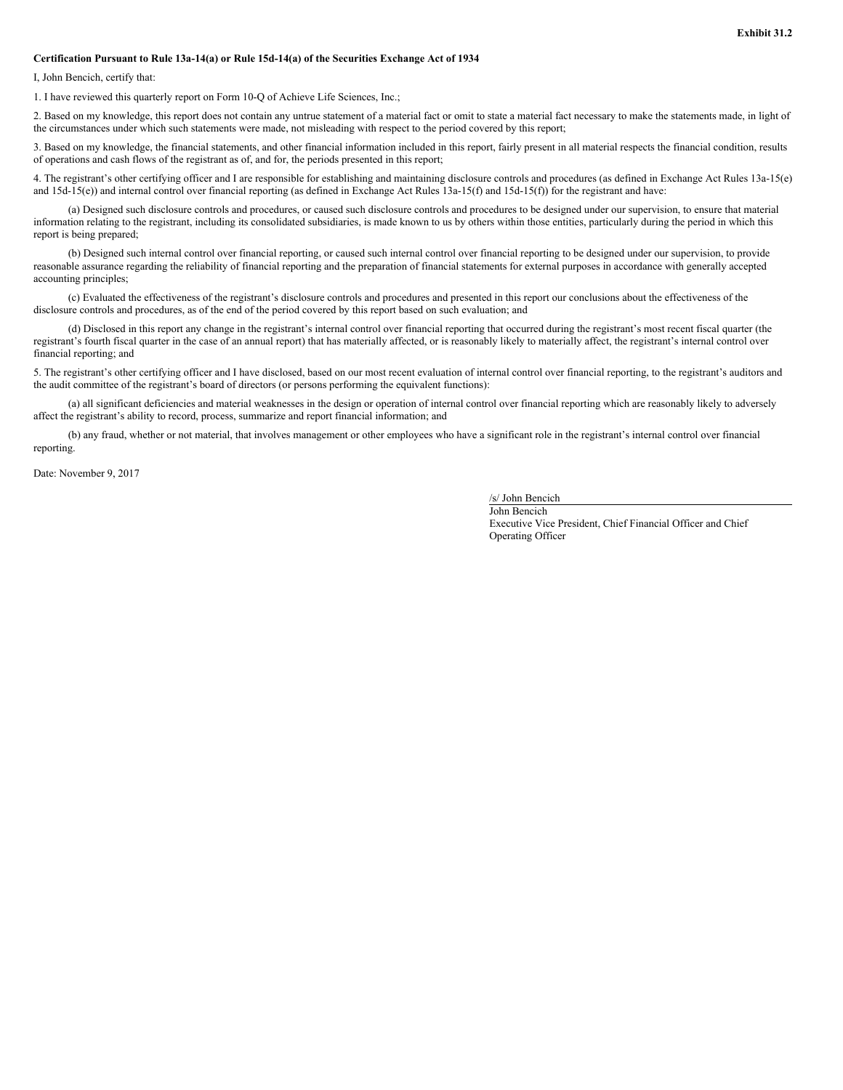#### **Certification Pursuant to Rule 13a-14(a) or Rule 15d-14(a) of the Securities Exchange Act of 1934**

I, John Bencich, certify that:

1. I have reviewed this quarterly report on Form 10-Q of Achieve Life Sciences, Inc.;

2. Based on my knowledge, this report does not contain any untrue statement of a material fact or omit to state a material fact necessary to make the statements made, in light of the circumstances under which such statements were made, not misleading with respect to the period covered by this report;

3. Based on my knowledge, the financial statements, and other financial information included in this report, fairly present in all material respects the financial condition, results of operations and cash flows of the registrant as of, and for, the periods presented in this report;

4. The registrant's other certifying officer and I are responsible for establishing and maintaining disclosure controls and procedures (as defined in Exchange Act Rules 13a-15(e) and  $15d-15(e)$ ) and internal control over financial reporting (as defined in Exchange Act Rules  $13a-15(f)$  and  $15d-15(f)$ ) for the registrant and have:

(a) Designed such disclosure controls and procedures, or caused such disclosure controls and procedures to be designed under our supervision, to ensure that material information relating to the registrant, including its consolidated subsidiaries, is made known to us by others within those entities, particularly during the period in which this report is being prepared;

(b) Designed such internal control over financial reporting, or caused such internal control over financial reporting to be designed under our supervision, to provide reasonable assurance regarding the reliability of financial reporting and the preparation of financial statements for external purposes in accordance with generally accepted accounting principles;

(c) Evaluated the effectiveness of the registrant's disclosure controls and procedures and presented in this report our conclusions about the effectiveness of the disclosure controls and procedures, as of the end of the period covered by this report based on such evaluation; and

(d) Disclosed in this report any change in the registrant's internal control over financial reporting that occurred during the registrant's most recent fiscal quarter (the registrant's fourth fiscal quarter in the case of an annual report) that has materially affected, or is reasonably likely to materially affect, the registrant's internal control over financial reporting; and

5. The registrant's other certifying officer and I have disclosed, based on our most recent evaluation of internal control over financial reporting, to the registrant's auditors and the audit committee of the registrant's board of directors (or persons performing the equivalent functions):

(a) all significant deficiencies and material weaknesses in the design or operation of internal control over financial reporting which are reasonably likely to adversely affect the registrant's ability to record, process, summarize and report financial information; and

(b) any fraud, whether or not material, that involves management or other employees who have a significant role in the registrant's internal control over financial reporting.

Date: November 9, 2017

/s/ John Bencich

John Bencich Executive Vice President, Chief Financial Officer and Chief Operating Officer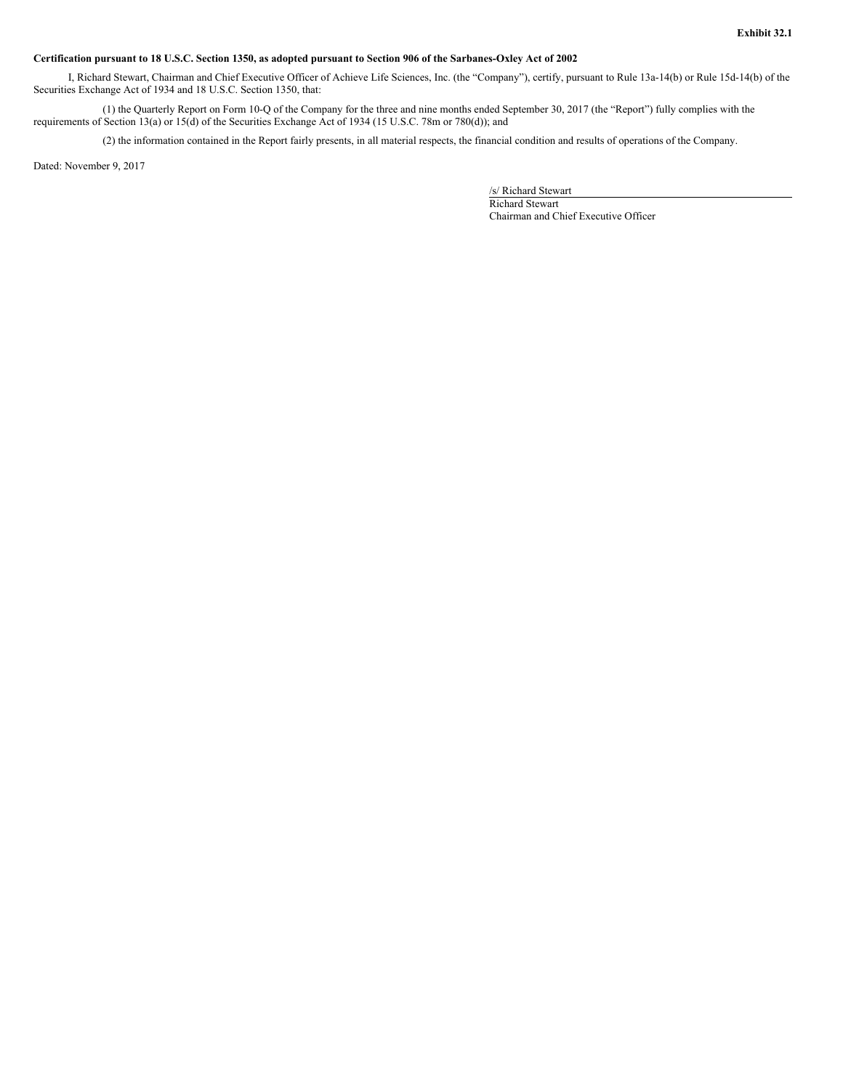### Certification pursuant to 18 U.S.C. Section 1350, as adopted pursuant to Section 906 of the Sarbanes-Oxley Act of 2002

I, Richard Stewart, Chairman and Chief Executive Officer of Achieve Life Sciences, Inc. (the "Company"), certify, pursuant to Rule 13a-14(b) or Rule 15d-14(b) of the Securities Exchange Act of 1934 and 18 U.S.C. Section 1350, that:

(1) the Quarterly Report on Form 10-Q of the Company for the three and nine months ended September 30, 2017 (the "Report") fully complies with the requirements of Section 13(a) or 15(d) of the Securities Exchange Act of 1934 (15 U.S.C. 78m or 780(d)); and

(2) the information contained in the Report fairly presents, in all material respects, the financial condition and results of operations of the Company.

Dated: November 9, 2017

/s/ Richard Stewart

Richard Stewart Chairman and Chief Executive Officer